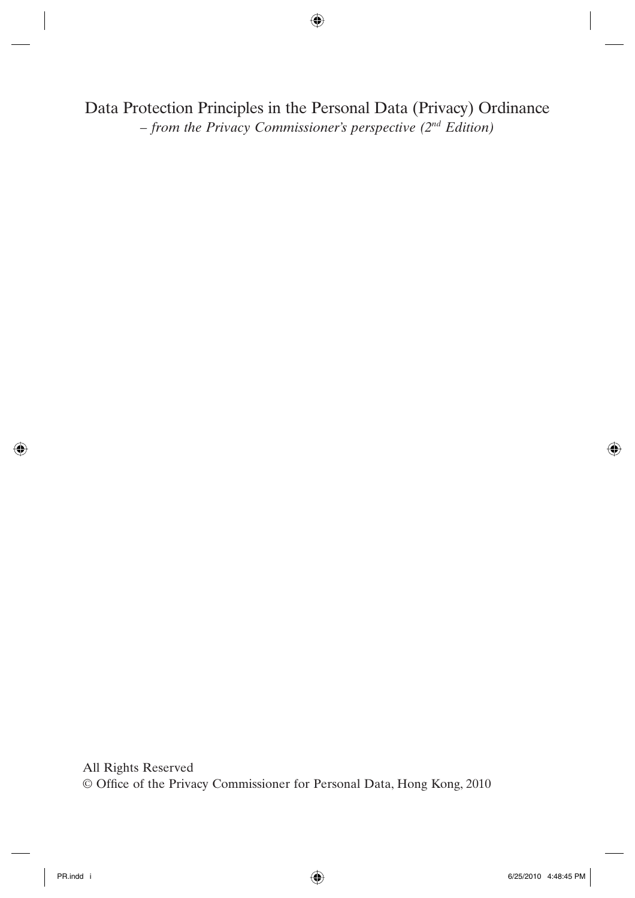Data Protection Principles in the Personal Data (Privacy) Ordinance *– from the Privacy Commissioner's perspective (2nd Edition)*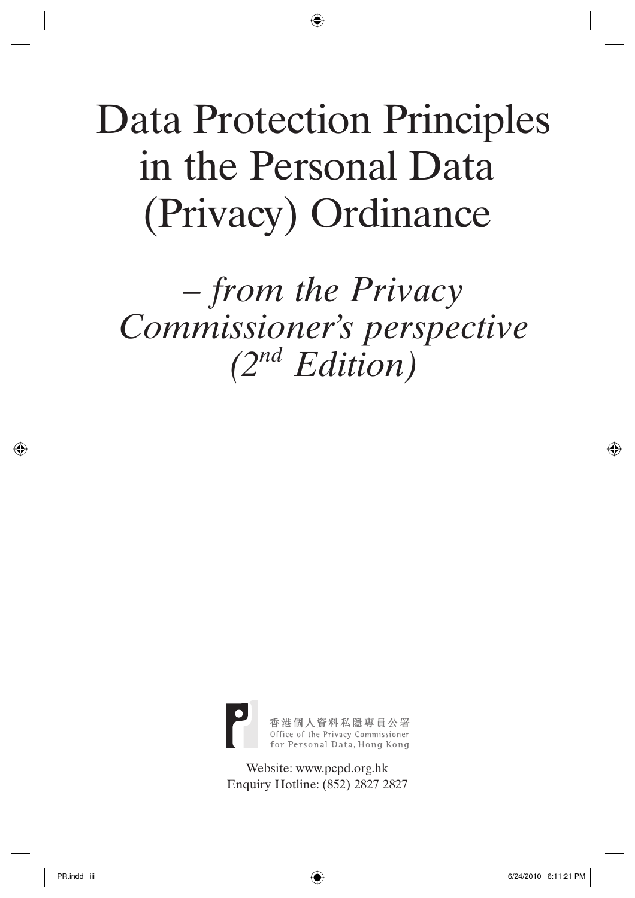# Data Protection Principles in the Personal Data (Privacy) Ordinance

*– from the Privacy Commissioner's perspective (2nd Edition)*



Website: www.pcpd.org.hk Enquiry Hotline: (852) 2827 2827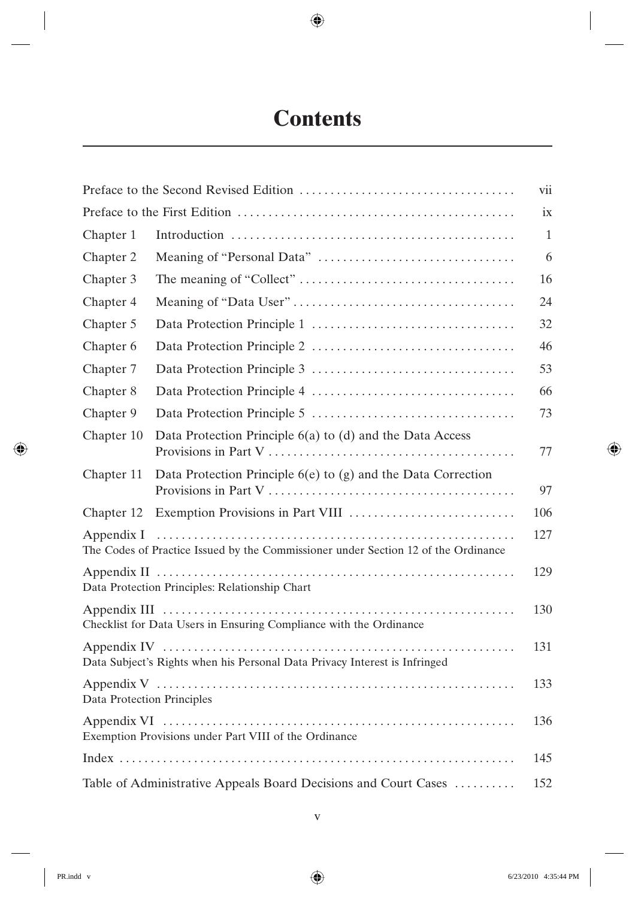## **Contents**

|                                                                                                  |                                                               | vii |
|--------------------------------------------------------------------------------------------------|---------------------------------------------------------------|-----|
|                                                                                                  |                                                               | ix  |
| Chapter 1                                                                                        |                                                               | 1   |
| Chapter 2                                                                                        |                                                               | 6   |
| Chapter 3                                                                                        |                                                               | 16  |
| Chapter 4                                                                                        |                                                               | 24  |
| Chapter 5                                                                                        |                                                               | 32  |
| Chapter 6                                                                                        |                                                               | 46  |
| Chapter 7                                                                                        |                                                               | 53  |
| Chapter 8                                                                                        |                                                               | 66  |
| Chapter 9                                                                                        |                                                               | 73  |
| Chapter 10                                                                                       | Data Protection Principle 6(a) to (d) and the Data Access     | 77  |
| Chapter 11                                                                                       | Data Protection Principle 6(e) to (g) and the Data Correction | 97  |
| Chapter 12                                                                                       |                                                               | 106 |
| Appendix I<br>The Codes of Practice Issued by the Commissioner under Section 12 of the Ordinance |                                                               | 127 |
| Data Protection Principles: Relationship Chart                                                   |                                                               | 129 |
| Checklist for Data Users in Ensuring Compliance with the Ordinance                               |                                                               | 130 |
| Data Subject's Rights when his Personal Data Privacy Interest is Infringed                       |                                                               | 131 |
| Data Protection Principles                                                                       |                                                               | 133 |
| Exemption Provisions under Part VIII of the Ordinance                                            |                                                               | 136 |
|                                                                                                  |                                                               | 145 |
| Table of Administrative Appeals Board Decisions and Court Cases                                  |                                                               | 152 |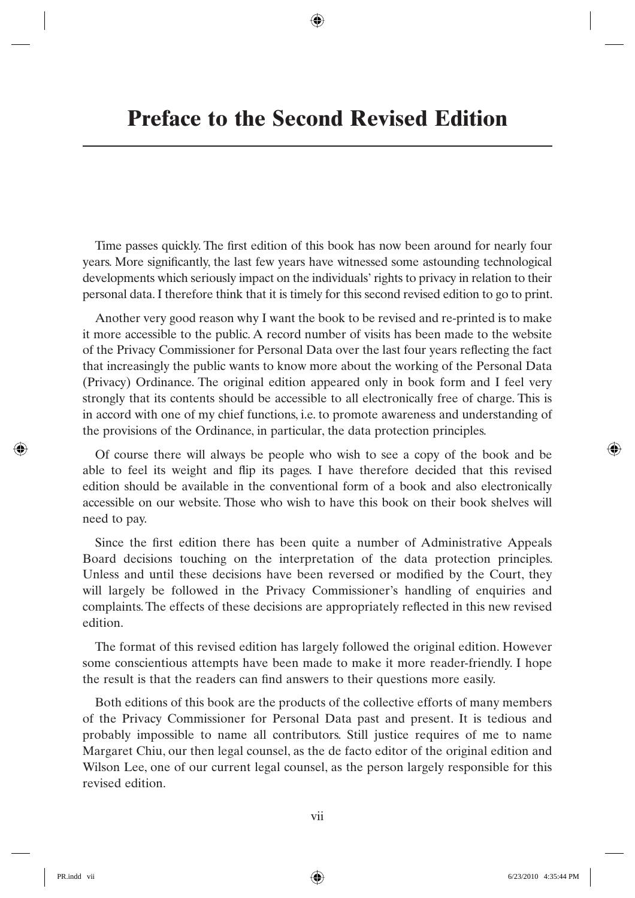Time passes quickly. The first edition of this book has now been around for nearly four years. More significantly, the last few years have witnessed some astounding technological developments which seriously impact on the individuals' rights to privacy in relation to their personal data. I therefore think that it is timely for this second revised edition to go to print.

Another very good reason why I want the book to be revised and re-printed is to make it more accessible to the public. A record number of visits has been made to the website of the Privacy Commissioner for Personal Data over the last four years reflecting the fact that increasingly the public wants to know more about the working of the Personal Data (Privacy) Ordinance. The original edition appeared only in book form and I feel very strongly that its contents should be accessible to all electronically free of charge. This is in accord with one of my chief functions, i.e. to promote awareness and understanding of the provisions of the Ordinance, in particular, the data protection principles.

Of course there will always be people who wish to see a copy of the book and be able to feel its weight and flip its pages. I have therefore decided that this revised edition should be available in the conventional form of a book and also electronically accessible on our website. Those who wish to have this book on their book shelves will need to pay.

Since the first edition there has been quite a number of Administrative Appeals Board decisions touching on the interpretation of the data protection principles. Unless and until these decisions have been reversed or modified by the Court, they will largely be followed in the Privacy Commissioner's handling of enquiries and complaints. The effects of these decisions are appropriately reflected in this new revised edition.

The format of this revised edition has largely followed the original edition. However some conscientious attempts have been made to make it more reader-friendly. I hope the result is that the readers can find answers to their questions more easily.

Both editions of this book are the products of the collective efforts of many members of the Privacy Commissioner for Personal Data past and present. It is tedious and probably impossible to name all contributors. Still justice requires of me to name Margaret Chiu, our then legal counsel, as the de facto editor of the original edition and Wilson Lee, one of our current legal counsel, as the person largely responsible for this revised edition.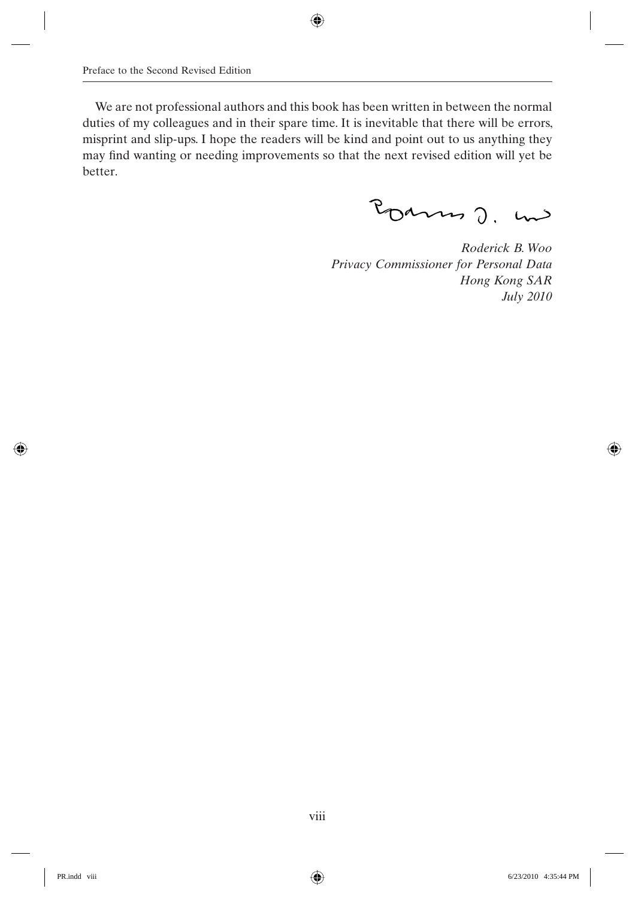We are not professional authors and this book has been written in between the normal duties of my colleagues and in their spare time. It is inevitable that there will be errors, misprint and slip-ups. I hope the readers will be kind and point out to us anything they may find wanting or needing improvements so that the next revised edition will yet be better.

Pourns J. und

*Roderick B. Woo Privacy Commissioner for Personal Data Hong Kong SAR July 2010*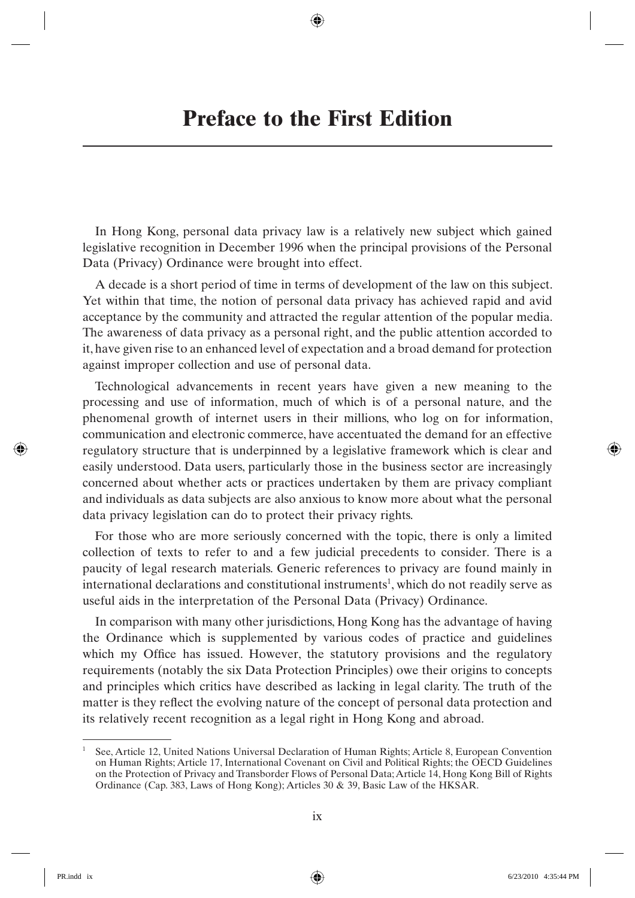In Hong Kong, personal data privacy law is a relatively new subject which gained legislative recognition in December 1996 when the principal provisions of the Personal Data (Privacy) Ordinance were brought into effect.

A decade is a short period of time in terms of development of the law on this subject. Yet within that time, the notion of personal data privacy has achieved rapid and avid acceptance by the community and attracted the regular attention of the popular media. The awareness of data privacy as a personal right, and the public attention accorded to it, have given rise to an enhanced level of expectation and a broad demand for protection against improper collection and use of personal data.

Technological advancements in recent years have given a new meaning to the processing and use of information, much of which is of a personal nature, and the phenomenal growth of internet users in their millions, who log on for information, communication and electronic commerce, have accentuated the demand for an effective regulatory structure that is underpinned by a legislative framework which is clear and easily understood. Data users, particularly those in the business sector are increasingly concerned about whether acts or practices undertaken by them are privacy compliant and individuals as data subjects are also anxious to know more about what the personal data privacy legislation can do to protect their privacy rights.

For those who are more seriously concerned with the topic, there is only a limited collection of texts to refer to and a few judicial precedents to consider. There is a paucity of legal research materials. Generic references to privacy are found mainly in international declarations and constitutional instruments<sup>1</sup>, which do not readily serve as useful aids in the interpretation of the Personal Data (Privacy) Ordinance.

In comparison with many other jurisdictions, Hong Kong has the advantage of having the Ordinance which is supplemented by various codes of practice and guidelines which my Office has issued. However, the statutory provisions and the regulatory requirements (notably the six Data Protection Principles) owe their origins to concepts and principles which critics have described as lacking in legal clarity. The truth of the matter is they reflect the evolving nature of the concept of personal data protection and its relatively recent recognition as a legal right in Hong Kong and abroad.

<sup>1</sup> See, Article 12, United Nations Universal Declaration of Human Rights; Article 8, European Convention on Human Rights; Article 17, International Covenant on Civil and Political Rights; the OECD Guidelines on the Protection of Privacy and Transborder Flows of Personal Data; Article 14, Hong Kong Bill of Rights Ordinance (Cap. 383, Laws of Hong Kong); Articles 30 & 39, Basic Law of the HKSAR.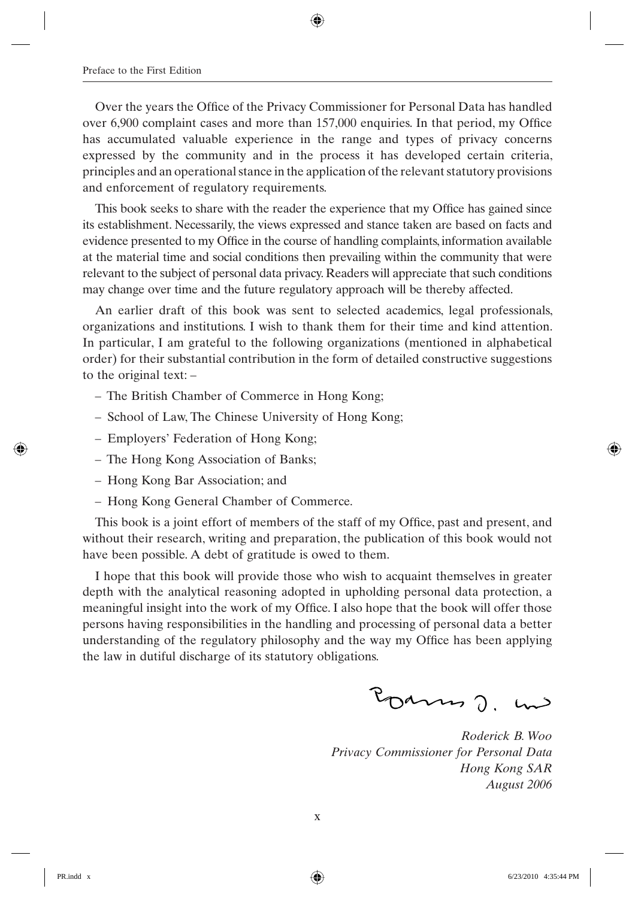Over the years the Office of the Privacy Commissioner for Personal Data has handled over  $6,900$  complaint cases and more than  $157,000$  enquiries. In that period, my Office has accumulated valuable experience in the range and types of privacy concerns expressed by the community and in the process it has developed certain criteria, principles and an operational stance in the application of the relevant statutory provisions and enforcement of regulatory requirements.

This book seeks to share with the reader the experience that my Office has gained since its establishment. Necessarily, the views expressed and stance taken are based on facts and evidence presented to my Office in the course of handling complaints, information available at the material time and social conditions then prevailing within the community that were relevant to the subject of personal data privacy. Readers will appreciate that such conditions may change over time and the future regulatory approach will be thereby affected.

An earlier draft of this book was sent to selected academics, legal professionals, organizations and institutions. I wish to thank them for their time and kind attention. In particular, I am grateful to the following organizations (mentioned in alphabetical order) for their substantial contribution in the form of detailed constructive suggestions to the original text: –

- The British Chamber of Commerce in Hong Kong;
- School of Law, The Chinese University of Hong Kong;
- Employers' Federation of Hong Kong;
- The Hong Kong Association of Banks;
- Hong Kong Bar Association; and
- Hong Kong General Chamber of Commerce.

This book is a joint effort of members of the staff of my Office, past and present, and without their research, writing and preparation, the publication of this book would not have been possible. A debt of gratitude is owed to them.

I hope that this book will provide those who wish to acquaint themselves in greater depth with the analytical reasoning adopted in upholding personal data protection, a meaningful insight into the work of my Office. I also hope that the book will offer those persons having responsibilities in the handling and processing of personal data a better understanding of the regulatory philosophy and the way my Office has been applying the law in dutiful discharge of its statutory obligations.

Pourno J. m

*Roderick B. Woo Privacy Commissioner for Personal Data Hong Kong SAR August 2006*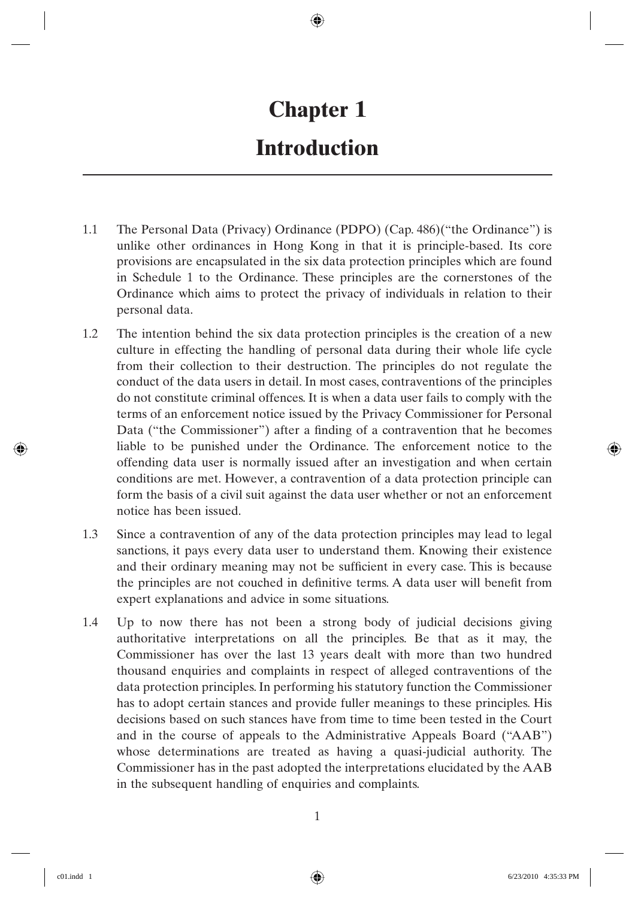## **Chapter 1 Introduction**

- 1.1 The Personal Data (Privacy) Ordinance (PDPO) (Cap. 486)("the Ordinance") is unlike other ordinances in Hong Kong in that it is principle-based. Its core provisions are encapsulated in the six data protection principles which are found in Schedule 1 to the Ordinance. These principles are the cornerstones of the Ordinance which aims to protect the privacy of individuals in relation to their personal data.
- 1.2 The intention behind the six data protection principles is the creation of a new culture in effecting the handling of personal data during their whole life cycle from their collection to their destruction. The principles do not regulate the conduct of the data users in detail. In most cases, contraventions of the principles do not constitute criminal offences. It is when a data user fails to comply with the terms of an enforcement notice issued by the Privacy Commissioner for Personal Data ("the Commissioner") after a finding of a contravention that he becomes liable to be punished under the Ordinance. The enforcement notice to the offending data user is normally issued after an investigation and when certain conditions are met. However, a contravention of a data protection principle can form the basis of a civil suit against the data user whether or not an enforcement notice has been issued.
- 1.3 Since a contravention of any of the data protection principles may lead to legal sanctions, it pays every data user to understand them. Knowing their existence and their ordinary meaning may not be sufficient in every case. This is because the principles are not couched in definitive terms. A data user will benefit from expert explanations and advice in some situations.
- 1.4 Up to now there has not been a strong body of judicial decisions giving authoritative interpretations on all the principles. Be that as it may, the Commissioner has over the last 13 years dealt with more than two hundred thousand enquiries and complaints in respect of alleged contraventions of the data protection principles. In performing his statutory function the Commissioner has to adopt certain stances and provide fuller meanings to these principles. His decisions based on such stances have from time to time been tested in the Court and in the course of appeals to the Administrative Appeals Board ("AAB") whose determinations are treated as having a quasi-judicial authority. The Commissioner has in the past adopted the interpretations elucidated by the AAB in the subsequent handling of enquiries and complaints.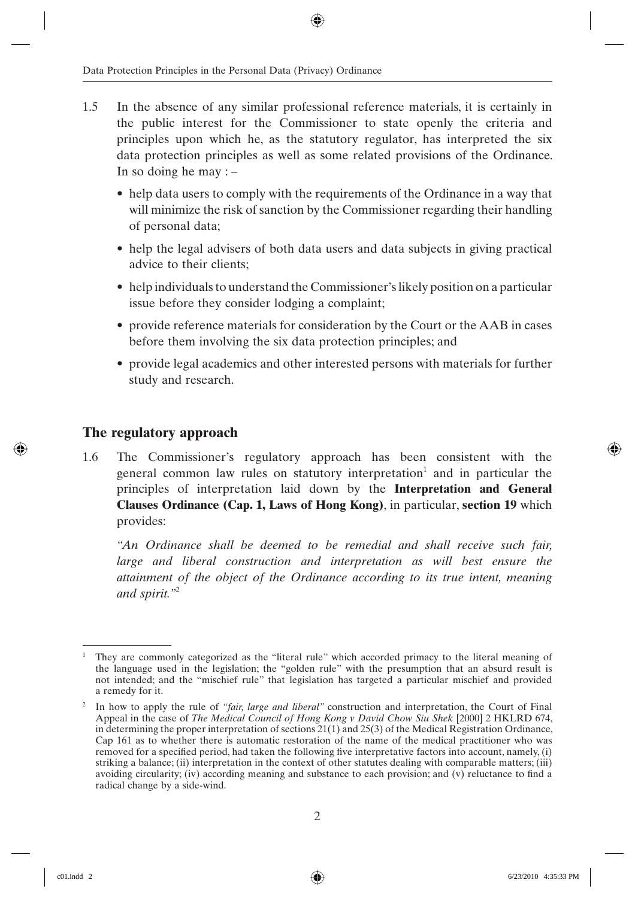- 1.5 In the absence of any similar professional reference materials, it is certainly in the public interest for the Commissioner to state openly the criteria and principles upon which he, as the statutory regulator, has interpreted the six data protection principles as well as some related provisions of the Ordinance. In so doing he may  $:$   $-$ 
	- help data users to comply with the requirements of the Ordinance in a way that will minimize the risk of sanction by the Commissioner regarding their handling of personal data;
	- help the legal advisers of both data users and data subjects in giving practical advice to their clients;
	- help individuals to understand the Commissioner's likely position on a particular issue before they consider lodging a complaint;
	- provide reference materials for consideration by the Court or the AAB in cases before them involving the six data protection principles; and
	- provide legal academics and other interested persons with materials for further study and research.

#### **The regulatory approach**

1.6 The Commissioner's regulatory approach has been consistent with the general common law rules on statutory interpretation<sup>1</sup> and in particular the principles of interpretation laid down by the **Interpretation and General Clauses Ordinance (Cap. 1, Laws of Hong Kong)**, in particular, **section 19** which provides:

*"An Ordinance shall be deemed to be remedial and shall receive such fair,*  large and liberal construction and interpretation as will best ensure the *attainment of the object of the Ordinance according to its true intent, meaning and spirit."*<sup>2</sup>

<sup>1</sup> They are commonly categorized as the "literal rule" which accorded primacy to the literal meaning of the language used in the legislation; the "golden rule" with the presumption that an absurd result is not intended; and the "mischief rule" that legislation has targeted a particular mischief and provided a remedy for it.

<sup>&</sup>lt;sup>2</sup> In how to apply the rule of *"fair, large and liberal"* construction and interpretation, the Court of Final Appeal in the case of *The Medical Council of Hong Kong v David Chow Siu Shek* [2000] 2 HKLRD 674, in determining the proper interpretation of sections 21(1) and 25(3) of the Medical Registration Ordinance, Cap 161 as to whether there is automatic restoration of the name of the medical practitioner who was removed for a specified period, had taken the following five interpretative factors into account, namely, (i) striking a balance; (ii) interpretation in the context of other statutes dealing with comparable matters; (iii) avoiding circularity; (iv) according meaning and substance to each provision; and (v) reluctance to find a radical change by a side-wind.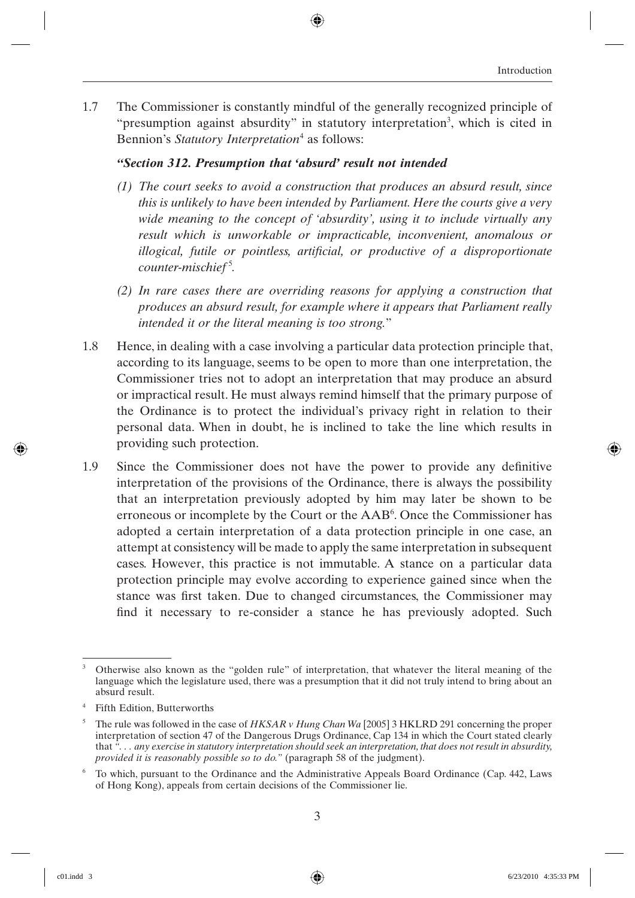1.7 The Commissioner is constantly mindful of the generally recognized principle of "presumption against absurdity" in statutory interpretation<sup>3</sup>, which is cited in Bennion's Statutory Interpretation<sup>4</sup> as follows:

#### *"Section 312. Presumption that 'absurd' result not intended*

- *(1) The court seeks to avoid a construction that produces an absurd result, since this is unlikely to have been intended by Parliament. Here the courts give a very wide meaning to the concept of 'absurdity', using it to include virtually any result which is unworkable or impracticable, inconvenient, anomalous or illogical, futile or pointless, artificial, or productive of a disproportionate counter-mischief* <sup>5</sup> *.*
- *(2) In rare cases there are overriding reasons for applying a construction that produces an absurd result, for example where it appears that Parliament really intended it or the literal meaning is too strong.*"
- 1.8 Hence, in dealing with a case involving a particular data protection principle that, according to its language, seems to be open to more than one interpretation, the Commissioner tries not to adopt an interpretation that may produce an absurd or impractical result. He must always remind himself that the primary purpose of the Ordinance is to protect the individual's privacy right in relation to their personal data. When in doubt, he is inclined to take the line which results in providing such protection.
- 1.9 Since the Commissioner does not have the power to provide any definitive interpretation of the provisions of the Ordinance, there is always the possibility that an interpretation previously adopted by him may later be shown to be erroneous or incomplete by the Court or the AAB<sup>6</sup>. Once the Commissioner has adopted a certain interpretation of a data protection principle in one case, an attempt at consistency will be made to apply the same interpretation in subsequent cases. However, this practice is not immutable. A stance on a particular data protection principle may evolve according to experience gained since when the stance was first taken. Due to changed circumstances, the Commissioner may find it necessary to re-consider a stance he has previously adopted. Such

<sup>3</sup> Otherwise also known as the "golden rule" of interpretation, that whatever the literal meaning of the language which the legislature used, there was a presumption that it did not truly intend to bring about an absurd result.

<sup>4</sup> Fifth Edition, Butterworths

<sup>5</sup> The rule was followed in the case of *HKSAR v Hung Chan Wa* [2005] 3 HKLRD 291 concerning the proper interpretation of section 47 of the Dangerous Drugs Ordinance, Cap 134 in which the Court stated clearly that *". . . any exercise in statutory interpretation should seek an interpretation, that does not result in absurdity, provided it is reasonably possible so to do."* (paragraph 58 of the judgment).

<sup>6</sup> To which, pursuant to the Ordinance and the Administrative Appeals Board Ordinance (Cap. 442, Laws of Hong Kong), appeals from certain decisions of the Commissioner lie.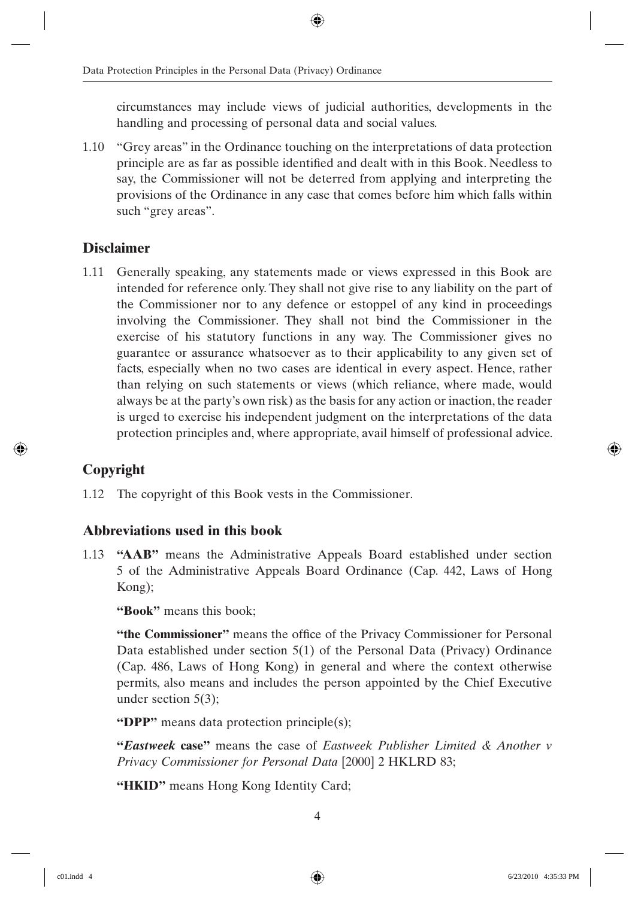circumstances may include views of judicial authorities, developments in the handling and processing of personal data and social values.

1.10 "Grey areas" in the Ordinance touching on the interpretations of data protection principle are as far as possible identified and dealt with in this Book. Needless to say, the Commissioner will not be deterred from applying and interpreting the provisions of the Ordinance in any case that comes before him which falls within such "grey areas".

#### **Disclaimer**

1.11 Generally speaking, any statements made or views expressed in this Book are intended for reference only. They shall not give rise to any liability on the part of the Commissioner nor to any defence or estoppel of any kind in proceedings involving the Commissioner. They shall not bind the Commissioner in the exercise of his statutory functions in any way. The Commissioner gives no guarantee or assurance whatsoever as to their applicability to any given set of facts, especially when no two cases are identical in every aspect. Hence, rather than relying on such statements or views (which reliance, where made, would always be at the party's own risk) as the basis for any action or inaction, the reader is urged to exercise his independent judgment on the interpretations of the data protection principles and, where appropriate, avail himself of professional advice.

#### **Copyright**

1.12 The copyright of this Book vests in the Commissioner.

#### **Abbreviations used in this book**

1.13 **"AAB"** means the Administrative Appeals Board established under section 5 of the Administrative Appeals Board Ordinance (Cap. 442, Laws of Hong Kong);

**"Book"** means this book;

"the Commissioner" means the office of the Privacy Commissioner for Personal Data established under section 5(1) of the Personal Data (Privacy) Ordinance (Cap. 486, Laws of Hong Kong) in general and where the context otherwise permits, also means and includes the person appointed by the Chief Executive under section 5(3);

**"DPP"** means data protection principle(s);

**"***Eastweek* **case"** means the case of *Eastweek Publisher Limited & Another v Privacy Commissioner for Personal Data* [2000] 2 HKLRD 83;

"HKID" means Hong Kong Identity Card;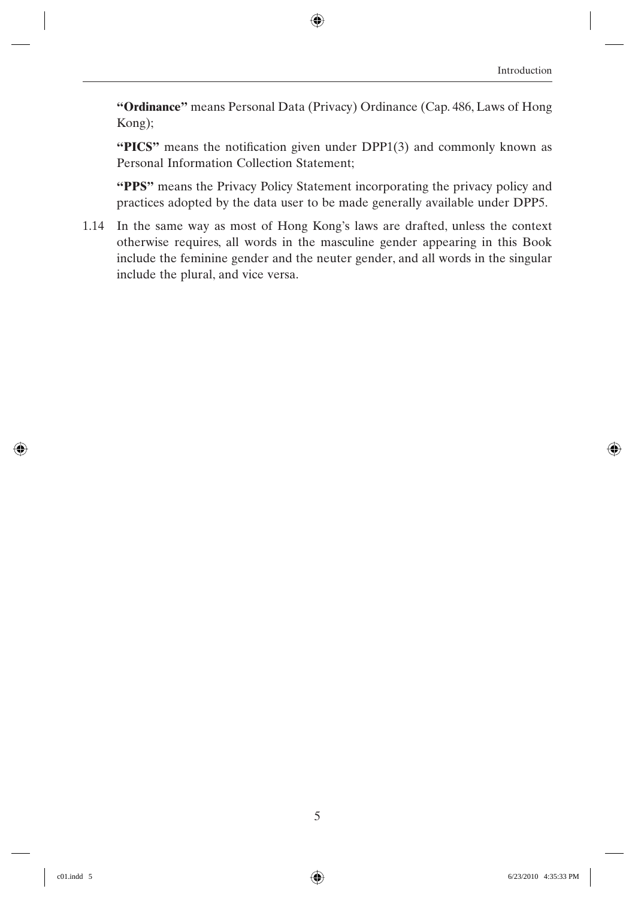**"Ordinance"** means Personal Data (Privacy) Ordinance (Cap. 486, Laws of Hong Kong);

**"PICS"** means the notification given under DPP1(3) and commonly known as Personal Information Collection Statement;

**"PPS"** means the Privacy Policy Statement incorporating the privacy policy and practices adopted by the data user to be made generally available under DPP5.

1.14 In the same way as most of Hong Kong's laws are drafted, unless the context otherwise requires, all words in the masculine gender appearing in this Book include the feminine gender and the neuter gender, and all words in the singular include the plural, and vice versa.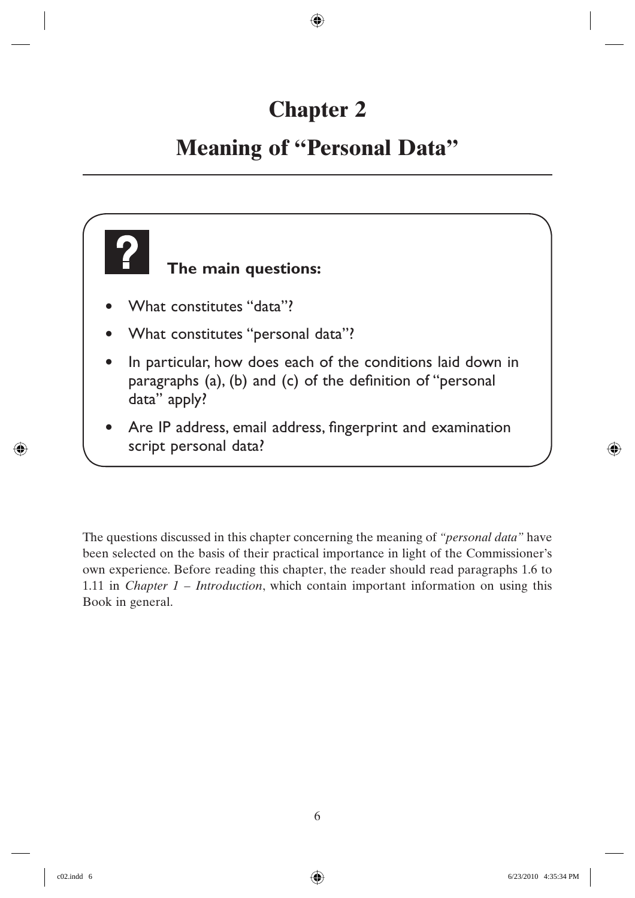## **Chapter 2**

## **Meaning of "Personal Data"**



The questions discussed in this chapter concerning the meaning of *"personal data"* have been selected on the basis of their practical importance in light of the Commissioner's own experience. Before reading this chapter, the reader should read paragraphs 1.6 to 1.11 in *Chapter 1 – Introduction*, which contain important information on using this Book in general.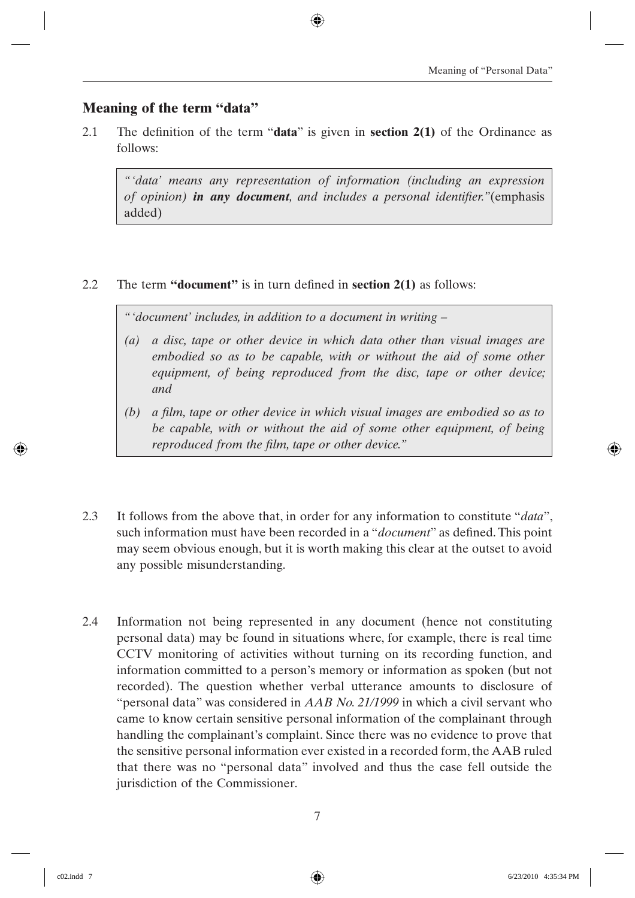#### **Meaning of the term "data"**

2.1 The definition of the term "**data**" is given in **section 2(1)** of the Ordinance as follows:

*"'data' means any representation of information (including an expression of opinion) in any document*, and includes a personal identifier."(emphasis added)

#### 2.2 The term **"document"** is in turn defined in **section 2(1)** as follows:

*"'document' includes, in addition to a document in writing –*

- *(a) a disc, tape or other device in which data other than visual images are embodied so as to be capable, with or without the aid of some other equipment, of being reproduced from the disc, tape or other device; and*
- *(b) a fi lm, tape or other device in which visual images are embodied so as to be capable, with or without the aid of some other equipment, of being reproduced from the film, tape or other device."*
- 2.3 It follows from the above that, in order for any information to constitute "*data*", such information must have been recorded in a "*document*" as defined. This point may seem obvious enough, but it is worth making this clear at the outset to avoid any possible misunderstanding.
- 2.4 Information not being represented in any document (hence not constituting personal data) may be found in situations where, for example, there is real time CCTV monitoring of activities without turning on its recording function, and information committed to a person's memory or information as spoken (but not recorded). The question whether verbal utterance amounts to disclosure of "personal data" was considered in *AAB No. 21/1999* in which a civil servant who came to know certain sensitive personal information of the complainant through handling the complainant's complaint. Since there was no evidence to prove that the sensitive personal information ever existed in a recorded form, the AAB ruled that there was no "personal data" involved and thus the case fell outside the jurisdiction of the Commissioner.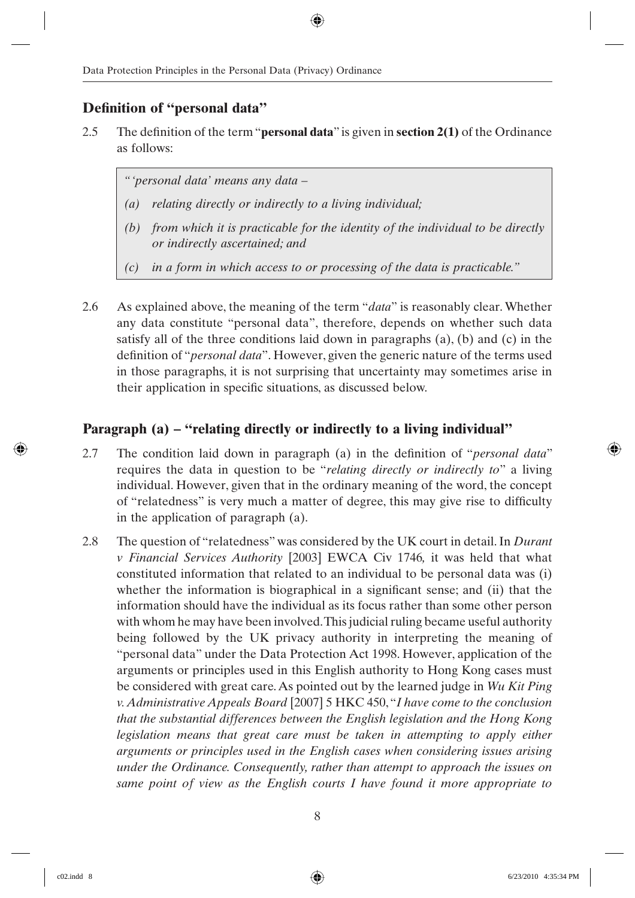#### **Definition of "personal data"**

2.5 The definition of the term "**personal data**" is given in **section 2(1)** of the Ordinance as follows:

*"'personal data' means any data –*

- *(a) relating directly or indirectly to a living individual;*
- *(b) from which it is practicable for the identity of the individual to be directly or indirectly ascertained; and*
- *(c) in a form in which access to or processing of the data is practicable."*
- 2.6 As explained above, the meaning of the term "*data*" is reasonably clear. Whether any data constitute "personal data", therefore, depends on whether such data satisfy all of the three conditions laid down in paragraphs  $(a)$ ,  $(b)$  and  $(c)$  in the definition of "*personal data*". However, given the generic nature of the terms used in those paragraphs, it is not surprising that uncertainty may sometimes arise in their application in specific situations, as discussed below.

#### **Paragraph (a) – "relating directly or indirectly to a living individual"**

- 2.7 The condition laid down in paragraph (a) in the definition of "*personal data*" requires the data in question to be "*relating directly or indirectly to*" a living individual. However, given that in the ordinary meaning of the word, the concept of "relatedness" is very much a matter of degree, this may give rise to difficulty in the application of paragraph (a).
- 2.8 The question of "relatedness" was considered by the UK court in detail. In *Durant v Financial Services Authority* [2003] EWCA Civ 1746*,* it was held that what constituted information that related to an individual to be personal data was (i) whether the information is biographical in a significant sense; and (ii) that the information should have the individual as its focus rather than some other person with whom he may have been involved. This judicial ruling became useful authority being followed by the UK privacy authority in interpreting the meaning of "personal data" under the Data Protection Act 1998. However, application of the arguments or principles used in this English authority to Hong Kong cases must be considered with great care. As pointed out by the learned judge in *Wu Kit Ping v. Administrative Appeals Board* [2007] 5 HKC 450, "*I have come to the conclusion that the substantial differences between the English legislation and the Hong Kong legislation means that great care must be taken in attempting to apply either arguments or principles used in the English cases when considering issues arising under the Ordinance. Consequently, rather than attempt to approach the issues on same point of view as the English courts I have found it more appropriate to*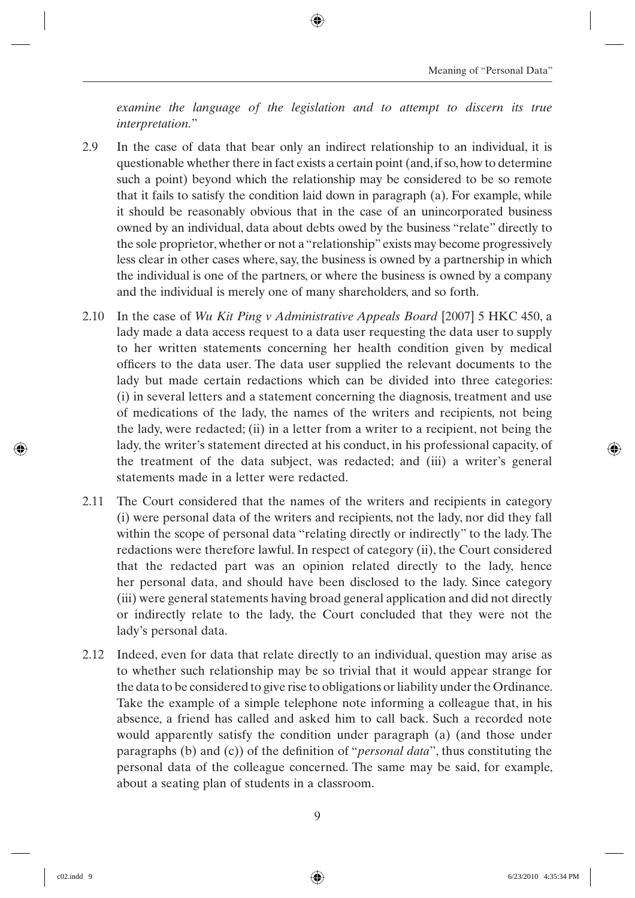*examine the language of the legislation and to attempt to discern its true interpretation.*"

- 2.9 In the case of data that bear only an indirect relationship to an individual, it is questionable whether there in fact exists a certain point (and, if so, how to determine such a point) beyond which the relationship may be considered to be so remote that it fails to satisfy the condition laid down in paragraph (a). For example, while it should be reasonably obvious that in the case of an unincorporated business owned by an individual, data about debts owed by the business "relate" directly to the sole proprietor, whether or not a "relationship" exists may become progressively less clear in other cases where, say, the business is owned by a partnership in which the individual is one of the partners, or where the business is owned by a company and the individual is merely one of many shareholders, and so forth.
- 2.10 In the case of *Wu Kit Ping v Administrative Appeals Board* [2007] 5 HKC 450, a lady made a data access request to a data user requesting the data user to supply to her written statements concerning her health condition given by medical officers to the data user. The data user supplied the relevant documents to the lady but made certain redactions which can be divided into three categories: (i) in several letters and a statement concerning the diagnosis, treatment and use of medications of the lady, the names of the writers and recipients, not being the lady, were redacted; (ii) in a letter from a writer to a recipient, not being the lady, the writer's statement directed at his conduct, in his professional capacity, of the treatment of the data subject, was redacted; and (iii) a writer's general statements made in a letter were redacted.
- 2.11 The Court considered that the names of the writers and recipients in category (i) were personal data of the writers and recipients, not the lady, nor did they fall within the scope of personal data "relating directly or indirectly" to the lady. The redactions were therefore lawful. In respect of category (ii), the Court considered that the redacted part was an opinion related directly to the lady, hence her personal data, and should have been disclosed to the lady. Since category (iii) were general statements having broad general application and did not directly or indirectly relate to the lady, the Court concluded that they were not the lady's personal data.
- 2.12 Indeed, even for data that relate directly to an individual, question may arise as to whether such relationship may be so trivial that it would appear strange for the data to be considered to give rise to obligations or liability under the Ordinance. Take the example of a simple telephone note informing a colleague that, in his absence, a friend has called and asked him to call back. Such a recorded note would apparently satisfy the condition under paragraph (a) (and those under paragraphs (b) and (c)) of the definition of "*personal data*", thus constituting the personal data of the colleague concerned. The same may be said, for example, about a seating plan of students in a classroom.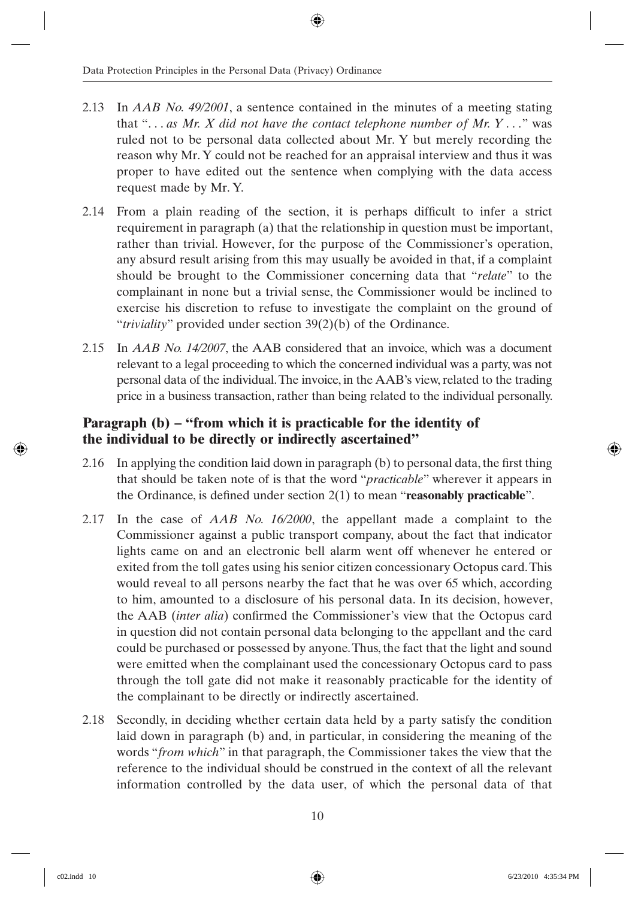- 2.13 In *AAB No. 49/2001*, a sentence contained in the minutes of a meeting stating that " $\dots$  *as Mr. X did not have the contact telephone number of Mr. Y*  $\dots$ " was ruled not to be personal data collected about Mr. Y but merely recording the reason why Mr. Y could not be reached for an appraisal interview and thus it was proper to have edited out the sentence when complying with the data access request made by Mr. Y.
- $2.14$  From a plain reading of the section, it is perhaps difficult to infer a strict requirement in paragraph (a) that the relationship in question must be important, rather than trivial. However, for the purpose of the Commissioner's operation, any absurd result arising from this may usually be avoided in that, if a complaint should be brought to the Commissioner concerning data that "*relate*" to the complainant in none but a trivial sense, the Commissioner would be inclined to exercise his discretion to refuse to investigate the complaint on the ground of "*triviality*" provided under section 39(2)(b) of the Ordinance.
- 2.15 In *AAB No. 14/2007*, the AAB considered that an invoice, which was a document relevant to a legal proceeding to which the concerned individual was a party, was not personal data of the individual. The invoice, in the AAB's view, related to the trading price in a business transaction, rather than being related to the individual personally.

#### **Paragraph (b) – "from which it is practicable for the identity of the individual to be directly or indirectly ascertained"**

- 2.16 In applying the condition laid down in paragraph  $(b)$  to personal data, the first thing that should be taken note of is that the word "*practicable*" wherever it appears in the Ordinance, is defined under section 2(1) to mean "**reasonably practicable**".
- 2.17 In the case of *AAB No. 16/2000*, the appellant made a complaint to the Commissioner against a public transport company, about the fact that indicator lights came on and an electronic bell alarm went off whenever he entered or exited from the toll gates using his senior citizen concessionary Octopus card. This would reveal to all persons nearby the fact that he was over 65 which, according to him, amounted to a disclosure of his personal data. In its decision, however, the AAB *(inter alia)* confirmed the Commissioner's view that the Octopus card in question did not contain personal data belonging to the appellant and the card could be purchased or possessed by anyone. Thus, the fact that the light and sound were emitted when the complainant used the concessionary Octopus card to pass through the toll gate did not make it reasonably practicable for the identity of the complainant to be directly or indirectly ascertained.
- 2.18 Secondly, in deciding whether certain data held by a party satisfy the condition laid down in paragraph (b) and, in particular, in considering the meaning of the words "*from which*" in that paragraph, the Commissioner takes the view that the reference to the individual should be construed in the context of all the relevant information controlled by the data user, of which the personal data of that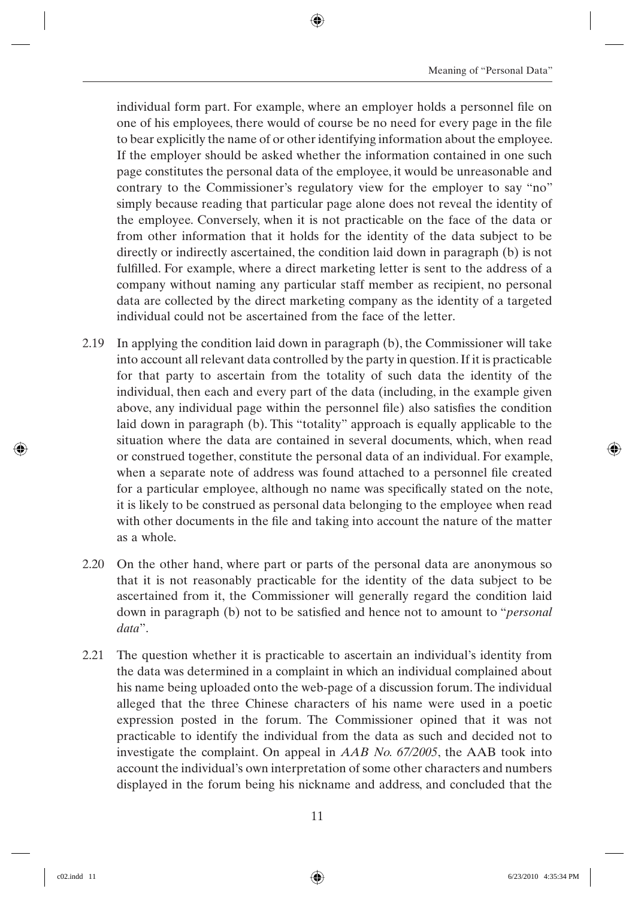individual form part. For example, where an employer holds a personnel file on one of his employees, there would of course be no need for every page in the file to bear explicitly the name of or other identifying information about the employee. If the employer should be asked whether the information contained in one such page constitutes the personal data of the employee, it would be unreasonable and contrary to the Commissioner's regulatory view for the employer to say "no" simply because reading that particular page alone does not reveal the identity of the employee. Conversely, when it is not practicable on the face of the data or from other information that it holds for the identity of the data subject to be directly or indirectly ascertained, the condition laid down in paragraph (b) is not fulfilled. For example, where a direct marketing letter is sent to the address of a company without naming any particular staff member as recipient, no personal data are collected by the direct marketing company as the identity of a targeted individual could not be ascertained from the face of the letter.

- 2.19 In applying the condition laid down in paragraph (b), the Commissioner will take into account all relevant data controlled by the party in question. If it is practicable for that party to ascertain from the totality of such data the identity of the individual, then each and every part of the data (including, in the example given above, any individual page within the personnel file) also satisfies the condition laid down in paragraph (b). This "totality" approach is equally applicable to the situation where the data are contained in several documents, which, when read or construed together, constitute the personal data of an individual. For example, when a separate note of address was found attached to a personnel file created for a particular employee, although no name was specifically stated on the note, it is likely to be construed as personal data belonging to the employee when read with other documents in the file and taking into account the nature of the matter as a whole.
- 2.20 On the other hand, where part or parts of the personal data are anonymous so that it is not reasonably practicable for the identity of the data subject to be ascertained from it, the Commissioner will generally regard the condition laid down in paragraph (b) not to be satisfied and hence not to amount to "*personal data*".
- 2.21 The question whether it is practicable to ascertain an individual's identity from the data was determined in a complaint in which an individual complained about his name being uploaded onto the web-page of a discussion forum. The individual alleged that the three Chinese characters of his name were used in a poetic expression posted in the forum. The Commissioner opined that it was not practicable to identify the individual from the data as such and decided not to investigate the complaint. On appeal in *AAB No. 67/2005*, the AAB took into account the individual's own interpretation of some other characters and numbers displayed in the forum being his nickname and address, and concluded that the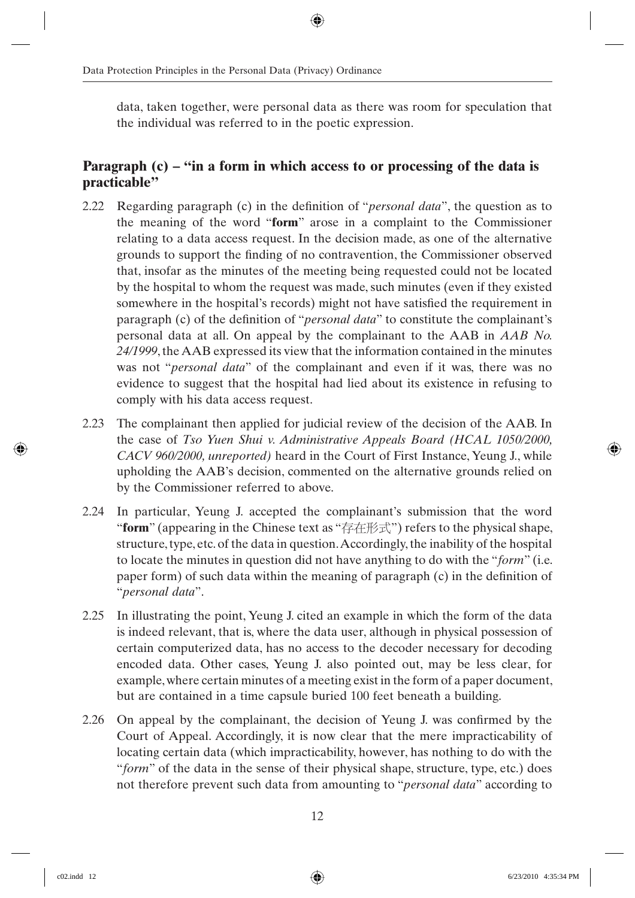data, taken together, were personal data as there was room for speculation that the individual was referred to in the poetic expression.

#### **Paragraph (c) – "in a form in which access to or processing of the data is practicable"**

- 2.22 Regarding paragraph (c) in the definition of "*personal data*", the question as to the meaning of the word "**form**" arose in a complaint to the Commissioner relating to a data access request. In the decision made, as one of the alternative grounds to support the finding of no contravention, the Commissioner observed that, insofar as the minutes of the meeting being requested could not be located by the hospital to whom the request was made, such minutes (even if they existed somewhere in the hospital's records) might not have satisfied the requirement in paragraph (c) of the definition of "*personal data*" to constitute the complainant's personal data at all. On appeal by the complainant to the AAB in *AAB No. 24/1999*, the AAB expressed its view that the information contained in the minutes was not "*personal data*" of the complainant and even if it was, there was no evidence to suggest that the hospital had lied about its existence in refusing to comply with his data access request.
- 2.23 The complainant then applied for judicial review of the decision of the AAB. In the case of *Tso Yuen Shui v. Administrative Appeals Board (HCAL 1050/2000, CACV 960/2000, unreported)* heard in the Court of First Instance, Yeung J., while upholding the AAB's decision, commented on the alternative grounds relied on by the Commissioner referred to above.
- 2.24 In particular, Yeung J. accepted the complainant's submission that the word "**form**" (appearing in the Chinese text as "存在形式") refers to the physical shape, structure, type, etc. of the data in question. Accordingly, the inability of the hospital to locate the minutes in question did not have anything to do with the "*form*" (i.e. paper form) of such data within the meaning of paragraph  $(c)$  in the definition of "*personal data*".
- 2.25 In illustrating the point, Yeung J. cited an example in which the form of the data is indeed relevant, that is, where the data user, although in physical possession of certain computerized data, has no access to the decoder necessary for decoding encoded data. Other cases, Yeung J. also pointed out, may be less clear, for example, where certain minutes of a meeting exist in the form of a paper document, but are contained in a time capsule buried 100 feet beneath a building.
- 2.26 On appeal by the complainant, the decision of Yeung J. was confirmed by the Court of Appeal. Accordingly, it is now clear that the mere impracticability of locating certain data (which impracticability, however, has nothing to do with the "*form*" of the data in the sense of their physical shape, structure, type, etc.) does not therefore prevent such data from amounting to "*personal data*" according to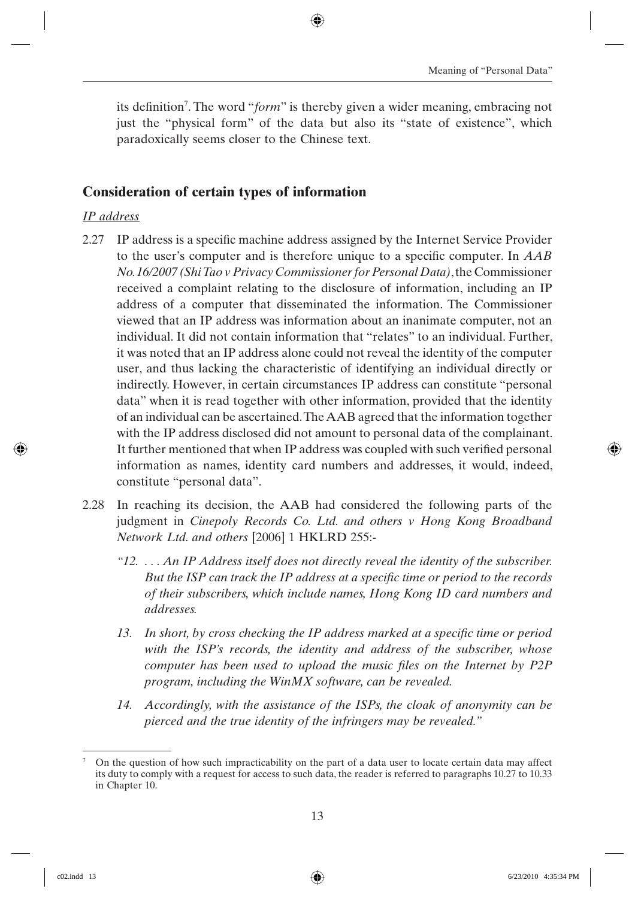its definition<sup>7</sup>. The word "*form*" is thereby given a wider meaning, embracing not just the "physical form" of the data but also its "state of existence", which paradoxically seems closer to the Chinese text.

#### **Consideration of certain types of information**

#### *IP address*

- 2.27 IP address is a specific machine address assigned by the Internet Service Provider to the user's computer and is therefore unique to a specifi c computer. In *AAB No. 16/2007 (Shi Tao v Privacy Commissioner for Personal Data)*, the Commissioner received a complaint relating to the disclosure of information, including an IP address of a computer that disseminated the information. The Commissioner viewed that an IP address was information about an inanimate computer, not an individual. It did not contain information that "relates" to an individual. Further, it was noted that an IP address alone could not reveal the identity of the computer user, and thus lacking the characteristic of identifying an individual directly or indirectly. However, in certain circumstances IP address can constitute "personal data" when it is read together with other information, provided that the identity of an individual can be ascertained. The AAB agreed that the information together with the IP address disclosed did not amount to personal data of the complainant. It further mentioned that when IP address was coupled with such verified personal information as names, identity card numbers and addresses, it would, indeed, constitute "personal data".
- 2.28 In reaching its decision, the AAB had considered the following parts of the judgment in *Cinepoly Records Co. Ltd. and others v Hong Kong Broadband Network Ltd. and others* [2006] 1 HKLRD 255:-
	- *"12. . . . An IP Address itself does not directly reveal the identity of the subscriber.*  But the ISP can track the IP address at a specific time or period to the records *of their subscribers, which include names, Hong Kong ID card numbers and addresses.*
	- 13. In short, by cross checking the IP address marked at a specific time or period *with the ISP's records, the identity and address of the subscriber, whose computer has been used to upload the music files on the Internet by P2P program, including the WinMX software, can be revealed.*
	- *14. Accordingly, with the assistance of the ISPs, the cloak of anonymity can be pierced and the true identity of the infringers may be revealed."*

<sup>7</sup> On the question of how such impracticability on the part of a data user to locate certain data may affect its duty to comply with a request for access to such data, the reader is referred to paragraphs 10.27 to 10.33 in Chapter 10.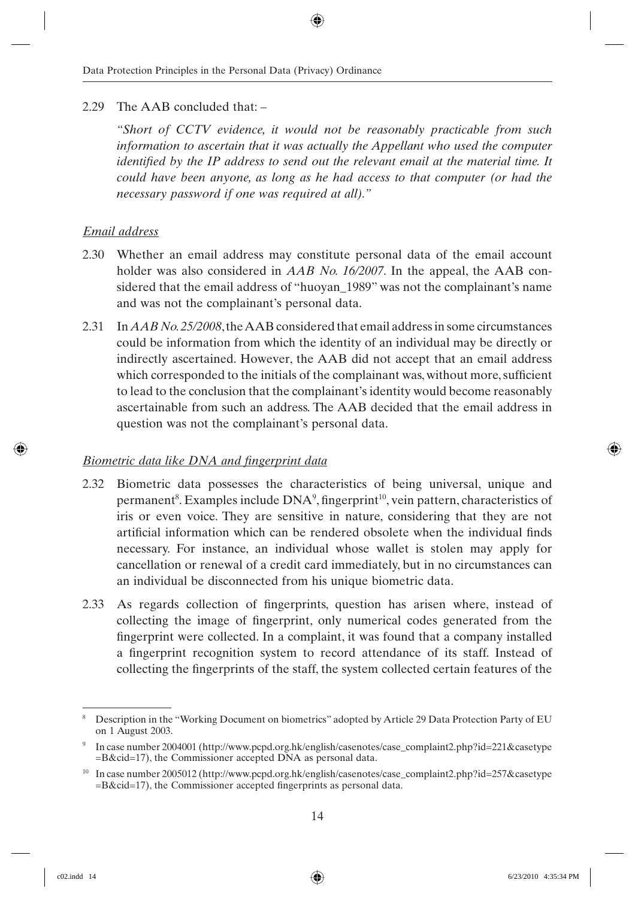#### 2.29 The AAB concluded that: –

*"Short of CCTV evidence, it would not be reasonably practicable from such information to ascertain that it was actually the Appellant who used the computer identified by the IP address to send out the relevant email at the material time. It could have been anyone, as long as he had access to that computer (or had the necessary password if one was required at all)."*

#### *Email address*

- 2.30 Whether an email address may constitute personal data of the email account holder was also considered in *AAB No. 16/2007*. In the appeal, the AAB considered that the email address of "huoyan\_1989" was not the complainant's name and was not the complainant's personal data.
- 2.31 In *AAB No. 25/2008*, the AAB considered that email address in some circumstances could be information from which the identity of an individual may be directly or indirectly ascertained. However, the AAB did not accept that an email address which corresponded to the initials of the complainant was, without more, sufficient to lead to the conclusion that the complainant's identity would become reasonably ascertainable from such an address. The AAB decided that the email address in question was not the complainant's personal data.

#### *Biometric data like DNA and fingerprint data*

- 2.32 Biometric data possesses the characteristics of being universal, unique and permanent<sup>8</sup>. Examples include  $DNA^9$ , fingerprint<sup>10</sup>, vein pattern, characteristics of iris or even voice. They are sensitive in nature, considering that they are not artificial information which can be rendered obsolete when the individual finds necessary. For instance, an individual whose wallet is stolen may apply for cancellation or renewal of a credit card immediately, but in no circumstances can an individual be disconnected from his unique biometric data.
- 2.33 As regards collection of fingerprints, question has arisen where, instead of collecting the image of fingerprint, only numerical codes generated from the fingerprint were collected. In a complaint, it was found that a company installed a fingerprint recognition system to record attendance of its staff. Instead of collecting the fingerprints of the staff, the system collected certain features of the

<sup>8</sup> Description in the "Working Document on biometrics" adopted by Article 29 Data Protection Party of EU on 1 August 2003.

<sup>9</sup> In case number 2004001 (http://www.pcpd.org.hk/english/casenotes/case\_complaint2.php?id=221&casetype =B&cid=17), the Commissioner accepted DNA as personal data.

<sup>10</sup> In case number 2005012 (http://www.pcpd.org.hk/english/casenotes/case\_complaint2.php?id=257&casetype  $=$ B&cid $=$ 17), the Commissioner accepted fingerprints as personal data.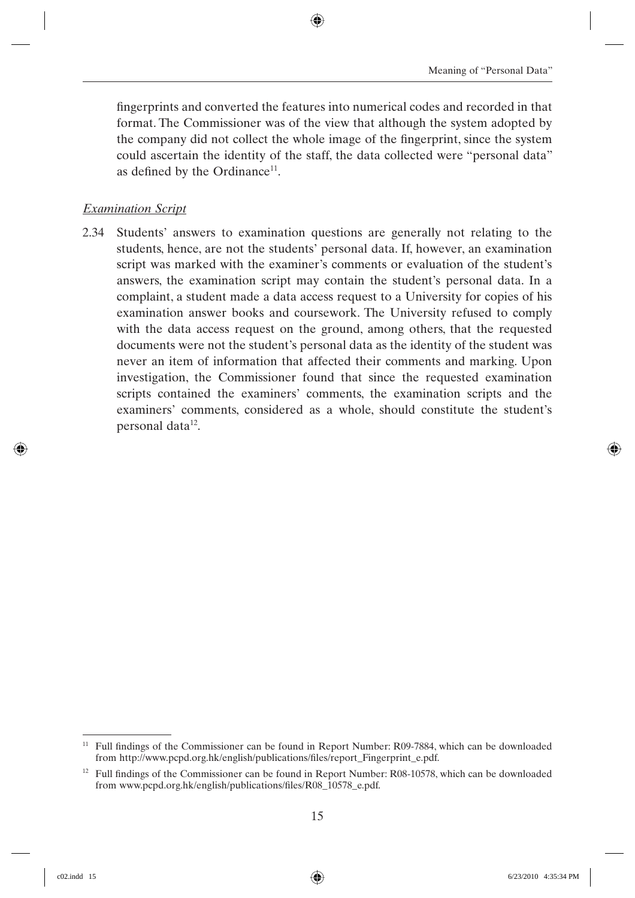fingerprints and converted the features into numerical codes and recorded in that format. The Commissioner was of the view that although the system adopted by the company did not collect the whole image of the fingerprint, since the system could ascertain the identity of the staff, the data collected were "personal data" as defined by the Ordinance<sup>11</sup>.

#### *Examination Script*

2.34 Students' answers to examination questions are generally not relating to the students, hence, are not the students' personal data. If, however, an examination script was marked with the examiner's comments or evaluation of the student's answers, the examination script may contain the student's personal data. In a complaint, a student made a data access request to a University for copies of his examination answer books and coursework. The University refused to comply with the data access request on the ground, among others, that the requested documents were not the student's personal data as the identity of the student was never an item of information that affected their comments and marking. Upon investigation, the Commissioner found that since the requested examination scripts contained the examiners' comments, the examination scripts and the examiners' comments, considered as a whole, should constitute the student's personal data<sup>12</sup>.

 $11$  Full findings of the Commissioner can be found in Report Number: R09-7884, which can be downloaded from http://www.pcpd.org.hk/english/publications/files/report\_Fingerprint\_e.pdf.

 $12$  Full findings of the Commissioner can be found in Report Number: R08-10578, which can be downloaded from www.pcpd.org.hk/english/publications/files/R08 10578 e.pdf.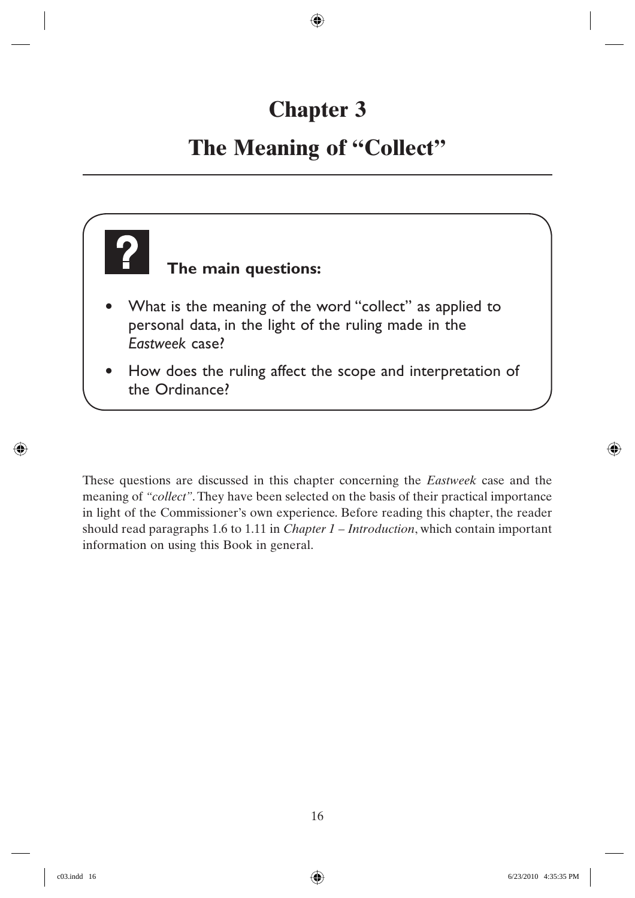## **Chapter 3**

## **The Meaning of "Collect"**



These questions are discussed in this chapter concerning the *Eastweek* case and the meaning of *"collect"*. They have been selected on the basis of their practical importance in light of the Commissioner's own experience. Before reading this chapter, the reader should read paragraphs 1.6 to 1.11 in *Chapter 1 – Introduction*, which contain important information on using this Book in general.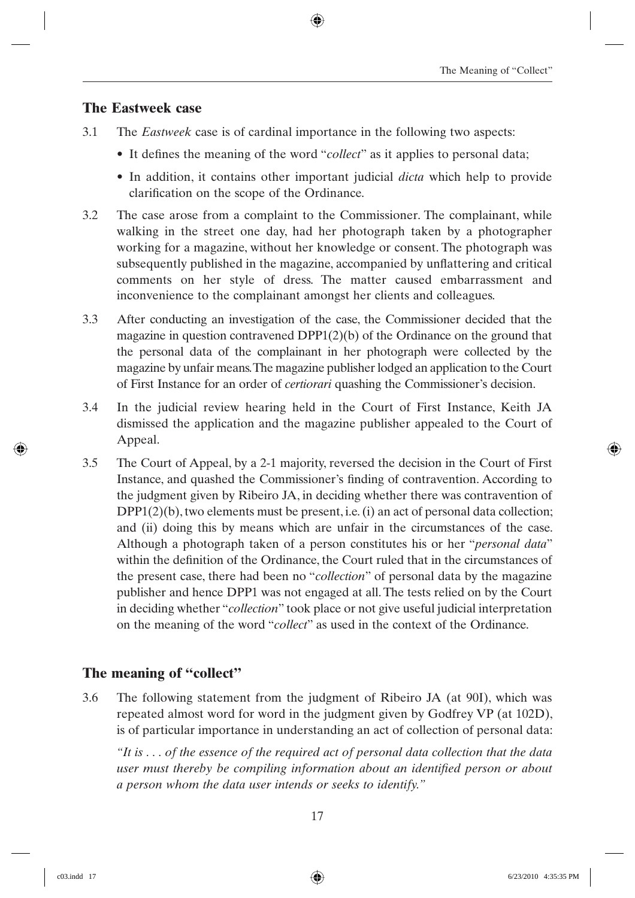#### **The Eastweek case**

- 3.1 The *Eastweek* case is of cardinal importance in the following two aspects:
	- It defines the meaning of the word "*collect*" as it applies to personal data;
	- In addition, it contains other important judicial *dicta* which help to provide clarification on the scope of the Ordinance.
- 3.2 The case arose from a complaint to the Commissioner. The complainant, while walking in the street one day, had her photograph taken by a photographer working for a magazine, without her knowledge or consent. The photograph was subsequently published in the magazine, accompanied by unflattering and critical comments on her style of dress. The matter caused embarrassment and inconvenience to the complainant amongst her clients and colleagues.
- 3.3 After conducting an investigation of the case, the Commissioner decided that the magazine in question contravened DPP1(2)(b) of the Ordinance on the ground that the personal data of the complainant in her photograph were collected by the magazine by unfair means. The magazine publisher lodged an application to the Court of First Instance for an order of *certiorari* quashing the Commissioner's decision.
- 3.4 In the judicial review hearing held in the Court of First Instance, Keith JA dismissed the application and the magazine publisher appealed to the Court of Appeal.
- 3.5 The Court of Appeal, by a 2-1 majority, reversed the decision in the Court of First Instance, and quashed the Commissioner's finding of contravention. According to the judgment given by Ribeiro JA, in deciding whether there was contravention of  $DPP1(2)(b)$ , two elements must be present, i.e. (i) an act of personal data collection; and (ii) doing this by means which are unfair in the circumstances of the case. Although a photograph taken of a person constitutes his or her "*personal data*" within the definition of the Ordinance, the Court ruled that in the circumstances of the present case, there had been no "*collection*" of personal data by the magazine publisher and hence DPP1 was not engaged at all. The tests relied on by the Court in deciding whether "*collection*" took place or not give useful judicial interpretation on the meaning of the word "*collect*" as used in the context of the Ordinance.

#### **The meaning of "collect"**

3.6 The following statement from the judgment of Ribeiro JA (at 90I), which was repeated almost word for word in the judgment given by Godfrey VP (at 102D), is of particular importance in understanding an act of collection of personal data:

*"It is . . . of the essence of the required act of personal data collection that the data user must thereby be compiling information about an identified person or about a person whom the data user intends or seeks to identify."*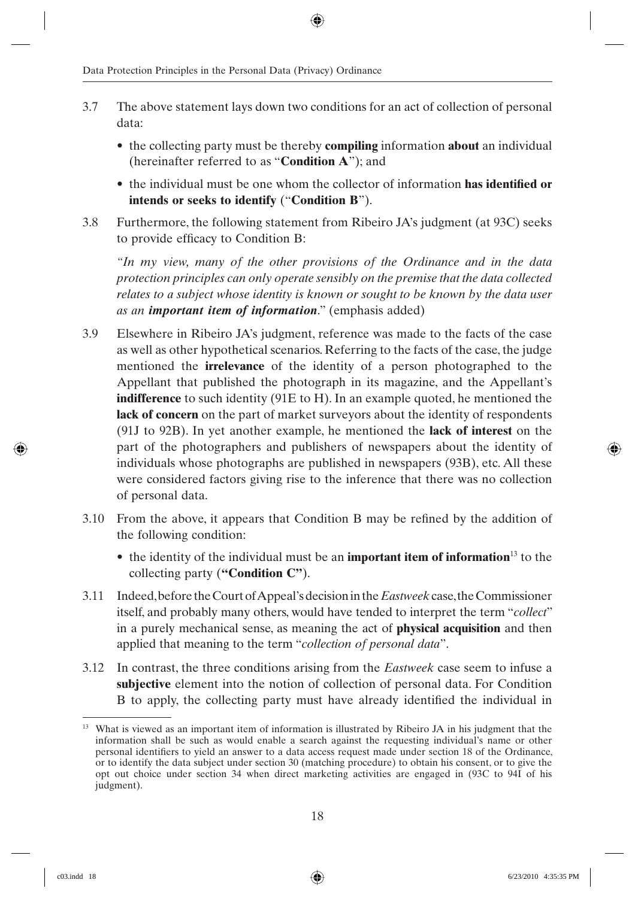- 3.7 The above statement lays down two conditions for an act of collection of personal data:
	- the collecting party must be thereby **compiling** information **about** an individual (hereinafter referred to as "**Condition A**"); and
	- the individual must be one whom the collector of information **has identified or intends or seeks to identify** ("**Condition B**").
- 3.8 Furthermore, the following statement from Ribeiro JA's judgment (at 93C) seeks to provide efficacy to Condition B:

*"In my view, many of the other provisions of the Ordinance and in the data protection principles can only operate sensibly on the premise that the data collected relates to a subject whose identity is known or sought to be known by the data user as an important item of information*." (emphasis added)

- 3.9 Elsewhere in Ribeiro JA's judgment, reference was made to the facts of the case as well as other hypothetical scenarios. Referring to the facts of the case, the judge mentioned the **irrelevance** of the identity of a person photographed to the Appellant that published the photograph in its magazine, and the Appellant's **indifference** to such identity (91E to H). In an example quoted, he mentioned the **lack of concern** on the part of market surveyors about the identity of respondents (91J to 92B). In yet another example, he mentioned the **lack of interest** on the part of the photographers and publishers of newspapers about the identity of individuals whose photographs are published in newspapers (93B), etc. All these were considered factors giving rise to the inference that there was no collection of personal data.
- $3.10$  From the above, it appears that Condition B may be refined by the addition of the following condition:
	- the identity of the individual must be an **important item of information**<sup>13</sup> to the collecting party (**"Condition C"**).
- 3.11 Indeed, before the Court of Appeal's decision in the *Eastweek* case, the Commissioner itself, and probably many others, would have tended to interpret the term "*collect*" in a purely mechanical sense, as meaning the act of **physical acquisition** and then applied that meaning to the term "*collection of personal data*".
- 3.12 In contrast, the three conditions arising from the *Eastweek* case seem to infuse a **subjective** element into the notion of collection of personal data. For Condition B to apply, the collecting party must have already identified the individual in

<sup>&</sup>lt;sup>13</sup> What is viewed as an important item of information is illustrated by Ribeiro JA in his judgment that the information shall be such as would enable a search against the requesting individual's name or other personal identifiers to yield an answer to a data access request made under section 18 of the Ordinance, or to identify the data subject under section 30 (matching procedure) to obtain his consent, or to give the opt out choice under section 34 when direct marketing activities are engaged in (93C to 94I of his judgment).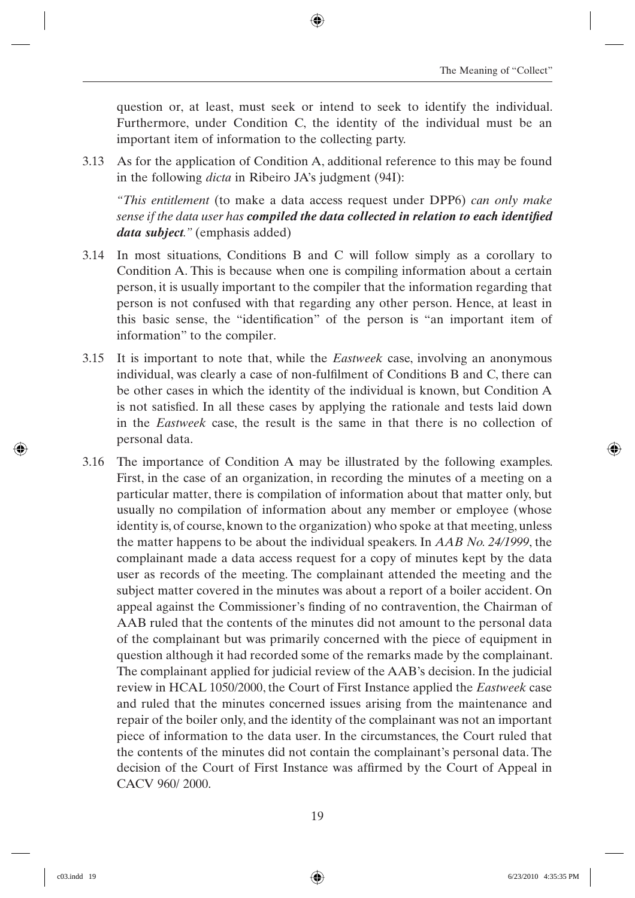question or, at least, must seek or intend to seek to identify the individual. Furthermore, under Condition C, the identity of the individual must be an important item of information to the collecting party.

3.13 As for the application of Condition A, additional reference to this may be found in the following *dicta* in Ribeiro JA's judgment (94I):

*"This entitlement* (to make a data access request under DPP6) *can only make sense if the data user has <i>compiled the data collected in relation to each identified data subject."* (emphasis added)

- 3.14 In most situations, Conditions B and C will follow simply as a corollary to Condition A. This is because when one is compiling information about a certain person, it is usually important to the compiler that the information regarding that person is not confused with that regarding any other person. Hence, at least in this basic sense, the "identification" of the person is "an important item of information" to the compiler.
- 3.15 It is important to note that, while the *Eastweek* case, involving an anonymous individual, was clearly a case of non-fulfilment of Conditions B and C, there can be other cases in which the identity of the individual is known, but Condition A is not satisfied. In all these cases by applying the rationale and tests laid down in the *Eastweek* case, the result is the same in that there is no collection of personal data.
- 3.16 The importance of Condition A may be illustrated by the following examples. First, in the case of an organization, in recording the minutes of a meeting on a particular matter, there is compilation of information about that matter only, but usually no compilation of information about any member or employee (whose identity is, of course, known to the organization) who spoke at that meeting, unless the matter happens to be about the individual speakers. In *AAB No. 24/1999*, the complainant made a data access request for a copy of minutes kept by the data user as records of the meeting. The complainant attended the meeting and the subject matter covered in the minutes was about a report of a boiler accident. On appeal against the Commissioner's finding of no contravention, the Chairman of AAB ruled that the contents of the minutes did not amount to the personal data of the complainant but was primarily concerned with the piece of equipment in question although it had recorded some of the remarks made by the complainant. The complainant applied for judicial review of the AAB's decision. In the judicial review in HCAL 1050/2000, the Court of First Instance applied the *Eastweek* case and ruled that the minutes concerned issues arising from the maintenance and repair of the boiler only, and the identity of the complainant was not an important piece of information to the data user. In the circumstances, the Court ruled that the contents of the minutes did not contain the complainant's personal data. The decision of the Court of First Instance was affirmed by the Court of Appeal in CACV 960/ 2000.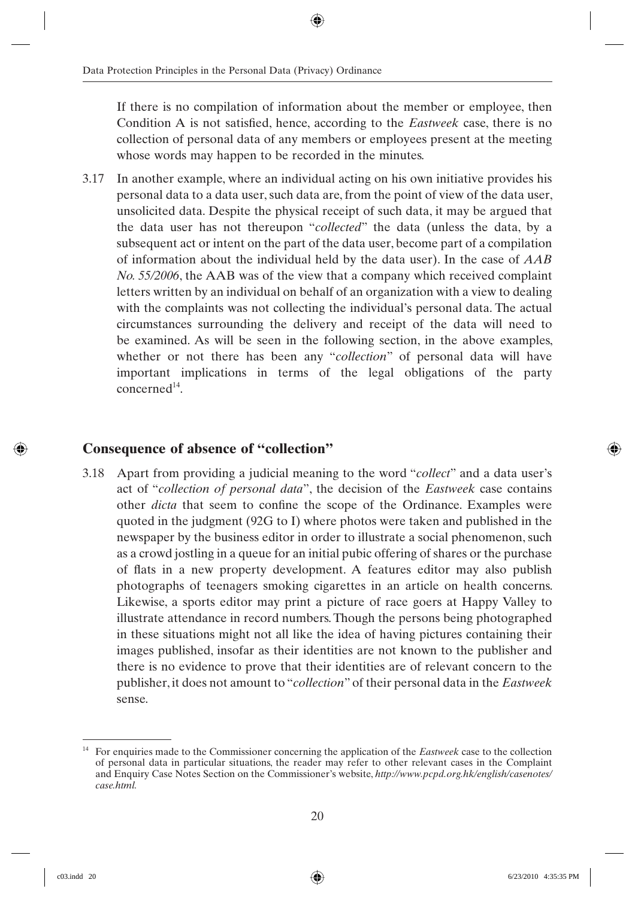If there is no compilation of information about the member or employee, then Condition A is not satisfied, hence, according to the *Eastweek* case, there is no collection of personal data of any members or employees present at the meeting whose words may happen to be recorded in the minutes.

3.17 In another example, where an individual acting on his own initiative provides his personal data to a data user, such data are, from the point of view of the data user, unsolicited data. Despite the physical receipt of such data, it may be argued that the data user has not thereupon "*collected*" the data (unless the data, by a subsequent act or intent on the part of the data user, become part of a compilation of information about the individual held by the data user). In the case of *AAB No. 55/2006*, the AAB was of the view that a company which received complaint letters written by an individual on behalf of an organization with a view to dealing with the complaints was not collecting the individual's personal data. The actual circumstances surrounding the delivery and receipt of the data will need to be examined. As will be seen in the following section, in the above examples, whether or not there has been any "*collection*" of personal data will have important implications in terms of the legal obligations of the party  $concerned<sup>14</sup>$ .

#### **Consequence of absence of "collection"**

3.18 Apart from providing a judicial meaning to the word "*collect*" and a data user's act of "*collection of personal data*", the decision of the *Eastweek* case contains other *dicta* that seem to confine the scope of the Ordinance. Examples were quoted in the judgment (92G to I) where photos were taken and published in the newspaper by the business editor in order to illustrate a social phenomenon, such as a crowd jostling in a queue for an initial pubic offering of shares or the purchase of flats in a new property development. A features editor may also publish photographs of teenagers smoking cigarettes in an article on health concerns. Likewise, a sports editor may print a picture of race goers at Happy Valley to illustrate attendance in record numbers. Though the persons being photographed in these situations might not all like the idea of having pictures containing their images published, insofar as their identities are not known to the publisher and there is no evidence to prove that their identities are of relevant concern to the publisher, it does not amount to "*collection*" of their personal data in the *Eastweek*  sense.

<sup>14</sup> For enquiries made to the Commissioner concerning the application of the *Eastweek* case to the collection of personal data in particular situations, the reader may refer to other relevant cases in the Complaint and Enquiry Case Notes Section on the Commissioner's website, *http://www.pcpd.org.hk/english/casenotes/ case.html.*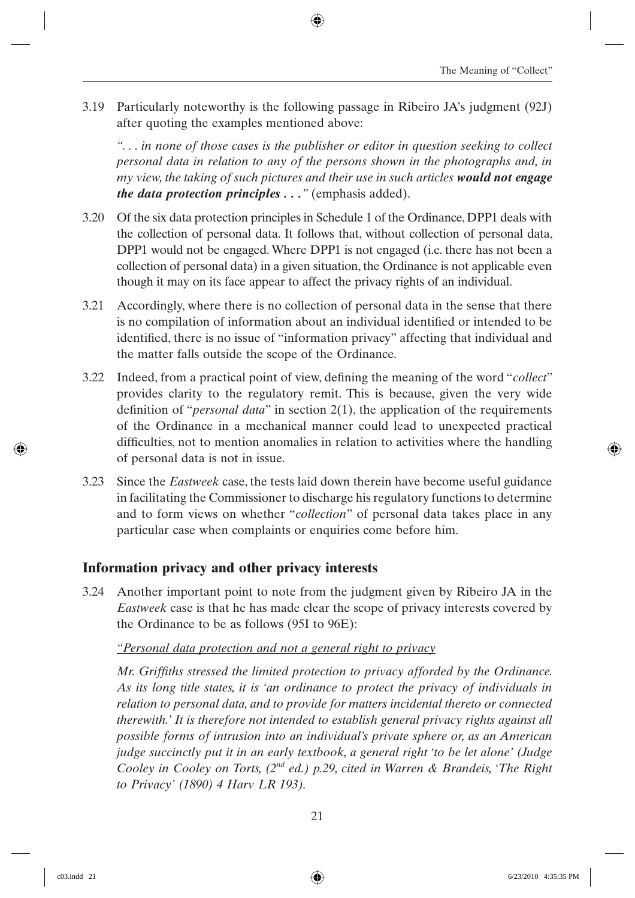3.19 Particularly noteworthy is the following passage in Ribeiro JA's judgment (92J) after quoting the examples mentioned above:

*". . . in none of those cases is the publisher or editor in question seeking to collect personal data in relation to any of the persons shown in the photographs and, in my view, the taking of such pictures and their use in such articles would not engage the data protection principles . . ."* (emphasis added).

- 3.20 Of the six data protection principles in Schedule 1 of the Ordinance, DPP1 deals with the collection of personal data. It follows that, without collection of personal data, DPP1 would not be engaged. Where DPP1 is not engaged (i.e. there has not been a collection of personal data) in a given situation, the Ordinance is not applicable even though it may on its face appear to affect the privacy rights of an individual.
- 3.21 Accordingly, where there is no collection of personal data in the sense that there is no compilation of information about an individual identified or intended to be identified, there is no issue of "information privacy" affecting that individual and the matter falls outside the scope of the Ordinance.
- 3.22 Indeed, from a practical point of view, defining the meaning of the word "*collect*" provides clarity to the regulatory remit. This is because, given the very wide definition of "*personal data*" in section 2(1), the application of the requirements of the Ordinance in a mechanical manner could lead to unexpected practical difficulties, not to mention anomalies in relation to activities where the handling of personal data is not in issue.
- 3.23 Since the *Eastweek* case, the tests laid down therein have become useful guidance in facilitating the Commissioner to discharge his regulatory functions to determine and to form views on whether "*collection*" of personal data takes place in any particular case when complaints or enquiries come before him.

#### **Information privacy and other privacy interests**

3.24 Another important point to note from the judgment given by Ribeiro JA in the *Eastweek* case is that he has made clear the scope of privacy interests covered by the Ordinance to be as follows (95I to 96E):

#### *"Personal data protection and not a general right to privacy*

*Mr. Griffiths stressed the limited protection to privacy afforded by the Ordinance. As its long title states, it is 'an ordinance to protect the privacy of individuals in relation to personal data, and to provide for matters incidental thereto or connected therewith.' It is therefore not intended to establish general privacy rights against all possible forms of intrusion into an individual's private sphere or, as an American judge succinctly put it in an early textbook, a general right 'to be let alone' (Judge Cooley in Cooley on Torts, (2nd ed.) p.29, cited in Warren & Brandeis, 'The Right to Privacy' (1890) 4 Harv LR 193).*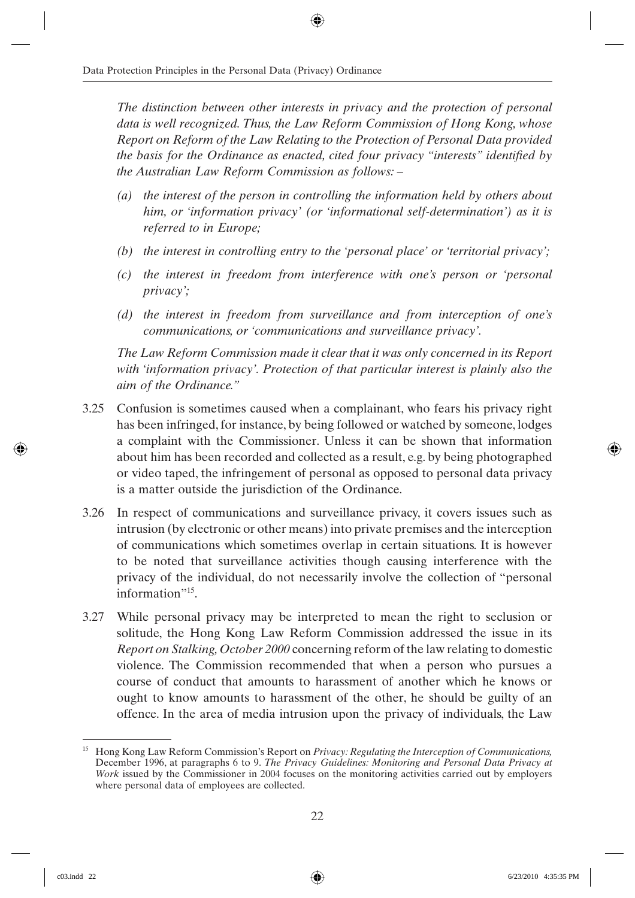*The distinction between other interests in privacy and the protection of personal data is well recognized. Thus, the Law Reform Commission of Hong Kong, whose Report on Reform of the Law Relating to the Protection of Personal Data provided the basis for the Ordinance as enacted, cited four privacy "interests" identified by the Australian Law Reform Commission as follows: –*

- *(a) the interest of the person in controlling the information held by others about him, or 'information privacy' (or 'informational self-determination') as it is referred to in Europe;*
- *(b) the interest in controlling entry to the 'personal place' or 'territorial privacy';*
- *(c) the interest in freedom from interference with one's person or 'personal privacy';*
- *(d) the interest in freedom from surveillance and from interception of one's communications, or 'communications and surveillance privacy'.*

*The Law Reform Commission made it clear that it was only concerned in its Report with 'information privacy'. Protection of that particular interest is plainly also the aim of the Ordinance."*

- 3.25 Confusion is sometimes caused when a complainant, who fears his privacy right has been infringed, for instance, by being followed or watched by someone, lodges a complaint with the Commissioner. Unless it can be shown that information about him has been recorded and collected as a result, e.g. by being photographed or video taped, the infringement of personal as opposed to personal data privacy is a matter outside the jurisdiction of the Ordinance.
- 3.26 In respect of communications and surveillance privacy, it covers issues such as intrusion (by electronic or other means) into private premises and the interception of communications which sometimes overlap in certain situations. It is however to be noted that surveillance activities though causing interference with the privacy of the individual, do not necessarily involve the collection of "personal information"<sup>15</sup>.
- 3.27 While personal privacy may be interpreted to mean the right to seclusion or solitude, the Hong Kong Law Reform Commission addressed the issue in its *Report on Stalking, October 2000* concerning reform of the law relating to domestic violence. The Commission recommended that when a person who pursues a course of conduct that amounts to harassment of another which he knows or ought to know amounts to harassment of the other, he should be guilty of an offence. In the area of media intrusion upon the privacy of individuals, the Law

<sup>15</sup> Hong Kong Law Reform Commission's Report on *Privacy: Regulating the Interception of Communications,* December 1996, at paragraphs 6 to 9. *The Privacy Guidelines: Monitoring and Personal Data Privacy at Work* issued by the Commissioner in 2004 focuses on the monitoring activities carried out by employers where personal data of employees are collected.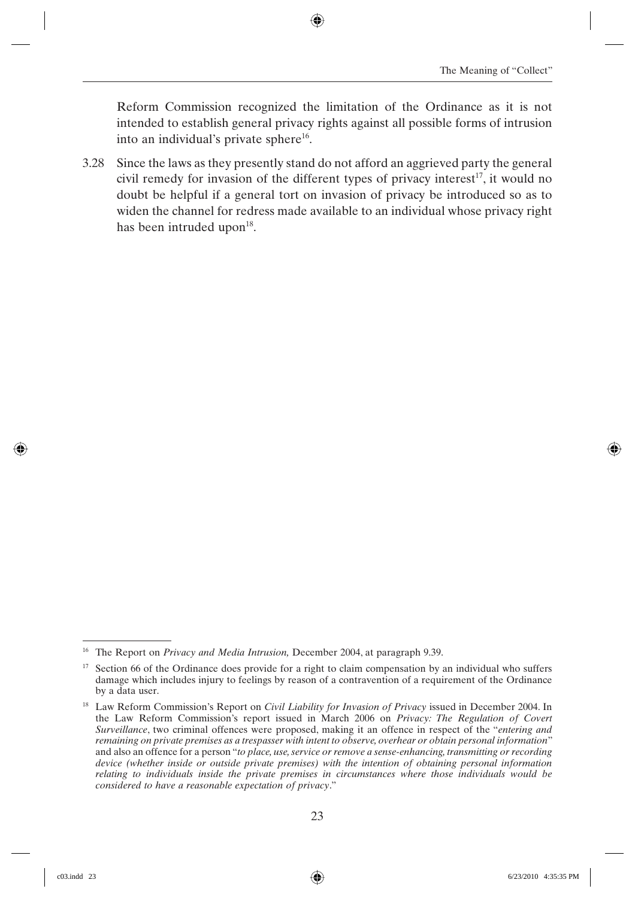Reform Commission recognized the limitation of the Ordinance as it is not intended to establish general privacy rights against all possible forms of intrusion into an individual's private sphere $^{16}$ .

3.28 Since the laws as they presently stand do not afford an aggrieved party the general civil remedy for invasion of the different types of privacy interest<sup>17</sup>, it would no doubt be helpful if a general tort on invasion of privacy be introduced so as to widen the channel for redress made available to an individual whose privacy right has been intruded upon $18$ .

<sup>16</sup> The Report on *Privacy and Media Intrusion,* December 2004, at paragraph 9.39.

 $17$  Section 66 of the Ordinance does provide for a right to claim compensation by an individual who suffers damage which includes injury to feelings by reason of a contravention of a requirement of the Ordinance by a data user.

<sup>18</sup> Law Reform Commission's Report on *Civil Liability for Invasion of Privacy* issued in December 2004. In the Law Reform Commission's report issued in March 2006 on *Privacy: The Regulation of Covert Surveillance*, two criminal offences were proposed, making it an offence in respect of the "*entering and remaining on private premises as a trespasser with intent to observe, overhear or obtain personal information*" and also an offence for a person "*to place, use, service or remove a sense-enhancing, transmitting or recording device (whether inside or outside private premises) with the intention of obtaining personal information relating to individuals inside the private premises in circumstances where those individuals would be considered to have a reasonable expectation of privacy*."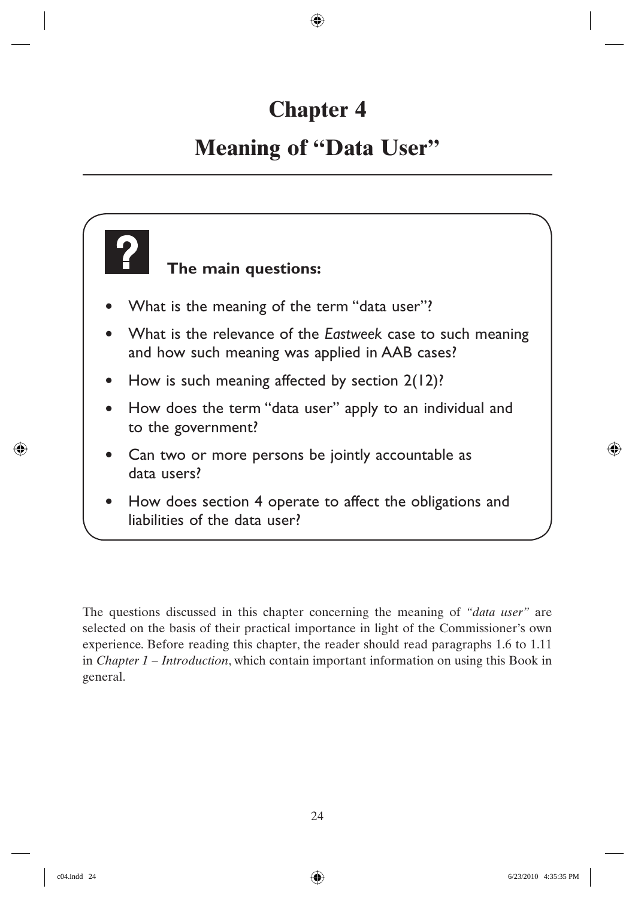## **Chapter 4**

### **Meaning of "Data User"**



The questions discussed in this chapter concerning the meaning of *"data user"* are selected on the basis of their practical importance in light of the Commissioner's own experience. Before reading this chapter, the reader should read paragraphs 1.6 to 1.11 in *Chapter 1 – Introduction*, which contain important information on using this Book in general.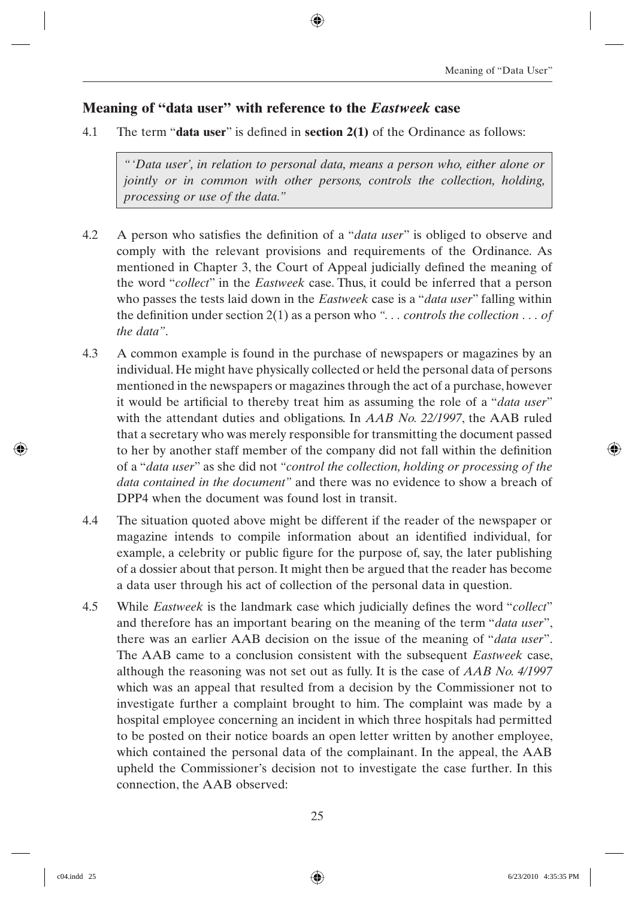#### **Meaning of "data user" with reference to the** *Eastweek* **case**

4.1 The term "**data user**" is defined in **section 2(1)** of the Ordinance as follows:

*"'Data user', in relation to personal data, means a person who, either alone or jointly or in common with other persons, controls the collection, holding, processing or use of the data."*

- 4.2 A person who satisfies the definition of a "*data user*" is obliged to observe and comply with the relevant provisions and requirements of the Ordinance. As mentioned in Chapter 3, the Court of Appeal judicially defined the meaning of the word "*collect*" in the *Eastweek* case. Thus, it could be inferred that a person who passes the tests laid down in the *Eastweek* case is a "*data user*" falling within the definition under section  $2(1)$  as a person who "... *controls the collection* ... *of the data"*.
- 4.3 A common example is found in the purchase of newspapers or magazines by an individual. He might have physically collected or held the personal data of persons mentioned in the newspapers or magazines through the act of a purchase, however it would be artificial to thereby treat him as assuming the role of a "*data user*" with the attendant duties and obligations. In *AAB No. 22/1997*, the AAB ruled that a secretary who was merely responsible for transmitting the document passed to her by another staff member of the company did not fall within the definition of a "*data user*" as she did not *"control the collection, holding or processing of the data contained in the document"* and there was no evidence to show a breach of DPP4 when the document was found lost in transit.
- 4.4 The situation quoted above might be different if the reader of the newspaper or magazine intends to compile information about an identified individual, for example, a celebrity or public figure for the purpose of, say, the later publishing of a dossier about that person. It might then be argued that the reader has become a data user through his act of collection of the personal data in question.
- 4.5 While *Eastweek* is the landmark case which judicially defines the word "*collect*" and therefore has an important bearing on the meaning of the term "*data user*", there was an earlier AAB decision on the issue of the meaning of "*data user*". The AAB came to a conclusion consistent with the subsequent *Eastweek* case, although the reasoning was not set out as fully. It is the case of *AAB No. 4/1997* which was an appeal that resulted from a decision by the Commissioner not to investigate further a complaint brought to him. The complaint was made by a hospital employee concerning an incident in which three hospitals had permitted to be posted on their notice boards an open letter written by another employee, which contained the personal data of the complainant. In the appeal, the AAB upheld the Commissioner's decision not to investigate the case further. In this connection, the AAB observed: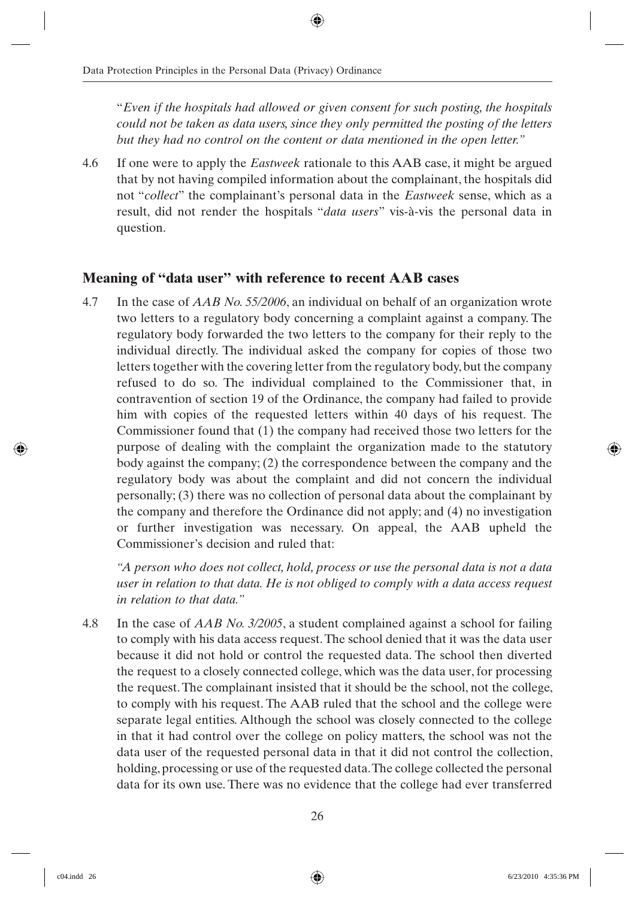"*Even if the hospitals had allowed or given consent for such posting, the hospitals could not be taken as data users, since they only permitted the posting of the letters but they had no control on the content or data mentioned in the open letter."*

4.6 If one were to apply the *Eastweek* rationale to this AAB case, it might be argued that by not having compiled information about the complainant, the hospitals did not "*collect*" the complainant's personal data in the *Eastweek* sense, which as a result, did not render the hospitals "*data users*" vis-à-vis the personal data in question.

#### **Meaning of "data user" with reference to recent AAB cases**

4.7 In the case of *AAB No. 55/2006*, an individual on behalf of an organization wrote two letters to a regulatory body concerning a complaint against a company. The regulatory body forwarded the two letters to the company for their reply to the individual directly. The individual asked the company for copies of those two letters together with the covering letter from the regulatory body, but the company refused to do so. The individual complained to the Commissioner that, in contravention of section 19 of the Ordinance, the company had failed to provide him with copies of the requested letters within 40 days of his request. The Commissioner found that (1) the company had received those two letters for the purpose of dealing with the complaint the organization made to the statutory body against the company; (2) the correspondence between the company and the regulatory body was about the complaint and did not concern the individual personally; (3) there was no collection of personal data about the complainant by the company and therefore the Ordinance did not apply; and (4) no investigation or further investigation was necessary. On appeal, the AAB upheld the Commissioner's decision and ruled that:

*"A person who does not collect, hold, process or use the personal data is not a data user in relation to that data. He is not obliged to comply with a data access request in relation to that data."*

4.8 In the case of *AAB No. 3/2005*, a student complained against a school for failing to comply with his data access request. The school denied that it was the data user because it did not hold or control the requested data. The school then diverted the request to a closely connected college, which was the data user, for processing the request. The complainant insisted that it should be the school, not the college, to comply with his request. The AAB ruled that the school and the college were separate legal entities. Although the school was closely connected to the college in that it had control over the college on policy matters, the school was not the data user of the requested personal data in that it did not control the collection, holding, processing or use of the requested data. The college collected the personal data for its own use. There was no evidence that the college had ever transferred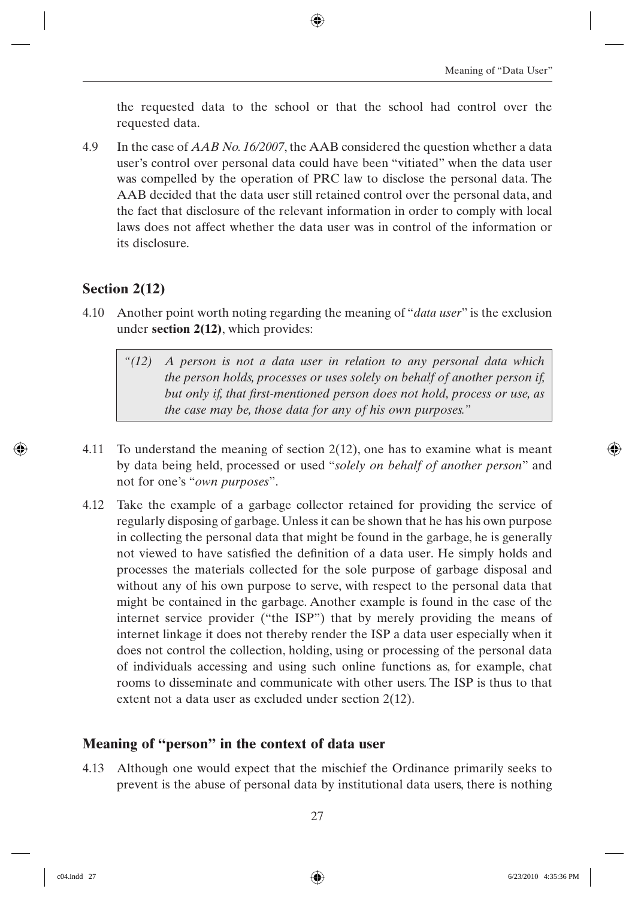the requested data to the school or that the school had control over the requested data.

4.9 In the case of *AAB No. 16/2007*, the AAB considered the question whether a data user's control over personal data could have been "vitiated" when the data user was compelled by the operation of PRC law to disclose the personal data. The AAB decided that the data user still retained control over the personal data, and the fact that disclosure of the relevant information in order to comply with local laws does not affect whether the data user was in control of the information or its disclosure.

#### **Section 2(12)**

- 4.10 Another point worth noting regarding the meaning of "*data user*" is the exclusion under **section 2(12)**, which provides:
	- *"(12) A person is not a data user in relation to any personal data which the person holds, processes or uses solely on behalf of another person if,*  but only if, that first-mentioned person does not hold, process or use, as *the case may be, those data for any of his own purposes."*
- 4.11 To understand the meaning of section 2(12), one has to examine what is meant by data being held, processed or used "*solely on behalf of another person*" and not for one's "*own purposes*".
- 4.12 Take the example of a garbage collector retained for providing the service of regularly disposing of garbage. Unless it can be shown that he has his own purpose in collecting the personal data that might be found in the garbage, he is generally not viewed to have satisfied the definition of a data user. He simply holds and processes the materials collected for the sole purpose of garbage disposal and without any of his own purpose to serve, with respect to the personal data that might be contained in the garbage. Another example is found in the case of the internet service provider ("the ISP") that by merely providing the means of internet linkage it does not thereby render the ISP a data user especially when it does not control the collection, holding, using or processing of the personal data of individuals accessing and using such online functions as, for example, chat rooms to disseminate and communicate with other users. The ISP is thus to that extent not a data user as excluded under section 2(12).

#### **Meaning of "person" in the context of data user**

4.13 Although one would expect that the mischief the Ordinance primarily seeks to prevent is the abuse of personal data by institutional data users, there is nothing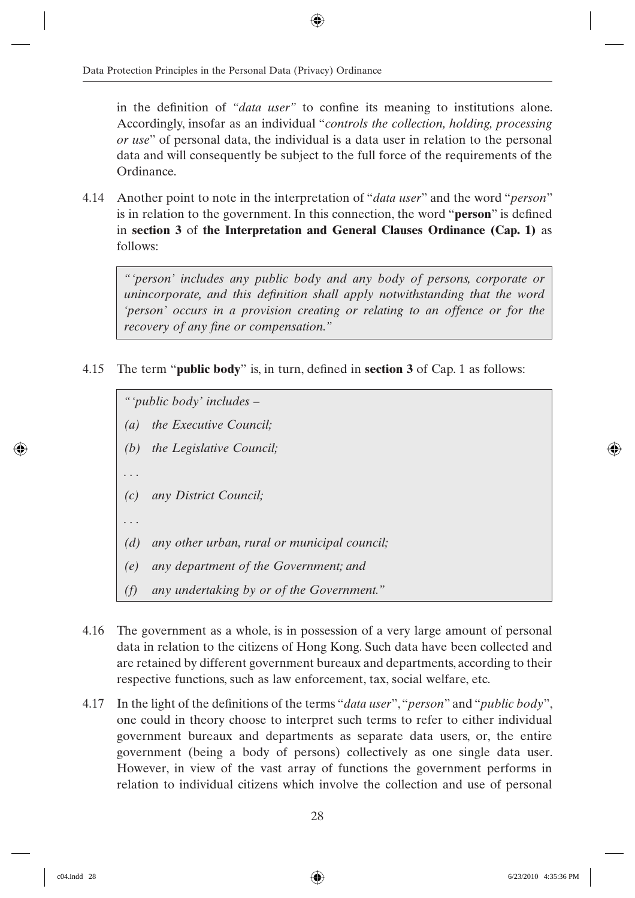in the definition of *"data user"* to confine its meaning to institutions alone. Accordingly, insofar as an individual "*controls the collection, holding, processing or use*" of personal data, the individual is a data user in relation to the personal data and will consequently be subject to the full force of the requirements of the Ordinance.

4.14 Another point to note in the interpretation of "*data user*" and the word "*person*" is in relation to the government. In this connection, the word "**person**" is defined in **section 3** of **the Interpretation and General Clauses Ordinance (Cap. 1)** as follows:

*"'person' includes any public body and any body of persons, corporate or unincorporate, and this definition shall apply notwithstanding that the word 'person' occurs in a provision creating or relating to an offence or for the recovery of any fine or compensation.*"

4.15 The term "**public body**" is, in turn, defined in **section 3** of Cap. 1 as follows:

*" 'public body' includes –*

- *(a) the Executive Council;*
- *(b) the Legislative Council;*
- *. . .*
- *(c) any District Council;*

*. . .*

- *(d) any other urban, rural or municipal council;*
- *(e) any department of the Government; and*
- *(f) any undertaking by or of the Government."*
- 4.16 The government as a whole, is in possession of a very large amount of personal data in relation to the citizens of Hong Kong. Such data have been collected and are retained by different government bureaux and departments, according to their respective functions, such as law enforcement, tax, social welfare, etc.
- 4.17 In the light of the definitions of the terms "*data user*", "*person*" and "*public body*", one could in theory choose to interpret such terms to refer to either individual government bureaux and departments as separate data users, or, the entire government (being a body of persons) collectively as one single data user. However, in view of the vast array of functions the government performs in relation to individual citizens which involve the collection and use of personal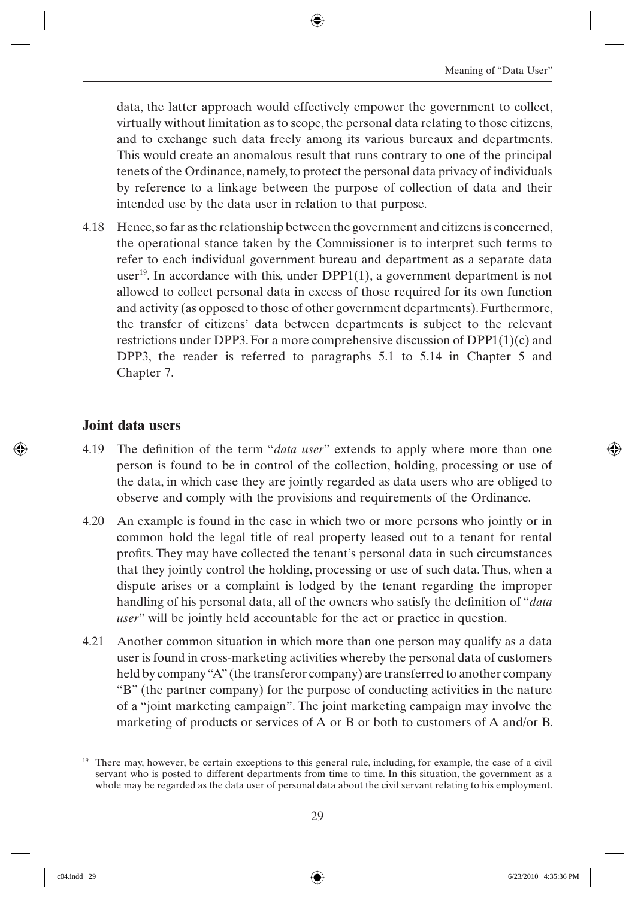data, the latter approach would effectively empower the government to collect, virtually without limitation as to scope, the personal data relating to those citizens, and to exchange such data freely among its various bureaux and departments. This would create an anomalous result that runs contrary to one of the principal tenets of the Ordinance, namely, to protect the personal data privacy of individuals by reference to a linkage between the purpose of collection of data and their intended use by the data user in relation to that purpose.

4.18 Hence, so far as the relationship between the government and citizens is concerned, the operational stance taken by the Commissioner is to interpret such terms to refer to each individual government bureau and department as a separate data user<sup>19</sup>. In accordance with this, under  $DPP1(1)$ , a government department is not allowed to collect personal data in excess of those required for its own function and activity (as opposed to those of other government departments). Furthermore, the transfer of citizens' data between departments is subject to the relevant restrictions under DPP3. For a more comprehensive discussion of DPP1(1)(c) and DPP3, the reader is referred to paragraphs 5.1 to 5.14 in Chapter 5 and Chapter 7.

#### **Joint data users**

- 4.19 The definition of the term "*data user*" extends to apply where more than one person is found to be in control of the collection, holding, processing or use of the data, in which case they are jointly regarded as data users who are obliged to observe and comply with the provisions and requirements of the Ordinance.
- 4.20 An example is found in the case in which two or more persons who jointly or in common hold the legal title of real property leased out to a tenant for rental profits. They may have collected the tenant's personal data in such circumstances that they jointly control the holding, processing or use of such data. Thus, when a dispute arises or a complaint is lodged by the tenant regarding the improper handling of his personal data, all of the owners who satisfy the definition of "*data user*" will be jointly held accountable for the act or practice in question.
- 4.21 Another common situation in which more than one person may qualify as a data user is found in cross-marketing activities whereby the personal data of customers held by company "A" (the transferor company) are transferred to another company "B" (the partner company) for the purpose of conducting activities in the nature of a "joint marketing campaign". The joint marketing campaign may involve the marketing of products or services of A or B or both to customers of A and/or B.

<sup>&</sup>lt;sup>19</sup> There may, however, be certain exceptions to this general rule, including, for example, the case of a civil servant who is posted to different departments from time to time. In this situation, the government as a whole may be regarded as the data user of personal data about the civil servant relating to his employment.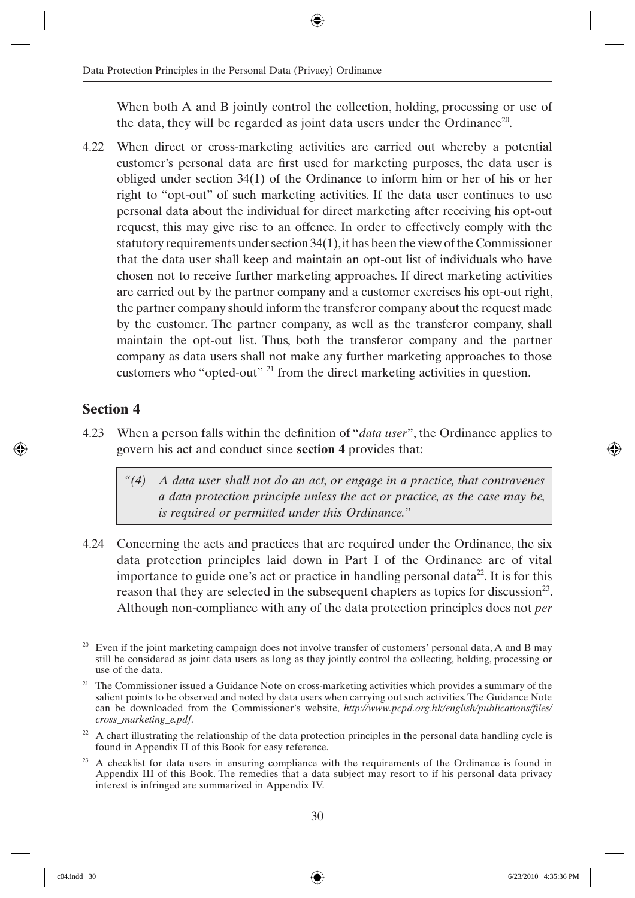When both A and B jointly control the collection, holding, processing or use of the data, they will be regarded as joint data users under the Ordinance<sup>20</sup>.

4.22 When direct or cross-marketing activities are carried out whereby a potential customer's personal data are first used for marketing purposes, the data user is obliged under section 34(1) of the Ordinance to inform him or her of his or her right to "opt-out" of such marketing activities. If the data user continues to use personal data about the individual for direct marketing after receiving his opt-out request, this may give rise to an offence. In order to effectively comply with the statutory requirements under section 34(1), it has been the view of the Commissioner that the data user shall keep and maintain an opt-out list of individuals who have chosen not to receive further marketing approaches. If direct marketing activities are carried out by the partner company and a customer exercises his opt-out right, the partner company should inform the transferor company about the request made by the customer. The partner company, as well as the transferor company, shall maintain the opt-out list. Thus, both the transferor company and the partner company as data users shall not make any further marketing approaches to those customers who "opted-out" 21 from the direct marketing activities in question.

#### **Section 4**

4.23 When a person falls within the definition of "*data user*", the Ordinance applies to govern his act and conduct since **section 4** provides that:

*"(4) A data user shall not do an act, or engage in a practice, that contravenes a data protection principle unless the act or practice, as the case may be, is required or permitted under this Ordinance."*

4.24 Concerning the acts and practices that are required under the Ordinance, the six data protection principles laid down in Part I of the Ordinance are of vital importance to guide one's act or practice in handling personal data<sup>22</sup>. It is for this reason that they are selected in the subsequent chapters as topics for discussion<sup>23</sup>. Although non-compliance with any of the data protection principles does not *per* 

Even if the joint marketing campaign does not involve transfer of customers' personal data, A and B may still be considered as joint data users as long as they jointly control the collecting, holding, processing or use of the data.

<sup>&</sup>lt;sup>21</sup> The Commissioner issued a Guidance Note on cross-marketing activities which provides a summary of the salient points to be observed and noted by data users when carrying out such activities. The Guidance Note can be downloaded from the Commissioner's website, *http://www.pcpd.org.hk/english/publications/files/ cross\_marketing\_e.pdf*.

 $22$  A chart illustrating the relationship of the data protection principles in the personal data handling cycle is found in Appendix II of this Book for easy reference.

 $23$  A checklist for data users in ensuring compliance with the requirements of the Ordinance is found in Appendix III of this Book. The remedies that a data subject may resort to if his personal data privacy interest is infringed are summarized in Appendix IV.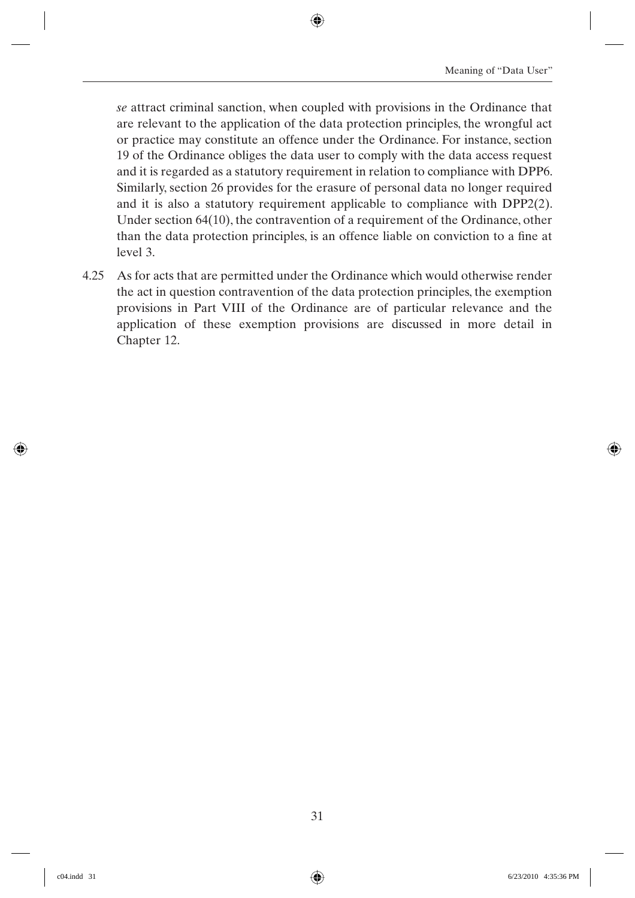*se* attract criminal sanction, when coupled with provisions in the Ordinance that are relevant to the application of the data protection principles, the wrongful act or practice may constitute an offence under the Ordinance. For instance, section 19 of the Ordinance obliges the data user to comply with the data access request and it is regarded as a statutory requirement in relation to compliance with DPP6. Similarly, section 26 provides for the erasure of personal data no longer required and it is also a statutory requirement applicable to compliance with DPP2(2). Under section 64(10), the contravention of a requirement of the Ordinance, other than the data protection principles, is an offence liable on conviction to a fine at level 3.

4.25 As for acts that are permitted under the Ordinance which would otherwise render the act in question contravention of the data protection principles, the exemption provisions in Part VIII of the Ordinance are of particular relevance and the application of these exemption provisions are discussed in more detail in Chapter 12.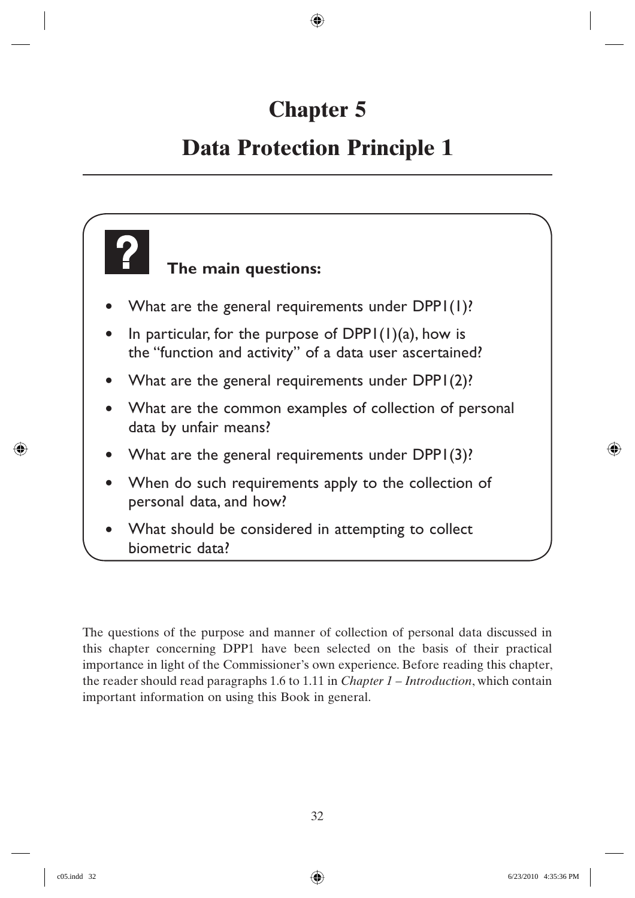# **Chapter 5**

## **Data Protection Principle 1**

# **The main questions:** • What are the general requirements under DPP1(1)? In particular, for the purpose of  $DPP1(1)(a)$ , how is the "function and activity" of a data user ascertained?

- What are the general requirements under DPP1(2)?
- What are the common examples of collection of personal data by unfair means?
- What are the general requirements under DPP1(3)?
- When do such requirements apply to the collection of personal data, and how?
- What should be considered in attempting to collect biometric data?

The questions of the purpose and manner of collection of personal data discussed in this chapter concerning DPP1 have been selected on the basis of their practical importance in light of the Commissioner's own experience. Before reading this chapter, the reader should read paragraphs 1.6 to 1.11 in *Chapter 1 – Introduction*, which contain important information on using this Book in general.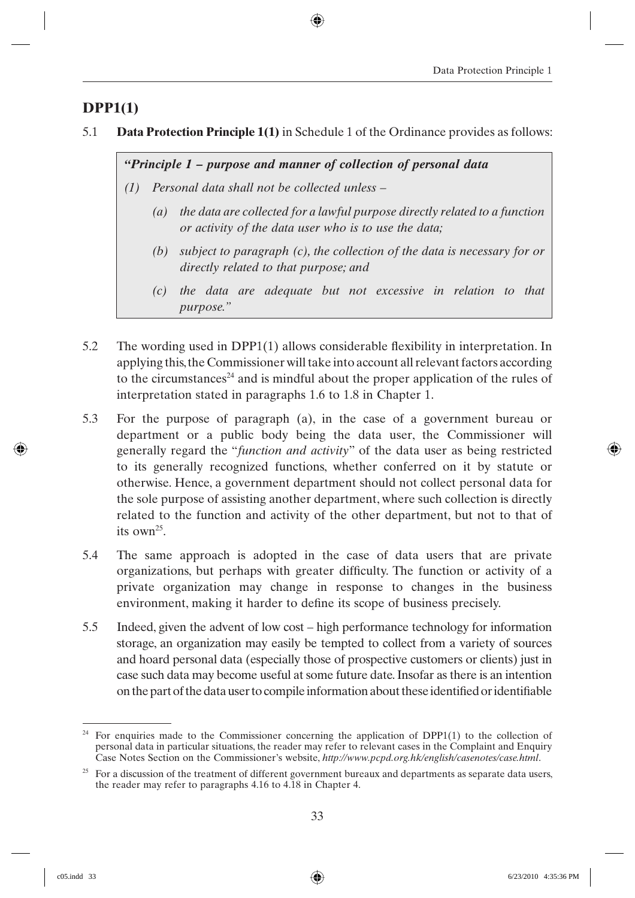## **DPP1(1)**

5.1 **Data Protection Principle 1(1)** in Schedule 1 of the Ordinance provides as follows:

*"Principle 1 – purpose and manner of collection of personal data*

- *(1) Personal data shall not be collected unless –*
	- *(a) the data are collected for a lawful purpose directly related to a function or activity of the data user who is to use the data;*
	- *(b) subject to paragraph (c), the collection of the data is necessary for or directly related to that purpose; and*
	- *(c) the data are adequate but not excessive in relation to that purpose."*
- 5.2 The wording used in DPP1 $(1)$  allows considerable flexibility in interpretation. In applying this, the Commissioner will take into account all relevant factors according to the circumstances<sup>24</sup> and is mindful about the proper application of the rules of interpretation stated in paragraphs 1.6 to 1.8 in Chapter 1.
- 5.3 For the purpose of paragraph (a), in the case of a government bureau or department or a public body being the data user, the Commissioner will generally regard the "*function and activity*" of the data user as being restricted to its generally recognized functions, whether conferred on it by statute or otherwise. Hence, a government department should not collect personal data for the sole purpose of assisting another department, where such collection is directly related to the function and activity of the other department, but not to that of its  $own<sup>25</sup>$
- 5.4 The same approach is adopted in the case of data users that are private organizations, but perhaps with greater difficulty. The function or activity of a private organization may change in response to changes in the business environment, making it harder to define its scope of business precisely.
- 5.5 Indeed, given the advent of low cost high performance technology for information storage, an organization may easily be tempted to collect from a variety of sources and hoard personal data (especially those of prospective customers or clients) just in case such data may become useful at some future date. Insofar as there is an intention on the part of the data user to compile information about these identified or identifiable

<sup>&</sup>lt;sup>24</sup> For enquiries made to the Commissioner concerning the application of DPP1(1) to the collection of personal data in particular situations, the reader may refer to relevant cases in the Complaint and Enquiry Case Notes Section on the Commissioner's website, *http://www.pcpd.org.hk/english/casenotes/case.html*.

 $25$  For a discussion of the treatment of different government bureaux and departments as separate data users, the reader may refer to paragraphs 4.16 to 4.18 in Chapter 4.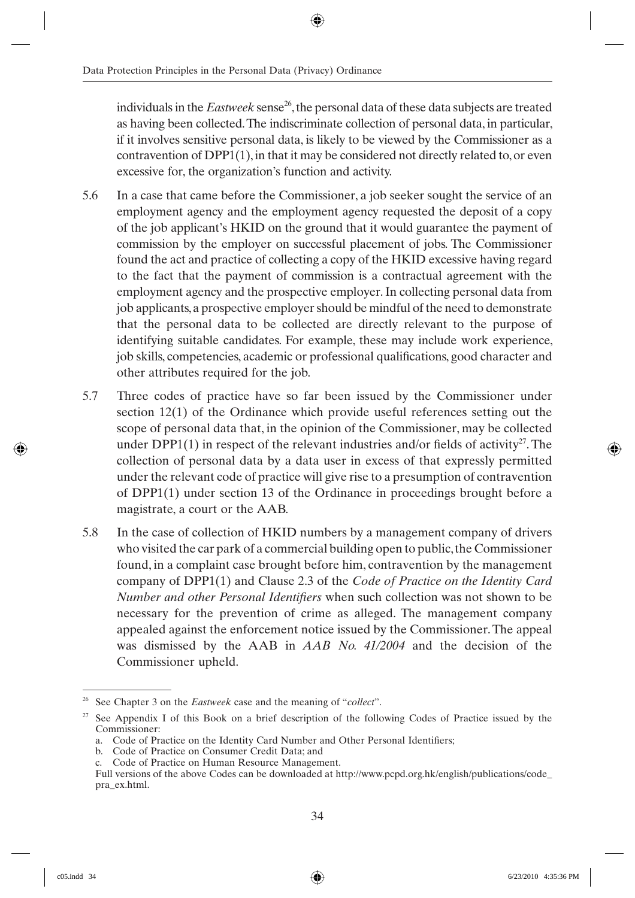individuals in the *Eastweek* sense<sup>26</sup>, the personal data of these data subjects are treated as having been collected. The indiscriminate collection of personal data, in particular, if it involves sensitive personal data, is likely to be viewed by the Commissioner as a contravention of DPP1(1), in that it may be considered not directly related to, or even excessive for, the organization's function and activity.

- 5.6 In a case that came before the Commissioner, a job seeker sought the service of an employment agency and the employment agency requested the deposit of a copy of the job applicant's HKID on the ground that it would guarantee the payment of commission by the employer on successful placement of jobs. The Commissioner found the act and practice of collecting a copy of the HKID excessive having regard to the fact that the payment of commission is a contractual agreement with the employment agency and the prospective employer. In collecting personal data from job applicants, a prospective employer should be mindful of the need to demonstrate that the personal data to be collected are directly relevant to the purpose of identifying suitable candidates. For example, these may include work experience, job skills, competencies, academic or professional qualifications, good character and other attributes required for the job.
- 5.7 Three codes of practice have so far been issued by the Commissioner under section 12(1) of the Ordinance which provide useful references setting out the scope of personal data that, in the opinion of the Commissioner, may be collected under DPP1(1) in respect of the relevant industries and/or fields of activity<sup>27</sup>. The collection of personal data by a data user in excess of that expressly permitted under the relevant code of practice will give rise to a presumption of contravention of DPP1(1) under section 13 of the Ordinance in proceedings brought before a magistrate, a court or the AAB.
- 5.8 In the case of collection of HKID numbers by a management company of drivers who visited the car park of a commercial building open to public, the Commissioner found, in a complaint case brought before him, contravention by the management company of DPP1(1) and Clause 2.3 of the *Code of Practice on the Identity Card Number and other Personal Identifiers* when such collection was not shown to be necessary for the prevention of crime as alleged. The management company appealed against the enforcement notice issued by the Commissioner. The appeal was dismissed by the AAB in *AAB No. 41/2004* and the decision of the Commissioner upheld.

<sup>26</sup> See Chapter 3 on the *Eastweek* case and the meaning of "*collect*".

<sup>&</sup>lt;sup>27</sup> See Appendix I of this Book on a brief description of the following Codes of Practice issued by the Commissioner:

a. Code of Practice on the Identity Card Number and Other Personal Identifiers;

b. Code of Practice on Consumer Credit Data; and

c. Code of Practice on Human Resource Management.

Full versions of the above Codes can be downloaded at http://www.pcpd.org.hk/english/publications/code\_ pra\_ex.html.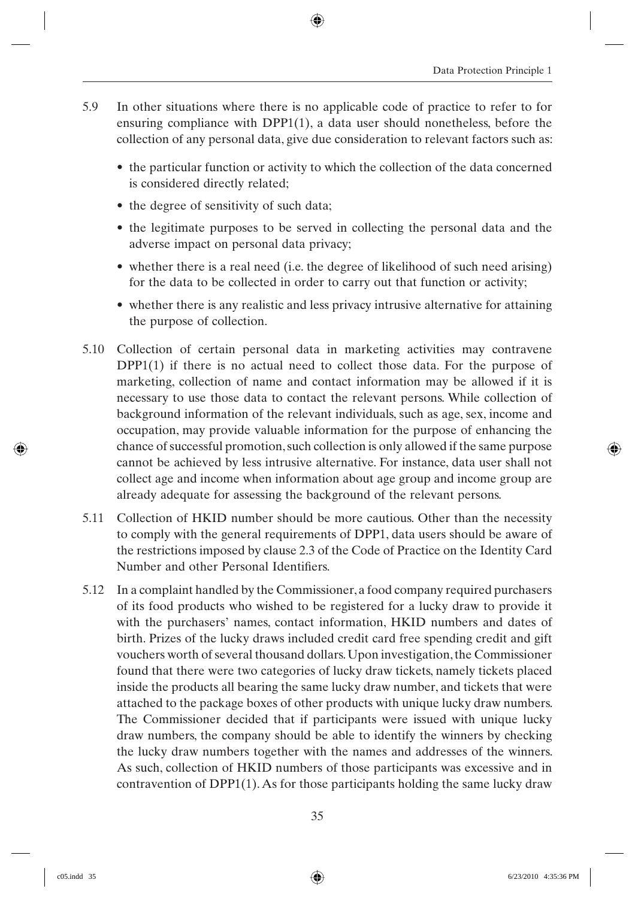- 5.9 In other situations where there is no applicable code of practice to refer to for ensuring compliance with  $DPP1(1)$ , a data user should nonetheless, before the collection of any personal data, give due consideration to relevant factors such as:
	- the particular function or activity to which the collection of the data concerned is considered directly related;
	- the degree of sensitivity of such data;
	- the legitimate purposes to be served in collecting the personal data and the adverse impact on personal data privacy;
	- whether there is a real need (i.e. the degree of likelihood of such need arising) for the data to be collected in order to carry out that function or activity;
	- whether there is any realistic and less privacy intrusive alternative for attaining the purpose of collection.
- 5.10 Collection of certain personal data in marketing activities may contravene DPP1(1) if there is no actual need to collect those data. For the purpose of marketing, collection of name and contact information may be allowed if it is necessary to use those data to contact the relevant persons. While collection of background information of the relevant individuals, such as age, sex, income and occupation, may provide valuable information for the purpose of enhancing the chance of successful promotion, such collection is only allowed if the same purpose cannot be achieved by less intrusive alternative. For instance, data user shall not collect age and income when information about age group and income group are already adequate for assessing the background of the relevant persons.
- 5.11 Collection of HKID number should be more cautious. Other than the necessity to comply with the general requirements of DPP1, data users should be aware of the restrictions imposed by clause 2.3 of the Code of Practice on the Identity Card Number and other Personal Identifiers.
- 5.12 In a complaint handled by the Commissioner, a food company required purchasers of its food products who wished to be registered for a lucky draw to provide it with the purchasers' names, contact information, HKID numbers and dates of birth. Prizes of the lucky draws included credit card free spending credit and gift vouchers worth of several thousand dollars. Upon investigation, the Commissioner found that there were two categories of lucky draw tickets, namely tickets placed inside the products all bearing the same lucky draw number, and tickets that were attached to the package boxes of other products with unique lucky draw numbers. The Commissioner decided that if participants were issued with unique lucky draw numbers, the company should be able to identify the winners by checking the lucky draw numbers together with the names and addresses of the winners. As such, collection of HKID numbers of those participants was excessive and in contravention of DPP1(1). As for those participants holding the same lucky draw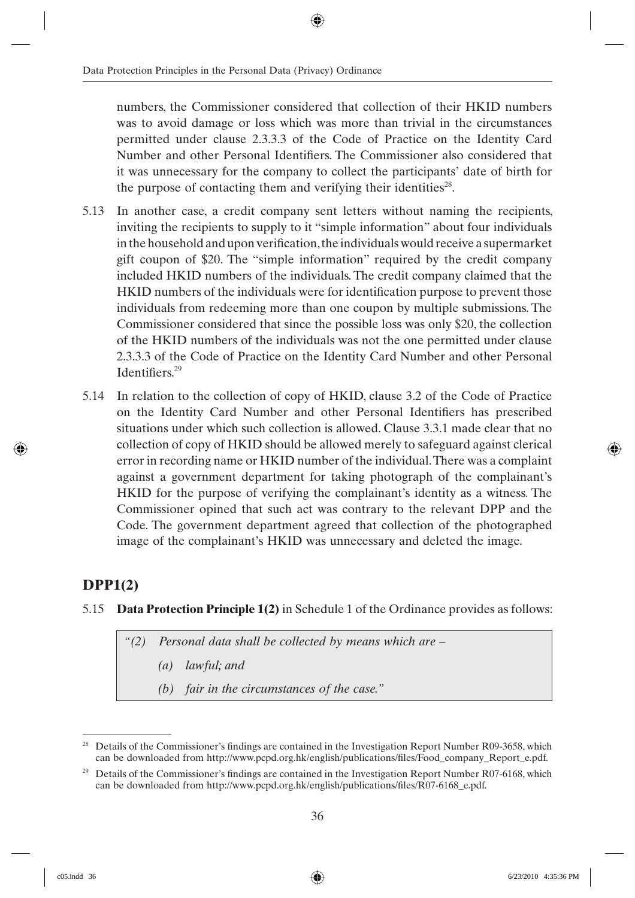numbers, the Commissioner considered that collection of their HKID numbers was to avoid damage or loss which was more than trivial in the circumstances permitted under clause 2.3.3.3 of the Code of Practice on the Identity Card Number and other Personal Identifiers. The Commissioner also considered that it was unnecessary for the company to collect the participants' date of birth for the purpose of contacting them and verifying their identities<sup>28</sup>.

- 5.13 In another case, a credit company sent letters without naming the recipients, inviting the recipients to supply to it "simple information" about four individuals in the household and upon verification, the individuals would receive a supermarket gift coupon of \$20. The "simple information" required by the credit company included HKID numbers of the individuals. The credit company claimed that the HKID numbers of the individuals were for identification purpose to prevent those individuals from redeeming more than one coupon by multiple submissions. The Commissioner considered that since the possible loss was only \$20, the collection of the HKID numbers of the individuals was not the one permitted under clause 2.3.3.3 of the Code of Practice on the Identity Card Number and other Personal Identifiers $29$
- 5.14 In relation to the collection of copy of HKID, clause 3.2 of the Code of Practice on the Identity Card Number and other Personal Identifiers has prescribed situations under which such collection is allowed. Clause 3.3.1 made clear that no collection of copy of HKID should be allowed merely to safeguard against clerical error in recording name or HKID number of the individual. There was a complaint against a government department for taking photograph of the complainant's HKID for the purpose of verifying the complainant's identity as a witness. The Commissioner opined that such act was contrary to the relevant DPP and the Code. The government department agreed that collection of the photographed image of the complainant's HKID was unnecessary and deleted the image.

### **DPP1(2)**

#### 5.15 **Data Protection Principle 1(2)** in Schedule 1 of the Ordinance provides as follows:

*"(2) Personal data shall be collected by means which are –*

*(a) lawful; and*

*(b) fair in the circumstances of the case."*

<sup>&</sup>lt;sup>28</sup> Details of the Commissioner's findings are contained in the Investigation Report Number R09-3658, which can be downloaded from http://www.pcpd.org.hk/english/publications/files/Food\_company\_Report\_e.pdf.

<sup>&</sup>lt;sup>29</sup> Details of the Commissioner's findings are contained in the Investigation Report Number R07-6168, which can be downloaded from http://www.pcpd.org.hk/english/publications/files/R07-6168 e.pdf.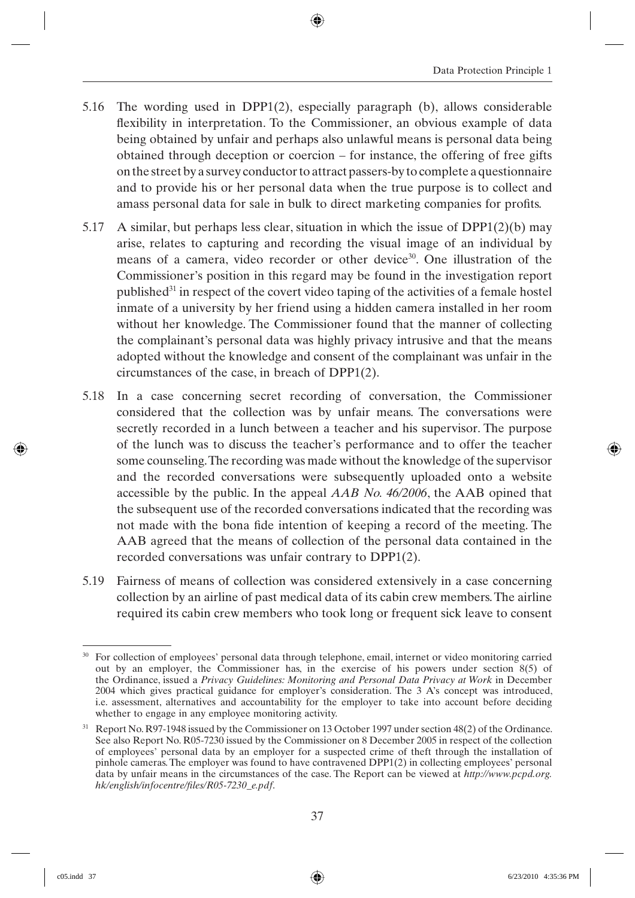- 5.16 The wording used in DPP1(2), especially paragraph (b), allows considerable flexibility in interpretation. To the Commissioner, an obvious example of data being obtained by unfair and perhaps also unlawful means is personal data being obtained through deception or coercion – for instance, the offering of free gifts on the street by a survey conductor to attract passers-by to complete a questionnaire and to provide his or her personal data when the true purpose is to collect and amass personal data for sale in bulk to direct marketing companies for profits.
- 5.17 A similar, but perhaps less clear, situation in which the issue of  $DPP1(2)(b)$  may arise, relates to capturing and recording the visual image of an individual by means of a camera, video recorder or other device<sup>30</sup>. One illustration of the Commissioner's position in this regard may be found in the investigation report published<sup>31</sup> in respect of the covert video taping of the activities of a female hostel inmate of a university by her friend using a hidden camera installed in her room without her knowledge. The Commissioner found that the manner of collecting the complainant's personal data was highly privacy intrusive and that the means adopted without the knowledge and consent of the complainant was unfair in the circumstances of the case, in breach of DPP1(2).
- 5.18 In a case concerning secret recording of conversation, the Commissioner considered that the collection was by unfair means. The conversations were secretly recorded in a lunch between a teacher and his supervisor. The purpose of the lunch was to discuss the teacher's performance and to offer the teacher some counseling. The recording was made without the knowledge of the supervisor and the recorded conversations were subsequently uploaded onto a website accessible by the public. In the appeal *AAB No. 46/2006*, the AAB opined that the subsequent use of the recorded conversations indicated that the recording was not made with the bona fide intention of keeping a record of the meeting. The AAB agreed that the means of collection of the personal data contained in the recorded conversations was unfair contrary to DPP1(2).
- 5.19 Fairness of means of collection was considered extensively in a case concerning collection by an airline of past medical data of its cabin crew members. The airline required its cabin crew members who took long or frequent sick leave to consent

<sup>30</sup> For collection of employees' personal data through telephone, email, internet or video monitoring carried out by an employer, the Commissioner has, in the exercise of his powers under section 8(5) of the Ordinance, issued a *Privacy Guidelines: Monitoring and Personal Data Privacy at Work* in December 2004 which gives practical guidance for employer's consideration. The 3 A's concept was introduced, i.e. assessment, alternatives and accountability for the employer to take into account before deciding whether to engage in any employee monitoring activity.

 $31$  Report No. R97-1948 issued by the Commissioner on 13 October 1997 under section 48(2) of the Ordinance. See also Report No. R05-7230 issued by the Commissioner on 8 December 2005 in respect of the collection of employees' personal data by an employer for a suspected crime of theft through the installation of pinhole cameras. The employer was found to have contravened DPP1(2) in collecting employees' personal data by unfair means in the circumstances of the case. The Report can be viewed at *http://www.pcpd.org. hk/english/infocentre/fi les/R05-7230\_e.pdf*.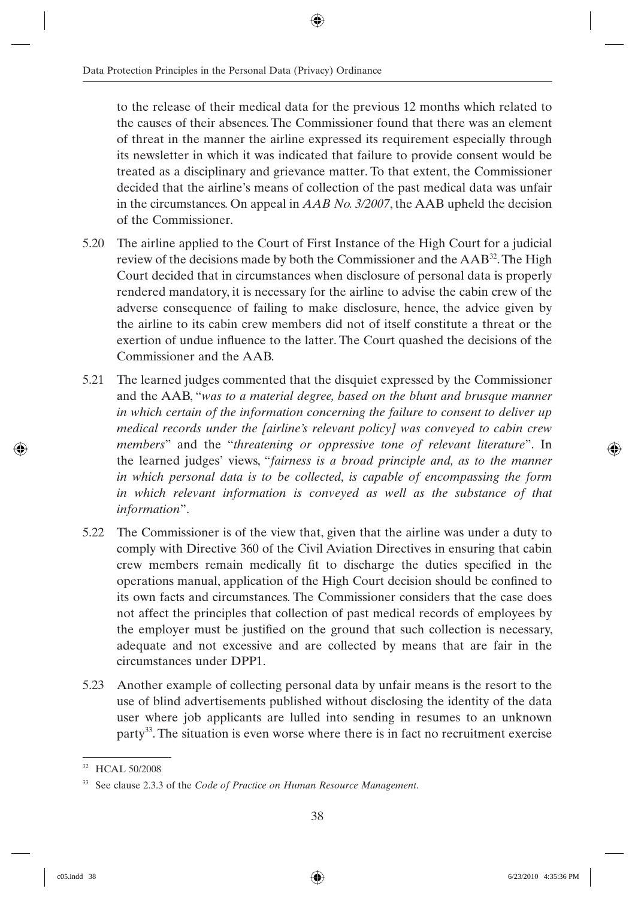to the release of their medical data for the previous 12 months which related to the causes of their absences. The Commissioner found that there was an element of threat in the manner the airline expressed its requirement especially through its newsletter in which it was indicated that failure to provide consent would be treated as a disciplinary and grievance matter. To that extent, the Commissioner decided that the airline's means of collection of the past medical data was unfair in the circumstances. On appeal in *AAB No. 3/2007*, the AAB upheld the decision of the Commissioner.

- 5.20 The airline applied to the Court of First Instance of the High Court for a judicial review of the decisions made by both the Commissioner and the AAB32. The High Court decided that in circumstances when disclosure of personal data is properly rendered mandatory, it is necessary for the airline to advise the cabin crew of the adverse consequence of failing to make disclosure, hence, the advice given by the airline to its cabin crew members did not of itself constitute a threat or the exertion of undue influence to the latter. The Court quashed the decisions of the Commissioner and the AAB.
- 5.21 The learned judges commented that the disquiet expressed by the Commissioner and the AAB, "*was to a material degree, based on the blunt and brusque manner in which certain of the information concerning the failure to consent to deliver up medical records under the [airline's relevant policy] was conveyed to cabin crew members*" and the "*threatening or oppressive tone of relevant literature*". In the learned judges' views, "*fairness is a broad principle and, as to the manner in which personal data is to be collected, is capable of encompassing the form in which relevant information is conveyed as well as the substance of that information*".
- 5.22 The Commissioner is of the view that, given that the airline was under a duty to comply with Directive 360 of the Civil Aviation Directives in ensuring that cabin crew members remain medically fit to discharge the duties specified in the operations manual, application of the High Court decision should be confined to its own facts and circumstances. The Commissioner considers that the case does not affect the principles that collection of past medical records of employees by the employer must be justified on the ground that such collection is necessary, adequate and not excessive and are collected by means that are fair in the circumstances under DPP1.
- 5.23 Another example of collecting personal data by unfair means is the resort to the use of blind advertisements published without disclosing the identity of the data user where job applicants are lulled into sending in resumes to an unknown party<sup>33</sup>. The situation is even worse where there is in fact no recruitment exercise

<sup>32</sup> HCAL 50/2008

<sup>33</sup> See clause 2.3.3 of the *Code of Practice on Human Resource Management*.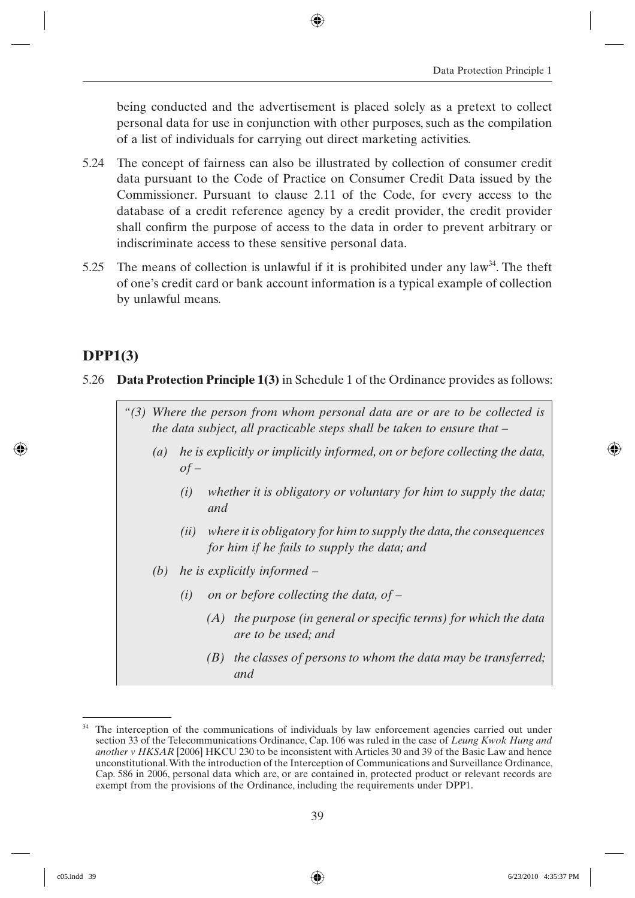being conducted and the advertisement is placed solely as a pretext to collect personal data for use in conjunction with other purposes, such as the compilation of a list of individuals for carrying out direct marketing activities.

- 5.24 The concept of fairness can also be illustrated by collection of consumer credit data pursuant to the Code of Practice on Consumer Credit Data issued by the Commissioner. Pursuant to clause 2.11 of the Code, for every access to the database of a credit reference agency by a credit provider, the credit provider shall confirm the purpose of access to the data in order to prevent arbitrary or indiscriminate access to these sensitive personal data.
- 5.25 The means of collection is unlawful if it is prohibited under any law<sup>34</sup>. The theft of one's credit card or bank account information is a typical example of collection by unlawful means.

#### **DPP1(3)**

- 5.26 **Data Protection Principle 1(3)** in Schedule 1 of the Ordinance provides as follows:
	- *"(3) Where the person from whom personal data are or are to be collected is the data subject, all practicable steps shall be taken to ensure that –*
		- *(a) he is explicitly or implicitly informed, on or before collecting the data, of –*
			- *(i) whether it is obligatory or voluntary for him to supply the data; and*
			- *(ii) where it is obligatory for him to supply the data, the consequences for him if he fails to supply the data; and*
		- *(b) he is explicitly informed –*
			- *(i) on or before collecting the data, of –*
				- *(A)* the purpose (in general or specific terms) for which the data *are to be used; and*
				- *(B) the classes of persons to whom the data may be transferred; and*

<sup>&</sup>lt;sup>34</sup> The interception of the communications of individuals by law enforcement agencies carried out under section 33 of the Telecommunications Ordinance, Cap. 106 was ruled in the case of *Leung Kwok Hung and another v HKSAR* [2006] HKCU 230 to be inconsistent with Articles 30 and 39 of the Basic Law and hence unconstitutional. With the introduction of the Interception of Communications and Surveillance Ordinance, Cap. 586 in 2006, personal data which are, or are contained in, protected product or relevant records are exempt from the provisions of the Ordinance, including the requirements under DPP1.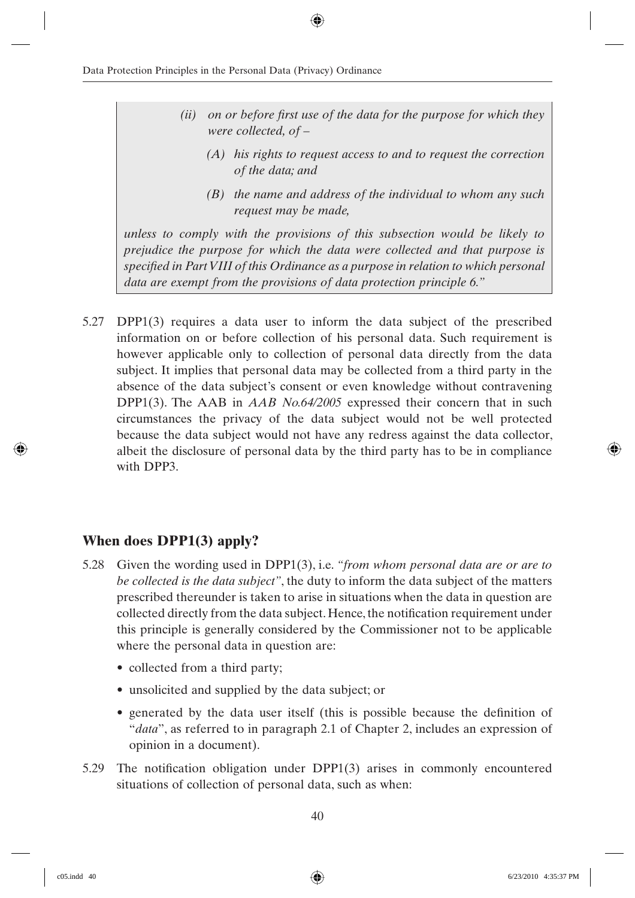- *(ii)* on or before first use of the data for the purpose for which they *were collected, of –*
	- *(A) his rights to request access to and to request the correction of the data; and*
	- *(B) the name and address of the individual to whom any such request may be made,*

*unless to comply with the provisions of this subsection would be likely to prejudice the purpose for which the data were collected and that purpose is specified in Part VIII of this Ordinance as a purpose in relation to which personal data are exempt from the provisions of data protection principle 6."*

5.27 DPP1(3) requires a data user to inform the data subject of the prescribed information on or before collection of his personal data. Such requirement is however applicable only to collection of personal data directly from the data subject. It implies that personal data may be collected from a third party in the absence of the data subject's consent or even knowledge without contravening DPP1(3). The AAB in *AAB No.64/2005* expressed their concern that in such circumstances the privacy of the data subject would not be well protected because the data subject would not have any redress against the data collector, albeit the disclosure of personal data by the third party has to be in compliance with DPP3.

#### **When does DPP1(3) apply?**

- 5.28 Given the wording used in DPP1(3), i.e. *"from whom personal data are or are to be collected is the data subject"*, the duty to inform the data subject of the matters prescribed thereunder is taken to arise in situations when the data in question are collected directly from the data subject. Hence, the notification requirement under this principle is generally considered by the Commissioner not to be applicable where the personal data in question are:
	- collected from a third party;
	- unsolicited and supplied by the data subject; or
	- generated by the data user itself (this is possible because the definition of "*data*", as referred to in paragraph 2.1 of Chapter 2, includes an expression of opinion in a document).
- 5.29 The notification obligation under  $DPP1(3)$  arises in commonly encountered situations of collection of personal data, such as when: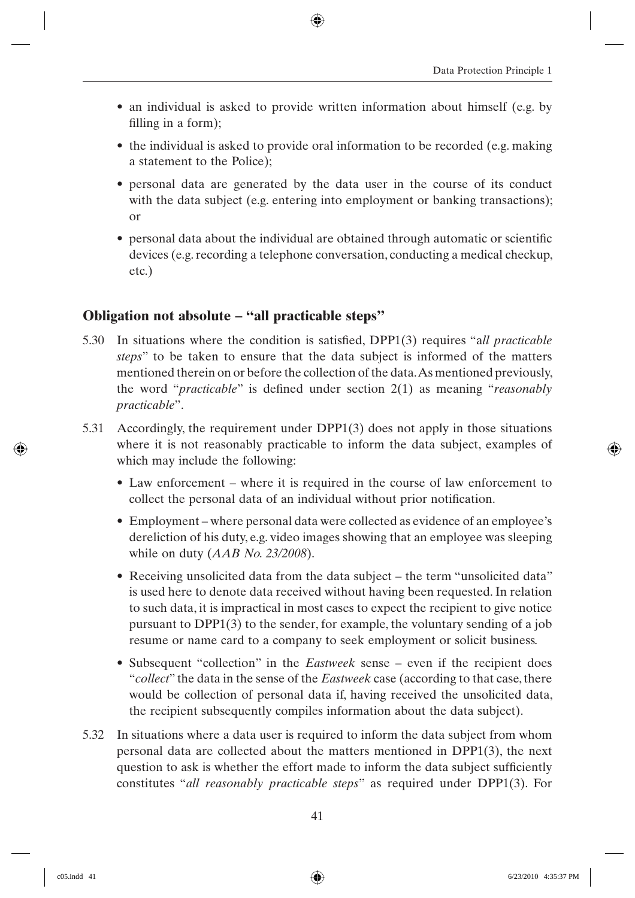- an individual is asked to provide written information about himself (e.g. by filling in a form);
- the individual is asked to provide oral information to be recorded (e.g. making a statement to the Police);
- personal data are generated by the data user in the course of its conduct with the data subject (e.g. entering into employment or banking transactions); or
- personal data about the individual are obtained through automatic or scientific devices (e.g. recording a telephone conversation, conducting a medical checkup, etc.)

#### **Obligation not absolute – "all practicable steps"**

- 5.30 In situations where the condition is satisfied, DPP1(3) requires "all *practicable steps*" to be taken to ensure that the data subject is informed of the matters mentioned therein on or before the collection of the data. As mentioned previously, the word "*practicable*" is defined under section 2(1) as meaning "*reasonably practicable*".
- 5.31 Accordingly, the requirement under DPP1(3) does not apply in those situations where it is not reasonably practicable to inform the data subject, examples of which may include the following:
	- Law enforcement where it is required in the course of law enforcement to collect the personal data of an individual without prior notification.
	- Employment where personal data were collected as evidence of an employee's dereliction of his duty, e.g. video images showing that an employee was sleeping while on duty (*AAB No. 23/2008*).
	- Receiving unsolicited data from the data subject the term "unsolicited data" is used here to denote data received without having been requested. In relation to such data, it is impractical in most cases to expect the recipient to give notice pursuant to DPP1(3) to the sender, for example, the voluntary sending of a job resume or name card to a company to seek employment or solicit business.
	- Subsequent "collection" in the *Eastweek* sense even if the recipient does "*collect*" the data in the sense of the *Eastweek* case (according to that case, there would be collection of personal data if, having received the unsolicited data, the recipient subsequently compiles information about the data subject).
- 5.32 In situations where a data user is required to inform the data subject from whom personal data are collected about the matters mentioned in DPP1(3), the next question to ask is whether the effort made to inform the data subject sufficiently constitutes "*all reasonably practicable steps*" as required under DPP1(3). For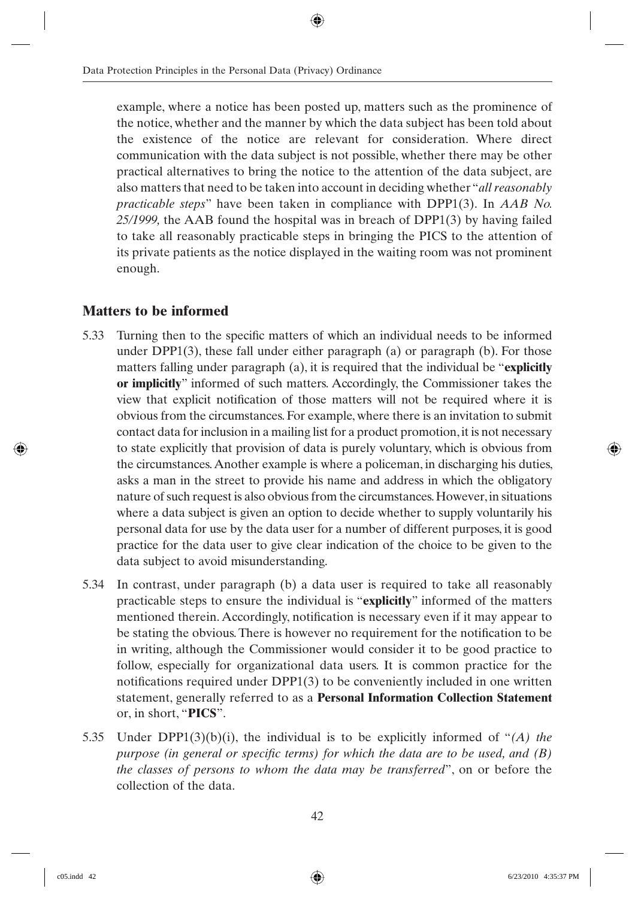example, where a notice has been posted up, matters such as the prominence of the notice, whether and the manner by which the data subject has been told about the existence of the notice are relevant for consideration. Where direct communication with the data subject is not possible, whether there may be other practical alternatives to bring the notice to the attention of the data subject, are also matters that need to be taken into account in deciding whether "*all reasonably practicable steps*" have been taken in compliance with DPP1(3). In *AAB No. 25/1999,* the AAB found the hospital was in breach of DPP1(3) by having failed to take all reasonably practicable steps in bringing the PICS to the attention of its private patients as the notice displayed in the waiting room was not prominent enough.

#### **Matters to be informed**

- 5.33 Turning then to the specific matters of which an individual needs to be informed under  $DPP1(3)$ , these fall under either paragraph (a) or paragraph (b). For those matters falling under paragraph (a), it is required that the individual be "**explicitly or implicitly**" informed of such matters. Accordingly, the Commissioner takes the view that explicit notification of those matters will not be required where it is obvious from the circumstances. For example, where there is an invitation to submit contact data for inclusion in a mailing list for a product promotion, it is not necessary to state explicitly that provision of data is purely voluntary, which is obvious from the circumstances. Another example is where a policeman, in discharging his duties, asks a man in the street to provide his name and address in which the obligatory nature of such request is also obvious from the circumstances. However, in situations where a data subject is given an option to decide whether to supply voluntarily his personal data for use by the data user for a number of different purposes, it is good practice for the data user to give clear indication of the choice to be given to the data subject to avoid misunderstanding.
- 5.34 In contrast, under paragraph (b) a data user is required to take all reasonably practicable steps to ensure the individual is "**explicitly**" informed of the matters mentioned therein. Accordingly, notification is necessary even if it may appear to be stating the obvious. There is however no requirement for the notification to be in writing, although the Commissioner would consider it to be good practice to follow, especially for organizational data users. It is common practice for the notifications required under  $DPP1(3)$  to be conveniently included in one written statement, generally referred to as a **Personal Information Collection Statement**  or, in short, "**PICS**".
- 5.35 Under DPP1(3)(b)(i), the individual is to be explicitly informed of "*(A) the purpose (in general or specific terms) for which the data are to be used, and (B) the classes of persons to whom the data may be transferred*", on or before the collection of the data.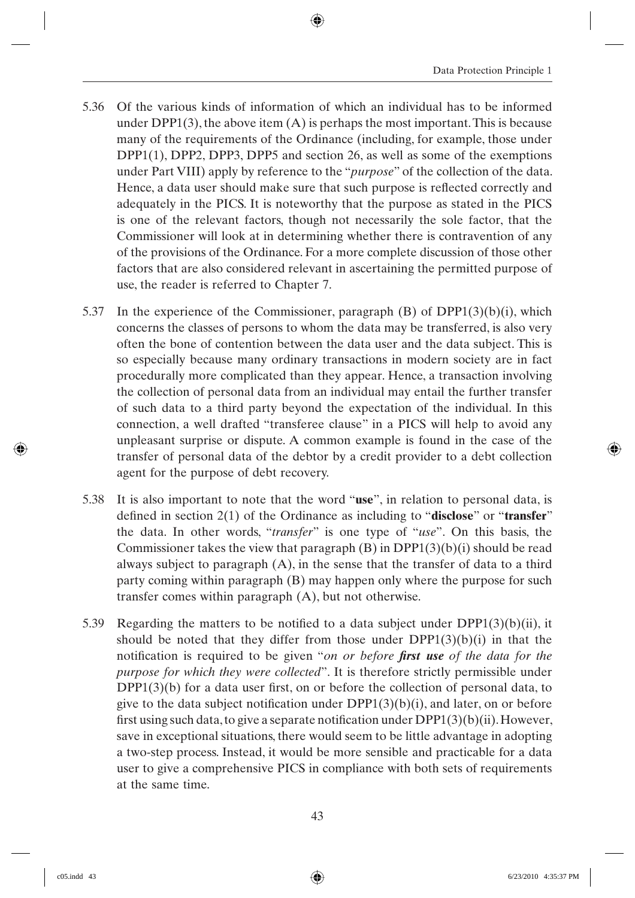- 5.36 Of the various kinds of information of which an individual has to be informed under  $DPP1(3)$ , the above item  $(A)$  is perhaps the most important. This is because many of the requirements of the Ordinance (including, for example, those under DPP1(1), DPP2, DPP3, DPP5 and section 26, as well as some of the exemptions under Part VIII) apply by reference to the "*purpose*" of the collection of the data. Hence, a data user should make sure that such purpose is reflected correctly and adequately in the PICS. It is noteworthy that the purpose as stated in the PICS is one of the relevant factors, though not necessarily the sole factor, that the Commissioner will look at in determining whether there is contravention of any of the provisions of the Ordinance. For a more complete discussion of those other factors that are also considered relevant in ascertaining the permitted purpose of use, the reader is referred to Chapter 7.
- 5.37 In the experience of the Commissioner, paragraph (B) of DPP1(3)(b)(i), which concerns the classes of persons to whom the data may be transferred, is also very often the bone of contention between the data user and the data subject. This is so especially because many ordinary transactions in modern society are in fact procedurally more complicated than they appear. Hence, a transaction involving the collection of personal data from an individual may entail the further transfer of such data to a third party beyond the expectation of the individual. In this connection, a well drafted "transferee clause" in a PICS will help to avoid any unpleasant surprise or dispute. A common example is found in the case of the transfer of personal data of the debtor by a credit provider to a debt collection agent for the purpose of debt recovery.
- 5.38 It is also important to note that the word "**use**", in relation to personal data, is defined in section 2(1) of the Ordinance as including to "**disclose**" or "**transfer**" the data. In other words, "*transfer*" is one type of "*use*". On this basis, the Commissioner takes the view that paragraph  $(B)$  in DPP1 $(3)(b)(i)$  should be read always subject to paragraph  $(A)$ , in the sense that the transfer of data to a third party coming within paragraph (B) may happen only where the purpose for such transfer comes within paragraph (A), but not otherwise.
- 5.39 Regarding the matters to be notified to a data subject under DPP1(3)(b)(ii), it should be noted that they differ from those under  $DPP1(3)(b)(i)$  in that the notification is required to be given "*on or before first use* of the data for the *purpose for which they were collected*". It is therefore strictly permissible under  $DPP1(3)(b)$  for a data user first, on or before the collection of personal data, to give to the data subject notification under  $DPP1(3)(b)(i)$ , and later, on or before first using such data, to give a separate notification under  $DPP1(3)(b)(ii)$ . However, save in exceptional situations, there would seem to be little advantage in adopting a two-step process. Instead, it would be more sensible and practicable for a data user to give a comprehensive PICS in compliance with both sets of requirements at the same time.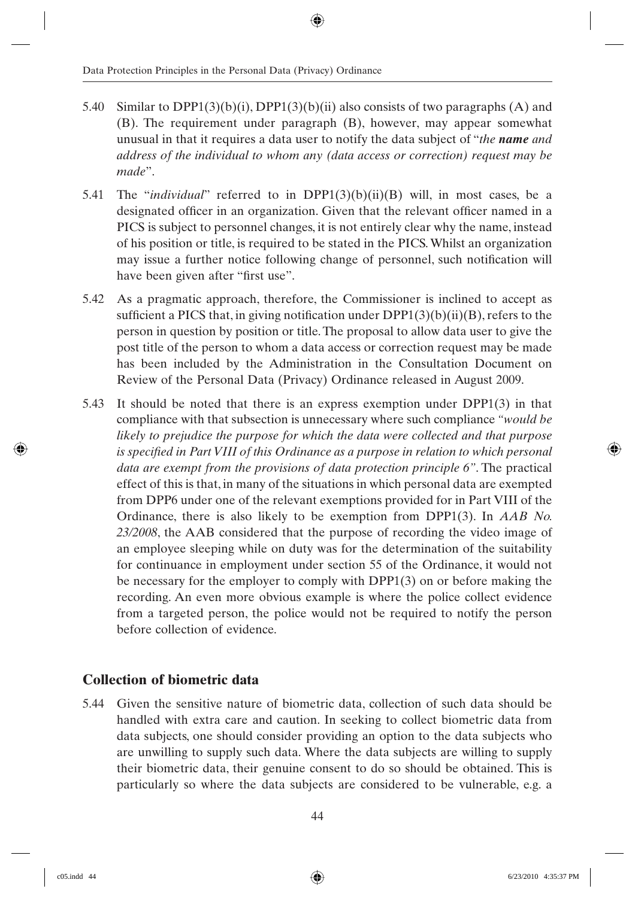- 5.40 Similar to DPP1(3)(b)(i), DPP1(3)(b)(ii) also consists of two paragraphs (A) and (B). The requirement under paragraph (B), however, may appear somewhat unusual in that it requires a data user to notify the data subject of "*the name and address of the individual to whom any (data access or correction) request may be made*".
- 5.41 The "*individual*" referred to in DPP1(3)(b)(ii)(B) will, in most cases, be a designated officer in an organization. Given that the relevant officer named in a PICS is subject to personnel changes, it is not entirely clear why the name, instead of his position or title, is required to be stated in the PICS. Whilst an organization may issue a further notice following change of personnel, such notification will have been given after "first use".
- 5.42 As a pragmatic approach, therefore, the Commissioner is inclined to accept as sufficient a PICS that, in giving notification under  $DPP1(3)(b)(ii)(B)$ , refers to the person in question by position or title. The proposal to allow data user to give the post title of the person to whom a data access or correction request may be made has been included by the Administration in the Consultation Document on Review of the Personal Data (Privacy) Ordinance released in August 2009.
- 5.43 It should be noted that there is an express exemption under DPP1(3) in that compliance with that subsection is unnecessary where such compliance *"would be likely to prejudice the purpose for which the data were collected and that purpose is specified in Part VIII of this Ordinance as a purpose in relation to which personal data are exempt from the provisions of data protection principle 6"*. The practical effect of this is that, in many of the situations in which personal data are exempted from DPP6 under one of the relevant exemptions provided for in Part VIII of the Ordinance, there is also likely to be exemption from DPP1(3). In *AAB No. 23/2008*, the AAB considered that the purpose of recording the video image of an employee sleeping while on duty was for the determination of the suitability for continuance in employment under section 55 of the Ordinance, it would not be necessary for the employer to comply with DPP1(3) on or before making the recording. An even more obvious example is where the police collect evidence from a targeted person, the police would not be required to notify the person before collection of evidence.

#### **Collection of biometric data**

5.44 Given the sensitive nature of biometric data, collection of such data should be handled with extra care and caution. In seeking to collect biometric data from data subjects, one should consider providing an option to the data subjects who are unwilling to supply such data. Where the data subjects are willing to supply their biometric data, their genuine consent to do so should be obtained. This is particularly so where the data subjects are considered to be vulnerable, e.g. a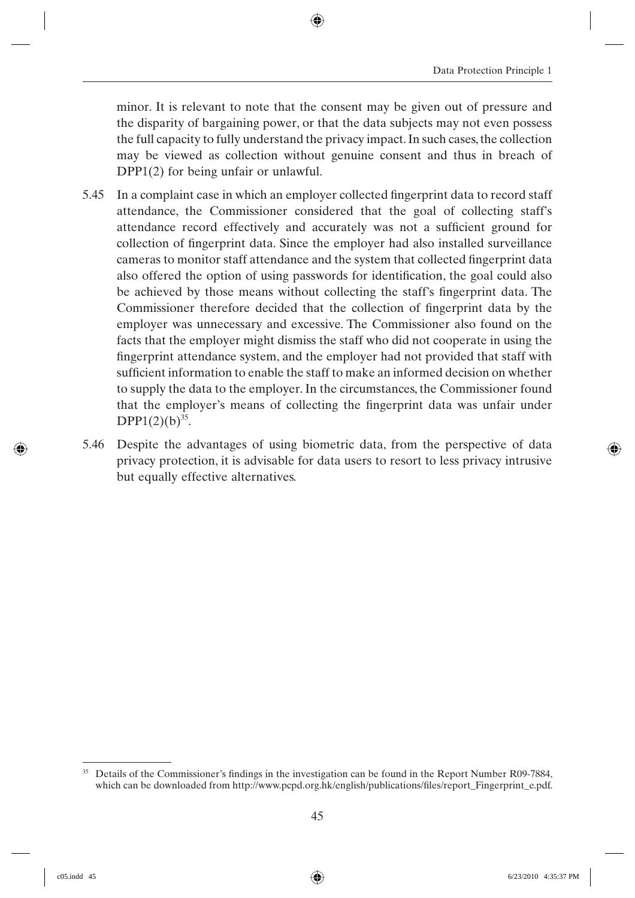minor. It is relevant to note that the consent may be given out of pressure and the disparity of bargaining power, or that the data subjects may not even possess the full capacity to fully understand the privacy impact. In such cases, the collection may be viewed as collection without genuine consent and thus in breach of DPP1(2) for being unfair or unlawful.

- 5.45 In a complaint case in which an employer collected fingerprint data to record staff attendance, the Commissioner considered that the goal of collecting staff's attendance record effectively and accurately was not a sufficient ground for collection of fingerprint data. Since the employer had also installed surveillance cameras to monitor staff attendance and the system that collected fingerprint data also offered the option of using passwords for identification, the goal could also be achieved by those means without collecting the staff's fingerprint data. The Commissioner therefore decided that the collection of fingerprint data by the employer was unnecessary and excessive. The Commissioner also found on the facts that the employer might dismiss the staff who did not cooperate in using the fingerprint attendance system, and the employer had not provided that staff with sufficient information to enable the staff to make an informed decision on whether to supply the data to the employer. In the circumstances, the Commissioner found that the employer's means of collecting the fingerprint data was unfair under  $DPP1(2)(b)^{35}$ .
- 5.46 Despite the advantages of using biometric data, from the perspective of data privacy protection, it is advisable for data users to resort to less privacy intrusive but equally effective alternatives.

<sup>&</sup>lt;sup>35</sup> Details of the Commissioner's findings in the investigation can be found in the Report Number R09-7884, which can be downloaded from http://www.pcpd.org.hk/english/publications/files/report\_Fingerprint\_e.pdf.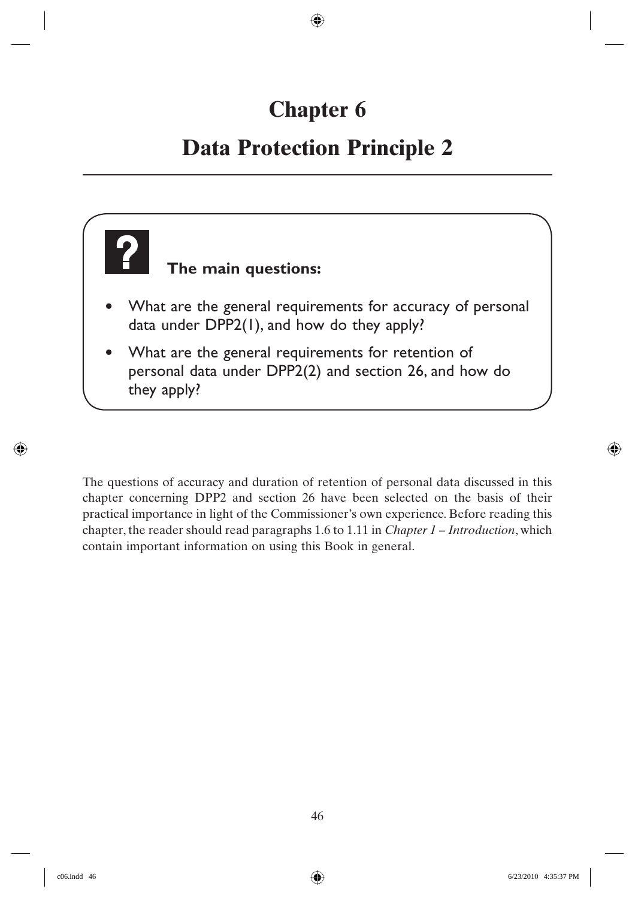## **Chapter 6**

## **Data Protection Principle 2**

# **The main questions:** • What are the general requirements for accuracy of personal data under DPP2(1), and how do they apply? What are the general requirements for retention of personal data under DPP2(2) and section 26, and how do they apply?

The questions of accuracy and duration of retention of personal data discussed in this chapter concerning DPP2 and section 26 have been selected on the basis of their practical importance in light of the Commissioner's own experience. Before reading this chapter, the reader should read paragraphs 1.6 to 1.11 in *Chapter 1 – Introduction*, which contain important information on using this Book in general.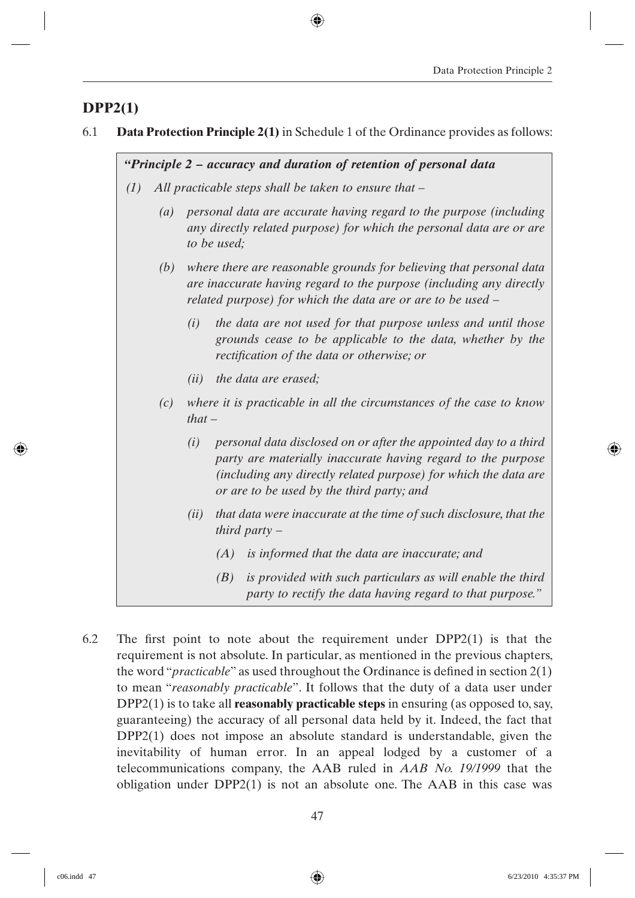## **DPP2(1)**

6.1 **Data Protection Principle 2(1)** in Schedule 1 of the Ordinance provides as follows:

*"Principle 2 – accuracy and duration of retention of personal data*

- *(1) All practicable steps shall be taken to ensure that –*
	- *(a) personal data are accurate having regard to the purpose (including any directly related purpose) for which the personal data are or are to be used;*
	- *(b) where there are reasonable grounds for believing that personal data are inaccurate having regard to the purpose (including any directly related purpose) for which the data are or are to be used –*
		- *(i) the data are not used for that purpose unless and until those grounds cease to be applicable to the data, whether by the rectifi cation of the data or otherwise; or*
		- *(ii) the data are erased;*
	- *(c) where it is practicable in all the circumstances of the case to know that –*
		- *(i) personal data disclosed on or after the appointed day to a third party are materially inaccurate having regard to the purpose (including any directly related purpose) for which the data are or are to be used by the third party; and*
		- *(ii) that data were inaccurate at the time of such disclosure, that the third party –*
			- *(A) is informed that the data are inaccurate; and*
			- *(B) is provided with such particulars as will enable the third party to rectify the data having regard to that purpose."*
- 6.2 The first point to note about the requirement under  $DPP2(1)$  is that the requirement is not absolute. In particular, as mentioned in the previous chapters, the word "*practicable*" as used throughout the Ordinance is defined in section 2(1) to mean "*reasonably practicable*". It follows that the duty of a data user under DPP2(1) is to take all **reasonably practicable steps** in ensuring (as opposed to, say, guaranteeing) the accuracy of all personal data held by it. Indeed, the fact that DPP2(1) does not impose an absolute standard is understandable, given the inevitability of human error. In an appeal lodged by a customer of a telecommunications company, the AAB ruled in *AAB No. 19/1999* that the obligation under DPP2(1) is not an absolute one. The AAB in this case was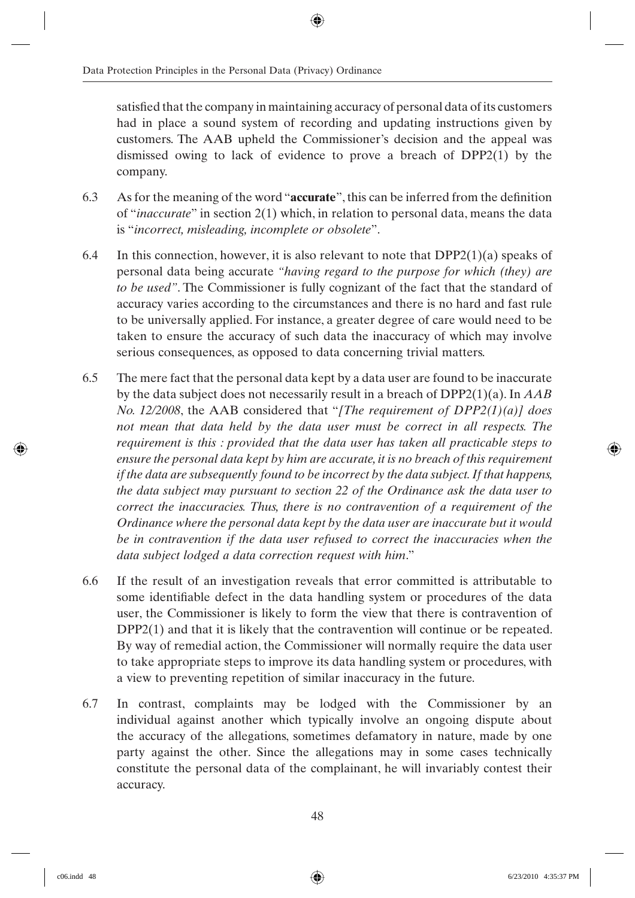satisfied that the company in maintaining accuracy of personal data of its customers had in place a sound system of recording and updating instructions given by customers. The AAB upheld the Commissioner's decision and the appeal was dismissed owing to lack of evidence to prove a breach of DPP2(1) by the company.

- 6.3 As for the meaning of the word "**accurate**", this can be inferred from the definition of "*inaccurate*" in section 2(1) which, in relation to personal data, means the data is "*incorrect, misleading, incomplete or obsolete*".
- 6.4 In this connection, however, it is also relevant to note that  $DPP2(1)(a)$  speaks of personal data being accurate *"having regard to the purpose for which (they) are to be used"*. The Commissioner is fully cognizant of the fact that the standard of accuracy varies according to the circumstances and there is no hard and fast rule to be universally applied. For instance, a greater degree of care would need to be taken to ensure the accuracy of such data the inaccuracy of which may involve serious consequences, as opposed to data concerning trivial matters.
- 6.5 The mere fact that the personal data kept by a data user are found to be inaccurate by the data subject does not necessarily result in a breach of DPP2(1)(a). In *AAB No. 12/2008*, the AAB considered that "*[The requirement of DPP2(1)(a)] does not mean that data held by the data user must be correct in all respects. The requirement is this : provided that the data user has taken all practicable steps to ensure the personal data kept by him are accurate, it is no breach of this requirement if the data are subsequently found to be incorrect by the data subject. If that happens, the data subject may pursuant to section 22 of the Ordinance ask the data user to correct the inaccuracies. Thus, there is no contravention of a requirement of the Ordinance where the personal data kept by the data user are inaccurate but it would*  be in contravention if the data user refused to correct the inaccuracies when the *data subject lodged a data correction request with him*."
- 6.6 If the result of an investigation reveals that error committed is attributable to some identifiable defect in the data handling system or procedures of the data user, the Commissioner is likely to form the view that there is contravention of DPP2(1) and that it is likely that the contravention will continue or be repeated. By way of remedial action, the Commissioner will normally require the data user to take appropriate steps to improve its data handling system or procedures, with a view to preventing repetition of similar inaccuracy in the future.
- 6.7 In contrast, complaints may be lodged with the Commissioner by an individual against another which typically involve an ongoing dispute about the accuracy of the allegations, sometimes defamatory in nature, made by one party against the other. Since the allegations may in some cases technically constitute the personal data of the complainant, he will invariably contest their accuracy.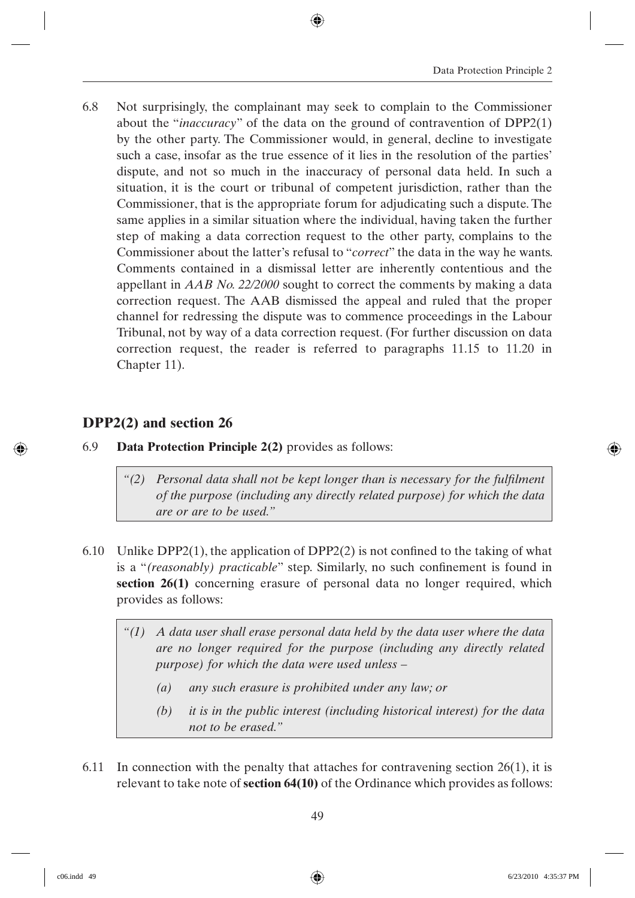6.8 Not surprisingly, the complainant may seek to complain to the Commissioner about the "*inaccuracy*" of the data on the ground of contravention of DPP2(1) by the other party. The Commissioner would, in general, decline to investigate such a case, insofar as the true essence of it lies in the resolution of the parties' dispute, and not so much in the inaccuracy of personal data held. In such a situation, it is the court or tribunal of competent jurisdiction, rather than the Commissioner, that is the appropriate forum for adjudicating such a dispute. The same applies in a similar situation where the individual, having taken the further step of making a data correction request to the other party, complains to the Commissioner about the latter's refusal to "*correct*" the data in the way he wants. Comments contained in a dismissal letter are inherently contentious and the appellant in *AAB No. 22/2000* sought to correct the comments by making a data correction request. The AAB dismissed the appeal and ruled that the proper channel for redressing the dispute was to commence proceedings in the Labour Tribunal, not by way of a data correction request. (For further discussion on data correction request, the reader is referred to paragraphs 11.15 to 11.20 in Chapter 11).

## **DPP2(2) and section 26**

- 6.9 **Data Protection Principle 2(2)** provides as follows:
	- *"(2) Personal data shall not be kept longer than is necessary for the fulfilment of the purpose (including any directly related purpose) for which the data are or are to be used."*
- 6.10 Unlike DPP2(1), the application of DPP2(2) is not confined to the taking of what is a "(reasonably) practicable" step. Similarly, no such confinement is found in **section 26(1)** concerning erasure of personal data no longer required, which provides as follows:
	- *"(1) A data user shall erase personal data held by the data user where the data are no longer required for the purpose (including any directly related purpose) for which the data were used unless –*
		- *(a) any such erasure is prohibited under any law; or*
		- *(b) it is in the public interest (including historical interest) for the data not to be erased."*
- 6.11 In connection with the penalty that attaches for contravening section  $26(1)$ , it is relevant to take note of **section 64(10)** of the Ordinance which provides as follows: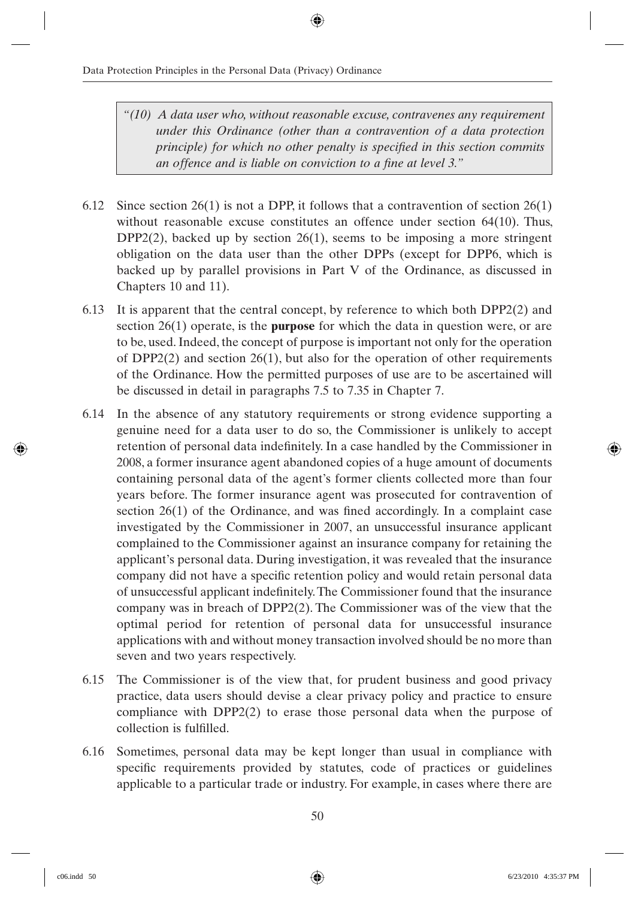- *"(10) A data user who, without reasonable excuse, contravenes any requirement under this Ordinance (other than a contravention of a data protection principle) for which no other penalty is specified in this section commits* an offence and is liable on conviction to a fine at level 3."
- 6.12 Since section 26(1) is not a DPP, it follows that a contravention of section 26(1) without reasonable excuse constitutes an offence under section 64(10). Thus,  $DPP2(2)$ , backed up by section 26(1), seems to be imposing a more stringent obligation on the data user than the other DPPs (except for DPP6, which is backed up by parallel provisions in Part V of the Ordinance, as discussed in Chapters 10 and 11).
- 6.13 It is apparent that the central concept, by reference to which both DPP2(2) and section 26(1) operate, is the **purpose** for which the data in question were, or are to be, used. Indeed, the concept of purpose is important not only for the operation of  $DPP2(2)$  and section  $26(1)$ , but also for the operation of other requirements of the Ordinance. How the permitted purposes of use are to be ascertained will be discussed in detail in paragraphs 7.5 to 7.35 in Chapter 7.
- 6.14 In the absence of any statutory requirements or strong evidence supporting a genuine need for a data user to do so, the Commissioner is unlikely to accept retention of personal data indefinitely. In a case handled by the Commissioner in 2008, a former insurance agent abandoned copies of a huge amount of documents containing personal data of the agent's former clients collected more than four years before. The former insurance agent was prosecuted for contravention of section  $26(1)$  of the Ordinance, and was fined accordingly. In a complaint case investigated by the Commissioner in 2007, an unsuccessful insurance applicant complained to the Commissioner against an insurance company for retaining the applicant's personal data. During investigation, it was revealed that the insurance company did not have a specific retention policy and would retain personal data of unsuccessful applicant indefinitely. The Commissioner found that the insurance company was in breach of DPP2(2). The Commissioner was of the view that the optimal period for retention of personal data for unsuccessful insurance applications with and without money transaction involved should be no more than seven and two years respectively.
- 6.15 The Commissioner is of the view that, for prudent business and good privacy practice, data users should devise a clear privacy policy and practice to ensure compliance with DPP2(2) to erase those personal data when the purpose of collection is fulfilled.
- 6.16 Sometimes, personal data may be kept longer than usual in compliance with specific requirements provided by statutes, code of practices or guidelines applicable to a particular trade or industry. For example, in cases where there are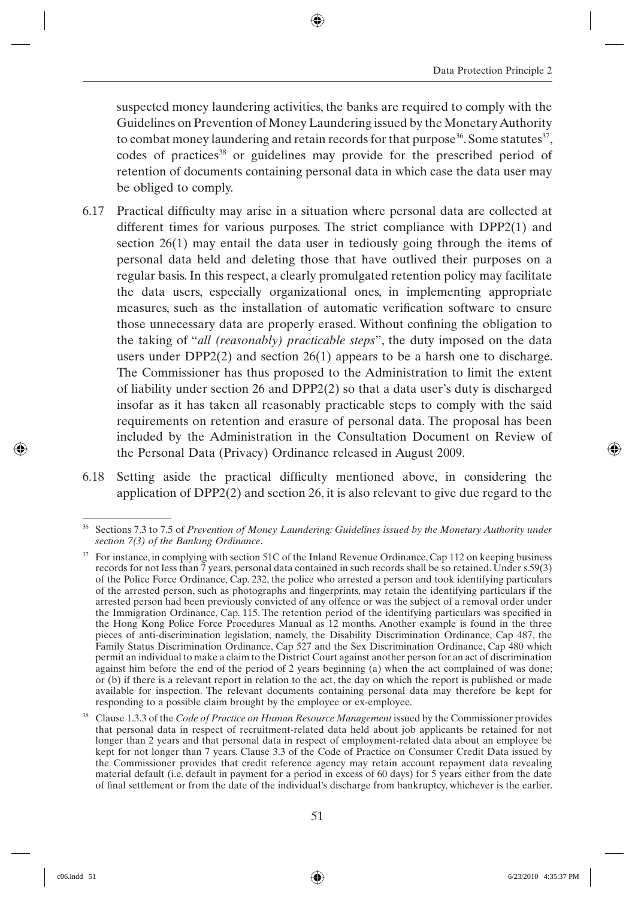suspected money laundering activities, the banks are required to comply with the Guidelines on Prevention of Money Laundering issued by the Monetary Authority to combat money laundering and retain records for that purpose<sup>36</sup>. Some statutes<sup>37</sup>, codes of practices<sup>38</sup> or guidelines may provide for the prescribed period of retention of documents containing personal data in which case the data user may be obliged to comply.

- 6.17 Practical difficulty may arise in a situation where personal data are collected at different times for various purposes. The strict compliance with DPP2(1) and section 26(1) may entail the data user in tediously going through the items of personal data held and deleting those that have outlived their purposes on a regular basis. In this respect, a clearly promulgated retention policy may facilitate the data users, especially organizational ones, in implementing appropriate measures, such as the installation of automatic verification software to ensure those unnecessary data are properly erased. Without confining the obligation to the taking of "*all (reasonably) practicable steps*", the duty imposed on the data users under  $DPP2(2)$  and section 26(1) appears to be a harsh one to discharge. The Commissioner has thus proposed to the Administration to limit the extent of liability under section 26 and DPP2(2) so that a data user's duty is discharged insofar as it has taken all reasonably practicable steps to comply with the said requirements on retention and erasure of personal data. The proposal has been included by the Administration in the Consultation Document on Review of the Personal Data (Privacy) Ordinance released in August 2009.
- $6.18$  Setting aside the practical difficulty mentioned above, in considering the application of DPP2(2) and section 26, it is also relevant to give due regard to the

<sup>36</sup> Sections 7.3 to 7.5 of *Prevention of Money Laundering: Guidelines issued by the Monetary Authority under section 7(3) of the Banking Ordinance*.

 $37$  For instance, in complying with section 51C of the Inland Revenue Ordinance, Cap 112 on keeping business records for not less than 7 years, personal data contained in such records shall be so retained. Under s.59(3) of the Police Force Ordinance, Cap. 232, the police who arrested a person and took identifying particulars of the arrested person, such as photographs and fingerprints, may retain the identifying particulars if the arrested person had been previously convicted of any offence or was the subject of a removal order under the Immigration Ordinance, Cap. 115. The retention period of the identifying particulars was specified in the Hong Kong Police Force Procedures Manual as 12 months. Another example is found in the three pieces of anti-discrimination legislation, namely, the Disability Discrimination Ordinance, Cap 487, the Family Status Discrimination Ordinance, Cap 527 and the Sex Discrimination Ordinance, Cap 480 which permit an individual to make a claim to the District Court against another person for an act of discrimination against him before the end of the period of 2 years beginning (a) when the act complained of was done; or (b) if there is a relevant report in relation to the act, the day on which the report is published or made available for inspection. The relevant documents containing personal data may therefore be kept for responding to a possible claim brought by the employee or ex-employee.

<sup>38</sup> Clause 1.3.3 of the *Code of Practice on Human Resource Management* issued by the Commissioner provides that personal data in respect of recruitment-related data held about job applicants be retained for not longer than 2 years and that personal data in respect of employment-related data about an employee be kept for not longer than 7 years. Clause 3.3 of the Code of Practice on Consumer Credit Data issued by the Commissioner provides that credit reference agency may retain account repayment data revealing material default (i.e. default in payment for a period in excess of 60 days) for 5 years either from the date of final settlement or from the date of the individual's discharge from bankruptcy, whichever is the earlier.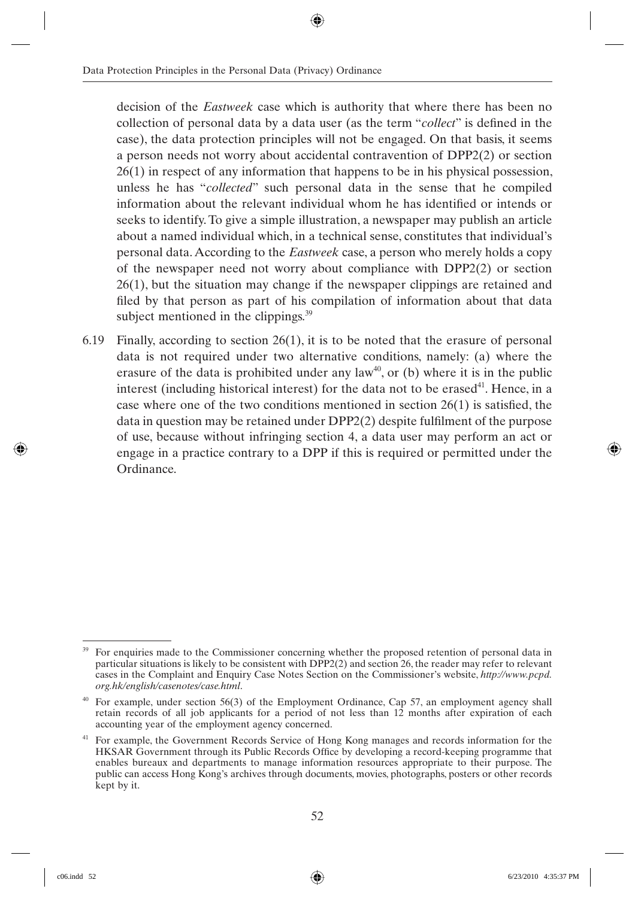decision of the *Eastweek* case which is authority that where there has been no collection of personal data by a data user (as the term "*collect*" is defined in the case), the data protection principles will not be engaged. On that basis, it seems a person needs not worry about accidental contravention of DPP2(2) or section 26(1) in respect of any information that happens to be in his physical possession, unless he has "*collected*" such personal data in the sense that he compiled information about the relevant individual whom he has identified or intends or seeks to identify. To give a simple illustration, a newspaper may publish an article about a named individual which, in a technical sense, constitutes that individual's personal data. According to the *Eastweek* case, a person who merely holds a copy of the newspaper need not worry about compliance with DPP2(2) or section 26(1), but the situation may change if the newspaper clippings are retained and filed by that person as part of his compilation of information about that data subject mentioned in the clippings.<sup>39</sup>

6.19 Finally, according to section 26(1), it is to be noted that the erasure of personal data is not required under two alternative conditions, namely: (a) where the erasure of the data is prohibited under any law<sup>40</sup>, or (b) where it is in the public interest (including historical interest) for the data not to be erased $4^1$ . Hence, in a case where one of the two conditions mentioned in section  $26(1)$  is satisfied, the data in question may be retained under DPP2(2) despite fulfilment of the purpose of use, because without infringing section 4, a data user may perform an act or engage in a practice contrary to a DPP if this is required or permitted under the Ordinance.

<sup>&</sup>lt;sup>39</sup> For enquiries made to the Commissioner concerning whether the proposed retention of personal data in particular situations is likely to be consistent with DPP2(2) and section 26, the reader may refer to relevant cases in the Complaint and Enquiry Case Notes Section on the Commissioner's website, *http://www.pcpd. org.hk/english/casenotes/case.html*.

<sup>40</sup> For example, under section 56(3) of the Employment Ordinance, Cap 57, an employment agency shall retain records of all job applicants for a period of not less than 12 months after expiration of each accounting year of the employment agency concerned.

<sup>&</sup>lt;sup>41</sup> For example, the Government Records Service of Hong Kong manages and records information for the HKSAR Government through its Public Records Office by developing a record-keeping programme that enables bureaux and departments to manage information resources appropriate to their purpose. The public can access Hong Kong's archives through documents, movies, photographs, posters or other records kept by it.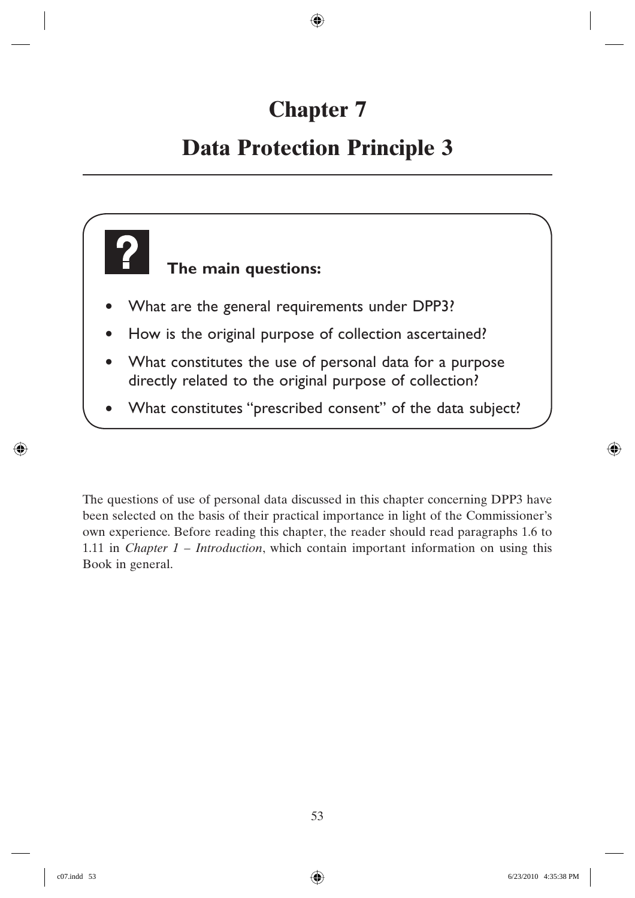# **Chapter 7**

## **Data Protection Principle 3**



The questions of use of personal data discussed in this chapter concerning DPP3 have been selected on the basis of their practical importance in light of the Commissioner's own experience. Before reading this chapter, the reader should read paragraphs 1.6 to 1.11 in *Chapter 1 – Introduction*, which contain important information on using this Book in general.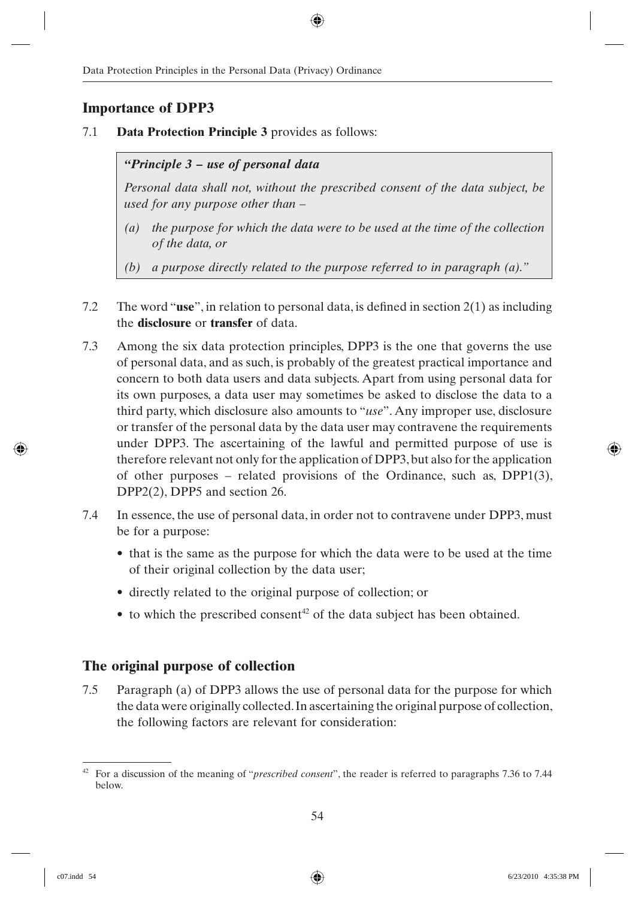#### **Importance of DPP3**

7.1 **Data Protection Principle 3** provides as follows:

*"Principle 3 – use of personal data*

*Personal data shall not, without the prescribed consent of the data subject, be used for any purpose other than –*

- *(a) the purpose for which the data were to be used at the time of the collection of the data, or*
- *(b) a purpose directly related to the purpose referred to in paragraph (a)."*
- 7.2 The word "**use**", in relation to personal data, is defined in section  $2(1)$  as including the **disclosure** or **transfer** of data.
- 7.3 Among the six data protection principles, DPP3 is the one that governs the use of personal data, and as such, is probably of the greatest practical importance and concern to both data users and data subjects. Apart from using personal data for its own purposes, a data user may sometimes be asked to disclose the data to a third party, which disclosure also amounts to "*use*". Any improper use, disclosure or transfer of the personal data by the data user may contravene the requirements under DPP3. The ascertaining of the lawful and permitted purpose of use is therefore relevant not only for the application of DPP3, but also for the application of other purposes – related provisions of the Ordinance, such as,  $DPP1(3)$ , DPP2(2), DPP5 and section 26.
- 7.4 In essence, the use of personal data, in order not to contravene under DPP3, must be for a purpose:
	- that is the same as the purpose for which the data were to be used at the time of their original collection by the data user;
	- directly related to the original purpose of collection; or
	- $\bullet$  to which the prescribed consent<sup>42</sup> of the data subject has been obtained.

#### **The original purpose of collection**

7.5 Paragraph (a) of DPP3 allows the use of personal data for the purpose for which the data were originally collected. In ascertaining the original purpose of collection, the following factors are relevant for consideration:

<sup>42</sup> For a discussion of the meaning of "*prescribed consent*", the reader is referred to paragraphs 7.36 to 7.44 below.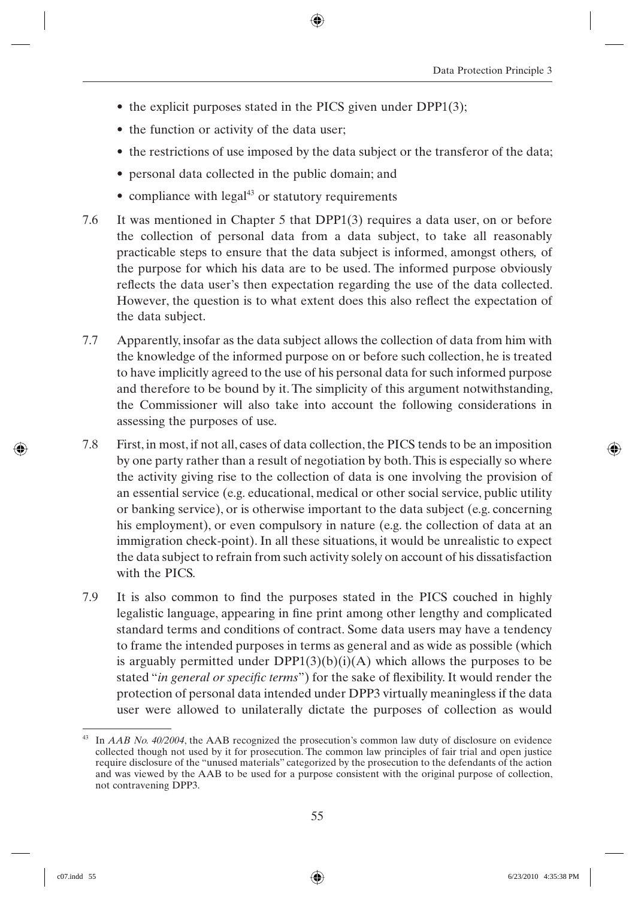- the explicit purposes stated in the PICS given under DPP1(3);
- the function or activity of the data user;
- the restrictions of use imposed by the data subject or the transferor of the data;
- personal data collected in the public domain; and
- compliance with legal<sup>43</sup> or statutory requirements
- 7.6 It was mentioned in Chapter 5 that DPP1(3) requires a data user, on or before the collection of personal data from a data subject, to take all reasonably practicable steps to ensure that the data subject is informed, amongst others*,* of the purpose for which his data are to be used. The informed purpose obviously reflects the data user's then expectation regarding the use of the data collected. However, the question is to what extent does this also reflect the expectation of the data subject.
- 7.7 Apparently, insofar as the data subject allows the collection of data from him with the knowledge of the informed purpose on or before such collection, he is treated to have implicitly agreed to the use of his personal data for such informed purpose and therefore to be bound by it. The simplicity of this argument notwithstanding, the Commissioner will also take into account the following considerations in assessing the purposes of use.
- 7.8 First, in most, if not all, cases of data collection, the PICS tends to be an imposition by one party rather than a result of negotiation by both. This is especially so where the activity giving rise to the collection of data is one involving the provision of an essential service (e.g. educational, medical or other social service, public utility or banking service), or is otherwise important to the data subject (e.g. concerning his employment), or even compulsory in nature (e.g. the collection of data at an immigration check-point). In all these situations, it would be unrealistic to expect the data subject to refrain from such activity solely on account of his dissatisfaction with the PICS
- 7.9 It is also common to find the purposes stated in the PICS couched in highly legalistic language, appearing in fine print among other lengthy and complicated standard terms and conditions of contract. Some data users may have a tendency to frame the intended purposes in terms as general and as wide as possible (which is arguably permitted under  $DPP1(3)(b)(i)(A)$  which allows the purposes to be stated "*in general or specific terms*") for the sake of flexibility. It would render the protection of personal data intended under DPP3 virtually meaningless if the data user were allowed to unilaterally dictate the purposes of collection as would

<sup>43</sup> In *AAB No. 40/2004*, the AAB recognized the prosecution's common law duty of disclosure on evidence collected though not used by it for prosecution. The common law principles of fair trial and open justice require disclosure of the "unused materials" categorized by the prosecution to the defendants of the action and was viewed by the AAB to be used for a purpose consistent with the original purpose of collection, not contravening DPP3.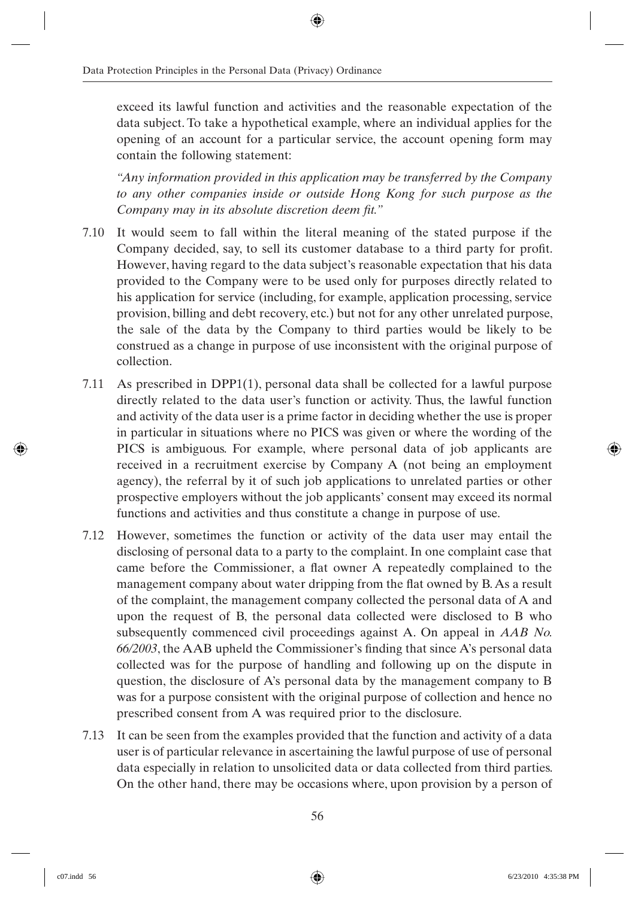exceed its lawful function and activities and the reasonable expectation of the data subject. To take a hypothetical example, where an individual applies for the opening of an account for a particular service, the account opening form may contain the following statement:

*"Any information provided in this application may be transferred by the Company to any other companies inside or outside Hong Kong for such purpose as the Company may in its absolute discretion deem fit.*"

- 7.10 It would seem to fall within the literal meaning of the stated purpose if the Company decided, say, to sell its customer database to a third party for profit. However, having regard to the data subject's reasonable expectation that his data provided to the Company were to be used only for purposes directly related to his application for service (including, for example, application processing, service provision, billing and debt recovery, etc.) but not for any other unrelated purpose, the sale of the data by the Company to third parties would be likely to be construed as a change in purpose of use inconsistent with the original purpose of collection.
- 7.11 As prescribed in DPP1(1), personal data shall be collected for a lawful purpose directly related to the data user's function or activity. Thus, the lawful function and activity of the data user is a prime factor in deciding whether the use is proper in particular in situations where no PICS was given or where the wording of the PICS is ambiguous. For example, where personal data of job applicants are received in a recruitment exercise by Company A (not being an employment agency), the referral by it of such job applications to unrelated parties or other prospective employers without the job applicants' consent may exceed its normal functions and activities and thus constitute a change in purpose of use.
- 7.12 However, sometimes the function or activity of the data user may entail the disclosing of personal data to a party to the complaint. In one complaint case that came before the Commissioner, a flat owner A repeatedly complained to the management company about water dripping from the flat owned by B. As a result of the complaint, the management company collected the personal data of A and upon the request of B, the personal data collected were disclosed to B who subsequently commenced civil proceedings against A. On appeal in *AAB No.*  66/2003, the AAB upheld the Commissioner's finding that since A's personal data collected was for the purpose of handling and following up on the dispute in question, the disclosure of A's personal data by the management company to B was for a purpose consistent with the original purpose of collection and hence no prescribed consent from A was required prior to the disclosure.
- 7.13 It can be seen from the examples provided that the function and activity of a data user is of particular relevance in ascertaining the lawful purpose of use of personal data especially in relation to unsolicited data or data collected from third parties. On the other hand, there may be occasions where, upon provision by a person of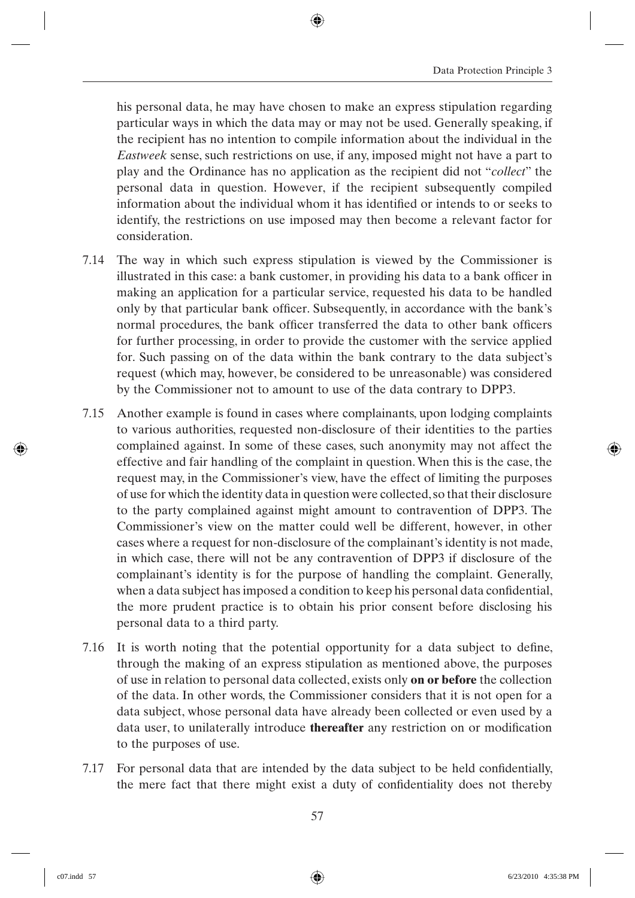his personal data, he may have chosen to make an express stipulation regarding particular ways in which the data may or may not be used. Generally speaking, if the recipient has no intention to compile information about the individual in the *Eastweek* sense, such restrictions on use, if any, imposed might not have a part to play and the Ordinance has no application as the recipient did not "*collect*" the personal data in question. However, if the recipient subsequently compiled information about the individual whom it has identified or intends to or seeks to identify, the restrictions on use imposed may then become a relevant factor for consideration.

- 7.14 The way in which such express stipulation is viewed by the Commissioner is illustrated in this case: a bank customer, in providing his data to a bank officer in making an application for a particular service, requested his data to be handled only by that particular bank officer. Subsequently, in accordance with the bank's normal procedures, the bank officer transferred the data to other bank officers for further processing, in order to provide the customer with the service applied for. Such passing on of the data within the bank contrary to the data subject's request (which may, however, be considered to be unreasonable) was considered by the Commissioner not to amount to use of the data contrary to DPP3.
- 7.15 Another example is found in cases where complainants, upon lodging complaints to various authorities, requested non-disclosure of their identities to the parties complained against. In some of these cases, such anonymity may not affect the effective and fair handling of the complaint in question. When this is the case, the request may, in the Commissioner's view, have the effect of limiting the purposes of use for which the identity data in question were collected, so that their disclosure to the party complained against might amount to contravention of DPP3. The Commissioner's view on the matter could well be different, however, in other cases where a request for non-disclosure of the complainant's identity is not made, in which case, there will not be any contravention of DPP3 if disclosure of the complainant's identity is for the purpose of handling the complaint. Generally, when a data subject has imposed a condition to keep his personal data confidential, the more prudent practice is to obtain his prior consent before disclosing his personal data to a third party.
- 7.16 It is worth noting that the potential opportunity for a data subject to define, through the making of an express stipulation as mentioned above, the purposes of use in relation to personal data collected, exists only **on or before** the collection of the data. In other words, the Commissioner considers that it is not open for a data subject, whose personal data have already been collected or even used by a data user, to unilaterally introduce **thereafter** any restriction on or modification to the purposes of use.
- 7.17 For personal data that are intended by the data subject to be held confidentially, the mere fact that there might exist a duty of confidentiality does not thereby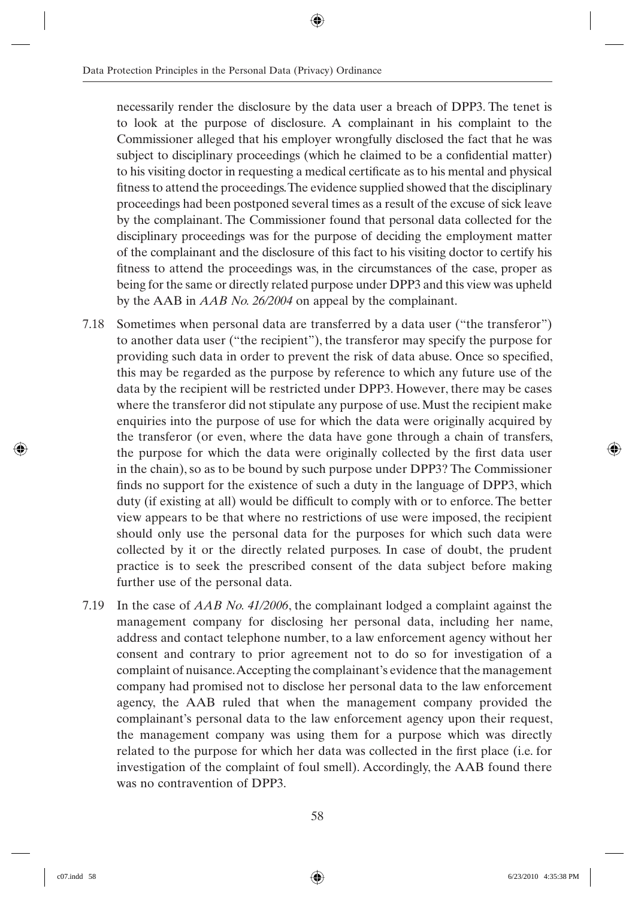necessarily render the disclosure by the data user a breach of DPP3. The tenet is to look at the purpose of disclosure. A complainant in his complaint to the Commissioner alleged that his employer wrongfully disclosed the fact that he was subject to disciplinary proceedings (which he claimed to be a confidential matter) to his visiting doctor in requesting a medical certificate as to his mental and physical fitness to attend the proceedings. The evidence supplied showed that the disciplinary proceedings had been postponed several times as a result of the excuse of sick leave by the complainant. The Commissioner found that personal data collected for the disciplinary proceedings was for the purpose of deciding the employment matter of the complainant and the disclosure of this fact to his visiting doctor to certify his fitness to attend the proceedings was, in the circumstances of the case, proper as being for the same or directly related purpose under DPP3 and this view was upheld by the AAB in *AAB No. 26/2004* on appeal by the complainant.

- 7.18 Sometimes when personal data are transferred by a data user ("the transferor") to another data user ("the recipient"), the transferor may specify the purpose for providing such data in order to prevent the risk of data abuse. Once so specified, this may be regarded as the purpose by reference to which any future use of the data by the recipient will be restricted under DPP3. However, there may be cases where the transferor did not stipulate any purpose of use. Must the recipient make enquiries into the purpose of use for which the data were originally acquired by the transferor (or even, where the data have gone through a chain of transfers, the purpose for which the data were originally collected by the first data user in the chain), so as to be bound by such purpose under DPP3? The Commissioner finds no support for the existence of such a duty in the language of DPP3, which duty (if existing at all) would be difficult to comply with or to enforce. The better view appears to be that where no restrictions of use were imposed, the recipient should only use the personal data for the purposes for which such data were collected by it or the directly related purposes. In case of doubt, the prudent practice is to seek the prescribed consent of the data subject before making further use of the personal data.
- 7.19 In the case of *AAB No. 41/2006*, the complainant lodged a complaint against the management company for disclosing her personal data, including her name, address and contact telephone number, to a law enforcement agency without her consent and contrary to prior agreement not to do so for investigation of a complaint of nuisance. Accepting the complainant's evidence that the management company had promised not to disclose her personal data to the law enforcement agency, the AAB ruled that when the management company provided the complainant's personal data to the law enforcement agency upon their request, the management company was using them for a purpose which was directly related to the purpose for which her data was collected in the first place (i.e. for investigation of the complaint of foul smell). Accordingly, the AAB found there was no contravention of DPP3.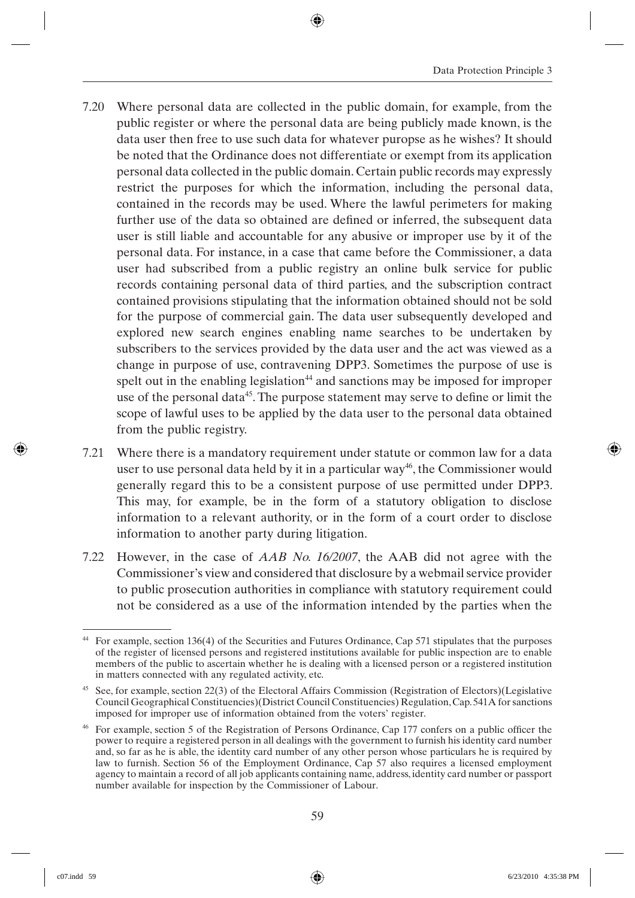- 7.20 Where personal data are collected in the public domain, for example, from the public register or where the personal data are being publicly made known, is the data user then free to use such data for whatever puropse as he wishes? It should be noted that the Ordinance does not differentiate or exempt from its application personal data collected in the public domain. Certain public records may expressly restrict the purposes for which the information, including the personal data, contained in the records may be used. Where the lawful perimeters for making further use of the data so obtained are defined or inferred, the subsequent data user is still liable and accountable for any abusive or improper use by it of the personal data. For instance, in a case that came before the Commissioner, a data user had subscribed from a public registry an online bulk service for public records containing personal data of third parties, and the subscription contract contained provisions stipulating that the information obtained should not be sold for the purpose of commercial gain. The data user subsequently developed and explored new search engines enabling name searches to be undertaken by subscribers to the services provided by the data user and the act was viewed as a change in purpose of use, contravening DPP3. Sometimes the purpose of use is spelt out in the enabling legislation<sup>44</sup> and sanctions may be imposed for improper use of the personal data<sup>45</sup>. The purpose statement may serve to define or limit the scope of lawful uses to be applied by the data user to the personal data obtained from the public registry.
- 7.21 Where there is a mandatory requirement under statute or common law for a data user to use personal data held by it in a particular way<sup>46</sup>, the Commissioner would generally regard this to be a consistent purpose of use permitted under DPP3. This may, for example, be in the form of a statutory obligation to disclose information to a relevant authority, or in the form of a court order to disclose information to another party during litigation.
- 7.22 However, in the case of *AAB No. 16/2007*, the AAB did not agree with the Commissioner's view and considered that disclosure by a webmail service provider to public prosecution authorities in compliance with statutory requirement could not be considered as a use of the information intended by the parties when the

<sup>44</sup> For example, section 136(4) of the Securities and Futures Ordinance, Cap 571 stipulates that the purposes of the register of licensed persons and registered institutions available for public inspection are to enable members of the public to ascertain whether he is dealing with a licensed person or a registered institution in matters connected with any regulated activity, etc.

<sup>45</sup> See, for example, section 22(3) of the Electoral Affairs Commission (Registration of Electors)(Legislative Council Geographical Constituencies)(District Council Constituencies) Regulation, Cap. 541A for sanctions imposed for improper use of information obtained from the voters' register.

 $46$  For example, section 5 of the Registration of Persons Ordinance, Cap 177 confers on a public officer the power to require a registered person in all dealings with the government to furnish his identity card number and, so far as he is able, the identity card number of any other person whose particulars he is required by law to furnish. Section 56 of the Employment Ordinance, Cap 57 also requires a licensed employment agency to maintain a record of all job applicants containing name, address, identity card number or passport number available for inspection by the Commissioner of Labour.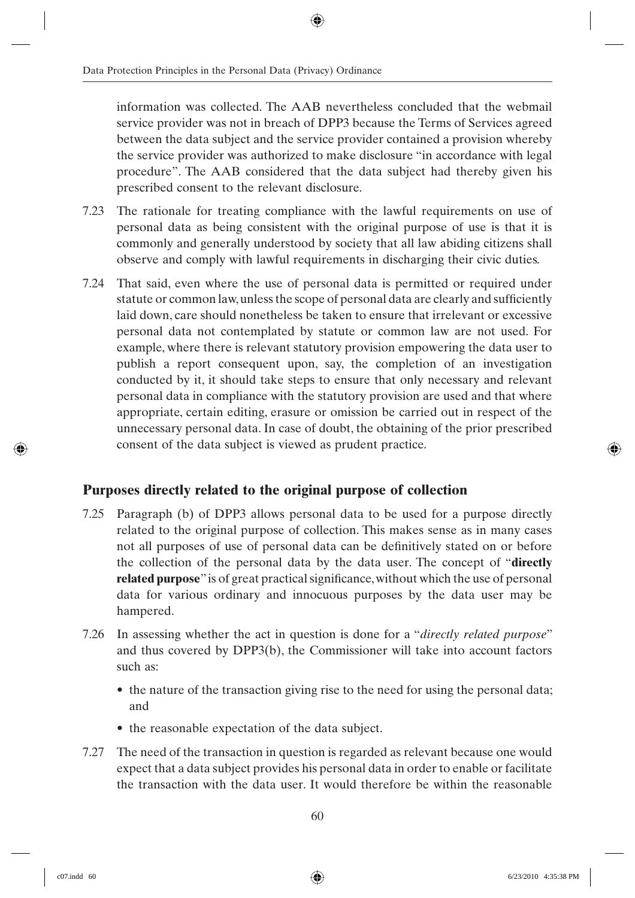information was collected. The AAB nevertheless concluded that the webmail service provider was not in breach of DPP3 because the Terms of Services agreed between the data subject and the service provider contained a provision whereby the service provider was authorized to make disclosure "in accordance with legal procedure". The AAB considered that the data subject had thereby given his prescribed consent to the relevant disclosure.

- 7.23 The rationale for treating compliance with the lawful requirements on use of personal data as being consistent with the original purpose of use is that it is commonly and generally understood by society that all law abiding citizens shall observe and comply with lawful requirements in discharging their civic duties.
- 7.24 That said, even where the use of personal data is permitted or required under statute or common law, unless the scope of personal data are clearly and sufficiently laid down, care should nonetheless be taken to ensure that irrelevant or excessive personal data not contemplated by statute or common law are not used. For example, where there is relevant statutory provision empowering the data user to publish a report consequent upon, say, the completion of an investigation conducted by it, it should take steps to ensure that only necessary and relevant personal data in compliance with the statutory provision are used and that where appropriate, certain editing, erasure or omission be carried out in respect of the unnecessary personal data. In case of doubt, the obtaining of the prior prescribed consent of the data subject is viewed as prudent practice.

#### **Purposes directly related to the original purpose of collection**

- 7.25 Paragraph (b) of DPP3 allows personal data to be used for a purpose directly related to the original purpose of collection. This makes sense as in many cases not all purposes of use of personal data can be definitively stated on or before the collection of the personal data by the data user. The concept of "**directly related purpose**" is of great practical significance, without which the use of personal data for various ordinary and innocuous purposes by the data user may be hampered.
- 7.26 In assessing whether the act in question is done for a "*directly related purpose*" and thus covered by DPP3(b), the Commissioner will take into account factors such as:
	- the nature of the transaction giving rise to the need for using the personal data; and
	- the reasonable expectation of the data subject.
- 7.27 The need of the transaction in question is regarded as relevant because one would expect that a data subject provides his personal data in order to enable or facilitate the transaction with the data user. It would therefore be within the reasonable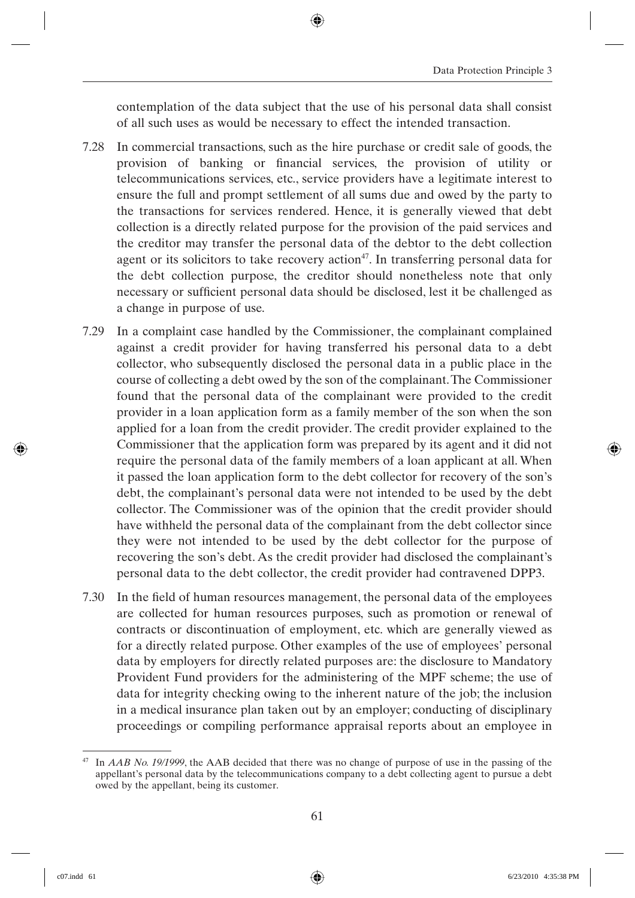contemplation of the data subject that the use of his personal data shall consist of all such uses as would be necessary to effect the intended transaction.

- 7.28 In commercial transactions, such as the hire purchase or credit sale of goods, the provision of banking or financial services, the provision of utility or telecommunications services, etc., service providers have a legitimate interest to ensure the full and prompt settlement of all sums due and owed by the party to the transactions for services rendered. Hence, it is generally viewed that debt collection is a directly related purpose for the provision of the paid services and the creditor may transfer the personal data of the debtor to the debt collection agent or its solicitors to take recovery action<sup>47</sup>. In transferring personal data for the debt collection purpose, the creditor should nonetheless note that only necessary or sufficient personal data should be disclosed, lest it be challenged as a change in purpose of use.
- 7.29 In a complaint case handled by the Commissioner, the complainant complained against a credit provider for having transferred his personal data to a debt collector, who subsequently disclosed the personal data in a public place in the course of collecting a debt owed by the son of the complainant. The Commissioner found that the personal data of the complainant were provided to the credit provider in a loan application form as a family member of the son when the son applied for a loan from the credit provider. The credit provider explained to the Commissioner that the application form was prepared by its agent and it did not require the personal data of the family members of a loan applicant at all. When it passed the loan application form to the debt collector for recovery of the son's debt, the complainant's personal data were not intended to be used by the debt collector. The Commissioner was of the opinion that the credit provider should have withheld the personal data of the complainant from the debt collector since they were not intended to be used by the debt collector for the purpose of recovering the son's debt. As the credit provider had disclosed the complainant's personal data to the debt collector, the credit provider had contravened DPP3.
- 7.30 In the field of human resources management, the personal data of the employees are collected for human resources purposes, such as promotion or renewal of contracts or discontinuation of employment, etc. which are generally viewed as for a directly related purpose. Other examples of the use of employees' personal data by employers for directly related purposes are: the disclosure to Mandatory Provident Fund providers for the administering of the MPF scheme; the use of data for integrity checking owing to the inherent nature of the job; the inclusion in a medical insurance plan taken out by an employer; conducting of disciplinary proceedings or compiling performance appraisal reports about an employee in

<sup>47</sup> In *AAB No. 19/1999*, the AAB decided that there was no change of purpose of use in the passing of the appellant's personal data by the telecommunications company to a debt collecting agent to pursue a debt owed by the appellant, being its customer.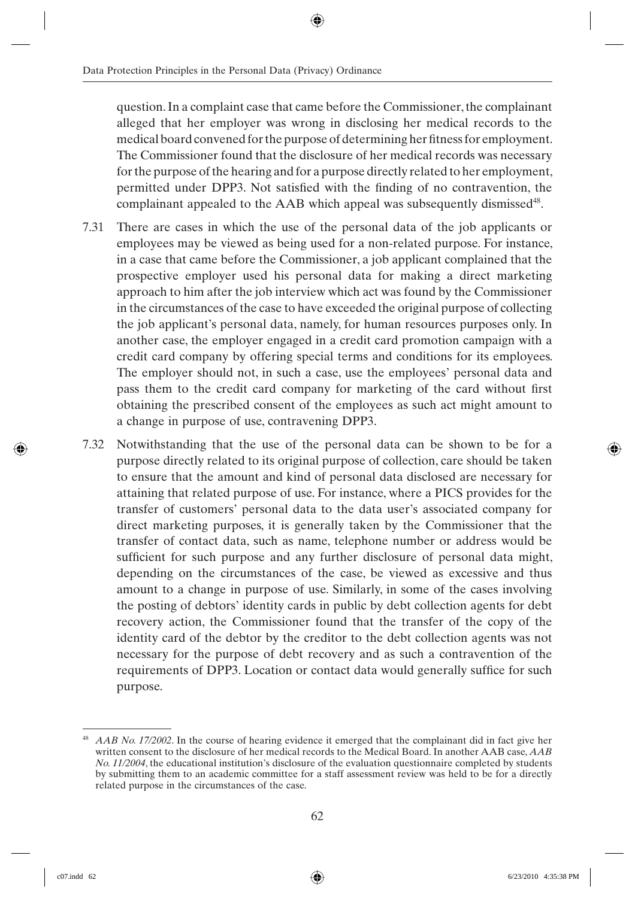question. In a complaint case that came before the Commissioner, the complainant alleged that her employer was wrong in disclosing her medical records to the medical board convened for the purpose of determining her fitness for employment. The Commissioner found that the disclosure of her medical records was necessary for the purpose of the hearing and for a purpose directly related to her employment, permitted under DPP3. Not satisfied with the finding of no contravention, the complainant appealed to the AAB which appeal was subsequently dismissed<sup>48</sup>.

- 7.31 There are cases in which the use of the personal data of the job applicants or employees may be viewed as being used for a non-related purpose. For instance, in a case that came before the Commissioner, a job applicant complained that the prospective employer used his personal data for making a direct marketing approach to him after the job interview which act was found by the Commissioner in the circumstances of the case to have exceeded the original purpose of collecting the job applicant's personal data, namely, for human resources purposes only. In another case, the employer engaged in a credit card promotion campaign with a credit card company by offering special terms and conditions for its employees. The employer should not, in such a case, use the employees' personal data and pass them to the credit card company for marketing of the card without first obtaining the prescribed consent of the employees as such act might amount to a change in purpose of use, contravening DPP3.
- 7.32 Notwithstanding that the use of the personal data can be shown to be for a purpose directly related to its original purpose of collection, care should be taken to ensure that the amount and kind of personal data disclosed are necessary for attaining that related purpose of use. For instance, where a PICS provides for the transfer of customers' personal data to the data user's associated company for direct marketing purposes, it is generally taken by the Commissioner that the transfer of contact data, such as name, telephone number or address would be sufficient for such purpose and any further disclosure of personal data might, depending on the circumstances of the case, be viewed as excessive and thus amount to a change in purpose of use. Similarly, in some of the cases involving the posting of debtors' identity cards in public by debt collection agents for debt recovery action, the Commissioner found that the transfer of the copy of the identity card of the debtor by the creditor to the debt collection agents was not necessary for the purpose of debt recovery and as such a contravention of the requirements of DPP3. Location or contact data would generally suffice for such purpose.

<sup>48</sup> *AAB No. 17/2002*. In the course of hearing evidence it emerged that the complainant did in fact give her written consent to the disclosure of her medical records to the Medical Board. In another AAB case, *AAB No. 11/2004*, the educational institution's disclosure of the evaluation questionnaire completed by students by submitting them to an academic committee for a staff assessment review was held to be for a directly related purpose in the circumstances of the case.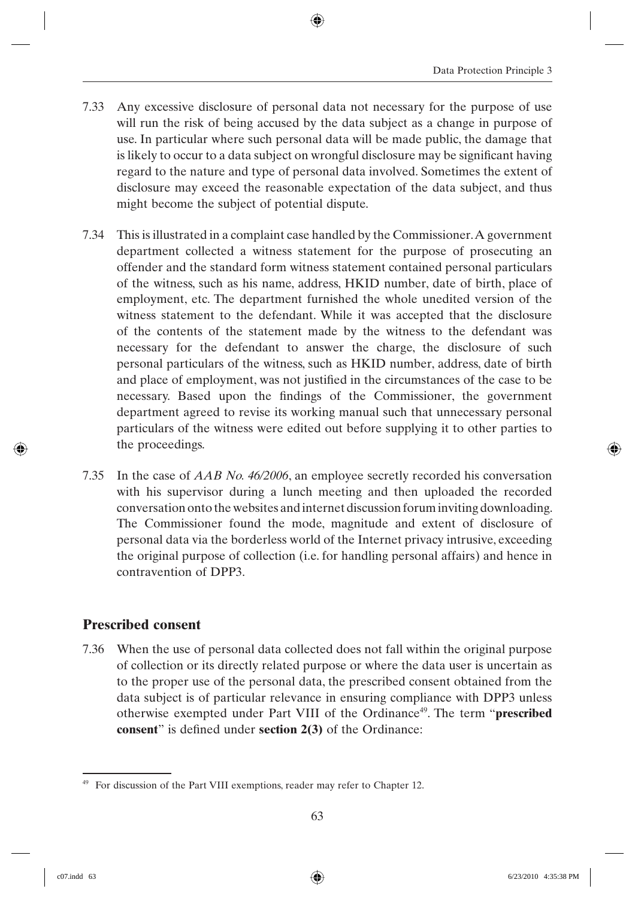- 7.33 Any excessive disclosure of personal data not necessary for the purpose of use will run the risk of being accused by the data subject as a change in purpose of use. In particular where such personal data will be made public, the damage that is likely to occur to a data subject on wrongful disclosure may be significant having regard to the nature and type of personal data involved. Sometimes the extent of disclosure may exceed the reasonable expectation of the data subject, and thus might become the subject of potential dispute.
- 7.34 This is illustrated in a complaint case handled by the Commissioner. A government department collected a witness statement for the purpose of prosecuting an offender and the standard form witness statement contained personal particulars of the witness, such as his name, address, HKID number, date of birth, place of employment, etc. The department furnished the whole unedited version of the witness statement to the defendant. While it was accepted that the disclosure of the contents of the statement made by the witness to the defendant was necessary for the defendant to answer the charge, the disclosure of such personal particulars of the witness, such as HKID number, address, date of birth and place of employment, was not justified in the circumstances of the case to be necessary. Based upon the findings of the Commissioner, the government department agreed to revise its working manual such that unnecessary personal particulars of the witness were edited out before supplying it to other parties to the proceedings.
- 7.35 In the case of *AAB No. 46/2006*, an employee secretly recorded his conversation with his supervisor during a lunch meeting and then uploaded the recorded conversation onto the websites and internet discussion forum inviting downloading. The Commissioner found the mode, magnitude and extent of disclosure of personal data via the borderless world of the Internet privacy intrusive, exceeding the original purpose of collection (i.e. for handling personal affairs) and hence in contravention of DPP3.

#### **Prescribed consent**

7.36 When the use of personal data collected does not fall within the original purpose of collection or its directly related purpose or where the data user is uncertain as to the proper use of the personal data, the prescribed consent obtained from the data subject is of particular relevance in ensuring compliance with DPP3 unless otherwise exempted under Part VIII of the Ordinance<sup>49</sup>. The term "**prescribed consent**" is defined under **section 2(3)** of the Ordinance:

<sup>49</sup> For discussion of the Part VIII exemptions, reader may refer to Chapter 12.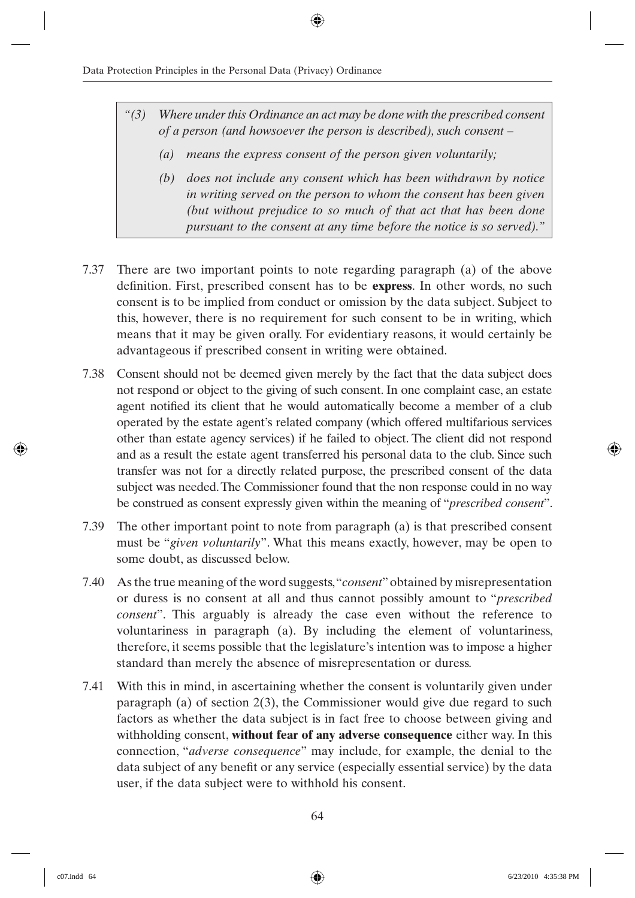- *"(3) Where under this Ordinance an act may be done with the prescribed consent of a person (and howsoever the person is described), such consent –*
	- *(a) means the express consent of the person given voluntarily;*
	- *(b) does not include any consent which has been withdrawn by notice in writing served on the person to whom the consent has been given (but without prejudice to so much of that act that has been done pursuant to the consent at any time before the notice is so served)."*
- 7.37 There are two important points to note regarding paragraph (a) of the above definition. First, prescribed consent has to be **express**. In other words, no such consent is to be implied from conduct or omission by the data subject. Subject to this, however, there is no requirement for such consent to be in writing, which means that it may be given orally. For evidentiary reasons, it would certainly be advantageous if prescribed consent in writing were obtained.
- 7.38 Consent should not be deemed given merely by the fact that the data subject does not respond or object to the giving of such consent. In one complaint case, an estate agent notified its client that he would automatically become a member of a club operated by the estate agent's related company (which offered multifarious services other than estate agency services) if he failed to object. The client did not respond and as a result the estate agent transferred his personal data to the club. Since such transfer was not for a directly related purpose, the prescribed consent of the data subject was needed. The Commissioner found that the non response could in no way be construed as consent expressly given within the meaning of "*prescribed consent*".
- 7.39 The other important point to note from paragraph (a) is that prescribed consent must be "*given voluntarily*". What this means exactly, however, may be open to some doubt, as discussed below.
- 7.40 As the true meaning of the word suggests, "*consent*" obtained by misrepresentation or duress is no consent at all and thus cannot possibly amount to "*prescribed consent*". This arguably is already the case even without the reference to voluntariness in paragraph (a). By including the element of voluntariness, therefore, it seems possible that the legislature's intention was to impose a higher standard than merely the absence of misrepresentation or duress.
- 7.41 With this in mind, in ascertaining whether the consent is voluntarily given under paragraph (a) of section 2(3), the Commissioner would give due regard to such factors as whether the data subject is in fact free to choose between giving and withholding consent, **without fear of any adverse consequence** either way. In this connection, "*adverse consequence*" may include, for example, the denial to the data subject of any benefit or any service (especially essential service) by the data user, if the data subject were to withhold his consent.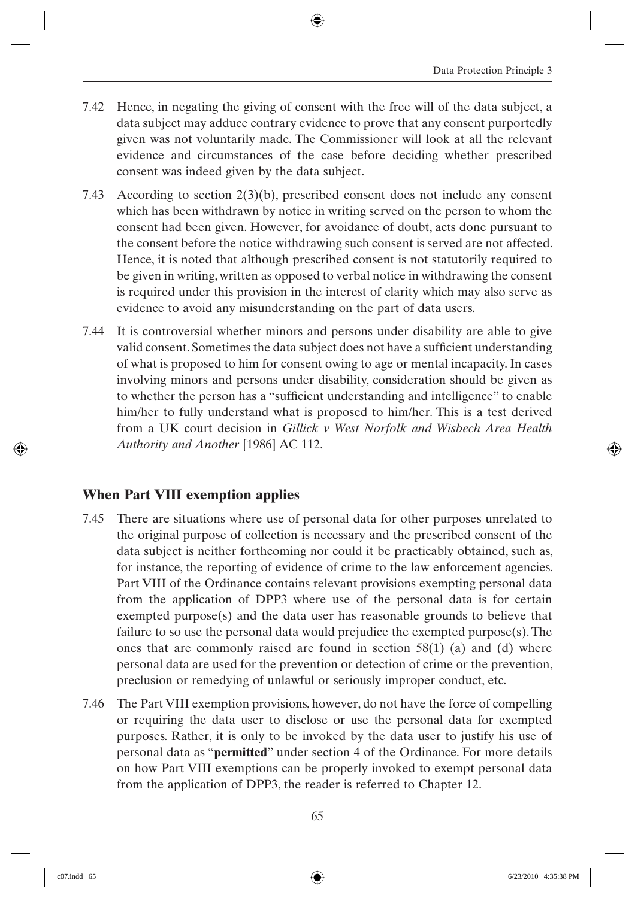- 7.42 Hence, in negating the giving of consent with the free will of the data subject, a data subject may adduce contrary evidence to prove that any consent purportedly given was not voluntarily made. The Commissioner will look at all the relevant evidence and circumstances of the case before deciding whether prescribed consent was indeed given by the data subject.
- 7.43 According to section 2(3)(b), prescribed consent does not include any consent which has been withdrawn by notice in writing served on the person to whom the consent had been given. However, for avoidance of doubt, acts done pursuant to the consent before the notice withdrawing such consent is served are not affected. Hence, it is noted that although prescribed consent is not statutorily required to be given in writing, written as opposed to verbal notice in withdrawing the consent is required under this provision in the interest of clarity which may also serve as evidence to avoid any misunderstanding on the part of data users.
- 7.44 It is controversial whether minors and persons under disability are able to give valid consent. Sometimes the data subject does not have a sufficient understanding of what is proposed to him for consent owing to age or mental incapacity. In cases involving minors and persons under disability, consideration should be given as to whether the person has a "sufficient understanding and intelligence" to enable him/her to fully understand what is proposed to him/her. This is a test derived from a UK court decision in *Gillick v West Norfolk and Wisbech Area Health Authority and Another* [1986] AC 112.

### **When Part VIII exemption applies**

- 7.45 There are situations where use of personal data for other purposes unrelated to the original purpose of collection is necessary and the prescribed consent of the data subject is neither forthcoming nor could it be practicably obtained, such as, for instance, the reporting of evidence of crime to the law enforcement agencies. Part VIII of the Ordinance contains relevant provisions exempting personal data from the application of DPP3 where use of the personal data is for certain exempted purpose(s) and the data user has reasonable grounds to believe that failure to so use the personal data would prejudice the exempted purpose(s). The ones that are commonly raised are found in section  $58(1)$  (a) and (d) where personal data are used for the prevention or detection of crime or the prevention, preclusion or remedying of unlawful or seriously improper conduct, etc.
- 7.46 The Part VIII exemption provisions, however, do not have the force of compelling or requiring the data user to disclose or use the personal data for exempted purposes. Rather, it is only to be invoked by the data user to justify his use of personal data as "**permitted**" under section 4 of the Ordinance. For more details on how Part VIII exemptions can be properly invoked to exempt personal data from the application of DPP3, the reader is referred to Chapter 12.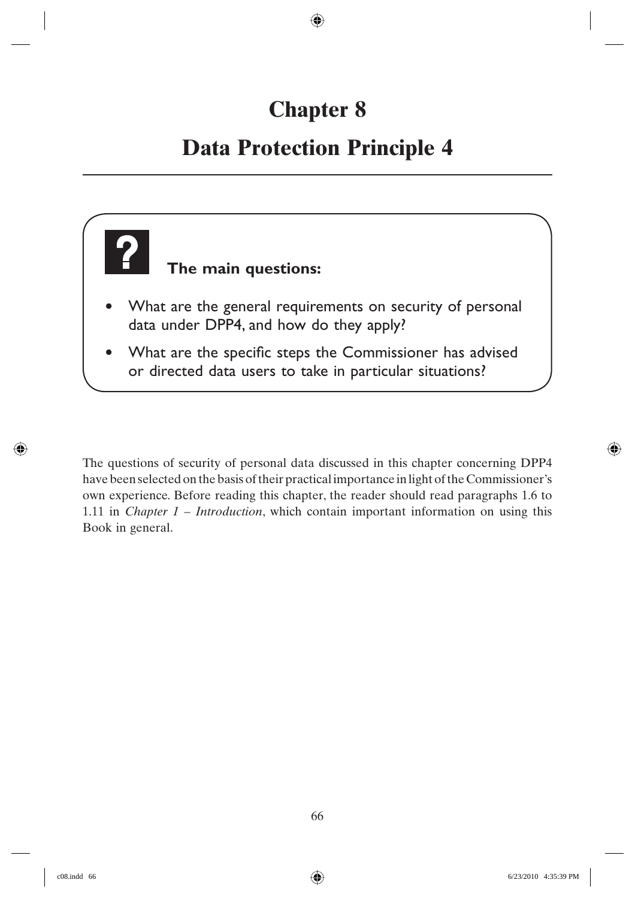# **Chapter 8**

## **Data Protection Principle 4**



The questions of security of personal data discussed in this chapter concerning DPP4 have been selected on the basis of their practical importance in light of the Commissioner's own experience. Before reading this chapter, the reader should read paragraphs 1.6 to 1.11 in *Chapter 1 – Introduction*, which contain important information on using this Book in general.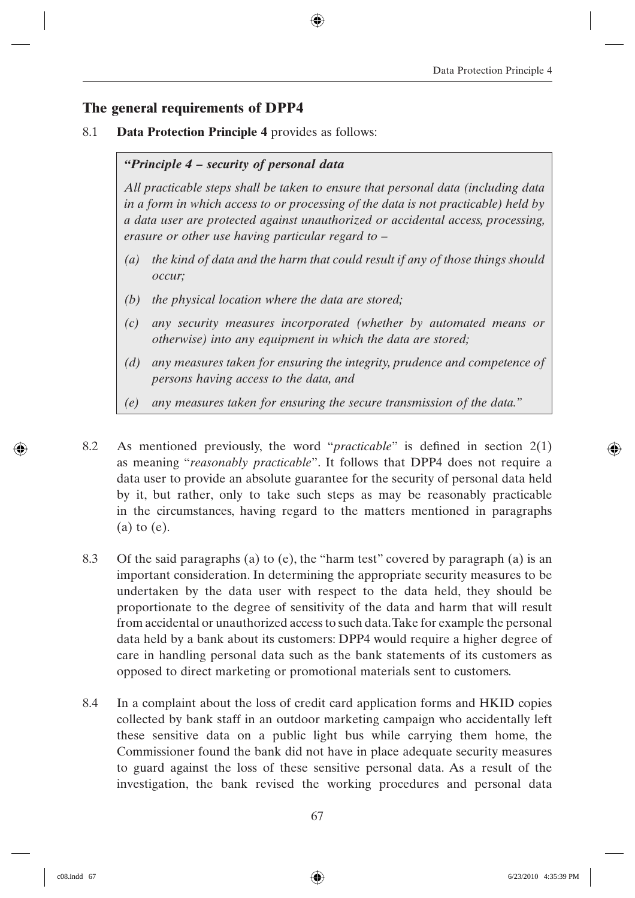### **The general requirements of DPP4**

8.1 **Data Protection Principle 4** provides as follows:

#### *"Principle 4 – security of personal data*

*All practicable steps shall be taken to ensure that personal data (including data in a form in which access to or processing of the data is not practicable) held by a data user are protected against unauthorized or accidental access, processing, erasure or other use having particular regard to –*

- *(a) the kind of data and the harm that could result if any of those things should occur;*
- *(b) the physical location where the data are stored;*
- *(c) any security measures incorporated (whether by automated means or otherwise) into any equipment in which the data are stored;*
- *(d) any measures taken for ensuring the integrity, prudence and competence of persons having access to the data, and*
- *(e) any measures taken for ensuring the secure transmission of the data."*
- 8.2 As mentioned previously, the word "*practicable*" is defined in section 2(1) as meaning "*reasonably practicable*". It follows that DPP4 does not require a data user to provide an absolute guarantee for the security of personal data held by it, but rather, only to take such steps as may be reasonably practicable in the circumstances, having regard to the matters mentioned in paragraphs (a) to (e).
- 8.3 Of the said paragraphs (a) to (e), the "harm test" covered by paragraph (a) is an important consideration. In determining the appropriate security measures to be undertaken by the data user with respect to the data held, they should be proportionate to the degree of sensitivity of the data and harm that will result from accidental or unauthorized access to such data. Take for example the personal data held by a bank about its customers: DPP4 would require a higher degree of care in handling personal data such as the bank statements of its customers as opposed to direct marketing or promotional materials sent to customers.
- 8.4 In a complaint about the loss of credit card application forms and HKID copies collected by bank staff in an outdoor marketing campaign who accidentally left these sensitive data on a public light bus while carrying them home, the Commissioner found the bank did not have in place adequate security measures to guard against the loss of these sensitive personal data. As a result of the investigation, the bank revised the working procedures and personal data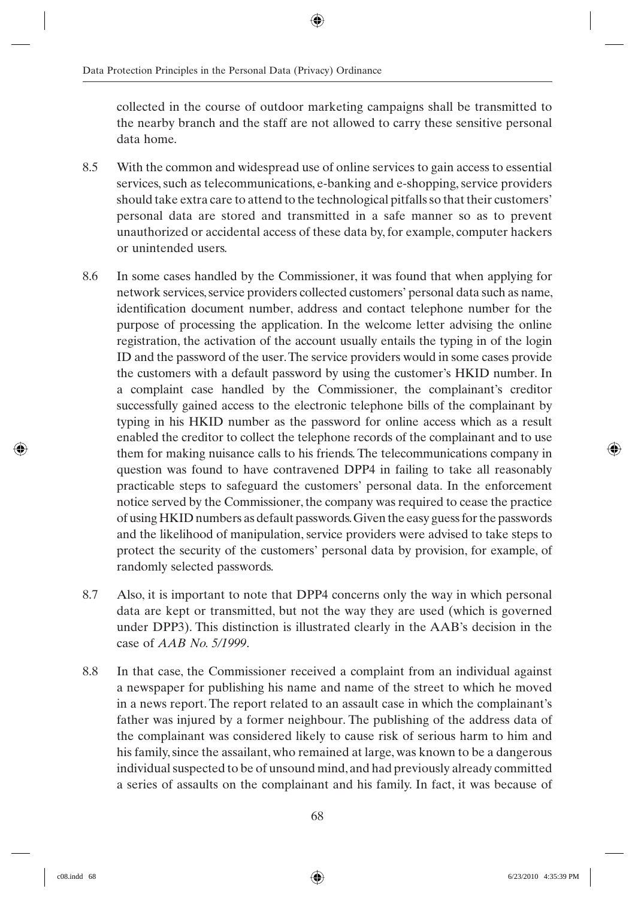collected in the course of outdoor marketing campaigns shall be transmitted to the nearby branch and the staff are not allowed to carry these sensitive personal data home.

- 8.5 With the common and widespread use of online services to gain access to essential services, such as telecommunications, e-banking and e-shopping, service providers should take extra care to attend to the technological pitfalls so that their customers' personal data are stored and transmitted in a safe manner so as to prevent unauthorized or accidental access of these data by, for example, computer hackers or unintended users.
- 8.6 In some cases handled by the Commissioner, it was found that when applying for network services, service providers collected customers' personal data such as name, identification document number, address and contact telephone number for the purpose of processing the application. In the welcome letter advising the online registration, the activation of the account usually entails the typing in of the login ID and the password of the user. The service providers would in some cases provide the customers with a default password by using the customer's HKID number. In a complaint case handled by the Commissioner, the complainant's creditor successfully gained access to the electronic telephone bills of the complainant by typing in his HKID number as the password for online access which as a result enabled the creditor to collect the telephone records of the complainant and to use them for making nuisance calls to his friends. The telecommunications company in question was found to have contravened DPP4 in failing to take all reasonably practicable steps to safeguard the customers' personal data. In the enforcement notice served by the Commissioner, the company was required to cease the practice of using HKID numbers as default passwords. Given the easy guess for the passwords and the likelihood of manipulation, service providers were advised to take steps to protect the security of the customers' personal data by provision, for example, of randomly selected passwords.
- 8.7 Also, it is important to note that DPP4 concerns only the way in which personal data are kept or transmitted, but not the way they are used (which is governed under DPP3). This distinction is illustrated clearly in the AAB's decision in the case of *AAB No. 5/1999*.
- 8.8 In that case, the Commissioner received a complaint from an individual against a newspaper for publishing his name and name of the street to which he moved in a news report. The report related to an assault case in which the complainant's father was injured by a former neighbour. The publishing of the address data of the complainant was considered likely to cause risk of serious harm to him and his family, since the assailant, who remained at large, was known to be a dangerous individual suspected to be of unsound mind, and had previously already committed a series of assaults on the complainant and his family. In fact, it was because of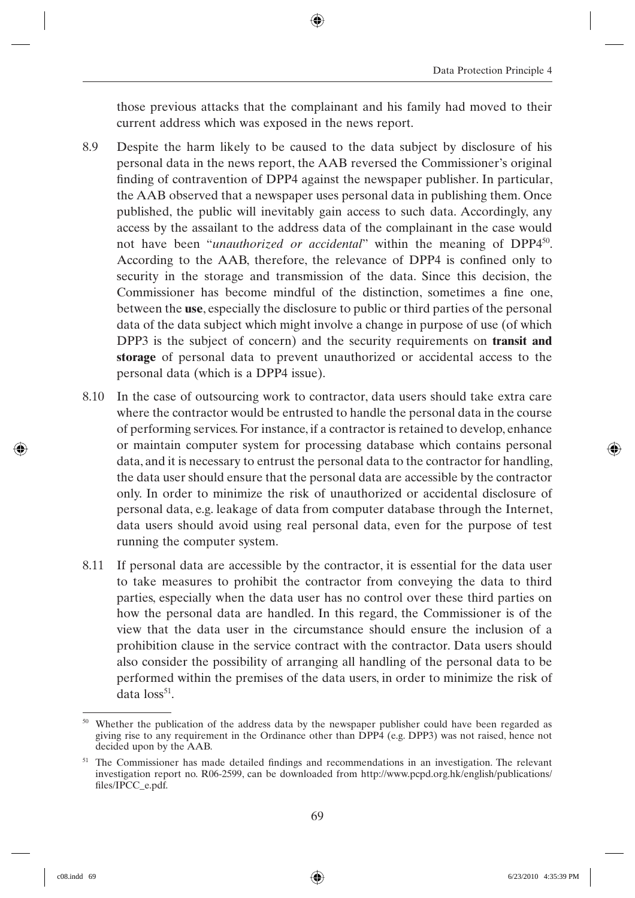those previous attacks that the complainant and his family had moved to their current address which was exposed in the news report.

- 8.9 Despite the harm likely to be caused to the data subject by disclosure of his personal data in the news report, the AAB reversed the Commissioner's original finding of contravention of DPP4 against the newspaper publisher. In particular, the AAB observed that a newspaper uses personal data in publishing them. Once published, the public will inevitably gain access to such data. Accordingly, any access by the assailant to the address data of the complainant in the case would not have been "*unauthorized or accidental*" within the meaning of DPP4<sup>50</sup>. According to the AAB, therefore, the relevance of DPP4 is confined only to security in the storage and transmission of the data. Since this decision, the Commissioner has become mindful of the distinction, sometimes a fine one, between the **use**, especially the disclosure to public or third parties of the personal data of the data subject which might involve a change in purpose of use (of which DPP3 is the subject of concern) and the security requirements on **transit and storage** of personal data to prevent unauthorized or accidental access to the personal data (which is a DPP4 issue).
- 8.10 In the case of outsourcing work to contractor, data users should take extra care where the contractor would be entrusted to handle the personal data in the course of performing services. For instance, if a contractor is retained to develop, enhance or maintain computer system for processing database which contains personal data, and it is necessary to entrust the personal data to the contractor for handling, the data user should ensure that the personal data are accessible by the contractor only. In order to minimize the risk of unauthorized or accidental disclosure of personal data, e.g. leakage of data from computer database through the Internet, data users should avoid using real personal data, even for the purpose of test running the computer system.
- 8.11 If personal data are accessible by the contractor, it is essential for the data user to take measures to prohibit the contractor from conveying the data to third parties, especially when the data user has no control over these third parties on how the personal data are handled. In this regard, the Commissioner is of the view that the data user in the circumstance should ensure the inclusion of a prohibition clause in the service contract with the contractor. Data users should also consider the possibility of arranging all handling of the personal data to be performed within the premises of the data users, in order to minimize the risk of data  $loss^{51}$ .

<sup>&</sup>lt;sup>50</sup> Whether the publication of the address data by the newspaper publisher could have been regarded as giving rise to any requirement in the Ordinance other than DPP4 (e.g. DPP3) was not raised, hence not decided upon by the AAB.

 $51$  The Commissioner has made detailed findings and recommendations in an investigation. The relevant investigation report no. R06-2599, can be downloaded from http://www.pcpd.org.hk/english/publications/ files/IPCC\_e.pdf.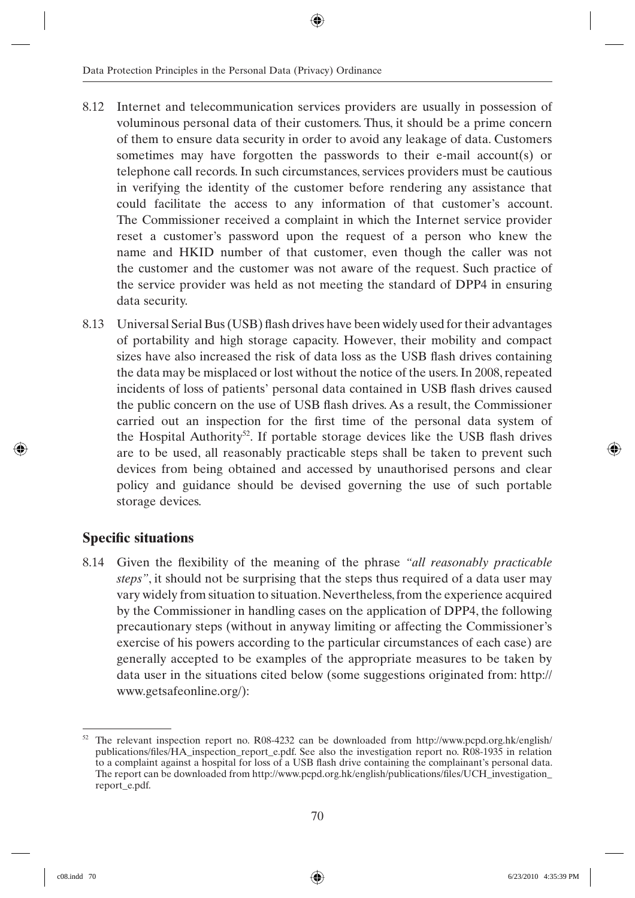- 8.12 Internet and telecommunication services providers are usually in possession of voluminous personal data of their customers. Thus, it should be a prime concern of them to ensure data security in order to avoid any leakage of data. Customers sometimes may have forgotten the passwords to their e-mail account(s) or telephone call records. In such circumstances, services providers must be cautious in verifying the identity of the customer before rendering any assistance that could facilitate the access to any information of that customer's account. The Commissioner received a complaint in which the Internet service provider reset a customer's password upon the request of a person who knew the name and HKID number of that customer, even though the caller was not the customer and the customer was not aware of the request. Such practice of the service provider was held as not meeting the standard of DPP4 in ensuring data security.
- 8.13 Universal Serial Bus (USB) flash drives have been widely used for their advantages of portability and high storage capacity. However, their mobility and compact sizes have also increased the risk of data loss as the USB flash drives containing the data may be misplaced or lost without the notice of the users. In 2008, repeated incidents of loss of patients' personal data contained in USB flash drives caused the public concern on the use of USB flash drives. As a result, the Commissioner carried out an inspection for the first time of the personal data system of the Hospital Authority<sup>52</sup>. If portable storage devices like the USB flash drives are to be used, all reasonably practicable steps shall be taken to prevent such devices from being obtained and accessed by unauthorised persons and clear policy and guidance should be devised governing the use of such portable storage devices.

#### **Specific situations**

8.14 Given the flexibility of the meaning of the phrase *"all reasonably practicable steps"*, it should not be surprising that the steps thus required of a data user may vary widely from situation to situation. Nevertheless, from the experience acquired by the Commissioner in handling cases on the application of DPP4, the following precautionary steps (without in anyway limiting or affecting the Commissioner's exercise of his powers according to the particular circumstances of each case) are generally accepted to be examples of the appropriate measures to be taken by data user in the situations cited below (some suggestions originated from: http:// www.getsafeonline.org/):

<sup>52</sup> The relevant inspection report no. R08-4232 can be downloaded from http://www.pcpd.org.hk/english/ publications/files/HA\_inspection\_report\_e.pdf. See also the investigation report no. R08-1935 in relation to a complaint against a hospital for loss of a USB flash drive containing the complainant's personal data. The report can be downloaded from http://www.pcpd.org.hk/english/publications/files/UCH\_investigation report\_e.pdf.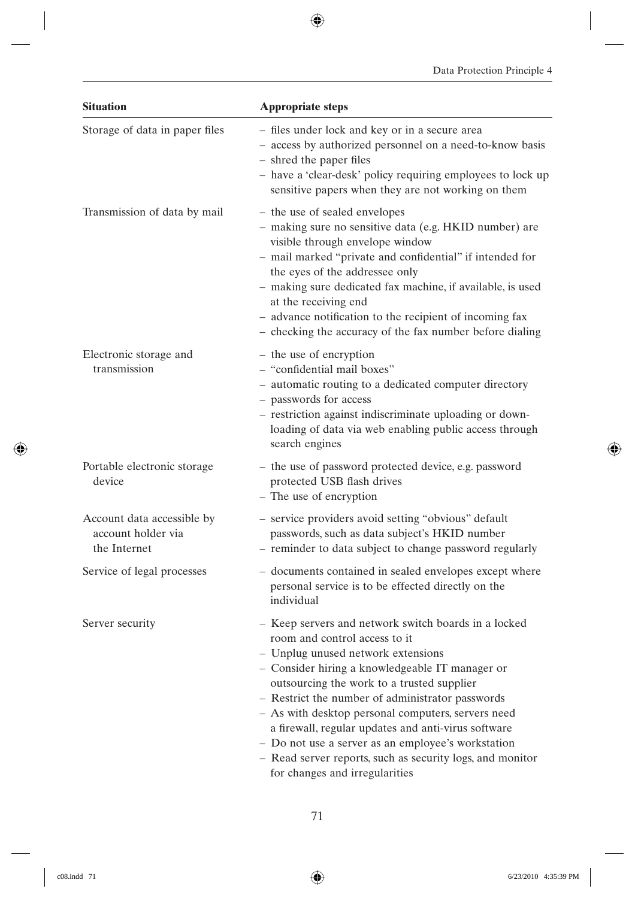| <b>Situation</b>                                                 | <b>Appropriate steps</b>                                                                                                                                                                                                                                                                                                                                                                                                                                                                                                                         |
|------------------------------------------------------------------|--------------------------------------------------------------------------------------------------------------------------------------------------------------------------------------------------------------------------------------------------------------------------------------------------------------------------------------------------------------------------------------------------------------------------------------------------------------------------------------------------------------------------------------------------|
| Storage of data in paper files                                   | - files under lock and key or in a secure area<br>- access by authorized personnel on a need-to-know basis<br>- shred the paper files<br>- have a 'clear-desk' policy requiring employees to lock up<br>sensitive papers when they are not working on them                                                                                                                                                                                                                                                                                       |
| Transmission of data by mail                                     | - the use of sealed envelopes<br>- making sure no sensitive data (e.g. HKID number) are<br>visible through envelope window<br>- mail marked "private and confidential" if intended for<br>the eyes of the addressee only<br>- making sure dedicated fax machine, if available, is used<br>at the receiving end<br>- advance notification to the recipient of incoming fax<br>- checking the accuracy of the fax number before dialing                                                                                                            |
| Electronic storage and<br>transmission                           | - the use of encryption<br>- "confidential mail boxes"<br>- automatic routing to a dedicated computer directory<br>- passwords for access<br>- restriction against indiscriminate uploading or down-<br>loading of data via web enabling public access through<br>search engines                                                                                                                                                                                                                                                                 |
| Portable electronic storage<br>device                            | - the use of password protected device, e.g. password<br>protected USB flash drives<br>- The use of encryption                                                                                                                                                                                                                                                                                                                                                                                                                                   |
| Account data accessible by<br>account holder via<br>the Internet | - service providers avoid setting "obvious" default<br>passwords, such as data subject's HKID number<br>- reminder to data subject to change password regularly                                                                                                                                                                                                                                                                                                                                                                                  |
| Service of legal processes                                       | - documents contained in sealed envelopes except where<br>personal service is to be effected directly on the<br>individual                                                                                                                                                                                                                                                                                                                                                                                                                       |
| Server security                                                  | - Keep servers and network switch boards in a locked<br>room and control access to it<br>Unplug unused network extensions<br>- Consider hiring a knowledgeable IT manager or<br>outsourcing the work to a trusted supplier<br>- Restrict the number of administrator passwords<br>- As with desktop personal computers, servers need<br>a firewall, regular updates and anti-virus software<br>- Do not use a server as an employee's workstation<br>- Read server reports, such as security logs, and monitor<br>for changes and irregularities |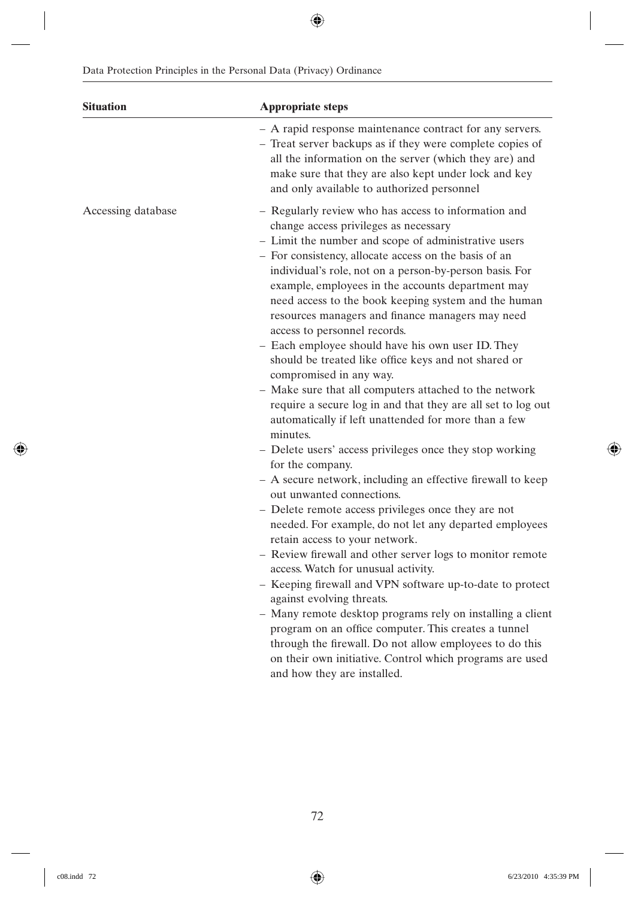| <b>Situation</b>   | <b>Appropriate steps</b>                                                                                                                                                                                                                                                                                                                                                                                                                                                                                                                                                                                                                                                                                                                                                                                                                                                                                                                                                                                                                                                                                                                                                                                                                                                                                                                                                                                                                                                                                                                                                                                                  |
|--------------------|---------------------------------------------------------------------------------------------------------------------------------------------------------------------------------------------------------------------------------------------------------------------------------------------------------------------------------------------------------------------------------------------------------------------------------------------------------------------------------------------------------------------------------------------------------------------------------------------------------------------------------------------------------------------------------------------------------------------------------------------------------------------------------------------------------------------------------------------------------------------------------------------------------------------------------------------------------------------------------------------------------------------------------------------------------------------------------------------------------------------------------------------------------------------------------------------------------------------------------------------------------------------------------------------------------------------------------------------------------------------------------------------------------------------------------------------------------------------------------------------------------------------------------------------------------------------------------------------------------------------------|
|                    | - A rapid response maintenance contract for any servers.<br>- Treat server backups as if they were complete copies of<br>all the information on the server (which they are) and<br>make sure that they are also kept under lock and key<br>and only available to authorized personnel                                                                                                                                                                                                                                                                                                                                                                                                                                                                                                                                                                                                                                                                                                                                                                                                                                                                                                                                                                                                                                                                                                                                                                                                                                                                                                                                     |
| Accessing database | - Regularly review who has access to information and<br>change access privileges as necessary<br>- Limit the number and scope of administrative users<br>- For consistency, allocate access on the basis of an<br>individual's role, not on a person-by-person basis. For<br>example, employees in the accounts department may<br>need access to the book keeping system and the human<br>resources managers and finance managers may need<br>access to personnel records.<br>- Each employee should have his own user ID. They<br>should be treated like office keys and not shared or<br>compromised in any way.<br>- Make sure that all computers attached to the network<br>require a secure log in and that they are all set to log out<br>automatically if left unattended for more than a few<br>minutes.<br>- Delete users' access privileges once they stop working<br>for the company.<br>- A secure network, including an effective firewall to keep<br>out unwanted connections.<br>- Delete remote access privileges once they are not<br>needed. For example, do not let any departed employees<br>retain access to your network.<br>- Review firewall and other server logs to monitor remote<br>access. Watch for unusual activity.<br>- Keeping firewall and VPN software up-to-date to protect<br>against evolving threats.<br>- Many remote desktop programs rely on installing a client<br>program on an office computer. This creates a tunnel<br>through the firewall. Do not allow employees to do this<br>on their own initiative. Control which programs are used<br>and how they are installed. |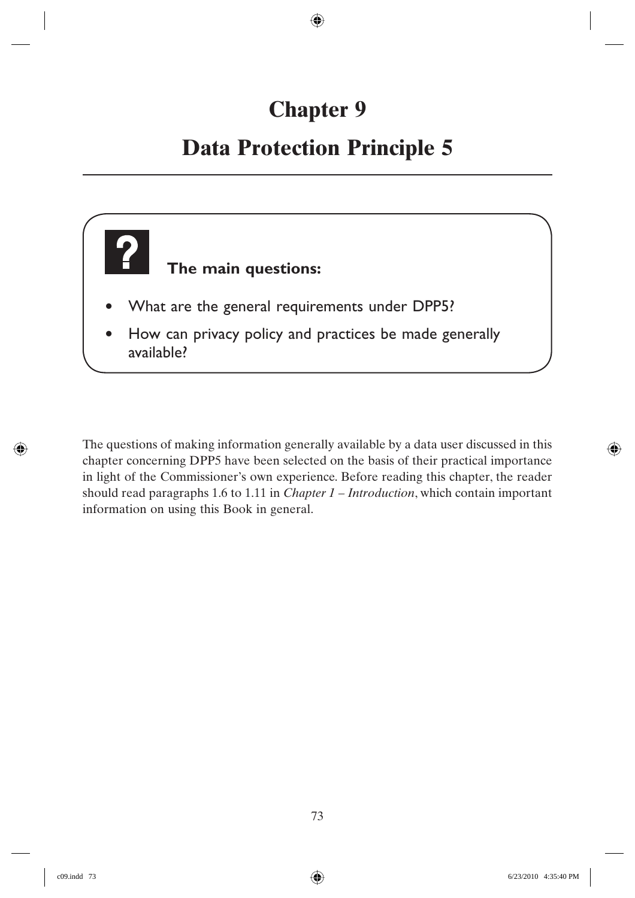# **Chapter 9**

## **Data Protection Principle 5**



The questions of making information generally available by a data user discussed in this chapter concerning DPP5 have been selected on the basis of their practical importance in light of the Commissioner's own experience. Before reading this chapter, the reader should read paragraphs 1.6 to 1.11 in *Chapter 1 – Introduction*, which contain important information on using this Book in general.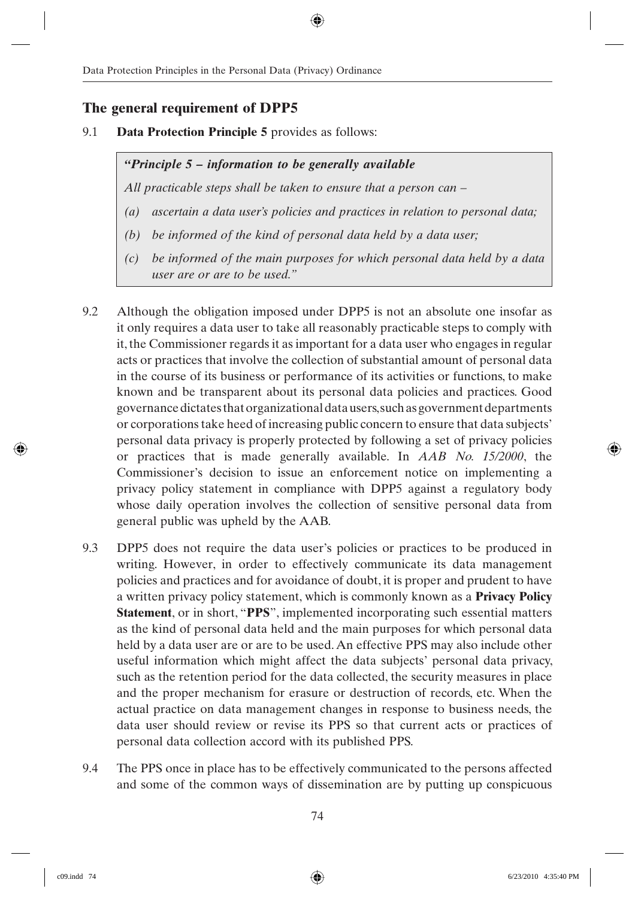#### **The general requirement of DPP5**

9.1 **Data Protection Principle 5** provides as follows:

#### *"Principle 5 – information to be generally available*

*All practicable steps shall be taken to ensure that a person can –*

- *(a) ascertain a data user's policies and practices in relation to personal data;*
- *(b) be informed of the kind of personal data held by a data user;*
- *(c) be informed of the main purposes for which personal data held by a data user are or are to be used."*
- 9.2 Although the obligation imposed under DPP5 is not an absolute one insofar as it only requires a data user to take all reasonably practicable steps to comply with it, the Commissioner regards it as important for a data user who engages in regular acts or practices that involve the collection of substantial amount of personal data in the course of its business or performance of its activities or functions, to make known and be transparent about its personal data policies and practices. Good governance dictates that organizational data users, such as government departments or corporations take heed of increasing public concern to ensure that data subjects' personal data privacy is properly protected by following a set of privacy policies or practices that is made generally available. In *AAB No. 15/2000*, the Commissioner's decision to issue an enforcement notice on implementing a privacy policy statement in compliance with DPP5 against a regulatory body whose daily operation involves the collection of sensitive personal data from general public was upheld by the AAB.
- 9.3 DPP5 does not require the data user's policies or practices to be produced in writing. However, in order to effectively communicate its data management policies and practices and for avoidance of doubt, it is proper and prudent to have a written privacy policy statement, which is commonly known as a **Privacy Policy Statement**, or in short, "**PPS**", implemented incorporating such essential matters as the kind of personal data held and the main purposes for which personal data held by a data user are or are to be used. An effective PPS may also include other useful information which might affect the data subjects' personal data privacy, such as the retention period for the data collected, the security measures in place and the proper mechanism for erasure or destruction of records, etc. When the actual practice on data management changes in response to business needs, the data user should review or revise its PPS so that current acts or practices of personal data collection accord with its published PPS.
- 9.4 The PPS once in place has to be effectively communicated to the persons affected and some of the common ways of dissemination are by putting up conspicuous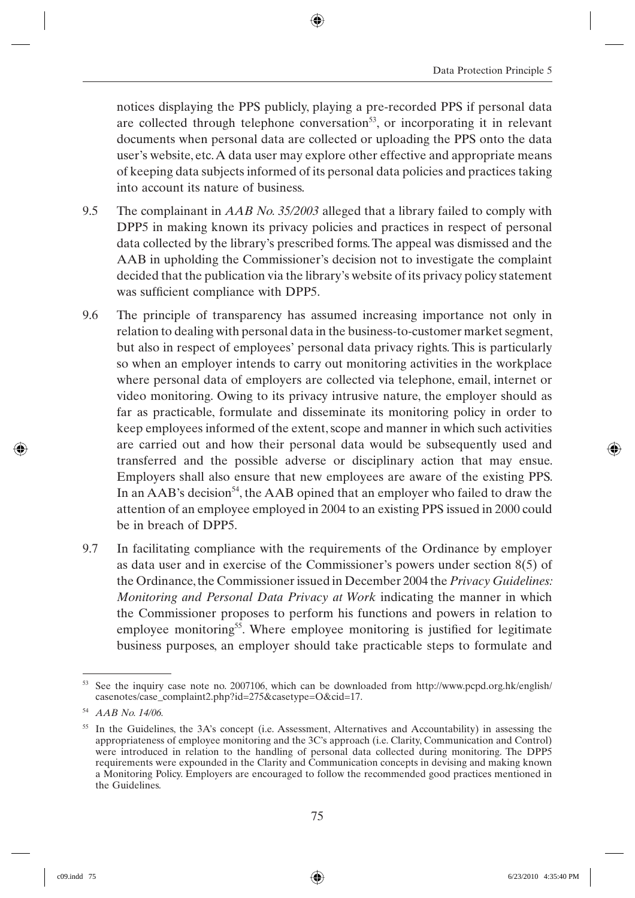notices displaying the PPS publicly, playing a pre-recorded PPS if personal data are collected through telephone conversation<sup>53</sup>, or incorporating it in relevant documents when personal data are collected or uploading the PPS onto the data user's website, etc. A data user may explore other effective and appropriate means of keeping data subjects informed of its personal data policies and practices taking into account its nature of business.

- 9.5 The complainant in *AAB No. 35/2003* alleged that a library failed to comply with DPP5 in making known its privacy policies and practices in respect of personal data collected by the library's prescribed forms. The appeal was dismissed and the AAB in upholding the Commissioner's decision not to investigate the complaint decided that the publication via the library's website of its privacy policy statement was sufficient compliance with DPP5.
- 9.6 The principle of transparency has assumed increasing importance not only in relation to dealing with personal data in the business-to-customer market segment, but also in respect of employees' personal data privacy rights. This is particularly so when an employer intends to carry out monitoring activities in the workplace where personal data of employers are collected via telephone, email, internet or video monitoring. Owing to its privacy intrusive nature, the employer should as far as practicable, formulate and disseminate its monitoring policy in order to keep employees informed of the extent, scope and manner in which such activities are carried out and how their personal data would be subsequently used and transferred and the possible adverse or disciplinary action that may ensue. Employers shall also ensure that new employees are aware of the existing PPS. In an AAB's decision<sup>54</sup>, the AAB opined that an employer who failed to draw the attention of an employee employed in 2004 to an existing PPS issued in 2000 could be in breach of DPP5.
- 9.7 In facilitating compliance with the requirements of the Ordinance by employer as data user and in exercise of the Commissioner's powers under section 8(5) of the Ordinance, the Commissioner issued in December 2004 the *Privacy Guidelines: Monitoring and Personal Data Privacy at Work* indicating the manner in which the Commissioner proposes to perform his functions and powers in relation to employee monitoring<sup>55</sup>. Where employee monitoring is justified for legitimate business purposes, an employer should take practicable steps to formulate and

<sup>53</sup> See the inquiry case note no. 2007106, which can be downloaded from http://www.pcpd.org.hk/english/ casenotes/case\_complaint2.php?id=275&casetype=O&cid=17.

<sup>54</sup> *AAB No. 14/06.*

<sup>&</sup>lt;sup>55</sup> In the Guidelines, the 3A's concept (i.e. Assessment, Alternatives and Accountability) in assessing the appropriateness of employee monitoring and the 3C's approach (i.e. Clarity, Communication and Control) were introduced in relation to the handling of personal data collected during monitoring. The DPP5 requirements were expounded in the Clarity and Communication concepts in devising and making known a Monitoring Policy. Employers are encouraged to follow the recommended good practices mentioned in the Guidelines.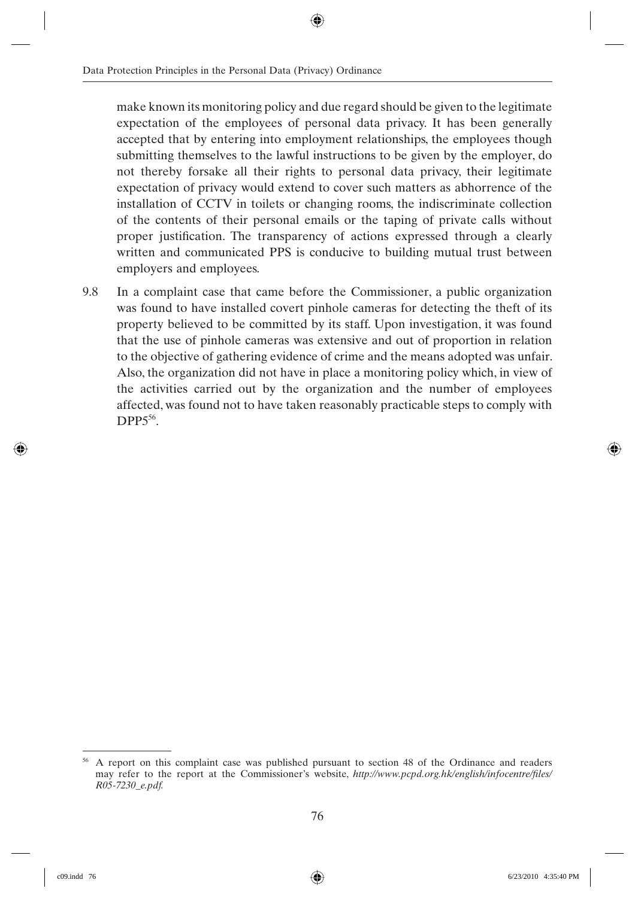make known its monitoring policy and due regard should be given to the legitimate expectation of the employees of personal data privacy. It has been generally accepted that by entering into employment relationships, the employees though submitting themselves to the lawful instructions to be given by the employer, do not thereby forsake all their rights to personal data privacy, their legitimate expectation of privacy would extend to cover such matters as abhorrence of the installation of CCTV in toilets or changing rooms, the indiscriminate collection of the contents of their personal emails or the taping of private calls without proper justification. The transparency of actions expressed through a clearly written and communicated PPS is conducive to building mutual trust between employers and employees.

9.8 In a complaint case that came before the Commissioner, a public organization was found to have installed covert pinhole cameras for detecting the theft of its property believed to be committed by its staff. Upon investigation, it was found that the use of pinhole cameras was extensive and out of proportion in relation to the objective of gathering evidence of crime and the means adopted was unfair. Also, the organization did not have in place a monitoring policy which, in view of the activities carried out by the organization and the number of employees affected, was found not to have taken reasonably practicable steps to comply with  $DPP5^{56}$ 

<sup>&</sup>lt;sup>56</sup> A report on this complaint case was published pursuant to section 48 of the Ordinance and readers may refer to the report at the Commissioner's website, *http://www.pcpd.org.hk/english/infocentre/files/ R05-7230\_e.pdf.*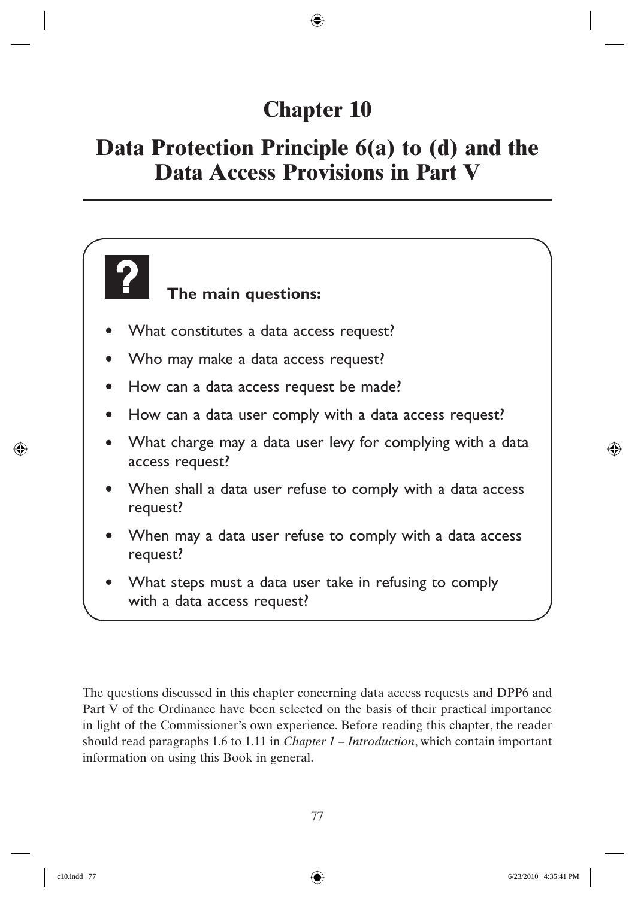## **Chapter 10**

### **Data Protection Principle 6(a) to (d) and the Data Access Provisions in Part V**

### **The main questions:**

- What constitutes a data access request?
- Who may make a data access request?
- How can a data access request be made?
- How can a data user comply with a data access request?
- What charge may a data user levy for complying with a data access request?
- When shall a data user refuse to comply with a data access request?
- When may a data user refuse to comply with a data access request?
- What steps must a data user take in refusing to comply with a data access request?

The questions discussed in this chapter concerning data access requests and DPP6 and Part V of the Ordinance have been selected on the basis of their practical importance in light of the Commissioner's own experience. Before reading this chapter, the reader should read paragraphs 1.6 to 1.11 in *Chapter 1 – Introduction*, which contain important information on using this Book in general.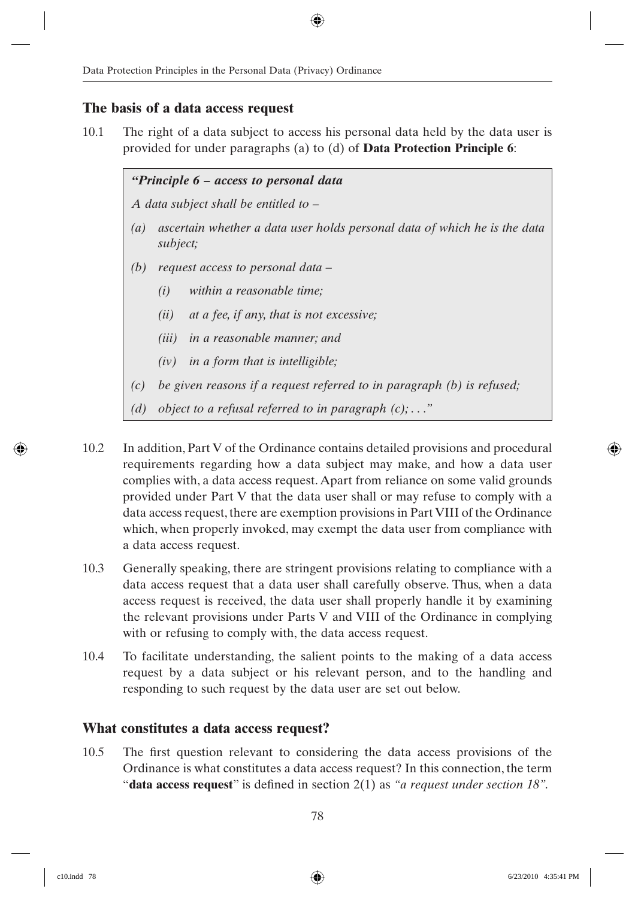#### **The basis of a data access request**

10.1 The right of a data subject to access his personal data held by the data user is provided for under paragraphs (a) to (d) of **Data Protection Principle 6**:

> *"Principle 6 – access to personal data A data subject shall be entitled to – (a) ascertain whether a data user holds personal data of which he is the data subject; (b) request access to personal data – (i) within a reasonable time; (ii) at a fee, if any, that is not excessive; (iii) in a reasonable manner; and (iv) in a form that is intelligible; (c) be given reasons if a request referred to in paragraph (b) is refused; (d) object to a refusal referred to in paragraph (c); . . ."*

- 10.2 In addition, Part V of the Ordinance contains detailed provisions and procedural requirements regarding how a data subject may make, and how a data user complies with, a data access request. Apart from reliance on some valid grounds provided under Part V that the data user shall or may refuse to comply with a data access request, there are exemption provisions in Part VIII of the Ordinance which, when properly invoked, may exempt the data user from compliance with a data access request.
- 10.3 Generally speaking, there are stringent provisions relating to compliance with a data access request that a data user shall carefully observe. Thus, when a data access request is received, the data user shall properly handle it by examining the relevant provisions under Parts V and VIII of the Ordinance in complying with or refusing to comply with, the data access request.
- 10.4 To facilitate understanding, the salient points to the making of a data access request by a data subject or his relevant person, and to the handling and responding to such request by the data user are set out below.

#### **What constitutes a data access request?**

10.5 The first question relevant to considering the data access provisions of the Ordinance is what constitutes a data access request? In this connection, the term "**data access request**" is defined in section 2(1) as "*a request under section 18"*.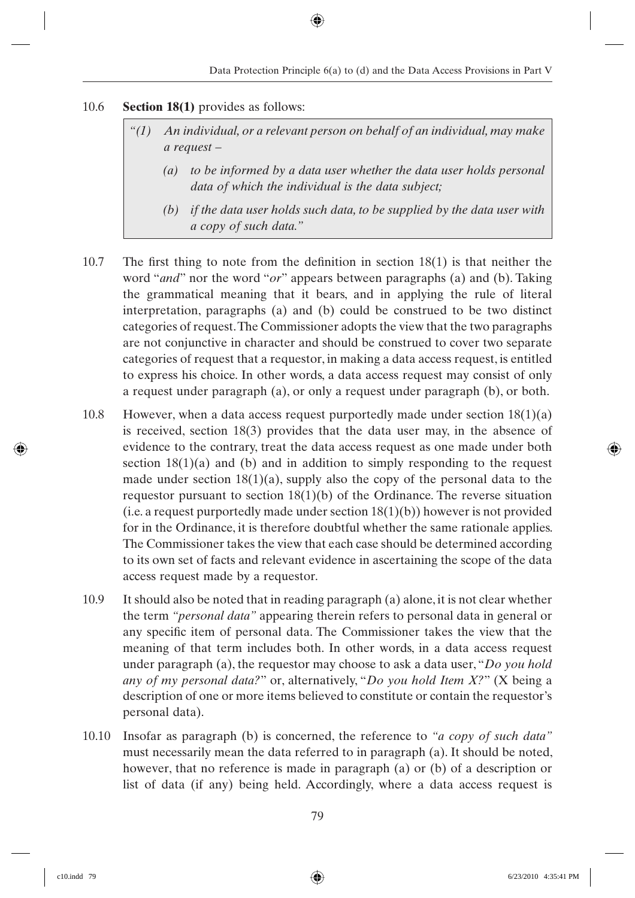#### 10.6 **Section 18(1)** provides as follows:

- *"(1) An individual, or a relevant person on behalf of an individual, may make a request –*
	- *(a) to be informed by a data user whether the data user holds personal data of which the individual is the data subject;*
	- *(b) if the data user holds such data, to be supplied by the data user with a copy of such data."*
- 10.7 The first thing to note from the definition in section  $18(1)$  is that neither the word "*and*" nor the word "*or*" appears between paragraphs (a) and (b). Taking the grammatical meaning that it bears, and in applying the rule of literal interpretation, paragraphs (a) and (b) could be construed to be two distinct categories of request. The Commissioner adopts the view that the two paragraphs are not conjunctive in character and should be construed to cover two separate categories of request that a requestor, in making a data access request, is entitled to express his choice. In other words, a data access request may consist of only a request under paragraph (a), or only a request under paragraph (b), or both.
- 10.8 However, when a data access request purportedly made under section  $18(1)(a)$ is received, section 18(3) provides that the data user may, in the absence of evidence to the contrary, treat the data access request as one made under both section  $18(1)(a)$  and (b) and in addition to simply responding to the request made under section  $18(1)(a)$ , supply also the copy of the personal data to the requestor pursuant to section  $18(1)(b)$  of the Ordinance. The reverse situation (i.e. a request purportedly made under section  $18(1)(b)$ ) however is not provided for in the Ordinance, it is therefore doubtful whether the same rationale applies. The Commissioner takes the view that each case should be determined according to its own set of facts and relevant evidence in ascertaining the scope of the data access request made by a requestor.
- 10.9 It should also be noted that in reading paragraph (a) alone, it is not clear whether the term *"personal data"* appearing therein refers to personal data in general or any specific item of personal data. The Commissioner takes the view that the meaning of that term includes both. In other words, in a data access request under paragraph (a), the requestor may choose to ask a data user, "*Do you hold any of my personal data?*" or, alternatively, "*Do you hold Item X?*" (X being a description of one or more items believed to constitute or contain the requestor's personal data).
- 10.10 Insofar as paragraph (b) is concerned, the reference to *"a copy of such data"* must necessarily mean the data referred to in paragraph (a). It should be noted, however, that no reference is made in paragraph (a) or (b) of a description or list of data (if any) being held. Accordingly, where a data access request is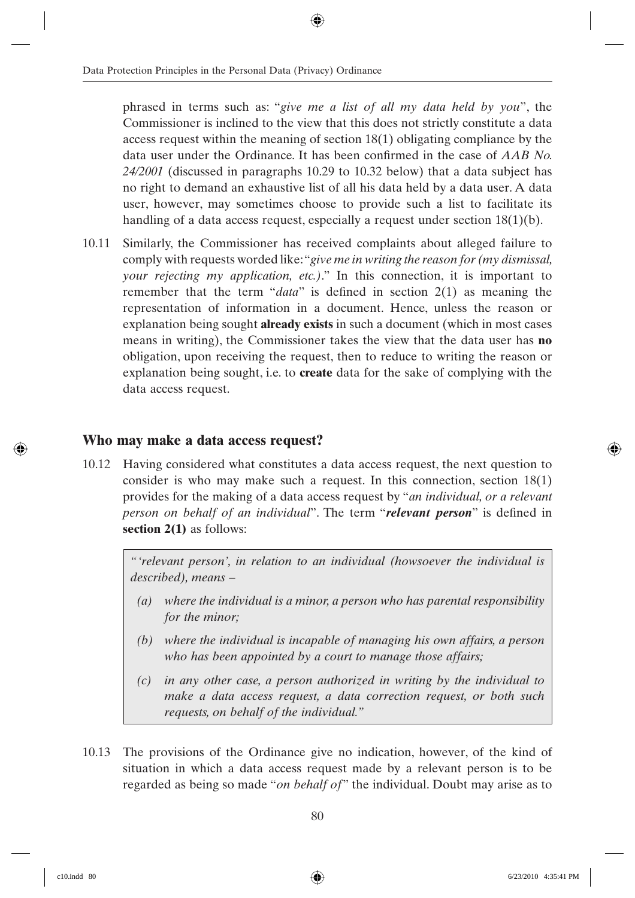phrased in terms such as: "*give me a list of all my data held by you*", the Commissioner is inclined to the view that this does not strictly constitute a data access request within the meaning of section 18(1) obligating compliance by the data user under the Ordinance. It has been confirmed in the case of *AAB No. 24/2001* (discussed in paragraphs 10.29 to 10.32 below) that a data subject has no right to demand an exhaustive list of all his data held by a data user. A data user, however, may sometimes choose to provide such a list to facilitate its handling of a data access request, especially a request under section 18(1)(b).

10.11 Similarly, the Commissioner has received complaints about alleged failure to comply with requests worded like: "*give me in writing the reason for (my dismissal, your rejecting my application, etc.)*." In this connection, it is important to remember that the term "*data*" is defined in section  $2(1)$  as meaning the representation of information in a document. Hence, unless the reason or explanation being sought **already exists** in such a document (which in most cases means in writing), the Commissioner takes the view that the data user has **no**  obligation, upon receiving the request, then to reduce to writing the reason or explanation being sought, i.e. to **create** data for the sake of complying with the data access request.

#### **Who may make a data access request?**

10.12 Having considered what constitutes a data access request, the next question to consider is who may make such a request. In this connection, section 18(1) provides for the making of a data access request by "*an individual, or a relevant person on behalf of an individual*". The term "*relevant person*" is defined in **section 2(1)** as follows:

> *"'relevant person', in relation to an individual (howsoever the individual is described), means –*

- *(a) where the individual is a minor, a person who has parental responsibility for the minor;*
- *(b) where the individual is incapable of managing his own affairs, a person who has been appointed by a court to manage those affairs;*
- *(c) in any other case, a person authorized in writing by the individual to make a data access request, a data correction request, or both such requests, on behalf of the individual."*
- 10.13 The provisions of the Ordinance give no indication, however, of the kind of situation in which a data access request made by a relevant person is to be regarded as being so made "*on behalf of*" the individual. Doubt may arise as to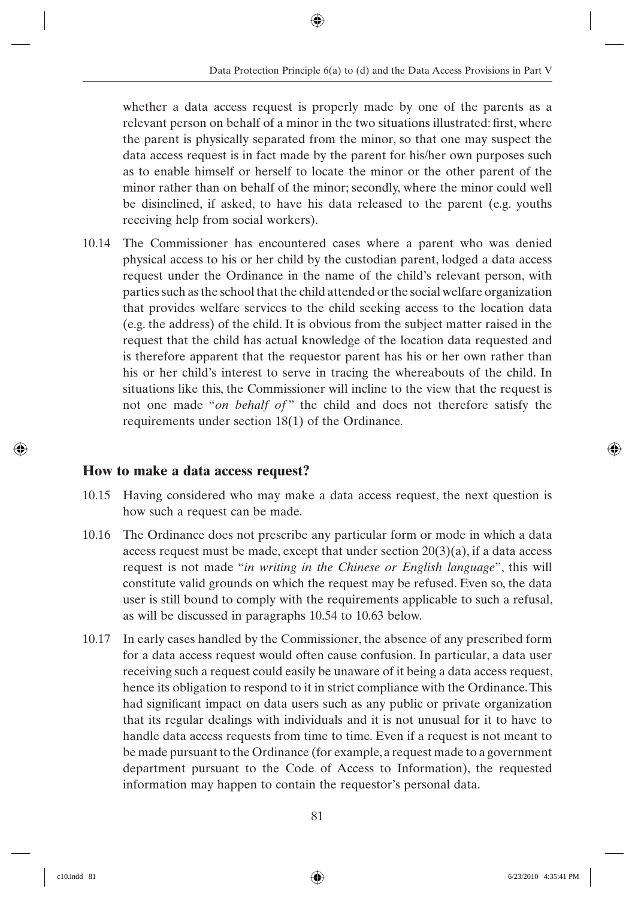whether a data access request is properly made by one of the parents as a relevant person on behalf of a minor in the two situations illustrated: first, where the parent is physically separated from the minor, so that one may suspect the data access request is in fact made by the parent for his/her own purposes such as to enable himself or herself to locate the minor or the other parent of the minor rather than on behalf of the minor; secondly, where the minor could well be disinclined, if asked, to have his data released to the parent (e.g. youths receiving help from social workers).

10.14 The Commissioner has encountered cases where a parent who was denied physical access to his or her child by the custodian parent, lodged a data access request under the Ordinance in the name of the child's relevant person, with parties such as the school that the child attended or the social welfare organization that provides welfare services to the child seeking access to the location data (e.g. the address) of the child. It is obvious from the subject matter raised in the request that the child has actual knowledge of the location data requested and is therefore apparent that the requestor parent has his or her own rather than his or her child's interest to serve in tracing the whereabouts of the child. In situations like this, the Commissioner will incline to the view that the request is not one made "*on behalf of* " the child and does not therefore satisfy the requirements under section 18(1) of the Ordinance.

#### **How to make a data access request?**

- 10.15 Having considered who may make a data access request, the next question is how such a request can be made.
- 10.16 The Ordinance does not prescribe any particular form or mode in which a data access request must be made, except that under section  $20(3)(a)$ , if a data access request is not made "*in writing in the Chinese or English language*", this will constitute valid grounds on which the request may be refused. Even so, the data user is still bound to comply with the requirements applicable to such a refusal, as will be discussed in paragraphs 10.54 to 10.63 below.
- 10.17 In early cases handled by the Commissioner, the absence of any prescribed form for a data access request would often cause confusion. In particular, a data user receiving such a request could easily be unaware of it being a data access request, hence its obligation to respond to it in strict compliance with the Ordinance. This had significant impact on data users such as any public or private organization that its regular dealings with individuals and it is not unusual for it to have to handle data access requests from time to time. Even if a request is not meant to be made pursuant to the Ordinance (for example, a request made to a government department pursuant to the Code of Access to Information), the requested information may happen to contain the requestor's personal data.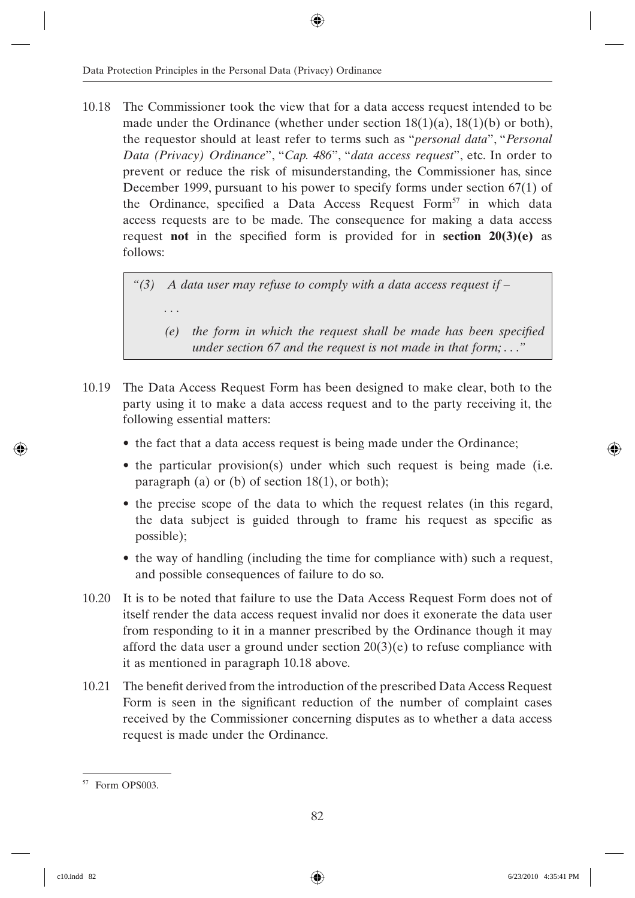10.18 The Commissioner took the view that for a data access request intended to be made under the Ordinance (whether under section  $18(1)(a)$ ,  $18(1)(b)$  or both), the requestor should at least refer to terms such as "*personal data*", "*Personal Data (Privacy) Ordinance*", "*Cap. 486*", "*data access request*", etc. In order to prevent or reduce the risk of misunderstanding, the Commissioner has, since December 1999, pursuant to his power to specify forms under section 67(1) of the Ordinance, specified a Data Access Request Form<sup>57</sup> in which data access requests are to be made. The consequence for making a data access request **not** in the specified form is provided for in **section 20(3)(e)** as follows:

> *"(3) A data user may refuse to comply with a data access request if – . . . (e)* the form in which the request shall be made has been specified *under section 67 and the request is not made in that form; . . ."*

- 10.19 The Data Access Request Form has been designed to make clear, both to the party using it to make a data access request and to the party receiving it, the following essential matters:
	- the fact that a data access request is being made under the Ordinance;
	- the particular provision(s) under which such request is being made (i.e. paragraph (a) or (b) of section 18(1), or both);
	- the precise scope of the data to which the request relates (in this regard, the data subject is guided through to frame his request as specific as possible);
	- the way of handling (including the time for compliance with) such a request, and possible consequences of failure to do so.
- 10.20 It is to be noted that failure to use the Data Access Request Form does not of itself render the data access request invalid nor does it exonerate the data user from responding to it in a manner prescribed by the Ordinance though it may afford the data user a ground under section  $20(3)(e)$  to refuse compliance with it as mentioned in paragraph 10.18 above.
- 10.21 The benefi t derived from the introduction of the prescribed Data Access Request Form is seen in the significant reduction of the number of complaint cases received by the Commissioner concerning disputes as to whether a data access request is made under the Ordinance.

<sup>57</sup> Form OPS003.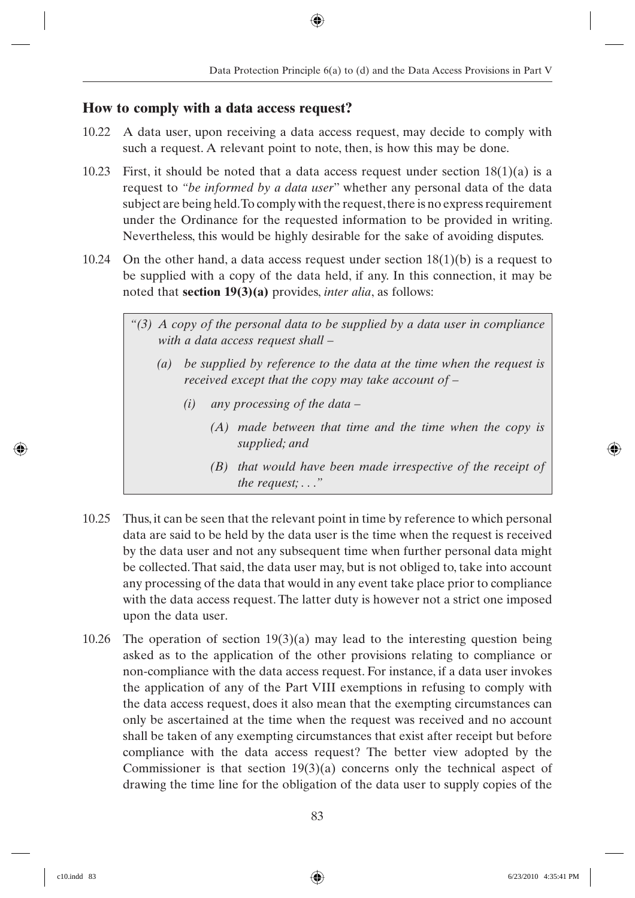#### **How to comply with a data access request?**

- 10.22 A data user, upon receiving a data access request, may decide to comply with such a request. A relevant point to note, then, is how this may be done.
- 10.23 First, it should be noted that a data access request under section  $18(1)(a)$  is a request to *"be informed by a data user*" whether any personal data of the data subject are being held. To comply with the request, there is no express requirement under the Ordinance for the requested information to be provided in writing. Nevertheless, this would be highly desirable for the sake of avoiding disputes.
- 10.24 On the other hand, a data access request under section  $18(1)(b)$  is a request to be supplied with a copy of the data held, if any. In this connection, it may be noted that **section 19(3)(a)** provides, *inter alia*, as follows:
	- *"(3) A copy of the personal data to be supplied by a data user in compliance with a data access request shall –*
		- *(a) be supplied by reference to the data at the time when the request is received except that the copy may take account of –*
			- *(i) any processing of the data –*
				- *(A) made between that time and the time when the copy is supplied; and*
				- *(B) that would have been made irrespective of the receipt of the request; . . ."*
- 10.25 Thus, it can be seen that the relevant point in time by reference to which personal data are said to be held by the data user is the time when the request is received by the data user and not any subsequent time when further personal data might be collected. That said, the data user may, but is not obliged to, take into account any processing of the data that would in any event take place prior to compliance with the data access request. The latter duty is however not a strict one imposed upon the data user.
- 10.26 The operation of section  $19(3)(a)$  may lead to the interesting question being asked as to the application of the other provisions relating to compliance or non-compliance with the data access request. For instance, if a data user invokes the application of any of the Part VIII exemptions in refusing to comply with the data access request, does it also mean that the exempting circumstances can only be ascertained at the time when the request was received and no account shall be taken of any exempting circumstances that exist after receipt but before compliance with the data access request? The better view adopted by the Commissioner is that section  $19(3)(a)$  concerns only the technical aspect of drawing the time line for the obligation of the data user to supply copies of the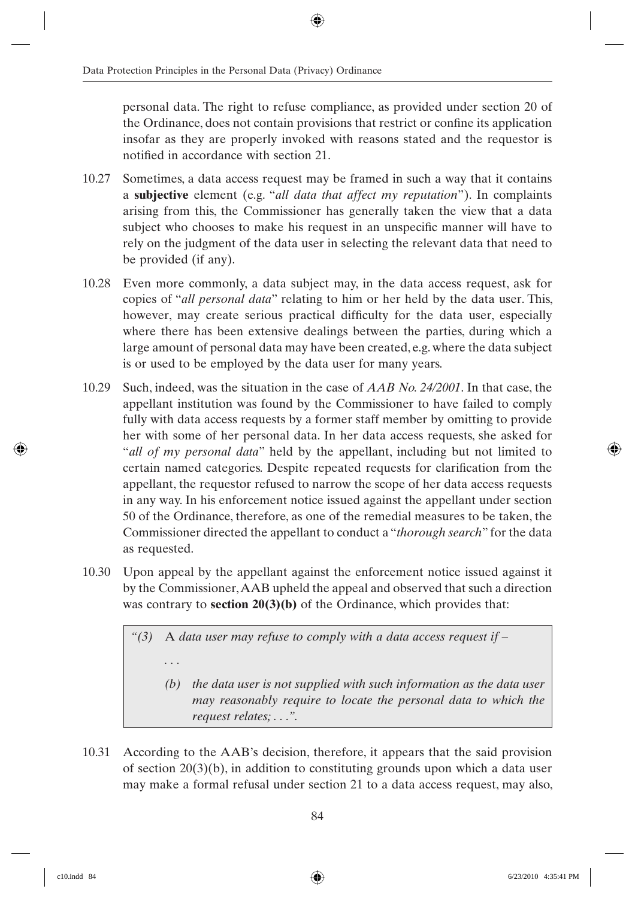personal data. The right to refuse compliance, as provided under section 20 of the Ordinance, does not contain provisions that restrict or confine its application insofar as they are properly invoked with reasons stated and the requestor is notified in accordance with section 21.

- 10.27 Sometimes, a data access request may be framed in such a way that it contains a **subjective** element (e.g. "*all data that affect my reputation*"). In complaints arising from this, the Commissioner has generally taken the view that a data subject who chooses to make his request in an unspecific manner will have to rely on the judgment of the data user in selecting the relevant data that need to be provided (if any).
- 10.28 Even more commonly, a data subject may, in the data access request, ask for copies of "*all personal data*" relating to him or her held by the data user. This, however, may create serious practical difficulty for the data user, especially where there has been extensive dealings between the parties, during which a large amount of personal data may have been created, e.g. where the data subject is or used to be employed by the data user for many years.
- 10.29 Such, indeed, was the situation in the case of *AAB No. 24/2001*. In that case, the appellant institution was found by the Commissioner to have failed to comply fully with data access requests by a former staff member by omitting to provide her with some of her personal data. In her data access requests, she asked for "*all of my personal data*" held by the appellant, including but not limited to certain named categories. Despite repeated requests for clarification from the appellant, the requestor refused to narrow the scope of her data access requests in any way. In his enforcement notice issued against the appellant under section 50 of the Ordinance, therefore, as one of the remedial measures to be taken, the Commissioner directed the appellant to conduct a "*thorough search*" for the data as requested.
- 10.30 Upon appeal by the appellant against the enforcement notice issued against it by the Commissioner, AAB upheld the appeal and observed that such a direction was contrary to **section 20(3)(b)** of the Ordinance, which provides that:

*"(3)* A *data user may refuse to comply with a data access request if –*

*. . .*

- *(b) the data user is not supplied with such information as the data user may reasonably require to locate the personal data to which the request relates; . . .".*
- 10.31 According to the AAB's decision, therefore, it appears that the said provision of section  $20(3)(b)$ , in addition to constituting grounds upon which a data user may make a formal refusal under section 21 to a data access request, may also,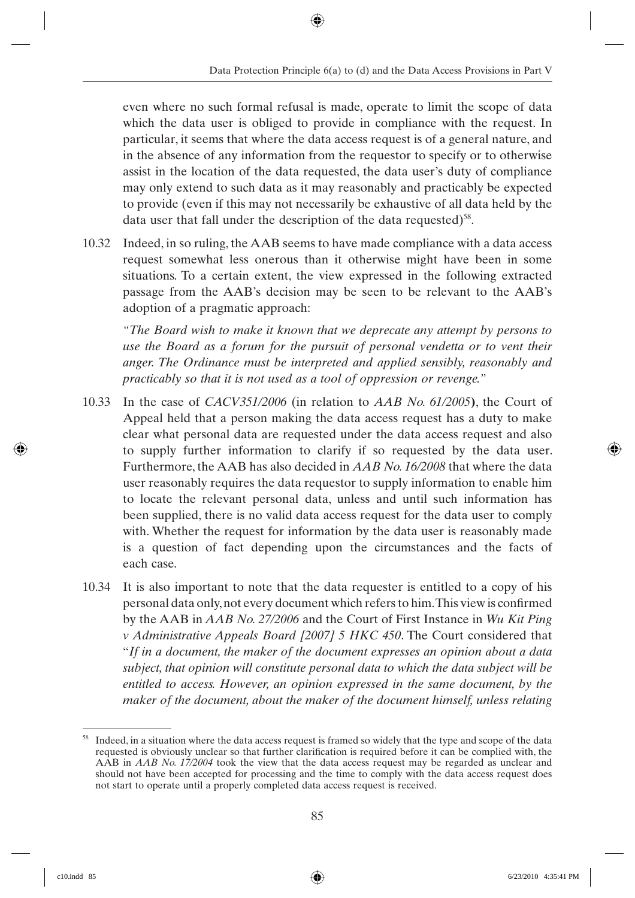even where no such formal refusal is made, operate to limit the scope of data which the data user is obliged to provide in compliance with the request. In particular, it seems that where the data access request is of a general nature, and in the absence of any information from the requestor to specify or to otherwise assist in the location of the data requested, the data user's duty of compliance may only extend to such data as it may reasonably and practicably be expected to provide (even if this may not necessarily be exhaustive of all data held by the data user that fall under the description of the data requested) $58$ .

10.32 Indeed, in so ruling, the AAB seems to have made compliance with a data access request somewhat less onerous than it otherwise might have been in some situations. To a certain extent, the view expressed in the following extracted passage from the AAB's decision may be seen to be relevant to the AAB's adoption of a pragmatic approach:

*"The Board wish to make it known that we deprecate any attempt by persons to use the Board as a forum for the pursuit of personal vendetta or to vent their anger. The Ordinance must be interpreted and applied sensibly, reasonably and practicably so that it is not used as a tool of oppression or revenge."*

- 10.33 In the case of *CACV351/2006* (in relation to *AAB No. 61/2005***)**, the Court of Appeal held that a person making the data access request has a duty to make clear what personal data are requested under the data access request and also to supply further information to clarify if so requested by the data user. Furthermore, the AAB has also decided in *AAB No. 16/2008* that where the data user reasonably requires the data requestor to supply information to enable him to locate the relevant personal data, unless and until such information has been supplied, there is no valid data access request for the data user to comply with. Whether the request for information by the data user is reasonably made is a question of fact depending upon the circumstances and the facts of each case.
- 10.34 It is also important to note that the data requester is entitled to a copy of his personal data only, not every document which refers to him. This view is confirmed by the AAB in *AAB No. 27/2006* and the Court of First Instance in *Wu Kit Ping v Administrative Appeals Board [2007] 5 HKC 450*. The Court considered that "*If in a document, the maker of the document expresses an opinion about a data subject, that opinion will constitute personal data to which the data subject will be entitled to access. However, an opinion expressed in the same document, by the maker of the document, about the maker of the document himself, unless relating*

<sup>&</sup>lt;sup>58</sup> Indeed, in a situation where the data access request is framed so widely that the type and scope of the data requested is obviously unclear so that further clarification is required before it can be complied with, the AAB in *AAB No. 17/2004* took the view that the data access request may be regarded as unclear and should not have been accepted for processing and the time to comply with the data access request does not start to operate until a properly completed data access request is received.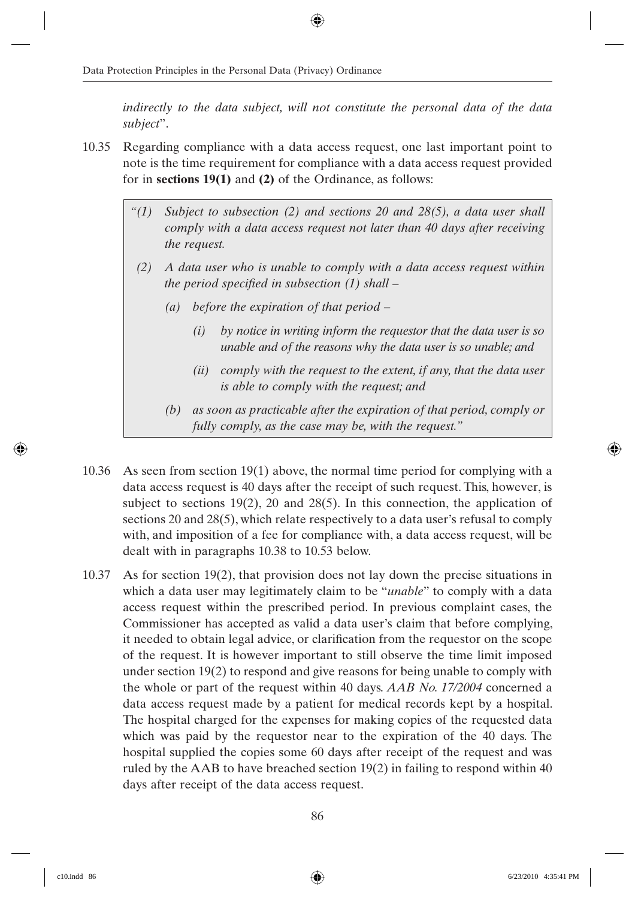*indirectly to the data subject, will not constitute the personal data of the data subject*".

- 10.35 Regarding compliance with a data access request, one last important point to note is the time requirement for compliance with a data access request provided for in **sections 19(1)** and **(2)** of the Ordinance, as follows:
	- *"(1) Subject to subsection (2) and sections 20 and 28(5), a data user shall comply with a data access request not later than 40 days after receiving the request.*
	- *(2) A data user who is unable to comply with a data access request within the period specified in subsection (1) shall –* 
		- *(a) before the expiration of that period –*
			- *(i) by notice in writing inform the requestor that the data user is so unable and of the reasons why the data user is so unable; and*
			- *(ii) comply with the request to the extent, if any, that the data user is able to comply with the request; and*
		- *(b) as soon as practicable after the expiration of that period, comply or fully comply, as the case may be, with the request."*
- 10.36 As seen from section 19(1) above, the normal time period for complying with a data access request is 40 days after the receipt of such request. This, however, is subject to sections 19(2), 20 and 28(5). In this connection, the application of sections 20 and 28(5), which relate respectively to a data user's refusal to comply with, and imposition of a fee for compliance with, a data access request, will be dealt with in paragraphs 10.38 to 10.53 below.
- 10.37 As for section 19(2), that provision does not lay down the precise situations in which a data user may legitimately claim to be "*unable*" to comply with a data access request within the prescribed period. In previous complaint cases, the Commissioner has accepted as valid a data user's claim that before complying, it needed to obtain legal advice, or clarification from the requestor on the scope of the request. It is however important to still observe the time limit imposed under section 19(2) to respond and give reasons for being unable to comply with the whole or part of the request within 40 days. *AAB No. 17/2004* concerned a data access request made by a patient for medical records kept by a hospital. The hospital charged for the expenses for making copies of the requested data which was paid by the requestor near to the expiration of the 40 days. The hospital supplied the copies some 60 days after receipt of the request and was ruled by the AAB to have breached section 19(2) in failing to respond within 40 days after receipt of the data access request.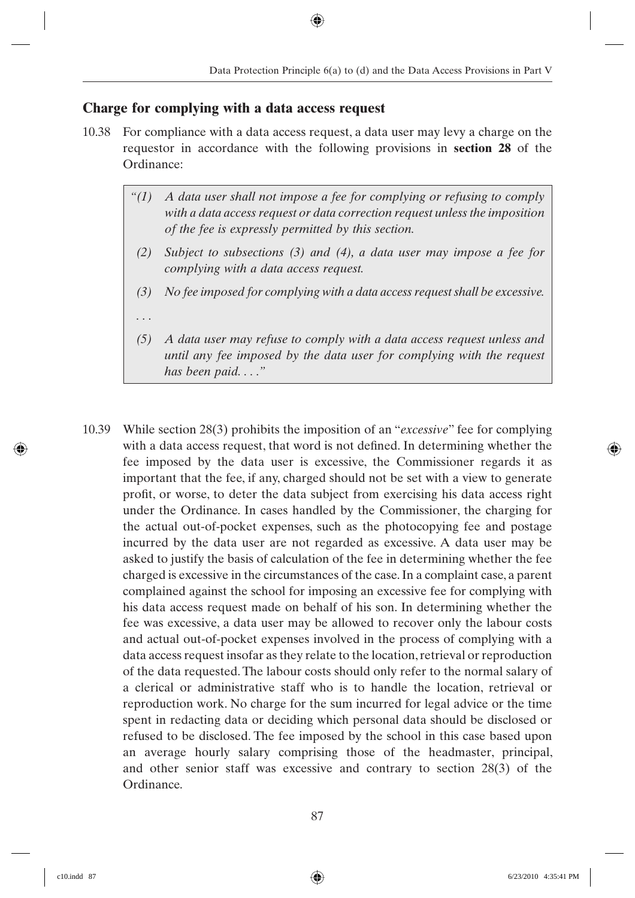#### **Charge for complying with a data access request**

- 10.38 For compliance with a data access request, a data user may levy a charge on the requestor in accordance with the following provisions in **section 28** of the Ordinance:
	- *"(1) A data user shall not impose a fee for complying or refusing to comply with a data access request or data correction request unless the imposition of the fee is expressly permitted by this section.*
	- *(2) Subject to subsections (3) and (4), a data user may impose a fee for complying with a data access request.*
	- *(3) No fee imposed for complying with a data access request shall be excessive.*
	- *. . .*
	- *(5) A data user may refuse to comply with a data access request unless and until any fee imposed by the data user for complying with the request has been paid. . . ."*
- 10.39 While section 28(3) prohibits the imposition of an "*excessive*" fee for complying with a data access request, that word is not defined. In determining whether the fee imposed by the data user is excessive, the Commissioner regards it as important that the fee, if any, charged should not be set with a view to generate profit, or worse, to deter the data subject from exercising his data access right under the Ordinance. In cases handled by the Commissioner, the charging for the actual out-of-pocket expenses, such as the photocopying fee and postage incurred by the data user are not regarded as excessive. A data user may be asked to justify the basis of calculation of the fee in determining whether the fee charged is excessive in the circumstances of the case. In a complaint case, a parent complained against the school for imposing an excessive fee for complying with his data access request made on behalf of his son. In determining whether the fee was excessive, a data user may be allowed to recover only the labour costs and actual out-of-pocket expenses involved in the process of complying with a data access request insofar as they relate to the location, retrieval or reproduction of the data requested. The labour costs should only refer to the normal salary of a clerical or administrative staff who is to handle the location, retrieval or reproduction work. No charge for the sum incurred for legal advice or the time spent in redacting data or deciding which personal data should be disclosed or refused to be disclosed. The fee imposed by the school in this case based upon an average hourly salary comprising those of the headmaster, principal, and other senior staff was excessive and contrary to section 28(3) of the Ordinance.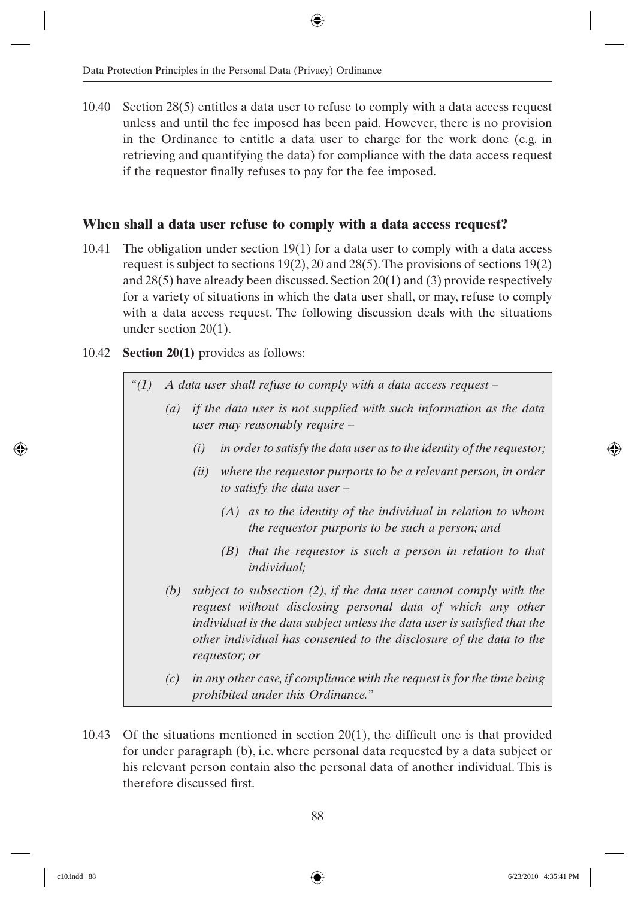10.40 Section 28(5) entitles a data user to refuse to comply with a data access request unless and until the fee imposed has been paid. However, there is no provision in the Ordinance to entitle a data user to charge for the work done (e.g. in retrieving and quantifying the data) for compliance with the data access request if the requestor finally refuses to pay for the fee imposed.

#### **When shall a data user refuse to comply with a data access request?**

- 10.41 The obligation under section 19(1) for a data user to comply with a data access request is subject to sections 19(2), 20 and 28(5). The provisions of sections 19(2) and 28(5) have already been discussed. Section 20(1) and (3) provide respectively for a variety of situations in which the data user shall, or may, refuse to comply with a data access request. The following discussion deals with the situations under section 20(1).
- 10.42 **Section 20(1)** provides as follows:
	- *"(1) A data user shall refuse to comply with a data access request –*
		- *(a) if the data user is not supplied with such information as the data user may reasonably require –*
			- *(i) in order to satisfy the data user as to the identity of the requestor;*
			- *(ii) where the requestor purports to be a relevant person, in order to satisfy the data user –*
				- *(A) as to the identity of the individual in relation to whom the requestor purports to be such a person; and*
				- *(B) that the requestor is such a person in relation to that individual;*
			- *(b) subject to subsection (2), if the data user cannot comply with the request without disclosing personal data of which any other individual is the data subject unless the data user is satisfied that the other individual has consented to the disclosure of the data to the requestor; or*
			- *(c) in any other case, if compliance with the request is for the time being prohibited under this Ordinance."*
- 10.43 Of the situations mentioned in section  $20(1)$ , the difficult one is that provided for under paragraph (b), i.e. where personal data requested by a data subject or his relevant person contain also the personal data of another individual. This is therefore discussed first.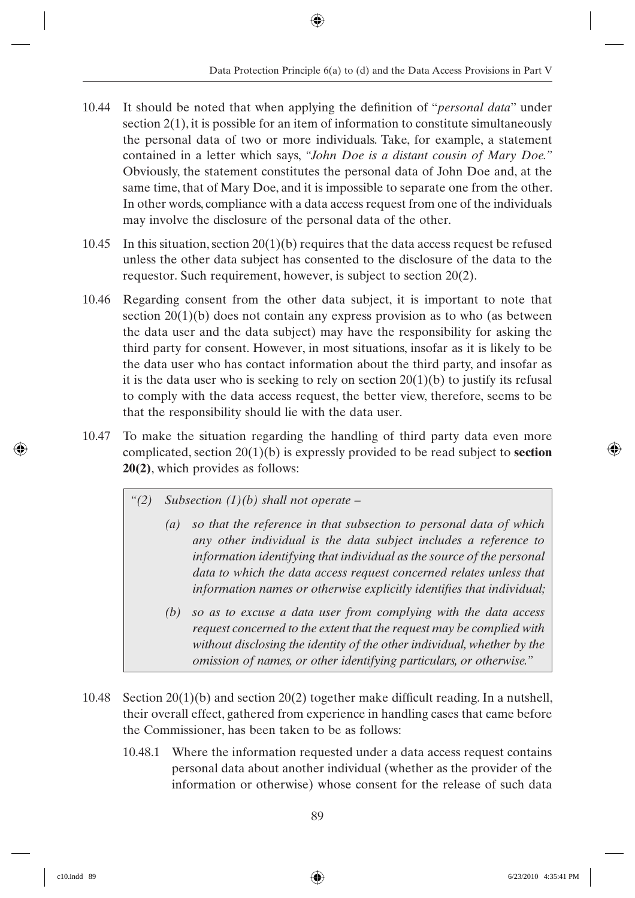- 10.44 It should be noted that when applying the definition of "*personal data*" under section 2(1), it is possible for an item of information to constitute simultaneously the personal data of two or more individuals. Take, for example, a statement contained in a letter which says, *"John Doe is a distant cousin of Mary Doe."* Obviously, the statement constitutes the personal data of John Doe and, at the same time, that of Mary Doe, and it is impossible to separate one from the other. In other words, compliance with a data access request from one of the individuals may involve the disclosure of the personal data of the other.
- 10.45 In this situation, section  $20(1)(b)$  requires that the data access request be refused unless the other data subject has consented to the disclosure of the data to the requestor. Such requirement, however, is subject to section 20(2).
- 10.46 Regarding consent from the other data subject, it is important to note that section 20(1)(b) does not contain any express provision as to who (as between the data user and the data subject) may have the responsibility for asking the third party for consent. However, in most situations, insofar as it is likely to be the data user who has contact information about the third party, and insofar as it is the data user who is seeking to rely on section  $20(1)(b)$  to justify its refusal to comply with the data access request, the better view, therefore, seems to be that the responsibility should lie with the data user.
- 10.47 To make the situation regarding the handling of third party data even more complicated, section 20(1)(b) is expressly provided to be read subject to **section 20(2)**, which provides as follows:
	- *"(2) Subsection (1)(b) shall not operate –*
		- *(a) so that the reference in that subsection to personal data of which any other individual is the data subject includes a reference to information identifying that individual as the source of the personal data to which the data access request concerned relates unless that information names or otherwise explicitly identifies that individual;* 
			- *(b) so as to excuse a data user from complying with the data access request concerned to the extent that the request may be complied with without disclosing the identity of the other individual, whether by the omission of names, or other identifying particulars, or otherwise."*
- 10.48 Section  $20(1)(b)$  and section  $20(2)$  together make difficult reading. In a nutshell, their overall effect, gathered from experience in handling cases that came before the Commissioner, has been taken to be as follows:
	- 10.48.1 Where the information requested under a data access request contains personal data about another individual (whether as the provider of the information or otherwise) whose consent for the release of such data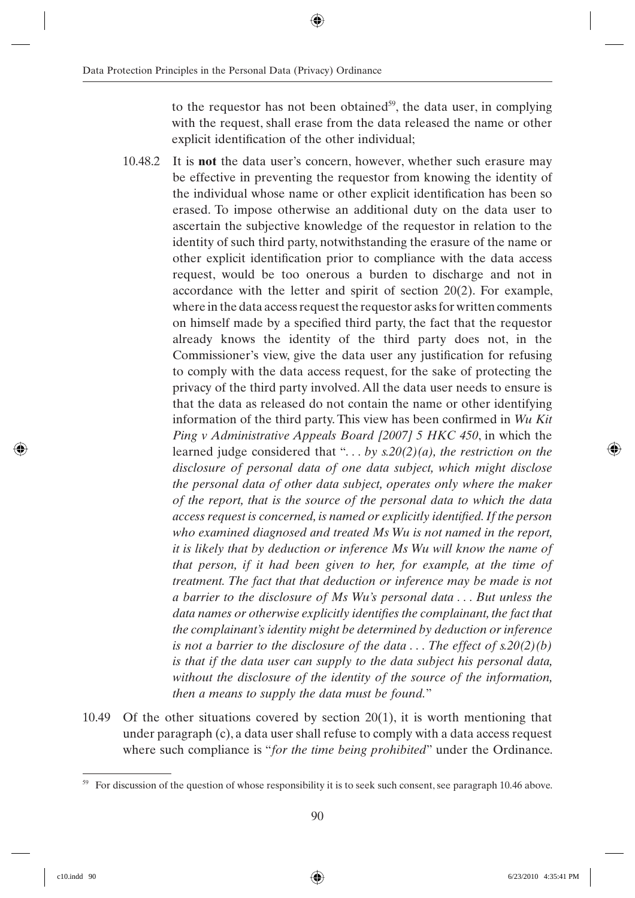to the requestor has not been obtained<sup>59</sup>, the data user, in complying with the request, shall erase from the data released the name or other explicit identification of the other individual;

- 10.48.2 It is **not** the data user's concern, however, whether such erasure may be effective in preventing the requestor from knowing the identity of the individual whose name or other explicit identification has been so erased. To impose otherwise an additional duty on the data user to ascertain the subjective knowledge of the requestor in relation to the identity of such third party, notwithstanding the erasure of the name or other explicit identification prior to compliance with the data access request, would be too onerous a burden to discharge and not in accordance with the letter and spirit of section 20(2). For example, where in the data access request the requestor asks for written comments on himself made by a specified third party, the fact that the requestor already knows the identity of the third party does not, in the Commissioner's view, give the data user any justification for refusing to comply with the data access request, for the sake of protecting the privacy of the third party involved. All the data user needs to ensure is that the data as released do not contain the name or other identifying information of the third party. This view has been confirmed in *Wu Kit Ping v Administrative Appeals Board [2007] 5 HKC 450*, in which the learned judge considered that "*. . . by s.20(2)(a), the restriction on the disclosure of personal data of one data subject, which might disclose the personal data of other data subject, operates only where the maker of the report, that is the source of the personal data to which the data access request is concerned, is named or explicitly identified. If the person who examined diagnosed and treated Ms Wu is not named in the report, it is likely that by deduction or inference Ms Wu will know the name of that person, if it had been given to her, for example, at the time of treatment. The fact that that deduction or inference may be made is not a barrier to the disclosure of Ms Wu's personal data . . . But unless the data names or otherwise explicitly identifies the complainant, the fact that the complainant's identity might be determined by deduction or inference is not a barrier to the disclosure of the data . . . The effect of s.20(2)(b) is that if the data user can supply to the data subject his personal data, without the disclosure of the identity of the source of the information, then a means to supply the data must be found.*"
- 10.49 Of the other situations covered by section 20(1), it is worth mentioning that under paragraph (c), a data user shall refuse to comply with a data access request where such compliance is "*for the time being prohibited*" under the Ordinance.

<sup>59</sup> For discussion of the question of whose responsibility it is to seek such consent, see paragraph 10.46 above.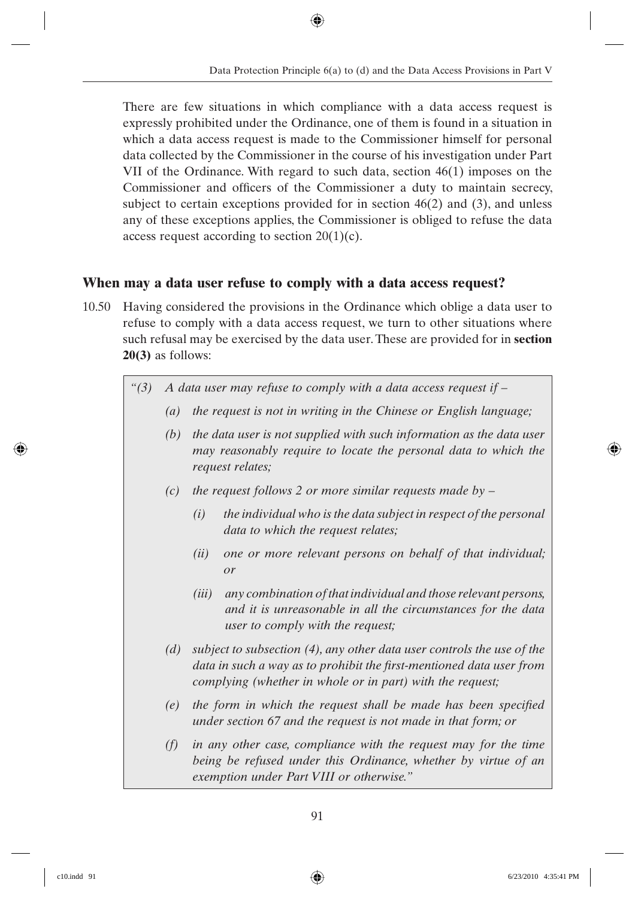There are few situations in which compliance with a data access request is expressly prohibited under the Ordinance, one of them is found in a situation in which a data access request is made to the Commissioner himself for personal data collected by the Commissioner in the course of his investigation under Part VII of the Ordinance. With regard to such data, section 46(1) imposes on the Commissioner and officers of the Commissioner a duty to maintain secrecy, subject to certain exceptions provided for in section 46(2) and (3), and unless any of these exceptions applies, the Commissioner is obliged to refuse the data access request according to section 20(1)(c).

#### **When may a data user refuse to comply with a data access request?**

- 10.50 Having considered the provisions in the Ordinance which oblige a data user to refuse to comply with a data access request, we turn to other situations where such refusal may be exercised by the data user. These are provided for in **section 20(3)** as follows:
	- *"(3) A data user may refuse to comply with a data access request if –*
		- *(a) the request is not in writing in the Chinese or English language;*
		- *(b) the data user is not supplied with such information as the data user may reasonably require to locate the personal data to which the request relates;*
		- *(c) the request follows 2 or more similar requests made by –*
			- *(i) the individual who is the data subject in respect of the personal data to which the request relates;*
			- *(ii) one or more relevant persons on behalf of that individual; or*
			- *(iii) any combination of that individual and those relevant persons, and it is unreasonable in all the circumstances for the data user to comply with the request;*
		- *(d) subject to subsection (4), any other data user controls the use of the*  data in such a way as to prohibit the first-mentioned data user from *complying (whether in whole or in part) with the request;*
		- *(e)* the form in which the request shall be made has been specified *under section 67 and the request is not made in that form; or*
		- *(f) in any other case, compliance with the request may for the time being be refused under this Ordinance, whether by virtue of an exemption under Part VIII or otherwise."*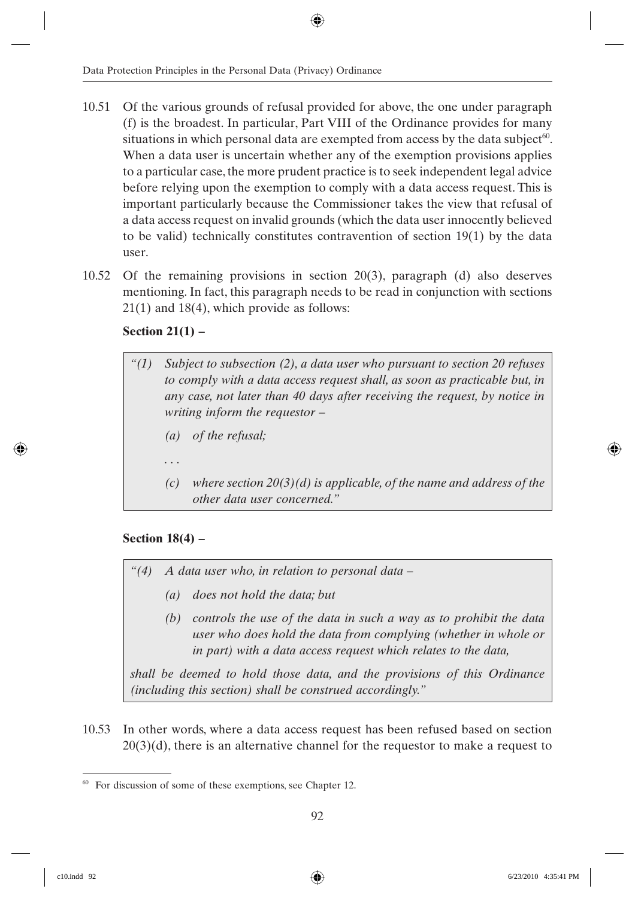- 10.51 Of the various grounds of refusal provided for above, the one under paragraph (f) is the broadest. In particular, Part VIII of the Ordinance provides for many situations in which personal data are exempted from access by the data subject<sup>60</sup>. When a data user is uncertain whether any of the exemption provisions applies to a particular case, the more prudent practice is to seek independent legal advice before relying upon the exemption to comply with a data access request. This is important particularly because the Commissioner takes the view that refusal of a data access request on invalid grounds (which the data user innocently believed to be valid) technically constitutes contravention of section 19(1) by the data user.
- 10.52 Of the remaining provisions in section 20(3), paragraph (d) also deserves mentioning. In fact, this paragraph needs to be read in conjunction with sections 21(1) and 18(4), which provide as follows:

#### **Section 21(1) –**

- *"(1) Subject to subsection (2), a data user who pursuant to section 20 refuses to comply with a data access request shall, as soon as practicable but, in any case, not later than 40 days after receiving the request, by notice in writing inform the requestor – (a) of the refusal; . . .*
	- *(c) where section 20(3)(d) is applicable, of the name and address of the other data user concerned."*

#### **Section 18(4) –**

- *"(4) A data user who, in relation to personal data –*
	- *(a) does not hold the data; but*
	- *(b) controls the use of the data in such a way as to prohibit the data user who does hold the data from complying (whether in whole or in part) with a data access request which relates to the data,*

*shall be deemed to hold those data, and the provisions of this Ordinance (including this section) shall be construed accordingly."*

10.53 In other words, where a data access request has been refused based on section  $20(3)(d)$ , there is an alternative channel for the requestor to make a request to

<sup>&</sup>lt;sup>60</sup> For discussion of some of these exemptions, see Chapter 12.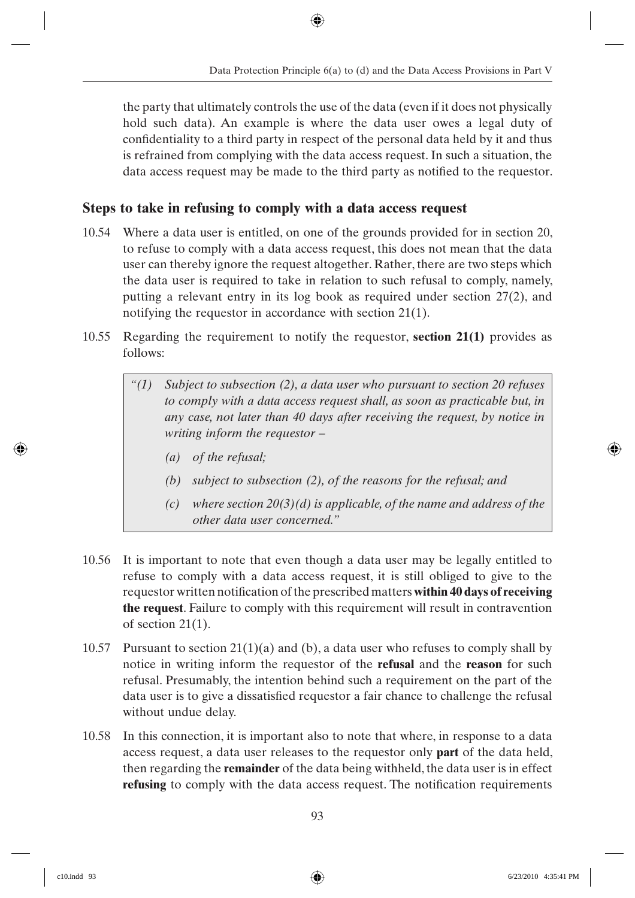the party that ultimately controls the use of the data (even if it does not physically hold such data). An example is where the data user owes a legal duty of confidentiality to a third party in respect of the personal data held by it and thus is refrained from complying with the data access request. In such a situation, the data access request may be made to the third party as notified to the requestor.

### **Steps to take in refusing to comply with a data access request**

- 10.54 Where a data user is entitled, on one of the grounds provided for in section 20, to refuse to comply with a data access request, this does not mean that the data user can thereby ignore the request altogether. Rather, there are two steps which the data user is required to take in relation to such refusal to comply, namely, putting a relevant entry in its log book as required under section 27(2), and notifying the requestor in accordance with section 21(1).
- 10.55 Regarding the requirement to notify the requestor, **section 21(1)** provides as follows:
	- *"(1) Subject to subsection (2), a data user who pursuant to section 20 refuses to comply with a data access request shall, as soon as practicable but, in any case, not later than 40 days after receiving the request, by notice in writing inform the requestor –*
		- *(a) of the refusal;*
		- *(b) subject to subsection (2), of the reasons for the refusal; and*
		- *(c) where section 20(3)(d) is applicable, of the name and address of the other data user concerned."*
- 10.56 It is important to note that even though a data user may be legally entitled to refuse to comply with a data access request, it is still obliged to give to the requestor written notification of the prescribed matters **within 40 days of receiving the request**. Failure to comply with this requirement will result in contravention of section 21(1).
- 10.57 Pursuant to section  $21(1)(a)$  and (b), a data user who refuses to comply shall by notice in writing inform the requestor of the **refusal** and the **reason** for such refusal. Presumably, the intention behind such a requirement on the part of the data user is to give a dissatisfied requestor a fair chance to challenge the refusal without undue delay.
- 10.58 In this connection, it is important also to note that where, in response to a data access request, a data user releases to the requestor only **part** of the data held, then regarding the **remainder** of the data being withheld, the data user is in effect **refusing** to comply with the data access request. The notification requirements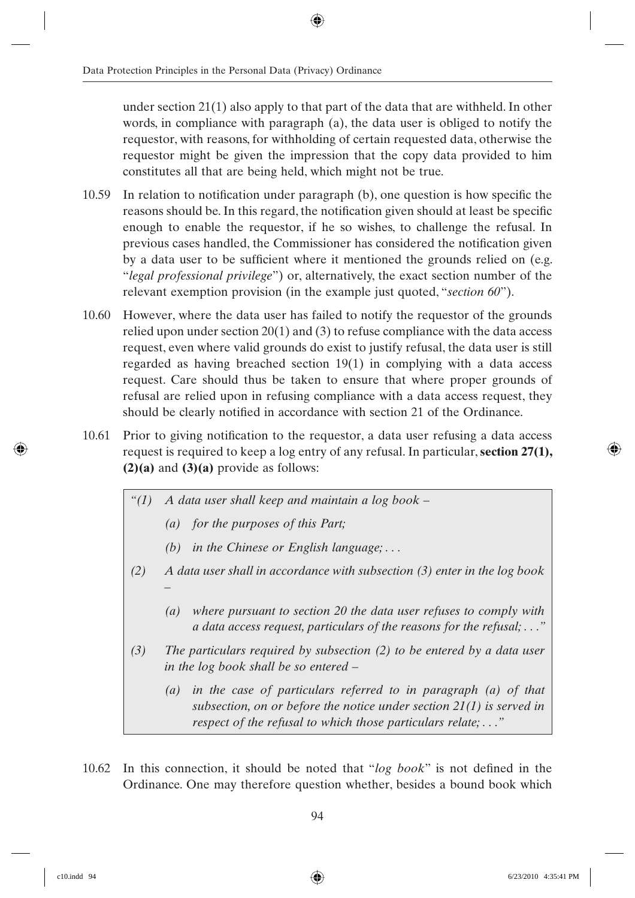under section  $21(1)$  also apply to that part of the data that are withheld. In other words, in compliance with paragraph (a), the data user is obliged to notify the requestor, with reasons, for withholding of certain requested data, otherwise the requestor might be given the impression that the copy data provided to him constitutes all that are being held, which might not be true.

- $10.59$  In relation to notification under paragraph (b), one question is how specific the reasons should be. In this regard, the notification given should at least be specific enough to enable the requestor, if he so wishes, to challenge the refusal. In previous cases handled, the Commissioner has considered the notification given by a data user to be sufficient where it mentioned the grounds relied on (e.g. "*legal professional privilege*") or, alternatively, the exact section number of the relevant exemption provision (in the example just quoted, "*section 60*").
- 10.60 However, where the data user has failed to notify the requestor of the grounds relied upon under section 20(1) and (3) to refuse compliance with the data access request, even where valid grounds do exist to justify refusal, the data user is still regarded as having breached section 19(1) in complying with a data access request. Care should thus be taken to ensure that where proper grounds of refusal are relied upon in refusing compliance with a data access request, they should be clearly notified in accordance with section 21 of the Ordinance.
- 10.61 Prior to giving notification to the requestor, a data user refusing a data access request is required to keep a log entry of any refusal. In particular, **section 27(1), (2)(a)** and **(3)(a)** provide as follows:
	- *"(1) A data user shall keep and maintain a log book –*
		- *(a) for the purposes of this Part;*
		- *(b) in the Chinese or English language; . . .*
	- *(2) A data user shall in accordance with subsection (3) enter in the log book –*
		- *(a) where pursuant to section 20 the data user refuses to comply with a data access request, particulars of the reasons for the refusal; . . ."*
	- *(3) The particulars required by subsection (2) to be entered by a data user in the log book shall be so entered –*
		- *(a) in the case of particulars referred to in paragraph (a) of that subsection, on or before the notice under section 21(1) is served in respect of the refusal to which those particulars relate; . . ."*
- 10.62 In this connection, it should be noted that "log book" is not defined in the Ordinance. One may therefore question whether, besides a bound book which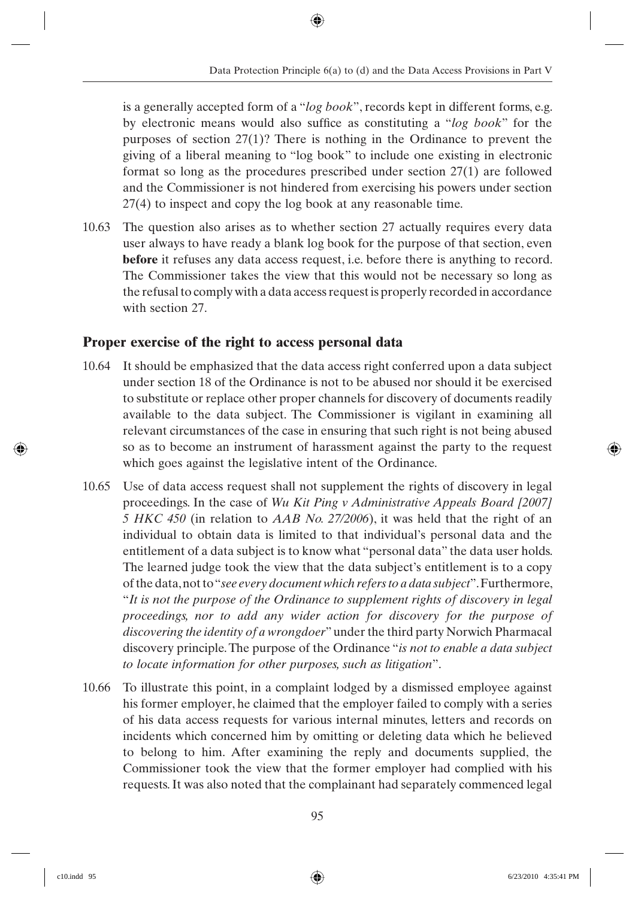is a generally accepted form of a "*log book*", records kept in different forms, e.g. by electronic means would also suffice as constituting a "*log book*" for the purposes of section 27(1)? There is nothing in the Ordinance to prevent the giving of a liberal meaning to "log book" to include one existing in electronic format so long as the procedures prescribed under section 27(1) are followed and the Commissioner is not hindered from exercising his powers under section 27(4) to inspect and copy the log book at any reasonable time.

10.63 The question also arises as to whether section 27 actually requires every data user always to have ready a blank log book for the purpose of that section, even **before** it refuses any data access request, i.e. before there is anything to record. The Commissioner takes the view that this would not be necessary so long as the refusal to comply with a data access request is properly recorded in accordance with section 27.

#### **Proper exercise of the right to access personal data**

- 10.64 It should be emphasized that the data access right conferred upon a data subject under section 18 of the Ordinance is not to be abused nor should it be exercised to substitute or replace other proper channels for discovery of documents readily available to the data subject. The Commissioner is vigilant in examining all relevant circumstances of the case in ensuring that such right is not being abused so as to become an instrument of harassment against the party to the request which goes against the legislative intent of the Ordinance.
- 10.65 Use of data access request shall not supplement the rights of discovery in legal proceedings. In the case of *Wu Kit Ping v Administrative Appeals Board [2007] 5 HKC 450* (in relation to *AAB No. 27/2006*), it was held that the right of an individual to obtain data is limited to that individual's personal data and the entitlement of a data subject is to know what "personal data" the data user holds. The learned judge took the view that the data subject's entitlement is to a copy of the data, not to "*see every document which refers to a data subject*". Furthermore, "*It is not the purpose of the Ordinance to supplement rights of discovery in legal proceedings, nor to add any wider action for discovery for the purpose of discovering the identity of a wrongdoer*" under the third party Norwich Pharmacal discovery principle. The purpose of the Ordinance "*is not to enable a data subject to locate information for other purposes, such as litigation*".
- 10.66 To illustrate this point, in a complaint lodged by a dismissed employee against his former employer, he claimed that the employer failed to comply with a series of his data access requests for various internal minutes, letters and records on incidents which concerned him by omitting or deleting data which he believed to belong to him. After examining the reply and documents supplied, the Commissioner took the view that the former employer had complied with his requests. It was also noted that the complainant had separately commenced legal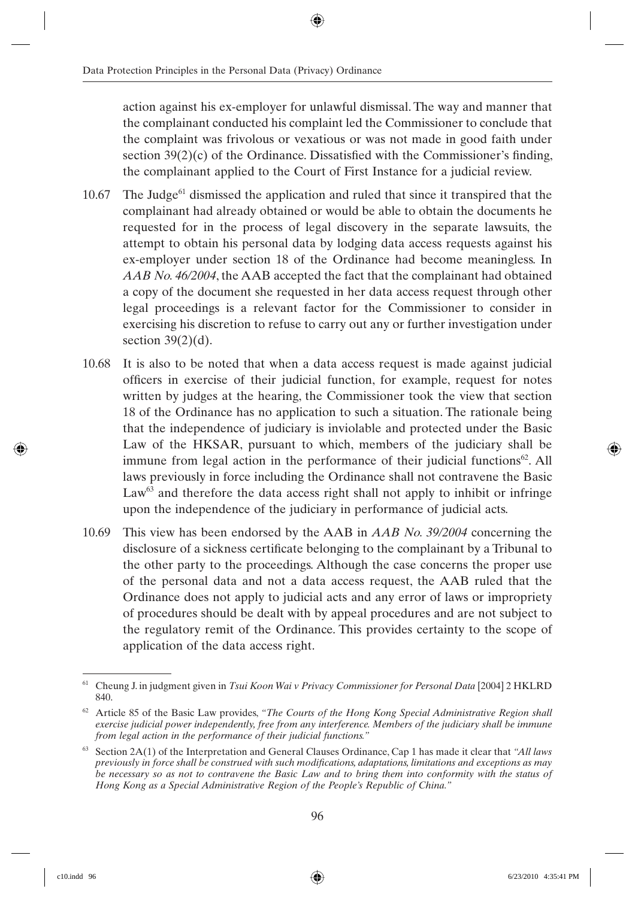action against his ex-employer for unlawful dismissal. The way and manner that the complainant conducted his complaint led the Commissioner to conclude that the complaint was frivolous or vexatious or was not made in good faith under section  $39(2)(c)$  of the Ordinance. Dissatisfied with the Commissioner's finding, the complainant applied to the Court of First Instance for a judicial review.

- 10.67 The Judge<sup>61</sup> dismissed the application and ruled that since it transpired that the complainant had already obtained or would be able to obtain the documents he requested for in the process of legal discovery in the separate lawsuits, the attempt to obtain his personal data by lodging data access requests against his ex-employer under section 18 of the Ordinance had become meaningless. In *AAB No. 46/2004*, the AAB accepted the fact that the complainant had obtained a copy of the document she requested in her data access request through other legal proceedings is a relevant factor for the Commissioner to consider in exercising his discretion to refuse to carry out any or further investigation under section  $39(2)(d)$ .
- 10.68 It is also to be noted that when a data access request is made against judicial officers in exercise of their judicial function, for example, request for notes written by judges at the hearing, the Commissioner took the view that section 18 of the Ordinance has no application to such a situation. The rationale being that the independence of judiciary is inviolable and protected under the Basic Law of the HKSAR, pursuant to which, members of the judiciary shall be immune from legal action in the performance of their judicial functions<sup>62</sup>. All laws previously in force including the Ordinance shall not contravene the Basic  $Law<sup>63</sup>$  and therefore the data access right shall not apply to inhibit or infringe upon the independence of the judiciary in performance of judicial acts.
- 10.69 This view has been endorsed by the AAB in *AAB No. 39/2004* concerning the disclosure of a sickness certificate belonging to the complainant by a Tribunal to the other party to the proceedings. Although the case concerns the proper use of the personal data and not a data access request, the AAB ruled that the Ordinance does not apply to judicial acts and any error of laws or impropriety of procedures should be dealt with by appeal procedures and are not subject to the regulatory remit of the Ordinance. This provides certainty to the scope of application of the data access right.

<sup>61</sup> Cheung J. in judgment given in *Tsui Koon Wai v Privacy Commissioner for Personal Data* [2004] 2 HKLRD 840.

<sup>&</sup>lt;sup>62</sup> Article 85 of the Basic Law provides, "The Courts of the Hong Kong Special Administrative Region shall *exercise judicial power independently, free from any interference. Members of the judiciary shall be immune from legal action in the performance of their judicial functions."*

<sup>63</sup> Section 2A(1) of the Interpretation and General Clauses Ordinance, Cap 1 has made it clear that *"All laws previously in force shall be construed with such modifi cations, adaptations, limitations and exceptions as may be necessary so as not to contravene the Basic Law and to bring them into conformity with the status of Hong Kong as a Special Administrative Region of the People's Republic of China."*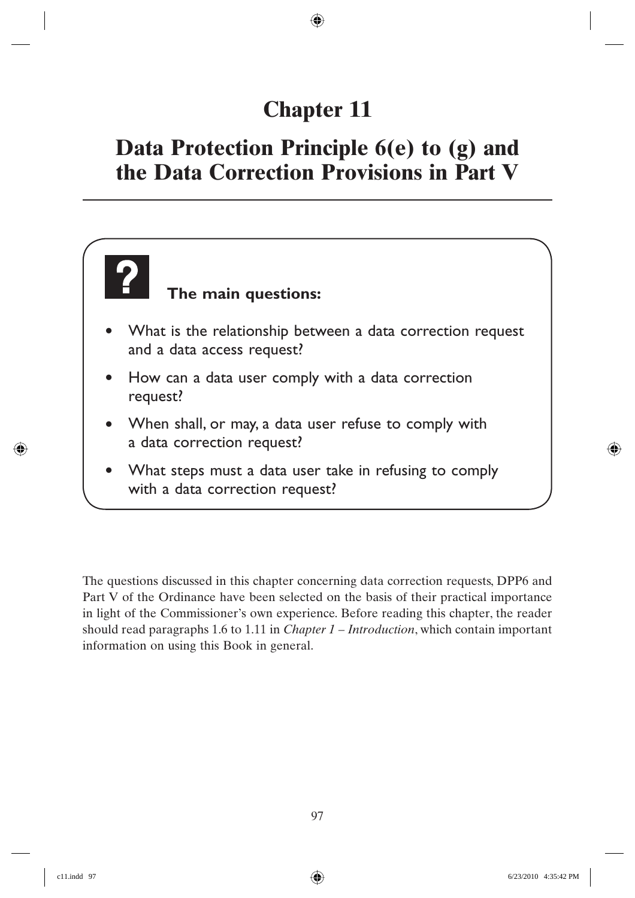# **Chapter 11**

### **Data Protection Principle 6(e) to (g) and the Data Correction Provisions in Part V**

### **The main questions:**

- What is the relationship between a data correction request and a data access request?
- How can a data user comply with a data correction request?
- When shall, or may, a data user refuse to comply with a data correction request?
- What steps must a data user take in refusing to comply with a data correction request?

The questions discussed in this chapter concerning data correction requests, DPP6 and Part V of the Ordinance have been selected on the basis of their practical importance in light of the Commissioner's own experience. Before reading this chapter, the reader should read paragraphs 1.6 to 1.11 in *Chapter 1 – Introduction*, which contain important information on using this Book in general.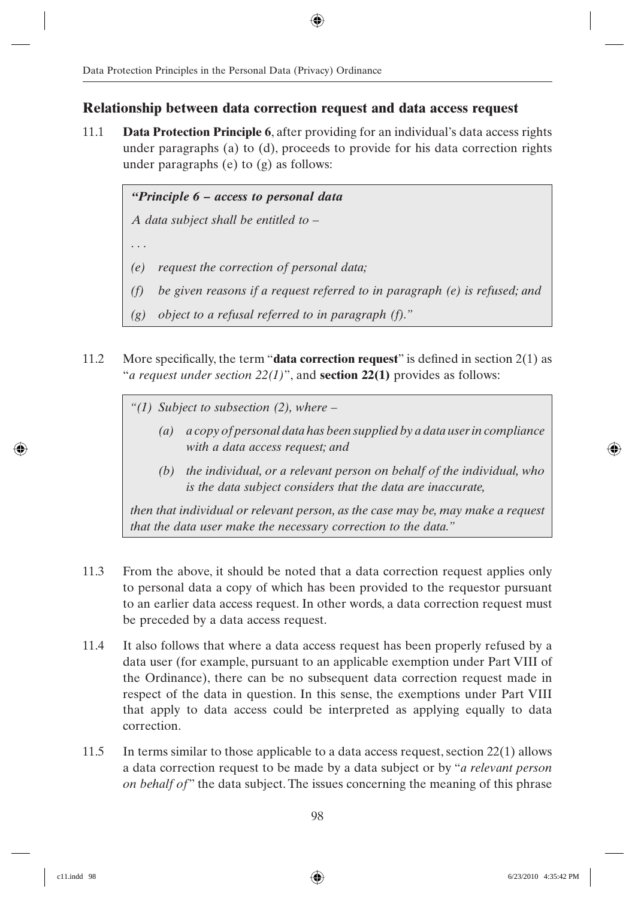#### **Relationship between data correction request and data access request**

11.1 **Data Protection Principle 6**, after providing for an individual's data access rights under paragraphs (a) to (d), proceeds to provide for his data correction rights under paragraphs (e) to (g) as follows:

#### *"Principle 6 – access to personal data*

*A data subject shall be entitled to –*

*. . .*

- *(e) request the correction of personal data;*
- *(f) be given reasons if a request referred to in paragraph (e) is refused; and*
- *(g) object to a refusal referred to in paragraph (f)."*
- 11.2 More specifically, the term "**data correction request**" is defined in section  $2(1)$  as "*a request under section 22(1)*", and **section 22(1)** provides as follows:

*"(1) Subject to subsection (2), where –*

- *(a) a copy of personal data has been supplied by a data user in compliance with a data access request; and*
- *(b) the individual, or a relevant person on behalf of the individual, who is the data subject considers that the data are inaccurate,*

*then that individual or relevant person, as the case may be, may make a request that the data user make the necessary correction to the data."*

- 11.3 From the above, it should be noted that a data correction request applies only to personal data a copy of which has been provided to the requestor pursuant to an earlier data access request. In other words, a data correction request must be preceded by a data access request.
- 11.4 It also follows that where a data access request has been properly refused by a data user (for example, pursuant to an applicable exemption under Part VIII of the Ordinance), there can be no subsequent data correction request made in respect of the data in question. In this sense, the exemptions under Part VIII that apply to data access could be interpreted as applying equally to data correction.
- 11.5 In terms similar to those applicable to a data access request, section 22(1) allows a data correction request to be made by a data subject or by "*a relevant person on behalf of*" the data subject. The issues concerning the meaning of this phrase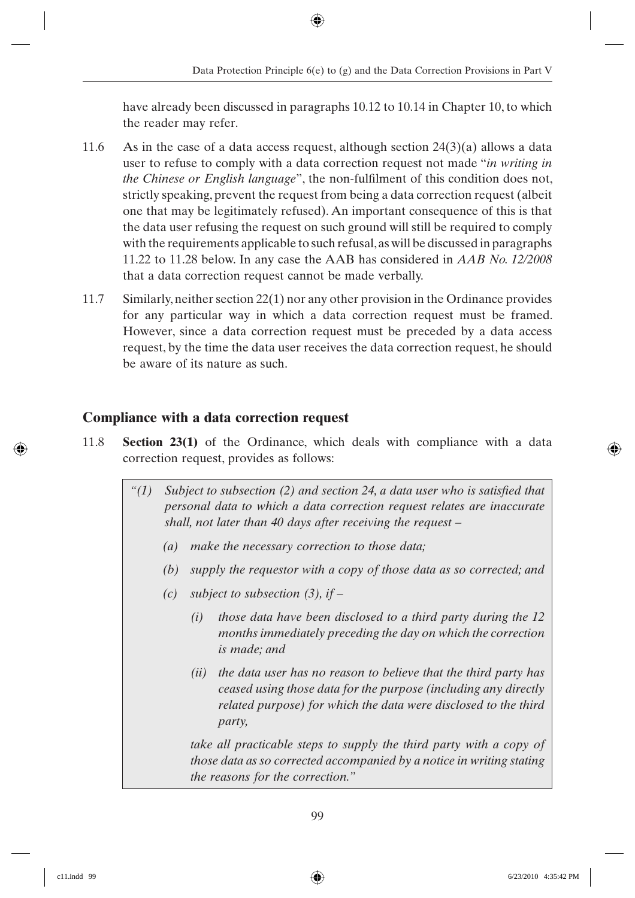have already been discussed in paragraphs 10.12 to 10.14 in Chapter 10, to which the reader may refer.

- 11.6 As in the case of a data access request, although section  $24(3)(a)$  allows a data user to refuse to comply with a data correction request not made "*in writing in the Chinese or English language*", the non-fulfilment of this condition does not, strictly speaking, prevent the request from being a data correction request (albeit one that may be legitimately refused). An important consequence of this is that the data user refusing the request on such ground will still be required to comply with the requirements applicable to such refusal, as will be discussed in paragraphs 11.22 to 11.28 below. In any case the AAB has considered in *AAB No. 12/2008* that a data correction request cannot be made verbally.
- 11.7 Similarly, neither section 22(1) nor any other provision in the Ordinance provides for any particular way in which a data correction request must be framed. However, since a data correction request must be preceded by a data access request, by the time the data user receives the data correction request, he should be aware of its nature as such.

## **Compliance with a data correction request**

- 11.8 **Section 23(1)** of the Ordinance, which deals with compliance with a data correction request, provides as follows:
	- $f'(1)$  *Subject to subsection (2) and section 24, a data user who is satisfied that personal data to which a data correction request relates are inaccurate shall, not later than 40 days after receiving the request –*
		- *(a) make the necessary correction to those data;*
		- *(b) supply the requestor with a copy of those data as so corrected; and*
		- *(c) subject to subsection (3), if –*
			- *(i) those data have been disclosed to a third party during the 12 months immediately preceding the day on which the correction is made; and*
			- *(ii) the data user has no reason to believe that the third party has ceased using those data for the purpose (including any directly related purpose) for which the data were disclosed to the third party,*

*take all practicable steps to supply the third party with a copy of those data as so corrected accompanied by a notice in writing stating the reasons for the correction."*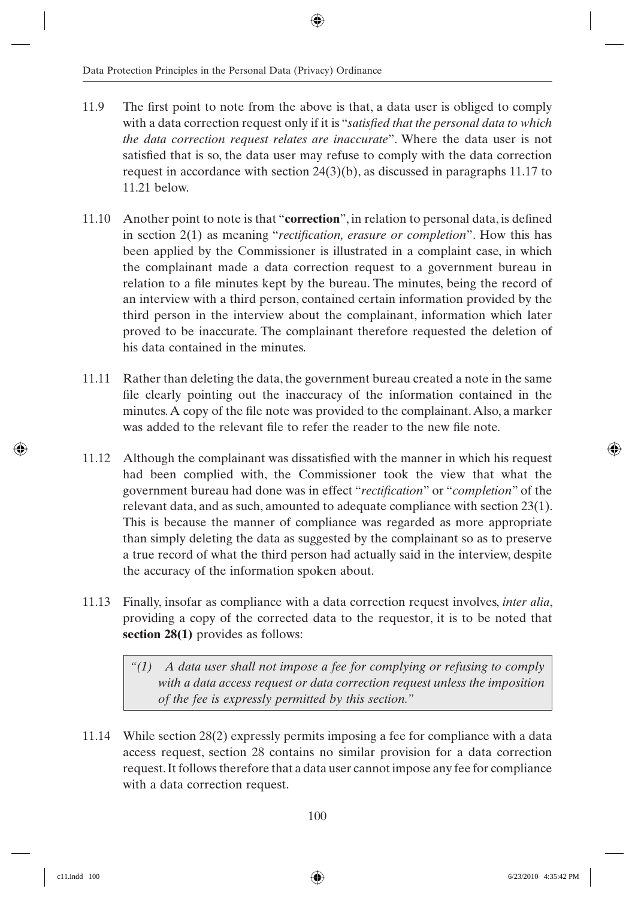- 11.9 The first point to note from the above is that, a data user is obliged to comply with a data correction request only if it is "*satisfied that the personal data to which the data correction request relates are inaccurate*". Where the data user is not satisfied that is so, the data user may refuse to comply with the data correction request in accordance with section 24(3)(b), as discussed in paragraphs 11.17 to 11.21 below.
- 11.10 Another point to note is that "**correction**", in relation to personal data, is defined in section 2(1) as meaning "*rectification, erasure or completion*". How this has been applied by the Commissioner is illustrated in a complaint case, in which the complainant made a data correction request to a government bureau in relation to a file minutes kept by the bureau. The minutes, being the record of an interview with a third person, contained certain information provided by the third person in the interview about the complainant, information which later proved to be inaccurate. The complainant therefore requested the deletion of his data contained in the minutes.
- 11.11 Rather than deleting the data, the government bureau created a note in the same file clearly pointing out the inaccuracy of the information contained in the minutes. A copy of the file note was provided to the complainant. Also, a marker was added to the relevant file to refer the reader to the new file note.
- 11.12 Although the complainant was dissatisfied with the manner in which his request had been complied with, the Commissioner took the view that what the government bureau had done was in effect "*rectifi cation*" or "*completion*" of the relevant data, and as such, amounted to adequate compliance with section 23(1). This is because the manner of compliance was regarded as more appropriate than simply deleting the data as suggested by the complainant so as to preserve a true record of what the third person had actually said in the interview, despite the accuracy of the information spoken about.
- 11.13 Finally, insofar as compliance with a data correction request involves, *inter alia*, providing a copy of the corrected data to the requestor, it is to be noted that **section 28(1)** provides as follows:

*"(1) A data user shall not impose a fee for complying or refusing to comply with a data access request or data correction request unless the imposition of the fee is expressly permitted by this section."*

11.14 While section 28(2) expressly permits imposing a fee for compliance with a data access request, section 28 contains no similar provision for a data correction request. It follows therefore that a data user cannot impose any fee for compliance with a data correction request.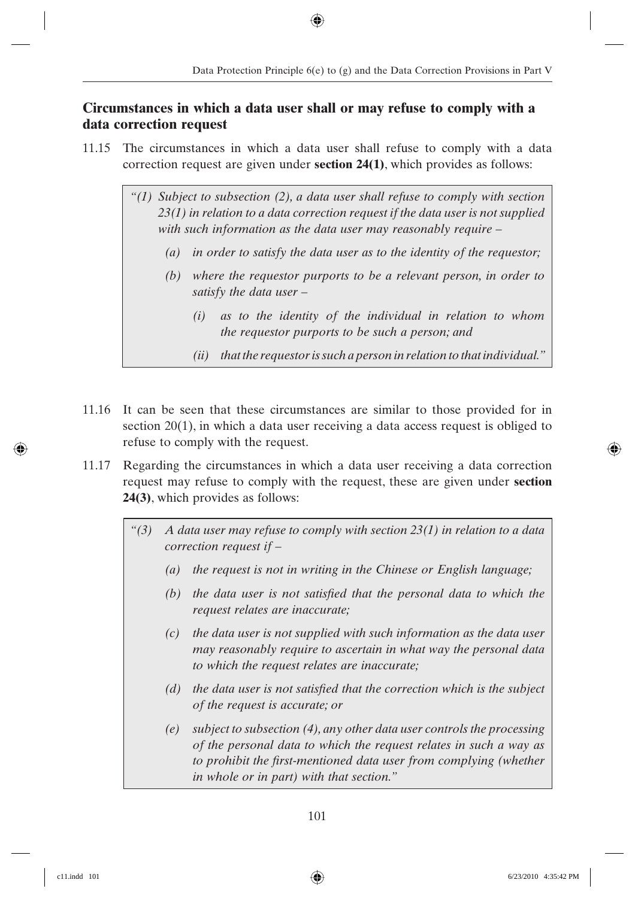## **Circumstances in which a data user shall or may refuse to comply with a data correction request**

- 11.15 The circumstances in which a data user shall refuse to comply with a data correction request are given under **section 24(1)**, which provides as follows:
	- *"(1) Subject to subsection (2), a data user shall refuse to comply with section 23(1) in relation to a data correction request if the data user is not supplied with such information as the data user may reasonably require –*
		- *(a) in order to satisfy the data user as to the identity of the requestor;*
		- *(b) where the requestor purports to be a relevant person, in order to satisfy the data user –*
			- *(i) as to the identity of the individual in relation to whom the requestor purports to be such a person; and*
			- *(ii) that the requestor is such a person in relation to that individual."*
- 11.16 It can be seen that these circumstances are similar to those provided for in section 20(1), in which a data user receiving a data access request is obliged to refuse to comply with the request.
- 11.17 Regarding the circumstances in which a data user receiving a data correction request may refuse to comply with the request, these are given under **section 24(3)**, which provides as follows:
	- *"(3) A data user may refuse to comply with section 23(1) in relation to a data correction request if –*
		- *(a) the request is not in writing in the Chinese or English language;*
		- (b) the data user is not satisfied that the personal data to which the *request relates are inaccurate;*
		- *(c) the data user is not supplied with such information as the data user may reasonably require to ascertain in what way the personal data to which the request relates are inaccurate;*
		- *(d)* the data user is not satisfied that the correction which is the subject *of the request is accurate; or*
		- *(e) subject to subsection (4), any other data user controls the processing of the personal data to which the request relates in such a way as*  to prohibit the first-mentioned data user from complying (whether *in whole or in part) with that section."*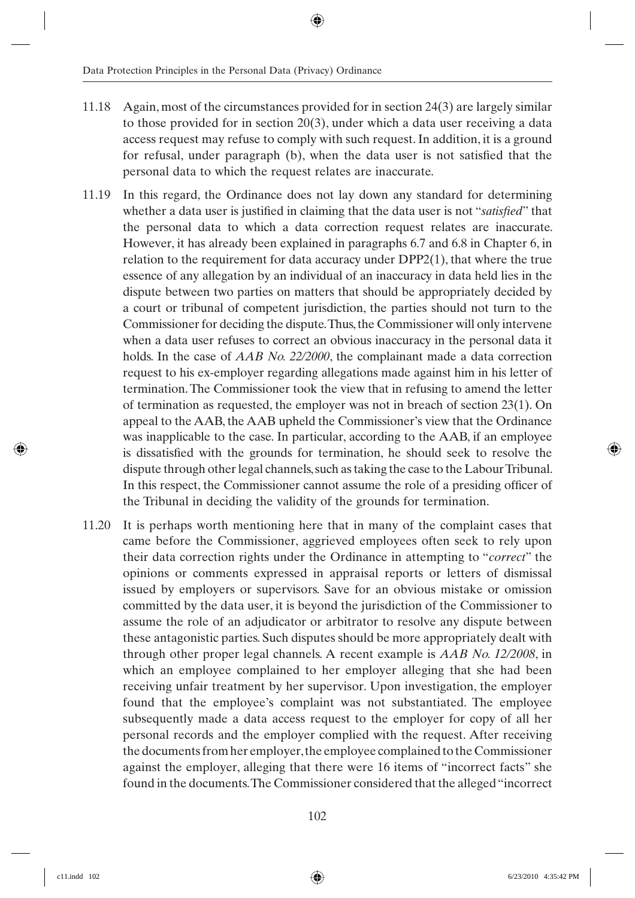- 11.18 Again, most of the circumstances provided for in section 24(3) are largely similar to those provided for in section 20(3), under which a data user receiving a data access request may refuse to comply with such request. In addition, it is a ground for refusal, under paragraph (b), when the data user is not satisfied that the personal data to which the request relates are inaccurate.
- 11.19 In this regard, the Ordinance does not lay down any standard for determining whether a data user is justified in claiming that the data user is not "*satisfied*" that the personal data to which a data correction request relates are inaccurate. However, it has already been explained in paragraphs 6.7 and 6.8 in Chapter 6, in relation to the requirement for data accuracy under DPP2(1), that where the true essence of any allegation by an individual of an inaccuracy in data held lies in the dispute between two parties on matters that should be appropriately decided by a court or tribunal of competent jurisdiction, the parties should not turn to the Commissioner for deciding the dispute. Thus, the Commissioner will only intervene when a data user refuses to correct an obvious inaccuracy in the personal data it holds. In the case of *AAB No. 22/2000*, the complainant made a data correction request to his ex-employer regarding allegations made against him in his letter of termination. The Commissioner took the view that in refusing to amend the letter of termination as requested, the employer was not in breach of section 23(1). On appeal to the AAB, the AAB upheld the Commissioner's view that the Ordinance was inapplicable to the case. In particular, according to the AAB, if an employee is dissatisfied with the grounds for termination, he should seek to resolve the dispute through other legal channels, such as taking the case to the Labour Tribunal. In this respect, the Commissioner cannot assume the role of a presiding officer of the Tribunal in deciding the validity of the grounds for termination.
- 11.20 It is perhaps worth mentioning here that in many of the complaint cases that came before the Commissioner, aggrieved employees often seek to rely upon their data correction rights under the Ordinance in attempting to "*correct*" the opinions or comments expressed in appraisal reports or letters of dismissal issued by employers or supervisors. Save for an obvious mistake or omission committed by the data user, it is beyond the jurisdiction of the Commissioner to assume the role of an adjudicator or arbitrator to resolve any dispute between these antagonistic parties. Such disputes should be more appropriately dealt with through other proper legal channels. A recent example is *AAB No. 12/2008*, in which an employee complained to her employer alleging that she had been receiving unfair treatment by her supervisor. Upon investigation, the employer found that the employee's complaint was not substantiated. The employee subsequently made a data access request to the employer for copy of all her personal records and the employer complied with the request. After receiving the documents from her employer, the employee complained to the Commissioner against the employer, alleging that there were 16 items of "incorrect facts" she found in the documents. The Commissioner considered that the alleged "incorrect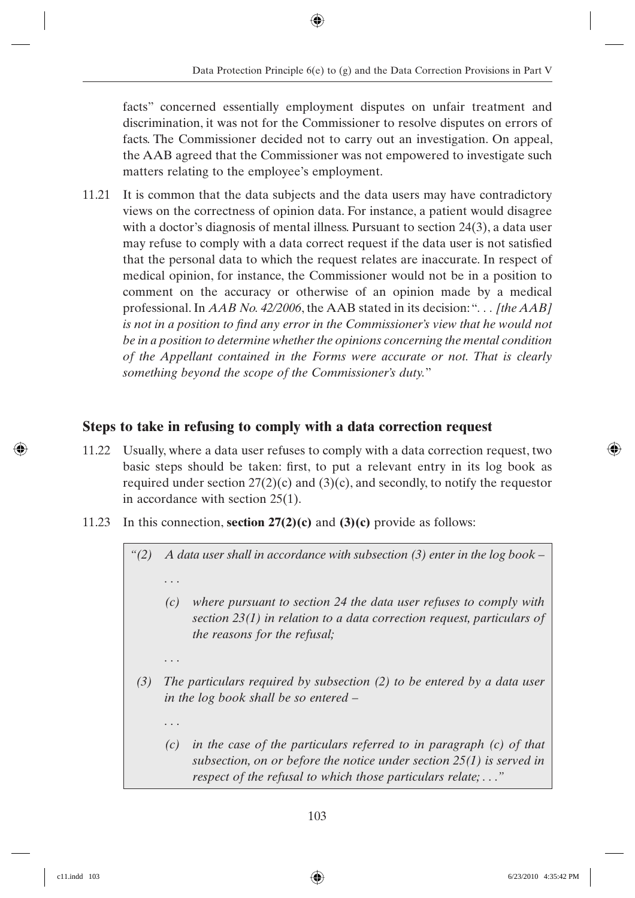facts" concerned essentially employment disputes on unfair treatment and discrimination, it was not for the Commissioner to resolve disputes on errors of facts. The Commissioner decided not to carry out an investigation. On appeal, the AAB agreed that the Commissioner was not empowered to investigate such matters relating to the employee's employment.

11.21 It is common that the data subjects and the data users may have contradictory views on the correctness of opinion data. For instance, a patient would disagree with a doctor's diagnosis of mental illness. Pursuant to section 24(3), a data user may refuse to comply with a data correct request if the data user is not satisfied that the personal data to which the request relates are inaccurate. In respect of medical opinion, for instance, the Commissioner would not be in a position to comment on the accuracy or otherwise of an opinion made by a medical professional. In *AAB No. 42/2006*, the AAB stated in its decision: "*. . . [the AAB] is not in a position to find any error in the Commissioner's view that he would not be in a position to determine whether the opinions concerning the mental condition of the Appellant contained in the Forms were accurate or not. That is clearly something beyond the scope of the Commissioner's duty.*"

## **Steps to take in refusing to comply with a data correction request**

- 11.22 Usually, where a data user refuses to comply with a data correction request, two basic steps should be taken: first, to put a relevant entry in its log book as required under section  $27(2)(c)$  and  $(3)(c)$ , and secondly, to notify the requestor in accordance with section 25(1).
- 11.23 In this connection, **section 27(2)(c)** and **(3)(c)** provide as follows:

*. . .*

*. . .*

*"(2) A data user shall in accordance with subsection (3) enter in the log book – . . .*

- *(c) where pursuant to section 24 the data user refuses to comply with section 23(1) in relation to a data correction request, particulars of the reasons for the refusal;*
- *(3) The particulars required by subsection (2) to be entered by a data user in the log book shall be so entered –*
	- *(c) in the case of the particulars referred to in paragraph (c) of that subsection, on or before the notice under section 25(1) is served in respect of the refusal to which those particulars relate; . . ."*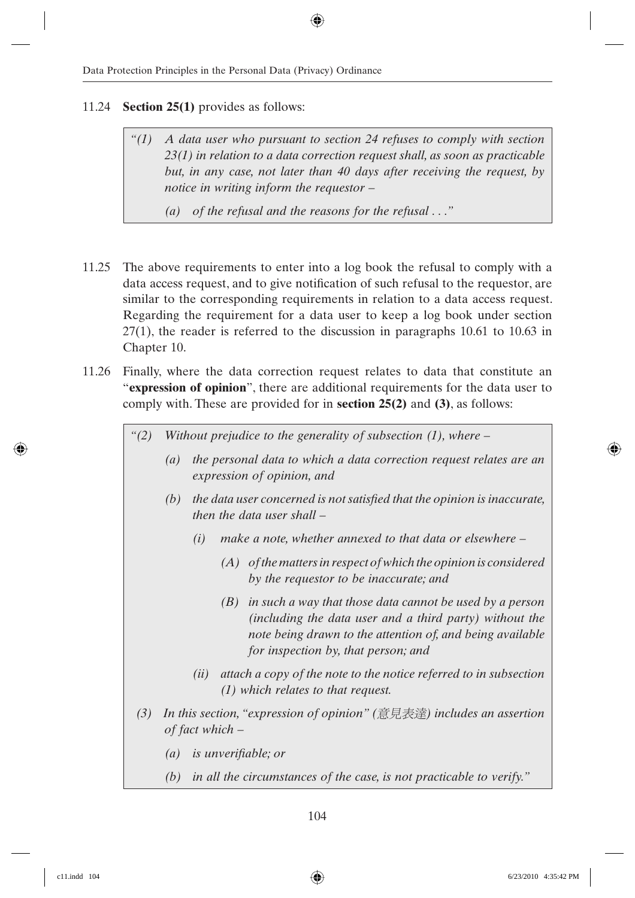#### 11.24 **Section 25(1)** provides as follows:

*"(1) A data user who pursuant to section 24 refuses to comply with section 23(1) in relation to a data correction request shall, as soon as practicable but, in any case, not later than 40 days after receiving the request, by notice in writing inform the requestor –*

*(a) of the refusal and the reasons for the refusal . . ."*

- 11.25 The above requirements to enter into a log book the refusal to comply with a data access request, and to give notification of such refusal to the requestor, are similar to the corresponding requirements in relation to a data access request. Regarding the requirement for a data user to keep a log book under section 27(1), the reader is referred to the discussion in paragraphs 10.61 to 10.63 in Chapter 10.
- 11.26 Finally, where the data correction request relates to data that constitute an "**expression of opinion**", there are additional requirements for the data user to comply with. These are provided for in **section 25(2)** and **(3)**, as follows:
	- *"(2) Without prejudice to the generality of subsection (1), where –*
		- *(a) the personal data to which a data correction request relates are an expression of opinion, and*
		- *(b)* the data user concerned is not satisfied that the opinion is inaccurate, *then the data user shall –*
			- *(i) make a note, whether annexed to that data or elsewhere –*
				- *(A) of the matters in respect of which the opinion is considered by the requestor to be inaccurate; and*
				- *(B) in such a way that those data cannot be used by a person (including the data user and a third party) without the note being drawn to the attention of, and being available for inspection by, that person; and*
			- *(ii) attach a copy of the note to the notice referred to in subsection (1) which relates to that request.*
	- *(3)* In this section, "expression of opinion" (意見表達) includes an assertion *of fact which –*
		- *(a) is unverifi able; or*
		- *(b) in all the circumstances of the case, is not practicable to verify."*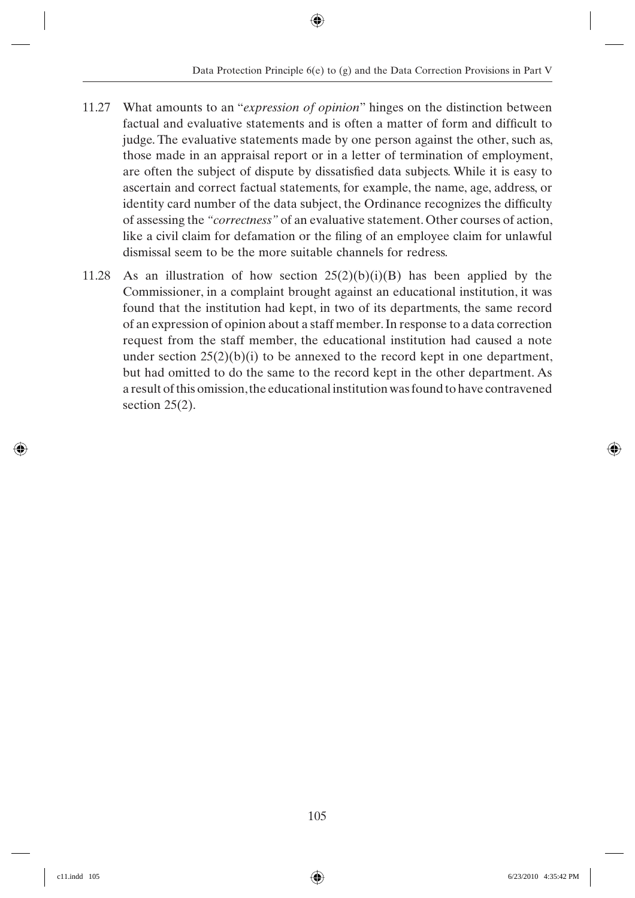- 11.27 What amounts to an "*expression of opinion*" hinges on the distinction between factual and evaluative statements and is often a matter of form and difficult to judge. The evaluative statements made by one person against the other, such as, those made in an appraisal report or in a letter of termination of employment, are often the subject of dispute by dissatisfied data subjects. While it is easy to ascertain and correct factual statements, for example, the name, age, address, or identity card number of the data subject, the Ordinance recognizes the difficulty of assessing the *"correctness"* of an evaluative statement. Other courses of action, like a civil claim for defamation or the filing of an employee claim for unlawful dismissal seem to be the more suitable channels for redress.
- 11.28 As an illustration of how section  $25(2)(b)(i)(B)$  has been applied by the Commissioner, in a complaint brought against an educational institution, it was found that the institution had kept, in two of its departments, the same record of an expression of opinion about a staff member. In response to a data correction request from the staff member, the educational institution had caused a note under section  $25(2)(b)(i)$  to be annexed to the record kept in one department, but had omitted to do the same to the record kept in the other department. As a result of this omission, the educational institution was found to have contravened section  $25(2)$ .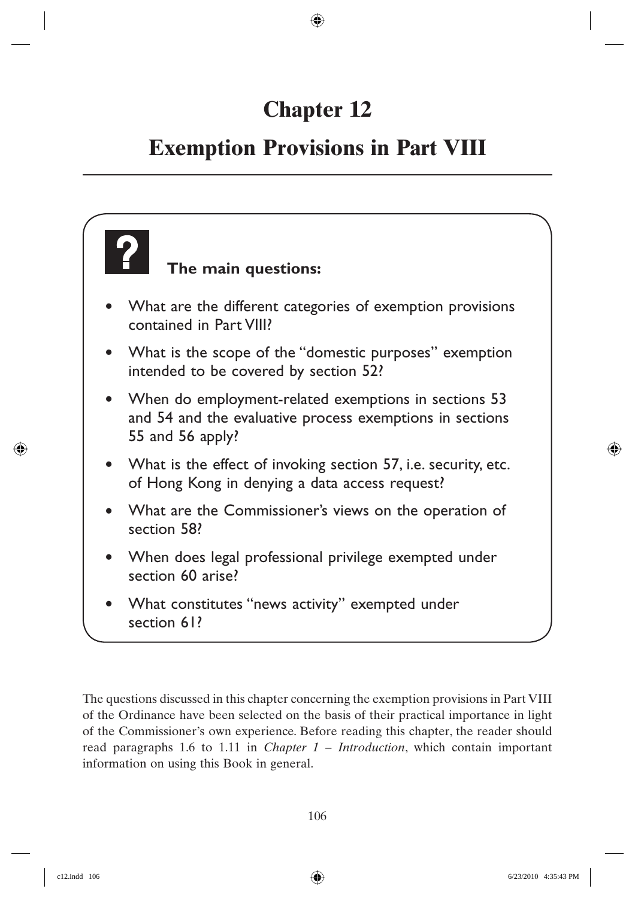# **Chapter 12**

## **Exemption Provisions in Part VIII**

## **The main questions:** • What are the different categories of exemption provisions contained in Part VIII? • What is the scope of the "domestic purposes" exemption intended to be covered by section 52? • When do employment-related exemptions in sections 53 and 54 and the evaluative process exemptions in sections 55 and 56 apply? • What is the effect of invoking section 57, i.e. security, etc. of Hong Kong in denying a data access request? • What are the Commissioner's views on the operation of section 58? • When does legal professional privilege exempted under section 60 arise? • What constitutes "news activity" exempted under section 61?

The questions discussed in this chapter concerning the exemption provisions in Part VIII of the Ordinance have been selected on the basis of their practical importance in light of the Commissioner's own experience. Before reading this chapter, the reader should read paragraphs 1.6 to 1.11 in *Chapter 1 – Introduction*, which contain important information on using this Book in general.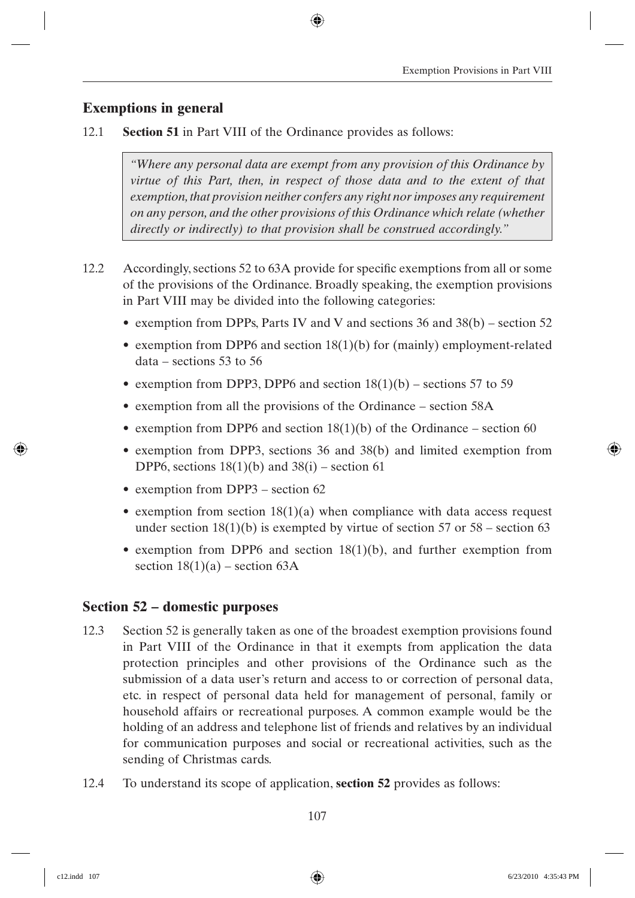## **Exemptions in general**

12.1 **Section 51** in Part VIII of the Ordinance provides as follows:

*"Where any personal data are exempt from any provision of this Ordinance by virtue of this Part, then, in respect of those data and to the extent of that exemption, that provision neither confers any right nor imposes any requirement on any person, and the other provisions of this Ordinance which relate (whether directly or indirectly) to that provision shall be construed accordingly."*

- 12.2 Accordingly, sections 52 to 63A provide for specific exemptions from all or some of the provisions of the Ordinance. Broadly speaking, the exemption provisions in Part VIII may be divided into the following categories:
	- exemption from DPPs, Parts IV and V and sections 36 and 38(b) section 52
	- exemption from DPP6 and section 18(1)(b) for (mainly) employment-related data – sections 53 to 56
	- exemption from DPP3, DPP6 and section  $18(1)(b)$  sections 57 to 59
	- exemption from all the provisions of the Ordinance section 58A
	- exemption from DPP6 and section  $18(1)(b)$  of the Ordinance section 60
	- exemption from DPP3, sections 36 and 38(b) and limited exemption from DPP6, sections  $18(1)(b)$  and  $38(i)$  – section 61
	- exemption from DPP3 section 62
	- exemption from section  $18(1)(a)$  when compliance with data access request under section  $18(1)(b)$  is exempted by virtue of section 57 or 58 – section 63
	- exemption from DPP6 and section  $18(1)(b)$ , and further exemption from section  $18(1)(a)$  – section 63A

### **Section 52 – domestic purposes**

- 12.3 Section 52 is generally taken as one of the broadest exemption provisions found in Part VIII of the Ordinance in that it exempts from application the data protection principles and other provisions of the Ordinance such as the submission of a data user's return and access to or correction of personal data, etc. in respect of personal data held for management of personal, family or household affairs or recreational purposes. A common example would be the holding of an address and telephone list of friends and relatives by an individual for communication purposes and social or recreational activities, such as the sending of Christmas cards.
- 12.4 To understand its scope of application, **section 52** provides as follows: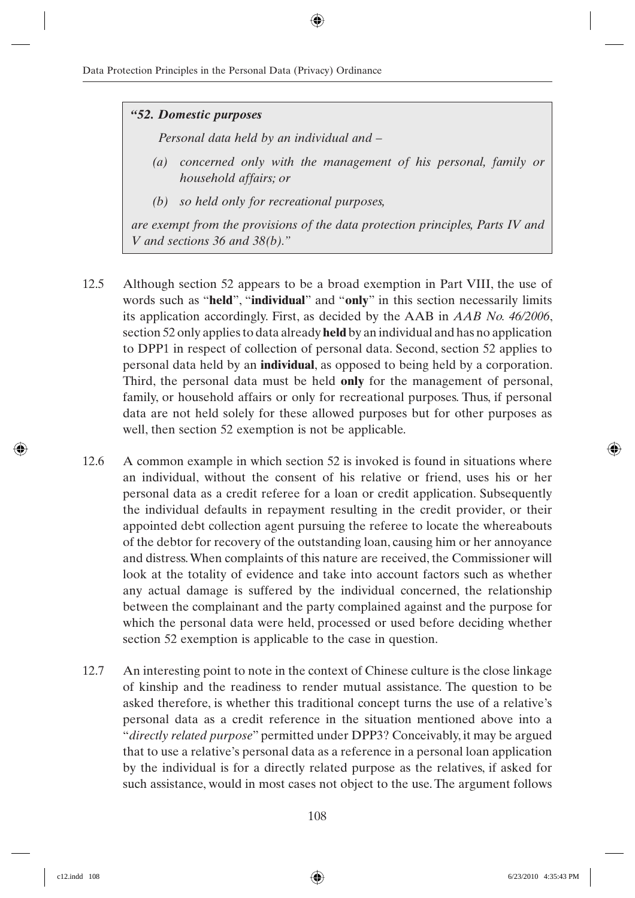#### *"52. Domestic purposes*

*Personal data held by an individual and –*

- *(a) concerned only with the management of his personal, family or household affairs; or*
- *(b) so held only for recreational purposes,*

*are exempt from the provisions of the data protection principles, Parts IV and V and sections 36 and 38(b)."*

- 12.5 Although section 52 appears to be a broad exemption in Part VIII, the use of words such as "**held**", "**individual**" and "**only**" in this section necessarily limits its application accordingly. First, as decided by the AAB in *AAB No. 46/2006*, section 52 only applies to data already **held** by an individual and has no application to DPP1 in respect of collection of personal data. Second, section 52 applies to personal data held by an **individual**, as opposed to being held by a corporation. Third, the personal data must be held **only** for the management of personal, family, or household affairs or only for recreational purposes. Thus, if personal data are not held solely for these allowed purposes but for other purposes as well, then section 52 exemption is not be applicable.
- 12.6 A common example in which section 52 is invoked is found in situations where an individual, without the consent of his relative or friend, uses his or her personal data as a credit referee for a loan or credit application. Subsequently the individual defaults in repayment resulting in the credit provider, or their appointed debt collection agent pursuing the referee to locate the whereabouts of the debtor for recovery of the outstanding loan, causing him or her annoyance and distress. When complaints of this nature are received, the Commissioner will look at the totality of evidence and take into account factors such as whether any actual damage is suffered by the individual concerned, the relationship between the complainant and the party complained against and the purpose for which the personal data were held, processed or used before deciding whether section 52 exemption is applicable to the case in question.
- 12.7 An interesting point to note in the context of Chinese culture is the close linkage of kinship and the readiness to render mutual assistance. The question to be asked therefore, is whether this traditional concept turns the use of a relative's personal data as a credit reference in the situation mentioned above into a "*directly related purpose*" permitted under DPP3? Conceivably, it may be argued that to use a relative's personal data as a reference in a personal loan application by the individual is for a directly related purpose as the relatives, if asked for such assistance, would in most cases not object to the use. The argument follows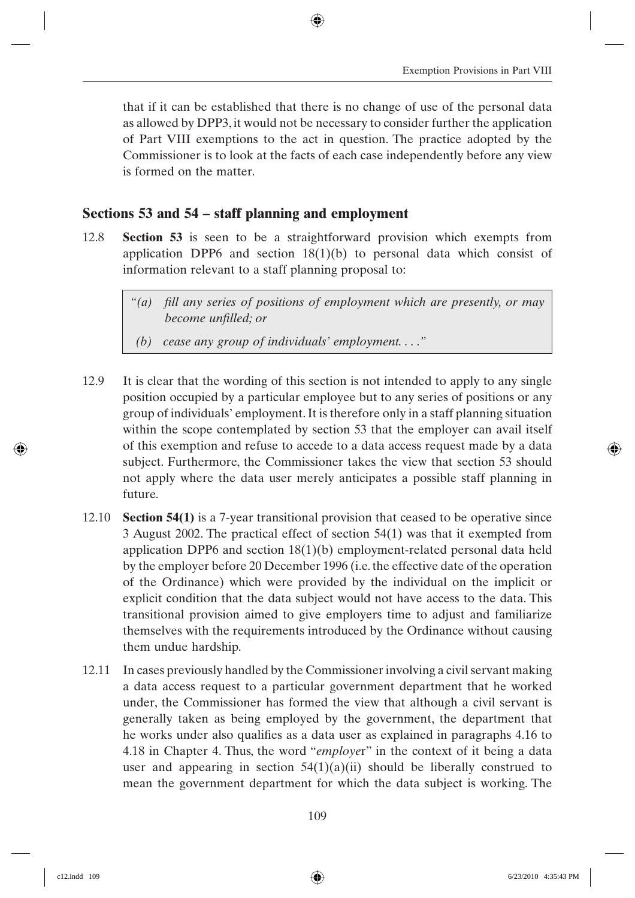that if it can be established that there is no change of use of the personal data as allowed by DPP3, it would not be necessary to consider further the application of Part VIII exemptions to the act in question. The practice adopted by the Commissioner is to look at the facts of each case independently before any view is formed on the matter.

## **Sections 53 and 54 – staff planning and employment**

- 12.8 **Section 53** is seen to be a straightforward provision which exempts from application DPP6 and section  $18(1)(b)$  to personal data which consist of information relevant to a staff planning proposal to:
	- *"(a) fi ll any series of positions of employment which are presently, or may become unfilled; or*
	- *(b) cease any group of individuals' employment. . . ."*
- 12.9 It is clear that the wording of this section is not intended to apply to any single position occupied by a particular employee but to any series of positions or any group of individuals' employment. It is therefore only in a staff planning situation within the scope contemplated by section 53 that the employer can avail itself of this exemption and refuse to accede to a data access request made by a data subject. Furthermore, the Commissioner takes the view that section 53 should not apply where the data user merely anticipates a possible staff planning in future.
- 12.10 **Section 54(1)** is a 7-year transitional provision that ceased to be operative since 3 August 2002. The practical effect of section 54(1) was that it exempted from application DPP6 and section 18(1)(b) employment-related personal data held by the employer before 20 December 1996 (i.e. the effective date of the operation of the Ordinance) which were provided by the individual on the implicit or explicit condition that the data subject would not have access to the data. This transitional provision aimed to give employers time to adjust and familiarize themselves with the requirements introduced by the Ordinance without causing them undue hardship.
- 12.11 In cases previously handled by the Commissioner involving a civil servant making a data access request to a particular government department that he worked under, the Commissioner has formed the view that although a civil servant is generally taken as being employed by the government, the department that he works under also qualifies as a data user as explained in paragraphs 4.16 to 4.18 in Chapter 4. Thus, the word "*employe*r" in the context of it being a data user and appearing in section  $54(1)(a)(ii)$  should be liberally construed to mean the government department for which the data subject is working. The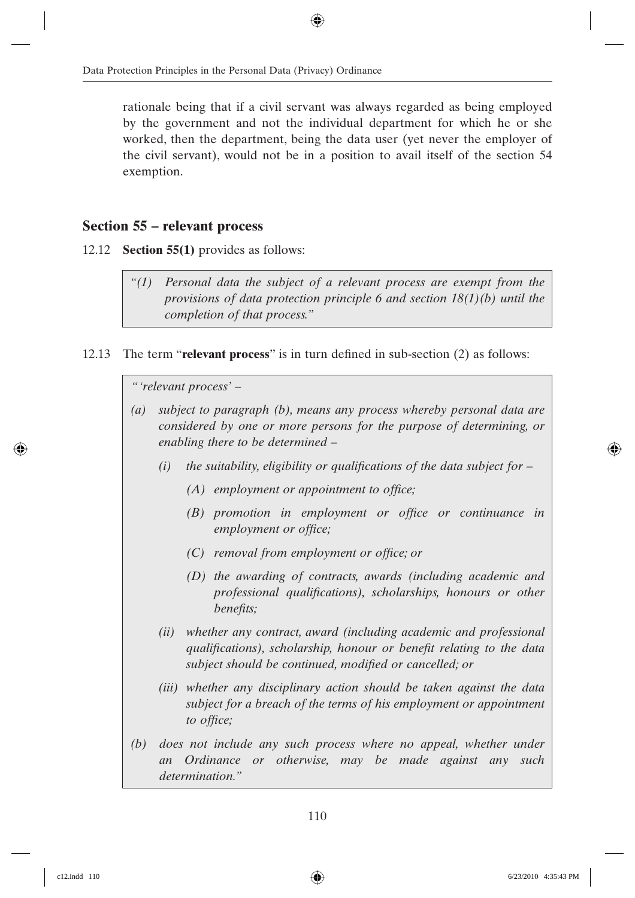rationale being that if a civil servant was always regarded as being employed by the government and not the individual department for which he or she worked, then the department, being the data user (yet never the employer of the civil servant), would not be in a position to avail itself of the section 54 exemption.

### **Section 55 – relevant process**

- 12.12 **Section 55(1)** provides as follows:
	- *"(1) Personal data the subject of a relevant process are exempt from the provisions of data protection principle 6 and section 18(1)(b) until the completion of that process."*
- 12.13 The term "**relevant process**" is in turn defined in sub-section  $(2)$  as follows:

*" 'relevant process' –*

- *(a) subject to paragraph (b), means any process whereby personal data are considered by one or more persons for the purpose of determining, or enabling there to be determined –*
	- *(i)* the suitability, eligibility or qualifications of the data subject for
		- *(A)* employment or appointment to office;
		- *(B)* promotion in employment or office or continuance in *employment or office;*
		- *(C)* removal from employment or office; or
		- *(D) the awarding of contracts, awards (including academic and professional qualifications), scholarships, honours or other benefits;*
	- *(ii) whether any contract, award (including academic and professional qualifications), scholarship, honour or benefit relating to the data* subject should be continued, modified or cancelled; or
	- *(iii) whether any disciplinary action should be taken against the data subject for a breach of the terms of his employment or appointment*  to office;
- *(b) does not include any such process where no appeal, whether under an Ordinance or otherwise, may be made against any such determination."*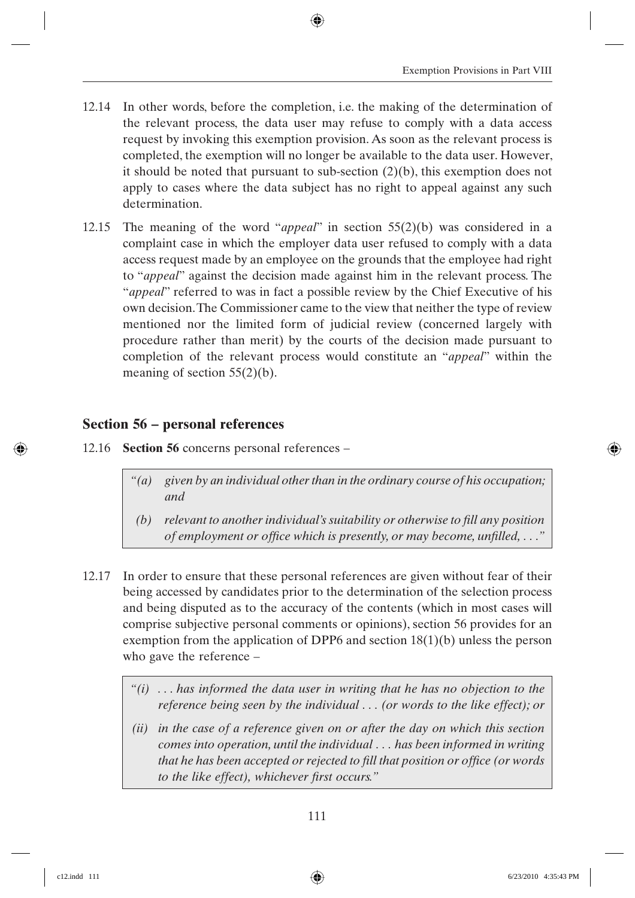- 12.14 In other words, before the completion, i.e. the making of the determination of the relevant process, the data user may refuse to comply with a data access request by invoking this exemption provision. As soon as the relevant process is completed, the exemption will no longer be available to the data user. However, it should be noted that pursuant to sub-section (2)(b), this exemption does not apply to cases where the data subject has no right to appeal against any such determination.
- 12.15 The meaning of the word "*appeal*" in section 55(2)(b) was considered in a complaint case in which the employer data user refused to comply with a data access request made by an employee on the grounds that the employee had right to "*appeal*" against the decision made against him in the relevant process. The "*appeal*" referred to was in fact a possible review by the Chief Executive of his own decision. The Commissioner came to the view that neither the type of review mentioned nor the limited form of judicial review (concerned largely with procedure rather than merit) by the courts of the decision made pursuant to completion of the relevant process would constitute an "*appeal*" within the meaning of section 55(2)(b).

## **Section 56 – personal references**

- 12.16 **Section 56** concerns personal references
	- *"(a) given by an individual other than in the ordinary course of his occupation; and*
	- *(b) relevant to another individual's suitability or otherwise to fill any position of employment or office which is presently, or may become, unfilled, ...*"
- 12.17 In order to ensure that these personal references are given without fear of their being accessed by candidates prior to the determination of the selection process and being disputed as to the accuracy of the contents (which in most cases will comprise subjective personal comments or opinions), section 56 provides for an exemption from the application of DPP6 and section 18(1)(b) unless the person who gave the reference –
	- *"(i) . . . has informed the data user in writing that he has no objection to the reference being seen by the individual . . . (or words to the like effect); or*
	- *(ii) in the case of a reference given on or after the day on which this section comes into operation, until the individual . . . has been informed in writing*  that he has been accepted or rejected to fill that position or office (or words *to the like effect*), *whichever first occurs.*"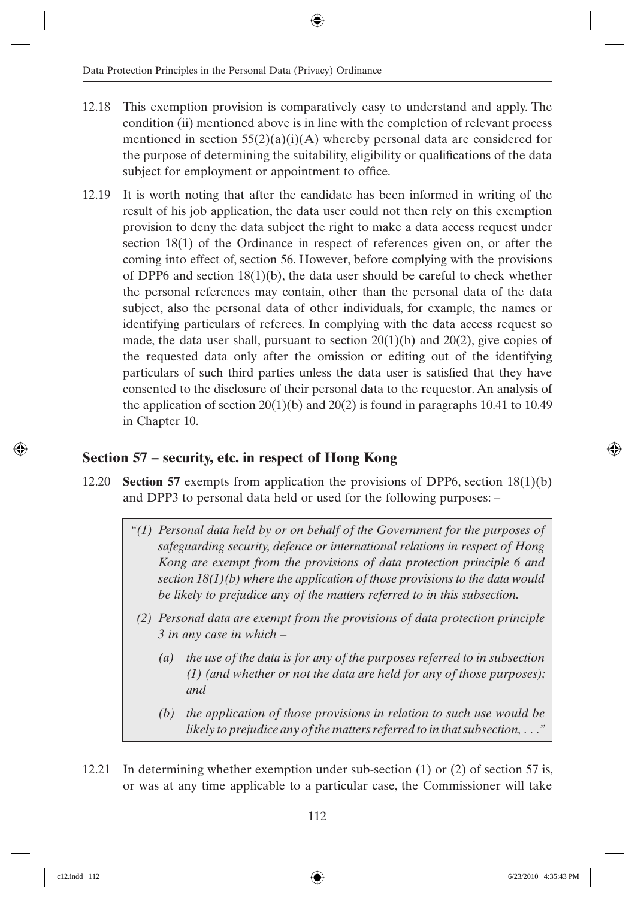- 12.18 This exemption provision is comparatively easy to understand and apply. The condition (ii) mentioned above is in line with the completion of relevant process mentioned in section  $55(2)(a)(i)(A)$  whereby personal data are considered for the purpose of determining the suitability, eligibility or qualifications of the data subject for employment or appointment to office.
- 12.19 It is worth noting that after the candidate has been informed in writing of the result of his job application, the data user could not then rely on this exemption provision to deny the data subject the right to make a data access request under section 18(1) of the Ordinance in respect of references given on, or after the coming into effect of, section 56. However, before complying with the provisions of DPP6 and section 18(1)(b), the data user should be careful to check whether the personal references may contain, other than the personal data of the data subject, also the personal data of other individuals, for example, the names or identifying particulars of referees. In complying with the data access request so made, the data user shall, pursuant to section  $20(1)(b)$  and  $20(2)$ , give copies of the requested data only after the omission or editing out of the identifying particulars of such third parties unless the data user is satisfied that they have consented to the disclosure of their personal data to the requestor. An analysis of the application of section  $20(1)(b)$  and  $20(2)$  is found in paragraphs 10.41 to 10.49 in Chapter 10.

## **Section 57 – security, etc. in respect of Hong Kong**

- 12.20 **Section 57** exempts from application the provisions of DPP6, section 18(1)(b) and DPP3 to personal data held or used for the following purposes: –
	- *"(1) Personal data held by or on behalf of the Government for the purposes of safeguarding security, defence or international relations in respect of Hong Kong are exempt from the provisions of data protection principle 6 and section 18(1)(b) where the application of those provisions to the data would be likely to prejudice any of the matters referred to in this subsection.*
	- *(2) Personal data are exempt from the provisions of data protection principle 3 in any case in which –*
		- *(a) the use of the data is for any of the purposes referred to in subsection (1) (and whether or not the data are held for any of those purposes); and*
		- *(b) the application of those provisions in relation to such use would be likely to prejudice any of the matters referred to in that subsection, . . ."*
- 12.21 In determining whether exemption under sub-section (1) or (2) of section 57 is, or was at any time applicable to a particular case, the Commissioner will take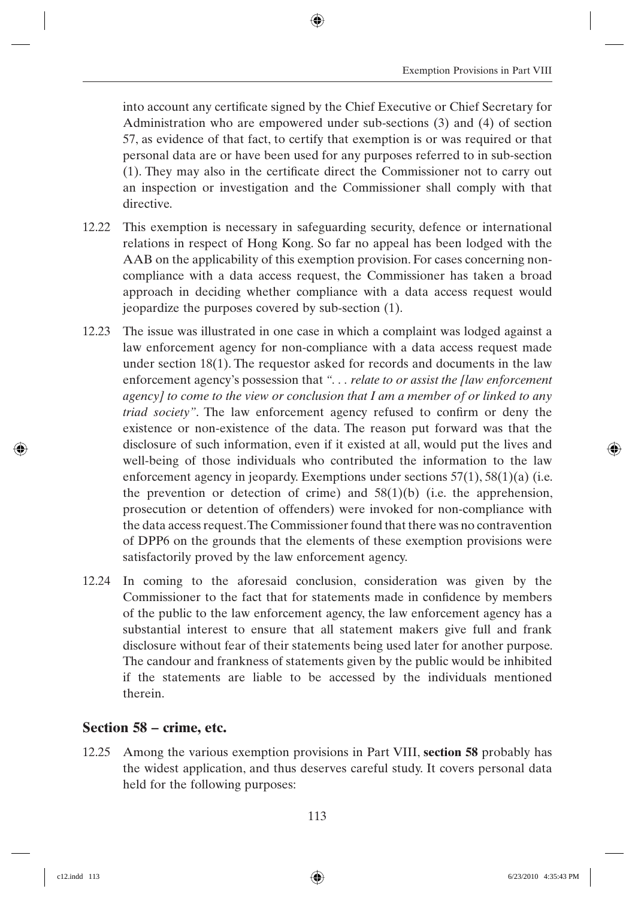into account any certificate signed by the Chief Executive or Chief Secretary for Administration who are empowered under sub-sections (3) and (4) of section 57, as evidence of that fact, to certify that exemption is or was required or that personal data are or have been used for any purposes referred to in sub-section  $(1)$ . They may also in the certificate direct the Commissioner not to carry out an inspection or investigation and the Commissioner shall comply with that directive.

- 12.22 This exemption is necessary in safeguarding security, defence or international relations in respect of Hong Kong. So far no appeal has been lodged with the AAB on the applicability of this exemption provision. For cases concerning noncompliance with a data access request, the Commissioner has taken a broad approach in deciding whether compliance with a data access request would jeopardize the purposes covered by sub-section (1).
- 12.23 The issue was illustrated in one case in which a complaint was lodged against a law enforcement agency for non-compliance with a data access request made under section  $18(1)$ . The requestor asked for records and documents in the law enforcement agency's possession that *". . . relate to or assist the [law enforcement agency] to come to the view or conclusion that I am a member of or linked to any triad society*". The law enforcement agency refused to confirm or deny the existence or non-existence of the data. The reason put forward was that the disclosure of such information, even if it existed at all, would put the lives and well-being of those individuals who contributed the information to the law enforcement agency in jeopardy. Exemptions under sections 57(1), 58(1)(a) (i.e. the prevention or detection of crime) and  $58(1)(b)$  (i.e. the apprehension, prosecution or detention of offenders) were invoked for non-compliance with the data access request. The Commissioner found that there was no contravention of DPP6 on the grounds that the elements of these exemption provisions were satisfactorily proved by the law enforcement agency.
- 12.24 In coming to the aforesaid conclusion, consideration was given by the Commissioner to the fact that for statements made in confidence by members of the public to the law enforcement agency, the law enforcement agency has a substantial interest to ensure that all statement makers give full and frank disclosure without fear of their statements being used later for another purpose. The candour and frankness of statements given by the public would be inhibited if the statements are liable to be accessed by the individuals mentioned therein.

#### **Section 58 – crime, etc.**

12.25 Among the various exemption provisions in Part VIII, **section 58** probably has the widest application, and thus deserves careful study. It covers personal data held for the following purposes: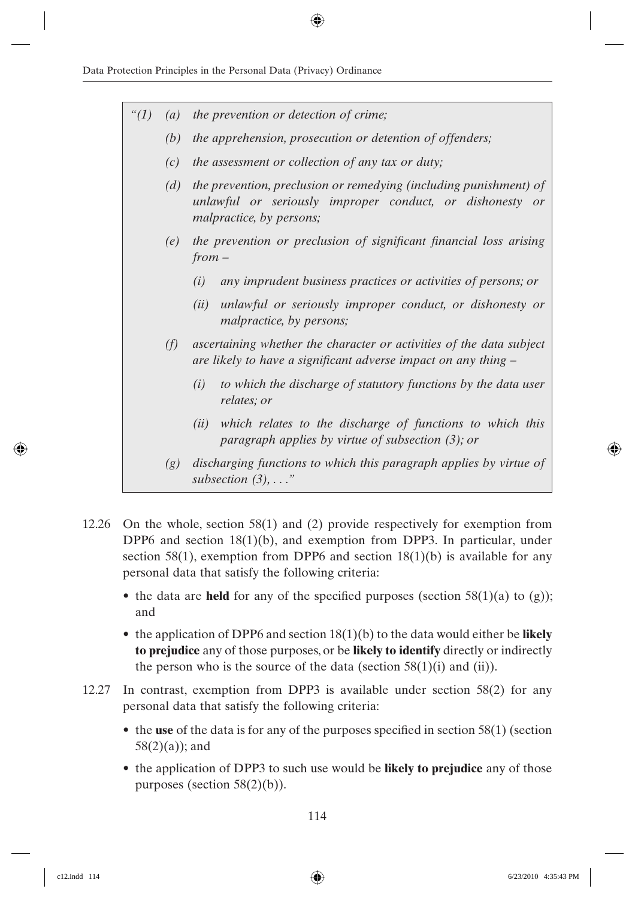| " $(1)$ | $\left( a\right)$ | the prevention or detection of crime;                                                                                                                     |
|---------|-------------------|-----------------------------------------------------------------------------------------------------------------------------------------------------------|
|         | (b)               | the apprehension, prosecution or detention of offenders;                                                                                                  |
|         | (c)               | the assessment or collection of any tax or duty;                                                                                                          |
|         | (d)               | the prevention, preclusion or remedying (including punishment) of<br>unlawful or seriously improper conduct, or dishonesty or<br>malpractice, by persons; |
|         | (e)               | the prevention or preclusion of significant financial loss arising<br>$from -$                                                                            |
|         |                   | any imprudent business practices or activities of persons; or<br>(i)                                                                                      |
|         |                   | unlawful or seriously improper conduct, or dishonesty or<br>(ii)<br>malpractice, by persons;                                                              |
|         | (f)               | ascertaining whether the character or activities of the data subject<br>are likely to have a significant adverse impact on any thing –                    |
|         |                   | to which the discharge of statutory functions by the data user<br>(i)<br>relates; or                                                                      |
|         |                   | which relates to the discharge of functions to which this<br>(ii)<br>paragraph applies by virtue of subsection $(3)$ ; or                                 |
|         | (g)               | discharging functions to which this paragraph applies by virtue of<br>subsection $(3), \ldots$ "                                                          |

- 12.26 On the whole, section 58(1) and (2) provide respectively for exemption from DPP6 and section 18(1)(b), and exemption from DPP3. In particular, under section 58(1), exemption from DPP6 and section  $18(1)(b)$  is available for any personal data that satisfy the following criteria:
	- the data are **held** for any of the specified purposes (section 58(1)(a) to (g)); and
	- the application of DPP6 and section 18(1)(b) to the data would either be **likely to prejudice** any of those purposes, or be **likely to identify** directly or indirectly the person who is the source of the data (section  $58(1)(i)$  and  $(ii)$ ).
- 12.27 In contrast, exemption from DPP3 is available under section 58(2) for any personal data that satisfy the following criteria:
	- $\bullet$  the **use** of the data is for any of the purposes specified in section 58(1) (section 58(2)(a)); and
	- the application of DPP3 to such use would be **likely to prejudice** any of those purposes (section 58(2)(b)).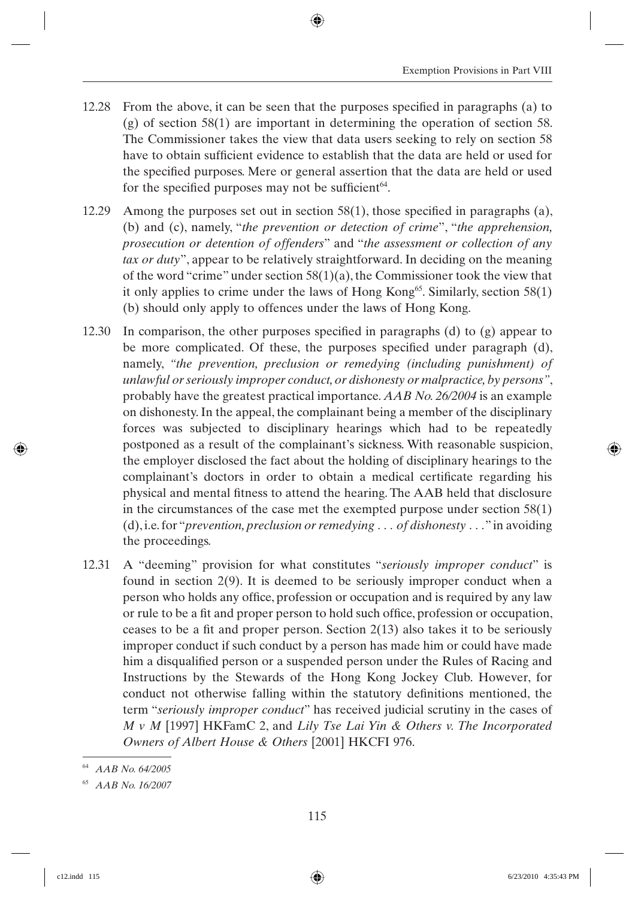- 12.28 From the above, it can be seen that the purposes specified in paragraphs (a) to (g) of section 58(1) are important in determining the operation of section 58. The Commissioner takes the view that data users seeking to rely on section 58 have to obtain sufficient evidence to establish that the data are held or used for the specified purposes. Mere or general assertion that the data are held or used for the specified purposes may not be sufficient<sup> $64$ </sup>.
- 12.29 Among the purposes set out in section  $58(1)$ , those specified in paragraphs (a), (b) and (c), namely, "*the prevention or detection of crime*", "*the apprehension, prosecution or detention of offenders*" and "*the assessment or collection of any tax or duty*", appear to be relatively straightforward. In deciding on the meaning of the word "crime" under section 58(1)(a), the Commissioner took the view that it only applies to crime under the laws of Hong Kong<sup>65</sup>. Similarly, section 58(1) (b) should only apply to offences under the laws of Hong Kong.
- 12.30 In comparison, the other purposes specified in paragraphs (d) to  $(g)$  appear to be more complicated. Of these, the purposes specified under paragraph  $(d)$ , namely, *"the prevention, preclusion or remedying (including punishment) of unlawful or seriously improper conduct, or dishonesty or malpractice, by persons"*, probably have the greatest practical importance. *AAB No. 26/2004* is an example on dishonesty. In the appeal, the complainant being a member of the disciplinary forces was subjected to disciplinary hearings which had to be repeatedly postponed as a result of the complainant's sickness. With reasonable suspicion, the employer disclosed the fact about the holding of disciplinary hearings to the complainant's doctors in order to obtain a medical certificate regarding his physical and mental fitness to attend the hearing. The AAB held that disclosure in the circumstances of the case met the exempted purpose under section 58(1) (d), i.e. for "*prevention, preclusion or remedying . . . of dishonesty . . .*" in avoiding the proceedings.
- 12.31 A "deeming" provision for what constitutes "*seriously improper conduct*" is found in section 2(9). It is deemed to be seriously improper conduct when a person who holds any office, profession or occupation and is required by any law or rule to be a fit and proper person to hold such office, profession or occupation, ceases to be a fit and proper person. Section  $2(13)$  also takes it to be seriously improper conduct if such conduct by a person has made him or could have made him a disqualified person or a suspended person under the Rules of Racing and Instructions by the Stewards of the Hong Kong Jockey Club. However, for conduct not otherwise falling within the statutory definitions mentioned, the term "*seriously improper conduct*" has received judicial scrutiny in the cases of *M v M* [1997] HKFamC 2, and *Lily Tse Lai Yin & Others v. The Incorporated Owners of Albert House & Others* [2001] HKCFI 976.

<sup>64</sup> *AAB No. 64/2005*

<sup>65</sup> *AAB No. 16/2007*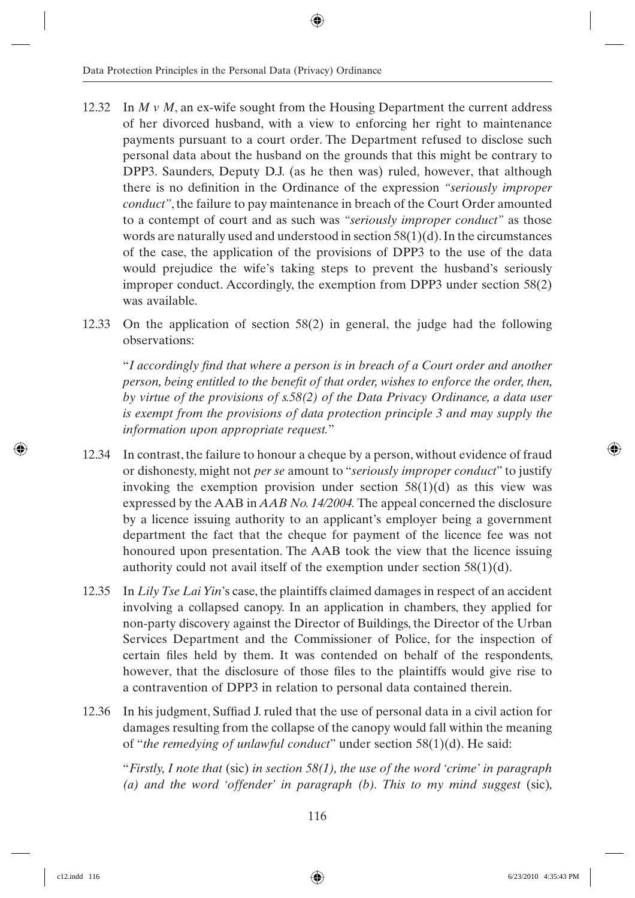- 12.32 In *M v M*, an ex-wife sought from the Housing Department the current address of her divorced husband, with a view to enforcing her right to maintenance payments pursuant to a court order. The Department refused to disclose such personal data about the husband on the grounds that this might be contrary to DPP3. Saunders, Deputy D.J. (as he then was) ruled, however, that although there is no definition in the Ordinance of the expression *"seriously improper conduct"*, the failure to pay maintenance in breach of the Court Order amounted to a contempt of court and as such was *"seriously improper conduct"* as those words are naturally used and understood in section 58(1)(d). In the circumstances of the case, the application of the provisions of DPP3 to the use of the data would prejudice the wife's taking steps to prevent the husband's seriously improper conduct. Accordingly, the exemption from DPP3 under section 58(2) was available.
- 12.33 On the application of section 58(2) in general, the judge had the following observations:

"I accordingly find that where a person is in breach of a Court order and another *person, being entitled to the benefit of that order, wishes to enforce the order, then, by virtue of the provisions of s.58(2) of the Data Privacy Ordinance, a data user is exempt from the provisions of data protection principle 3 and may supply the information upon appropriate request.*"

- 12.34 In contrast, the failure to honour a cheque by a person, without evidence of fraud or dishonesty, might not *per se* amount to "*seriously improper conduct*" to justify invoking the exemption provision under section  $58(1)(d)$  as this view was expressed by the AAB in *AAB No. 14/2004.* The appeal concerned the disclosure by a licence issuing authority to an applicant's employer being a government department the fact that the cheque for payment of the licence fee was not honoured upon presentation. The AAB took the view that the licence issuing authority could not avail itself of the exemption under section 58(1)(d).
- 12.35 In *Lily Tse Lai Yin*'s case, the plaintiffs claimed damages in respect of an accident involving a collapsed canopy. In an application in chambers, they applied for non-party discovery against the Director of Buildings, the Director of the Urban Services Department and the Commissioner of Police, for the inspection of certain files held by them. It was contended on behalf of the respondents, however, that the disclosure of those files to the plaintiffs would give rise to a contravention of DPP3 in relation to personal data contained therein.
- 12.36 In his judgment, Suffiad J. ruled that the use of personal data in a civil action for damages resulting from the collapse of the canopy would fall within the meaning of "*the remedying of unlawful conduct*" under section 58(1)(d). He said:

"*Firstly, I note that* (sic) *in section 58(1), the use of the word 'crime' in paragraph (a) and the word 'offender' in paragraph (b). This to my mind suggest* (sic)*,*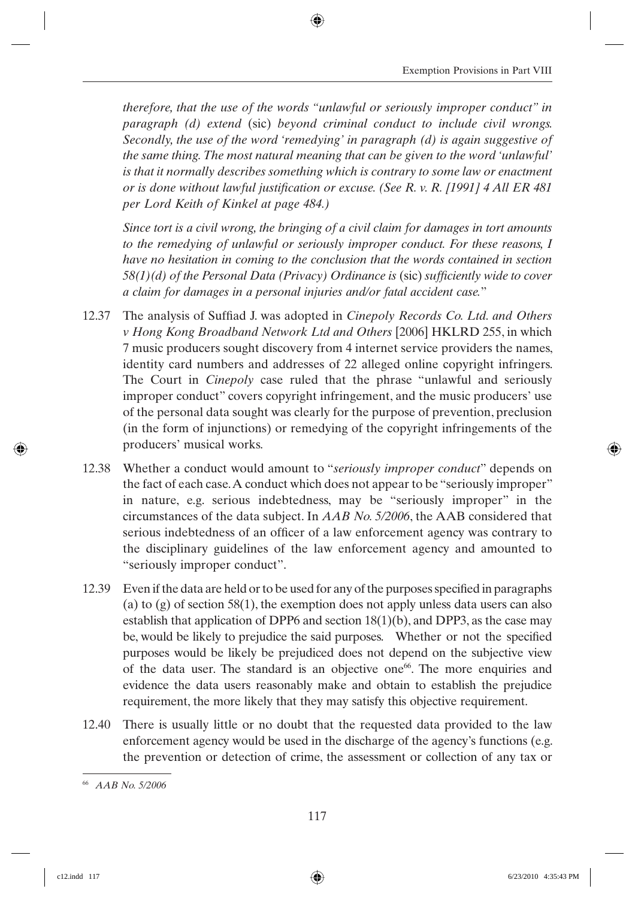*therefore, that the use of the words "unlawful or seriously improper conduct" in paragraph (d) extend* (sic) *beyond criminal conduct to include civil wrongs. Secondly, the use of the word 'remedying' in paragraph (d) is again suggestive of the same thing. The most natural meaning that can be given to the word 'unlawful' is that it normally describes something which is contrary to some law or enactment or is done without lawful justification or excuse. (See R. v. R. [1991] 4 All ER 481 per Lord Keith of Kinkel at page 484.)*

*Since tort is a civil wrong, the bringing of a civil claim for damages in tort amounts to the remedying of unlawful or seriously improper conduct. For these reasons, I have no hesitation in coming to the conclusion that the words contained in section 58(1)(d) of the Personal Data (Privacy) Ordinance is (sic) sufficiently wide to cover a claim for damages in a personal injuries and/or fatal accident case.*"

- 12.37 The analysis of Suffiad J. was adopted in *Cinepoly Records Co. Ltd. and Others v Hong Kong Broadband Network Ltd and Others* [2006] HKLRD 255, in which 7 music producers sought discovery from 4 internet service providers the names, identity card numbers and addresses of 22 alleged online copyright infringers. The Court in *Cinepoly* case ruled that the phrase "unlawful and seriously improper conduct" covers copyright infringement, and the music producers' use of the personal data sought was clearly for the purpose of prevention, preclusion (in the form of injunctions) or remedying of the copyright infringements of the producers' musical works.
- 12.38 Whether a conduct would amount to "*seriously improper conduct*" depends on the fact of each case. A conduct which does not appear to be "seriously improper" in nature, e.g. serious indebtedness, may be "seriously improper" in the circumstances of the data subject. In *AAB No. 5/2006*, the AAB considered that serious indebtedness of an officer of a law enforcement agency was contrary to the disciplinary guidelines of the law enforcement agency and amounted to "seriously improper conduct".
- 12.39 Even if the data are held or to be used for any of the purposes specified in paragraphs (a) to (g) of section 58(1), the exemption does not apply unless data users can also establish that application of DPP6 and section 18(1)(b), and DPP3, as the case may be, would be likely to prejudice the said purposes. Whether or not the specified purposes would be likely be prejudiced does not depend on the subjective view of the data user. The standard is an objective one<sup>66</sup>. The more enquiries and evidence the data users reasonably make and obtain to establish the prejudice requirement, the more likely that they may satisfy this objective requirement.
- 12.40 There is usually little or no doubt that the requested data provided to the law enforcement agency would be used in the discharge of the agency's functions (e.g. the prevention or detection of crime, the assessment or collection of any tax or

<sup>66</sup> *AAB No. 5/2006*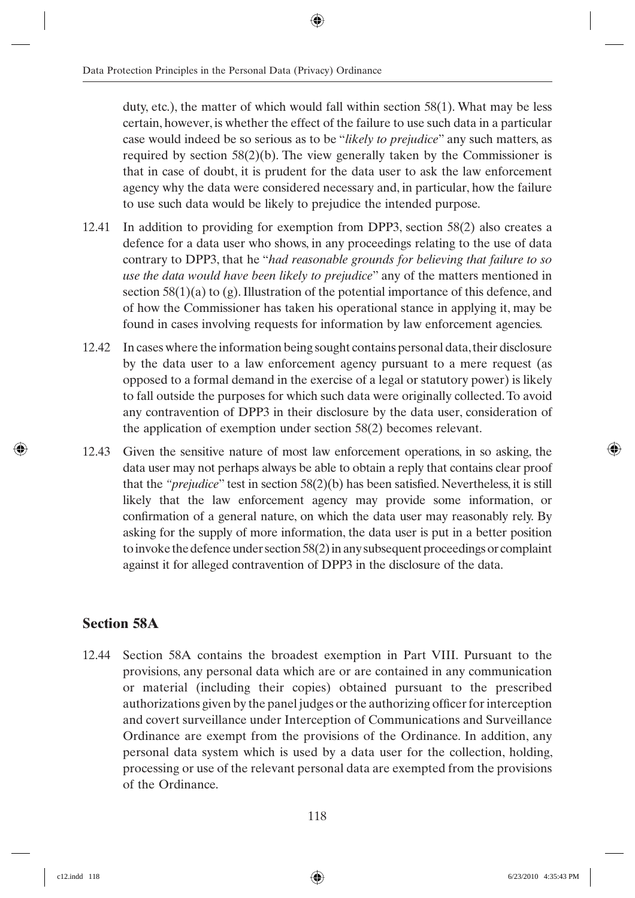duty, etc.), the matter of which would fall within section 58(1). What may be less certain, however, is whether the effect of the failure to use such data in a particular case would indeed be so serious as to be "*likely to prejudice*" any such matters, as required by section 58(2)(b). The view generally taken by the Commissioner is that in case of doubt, it is prudent for the data user to ask the law enforcement agency why the data were considered necessary and, in particular, how the failure to use such data would be likely to prejudice the intended purpose.

- 12.41 In addition to providing for exemption from DPP3, section 58(2) also creates a defence for a data user who shows, in any proceedings relating to the use of data contrary to DPP3, that he "*had reasonable grounds for believing that failure to so use the data would have been likely to prejudice*" any of the matters mentioned in section  $58(1)(a)$  to (g). Illustration of the potential importance of this defence, and of how the Commissioner has taken his operational stance in applying it, may be found in cases involving requests for information by law enforcement agencies.
- 12.42 In cases where the information being sought contains personal data, their disclosure by the data user to a law enforcement agency pursuant to a mere request (as opposed to a formal demand in the exercise of a legal or statutory power) is likely to fall outside the purposes for which such data were originally collected. To avoid any contravention of DPP3 in their disclosure by the data user, consideration of the application of exemption under section 58(2) becomes relevant.
- 12.43 Given the sensitive nature of most law enforcement operations, in so asking, the data user may not perhaps always be able to obtain a reply that contains clear proof that the *"prejudice*" test in section 58(2)(b) has been satisfied. Nevertheless, it is still likely that the law enforcement agency may provide some information, or confirmation of a general nature, on which the data user may reasonably rely. By asking for the supply of more information, the data user is put in a better position to invoke the defence under section 58(2) in any subsequent proceedings or complaint against it for alleged contravention of DPP3 in the disclosure of the data.

## **Section 58A**

12.44 Section 58A contains the broadest exemption in Part VIII. Pursuant to the provisions, any personal data which are or are contained in any communication or material (including their copies) obtained pursuant to the prescribed authorizations given by the panel judges or the authorizing officer for interception and covert surveillance under Interception of Communications and Surveillance Ordinance are exempt from the provisions of the Ordinance. In addition, any personal data system which is used by a data user for the collection, holding, processing or use of the relevant personal data are exempted from the provisions of the Ordinance.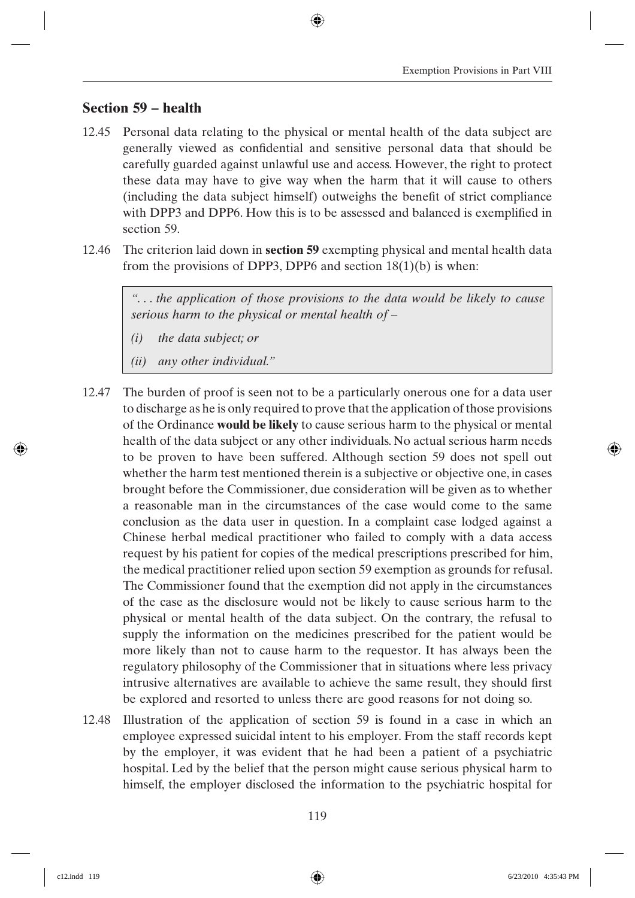### **Section 59 – health**

- 12.45 Personal data relating to the physical or mental health of the data subject are generally viewed as confidential and sensitive personal data that should be carefully guarded against unlawful use and access. However, the right to protect these data may have to give way when the harm that it will cause to others (including the data subject himself) outweighs the benefit of strict compliance with DPP3 and DPP6. How this is to be assessed and balanced is exemplified in section 59.
- 12.46 The criterion laid down in **section 59** exempting physical and mental health data from the provisions of DPP3, DPP6 and section  $18(1)(b)$  is when:

*". . . the application of those provisions to the data would be likely to cause serious harm to the physical or mental health of –*

- *(i) the data subject; or*
- *(ii) any other individual."*
- 12.47 The burden of proof is seen not to be a particularly onerous one for a data user to discharge as he is only required to prove that the application of those provisions of the Ordinance **would be likely** to cause serious harm to the physical or mental health of the data subject or any other individuals. No actual serious harm needs to be proven to have been suffered. Although section 59 does not spell out whether the harm test mentioned therein is a subjective or objective one, in cases brought before the Commissioner, due consideration will be given as to whether a reasonable man in the circumstances of the case would come to the same conclusion as the data user in question. In a complaint case lodged against a Chinese herbal medical practitioner who failed to comply with a data access request by his patient for copies of the medical prescriptions prescribed for him, the medical practitioner relied upon section 59 exemption as grounds for refusal. The Commissioner found that the exemption did not apply in the circumstances of the case as the disclosure would not be likely to cause serious harm to the physical or mental health of the data subject. On the contrary, the refusal to supply the information on the medicines prescribed for the patient would be more likely than not to cause harm to the requestor. It has always been the regulatory philosophy of the Commissioner that in situations where less privacy intrusive alternatives are available to achieve the same result, they should first be explored and resorted to unless there are good reasons for not doing so.
- 12.48 Illustration of the application of section 59 is found in a case in which an employee expressed suicidal intent to his employer. From the staff records kept by the employer, it was evident that he had been a patient of a psychiatric hospital. Led by the belief that the person might cause serious physical harm to himself, the employer disclosed the information to the psychiatric hospital for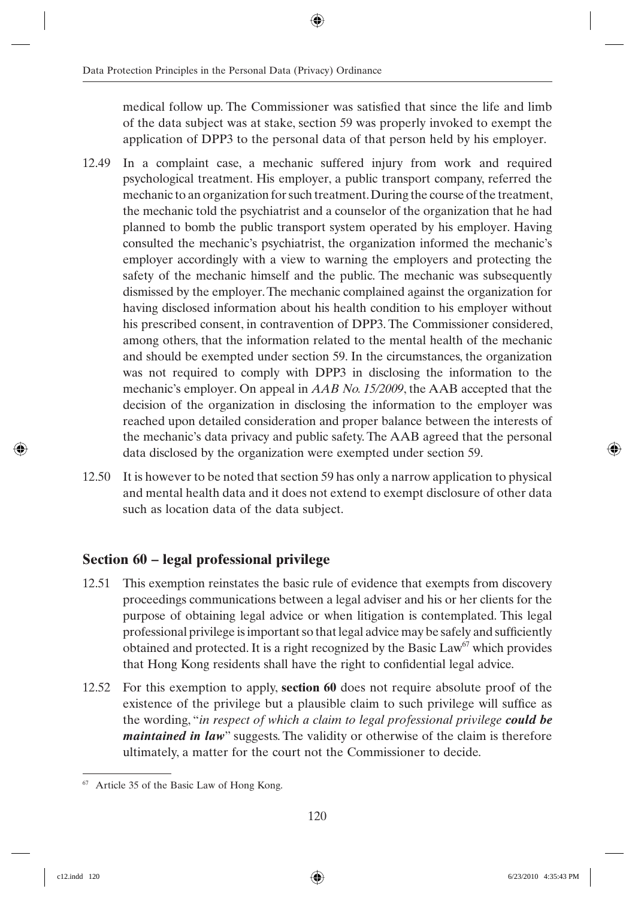medical follow up. The Commissioner was satisfied that since the life and limb of the data subject was at stake, section 59 was properly invoked to exempt the application of DPP3 to the personal data of that person held by his employer.

- 12.49 In a complaint case, a mechanic suffered injury from work and required psychological treatment. His employer, a public transport company, referred the mechanic to an organization for such treatment. During the course of the treatment, the mechanic told the psychiatrist and a counselor of the organization that he had planned to bomb the public transport system operated by his employer. Having consulted the mechanic's psychiatrist, the organization informed the mechanic's employer accordingly with a view to warning the employers and protecting the safety of the mechanic himself and the public. The mechanic was subsequently dismissed by the employer. The mechanic complained against the organization for having disclosed information about his health condition to his employer without his prescribed consent, in contravention of DPP3. The Commissioner considered, among others, that the information related to the mental health of the mechanic and should be exempted under section 59. In the circumstances, the organization was not required to comply with DPP3 in disclosing the information to the mechanic's employer. On appeal in *AAB No. 15/2009*, the AAB accepted that the decision of the organization in disclosing the information to the employer was reached upon detailed consideration and proper balance between the interests of the mechanic's data privacy and public safety. The AAB agreed that the personal data disclosed by the organization were exempted under section 59.
- 12.50 It is however to be noted that section 59 has only a narrow application to physical and mental health data and it does not extend to exempt disclosure of other data such as location data of the data subject.

## **Section 60 – legal professional privilege**

- 12.51 This exemption reinstates the basic rule of evidence that exempts from discovery proceedings communications between a legal adviser and his or her clients for the purpose of obtaining legal advice or when litigation is contemplated. This legal professional privilege is important so that legal advice may be safely and sufficiently obtained and protected. It is a right recognized by the Basic Law<sup>67</sup> which provides that Hong Kong residents shall have the right to confidential legal advice.
- 12.52 For this exemption to apply, **section 60** does not require absolute proof of the existence of the privilege but a plausible claim to such privilege will suffice as the wording, "*in respect of which a claim to legal professional privilege could be maintained in law*" suggests. The validity or otherwise of the claim is therefore ultimately, a matter for the court not the Commissioner to decide.

<sup>67</sup> Article 35 of the Basic Law of Hong Kong.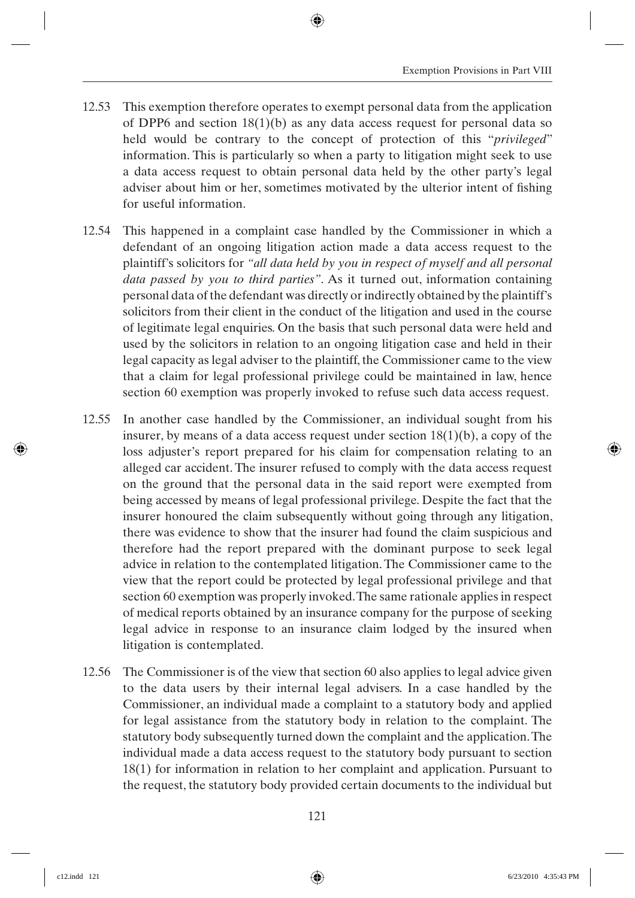- 12.53 This exemption therefore operates to exempt personal data from the application of DPP6 and section 18(1)(b) as any data access request for personal data so held would be contrary to the concept of protection of this "*privileged*" information. This is particularly so when a party to litigation might seek to use a data access request to obtain personal data held by the other party's legal adviser about him or her, sometimes motivated by the ulterior intent of fishing for useful information.
- 12.54 This happened in a complaint case handled by the Commissioner in which a defendant of an ongoing litigation action made a data access request to the plaintiff's solicitors for *"all data held by you in respect of myself and all personal data passed by you to third parties"*. As it turned out, information containing personal data of the defendant was directly or indirectly obtained by the plaintiff's solicitors from their client in the conduct of the litigation and used in the course of legitimate legal enquiries. On the basis that such personal data were held and used by the solicitors in relation to an ongoing litigation case and held in their legal capacity as legal adviser to the plaintiff, the Commissioner came to the view that a claim for legal professional privilege could be maintained in law, hence section 60 exemption was properly invoked to refuse such data access request.
- 12.55 In another case handled by the Commissioner, an individual sought from his insurer, by means of a data access request under section 18(1)(b), a copy of the loss adjuster's report prepared for his claim for compensation relating to an alleged car accident. The insurer refused to comply with the data access request on the ground that the personal data in the said report were exempted from being accessed by means of legal professional privilege. Despite the fact that the insurer honoured the claim subsequently without going through any litigation, there was evidence to show that the insurer had found the claim suspicious and therefore had the report prepared with the dominant purpose to seek legal advice in relation to the contemplated litigation. The Commissioner came to the view that the report could be protected by legal professional privilege and that section 60 exemption was properly invoked. The same rationale applies in respect of medical reports obtained by an insurance company for the purpose of seeking legal advice in response to an insurance claim lodged by the insured when litigation is contemplated.
- 12.56 The Commissioner is of the view that section 60 also applies to legal advice given to the data users by their internal legal advisers. In a case handled by the Commissioner, an individual made a complaint to a statutory body and applied for legal assistance from the statutory body in relation to the complaint. The statutory body subsequently turned down the complaint and the application. The individual made a data access request to the statutory body pursuant to section 18(1) for information in relation to her complaint and application. Pursuant to the request, the statutory body provided certain documents to the individual but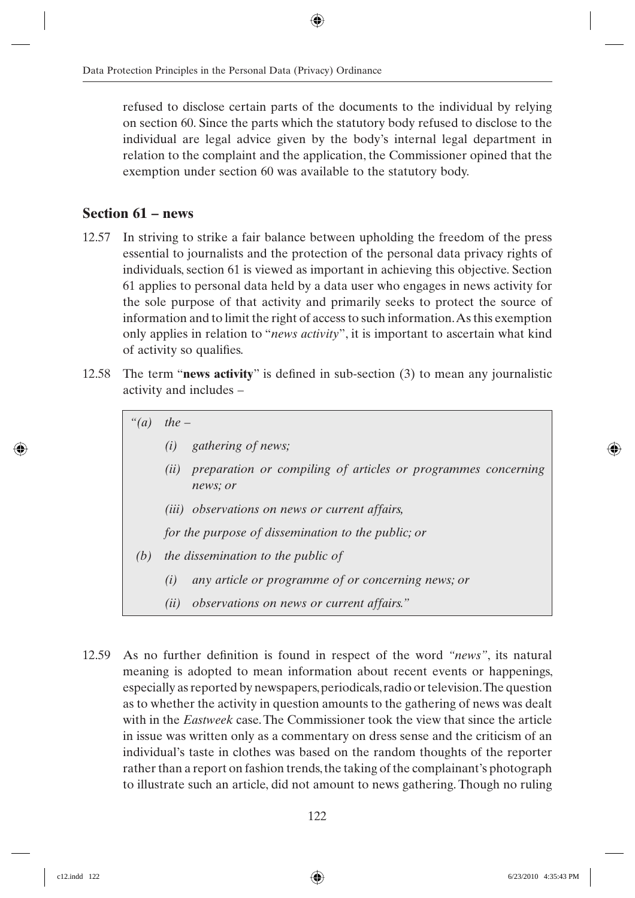refused to disclose certain parts of the documents to the individual by relying on section 60. Since the parts which the statutory body refused to disclose to the individual are legal advice given by the body's internal legal department in relation to the complaint and the application, the Commissioner opined that the exemption under section 60 was available to the statutory body.

## **Section 61 – news**

- 12.57 In striving to strike a fair balance between upholding the freedom of the press essential to journalists and the protection of the personal data privacy rights of individuals, section 61 is viewed as important in achieving this objective. Section 61 applies to personal data held by a data user who engages in news activity for the sole purpose of that activity and primarily seeks to protect the source of information and to limit the right of access to such information. As this exemption only applies in relation to "*news activity*", it is important to ascertain what kind of activity so qualifies.
- 12.58 The term "**news activity**" is defined in sub-section (3) to mean any journalistic activity and includes –

*"(a) the –*

- *(i) gathering of news;*
- *(ii) preparation or compiling of articles or programmes concerning news; or*
- *(iii) observations on news or current affairs,*

*for the purpose of dissemination to the public; or*

- *(b) the dissemination to the public of*
	- *(i) any article or programme of or concerning news; or*
	- *(ii) observations on news or current affairs."*
- 12.59 As no further definition is found in respect of the word *"news"*, its natural meaning is adopted to mean information about recent events or happenings, especially as reported by newspapers, periodicals, radio or television. The question as to whether the activity in question amounts to the gathering of news was dealt with in the *Eastweek* case. The Commissioner took the view that since the article in issue was written only as a commentary on dress sense and the criticism of an individual's taste in clothes was based on the random thoughts of the reporter rather than a report on fashion trends, the taking of the complainant's photograph to illustrate such an article, did not amount to news gathering. Though no ruling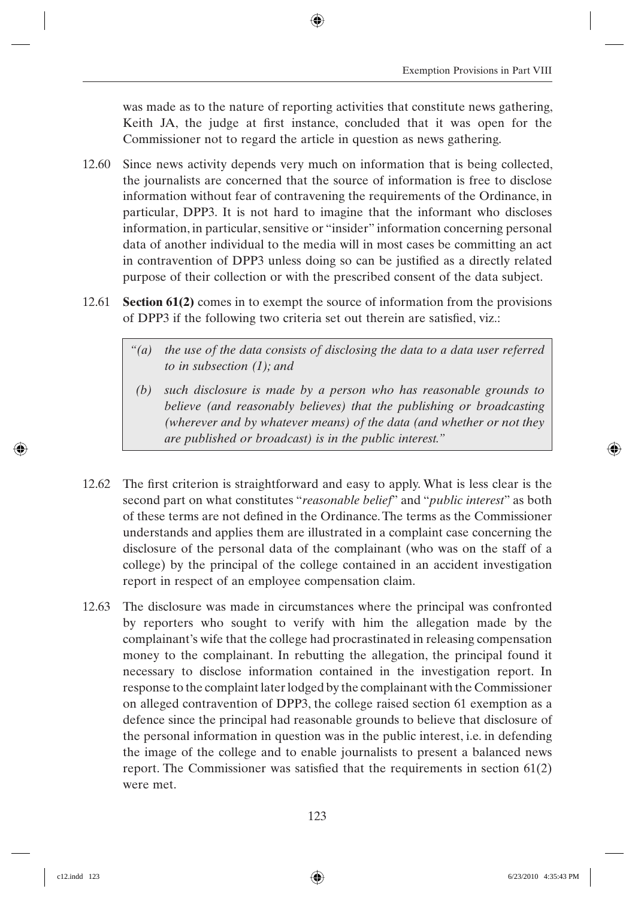was made as to the nature of reporting activities that constitute news gathering, Keith JA, the judge at first instance, concluded that it was open for the Commissioner not to regard the article in question as news gathering.

- 12.60 Since news activity depends very much on information that is being collected, the journalists are concerned that the source of information is free to disclose information without fear of contravening the requirements of the Ordinance, in particular, DPP3. It is not hard to imagine that the informant who discloses information, in particular, sensitive or "insider" information concerning personal data of another individual to the media will in most cases be committing an act in contravention of DPP3 unless doing so can be justified as a directly related purpose of their collection or with the prescribed consent of the data subject.
- 12.61 **Section 61(2)** comes in to exempt the source of information from the provisions of DPP3 if the following two criteria set out therein are satisfied, viz.:
	- *"(a) the use of the data consists of disclosing the data to a data user referred to in subsection (1); and*
	- *(b) such disclosure is made by a person who has reasonable grounds to believe (and reasonably believes) that the publishing or broadcasting (wherever and by whatever means) of the data (and whether or not they are published or broadcast) is in the public interest."*
- 12.62 The first criterion is straightforward and easy to apply. What is less clear is the second part on what constitutes "*reasonable belief*" and "*public interest*" as both of these terms are not defined in the Ordinance. The terms as the Commissioner understands and applies them are illustrated in a complaint case concerning the disclosure of the personal data of the complainant (who was on the staff of a college) by the principal of the college contained in an accident investigation report in respect of an employee compensation claim.
- 12.63 The disclosure was made in circumstances where the principal was confronted by reporters who sought to verify with him the allegation made by the complainant's wife that the college had procrastinated in releasing compensation money to the complainant. In rebutting the allegation, the principal found it necessary to disclose information contained in the investigation report. In response to the complaint later lodged by the complainant with the Commissioner on alleged contravention of DPP3, the college raised section 61 exemption as a defence since the principal had reasonable grounds to believe that disclosure of the personal information in question was in the public interest, i.e. in defending the image of the college and to enable journalists to present a balanced news report. The Commissioner was satisfied that the requirements in section  $61(2)$ were met.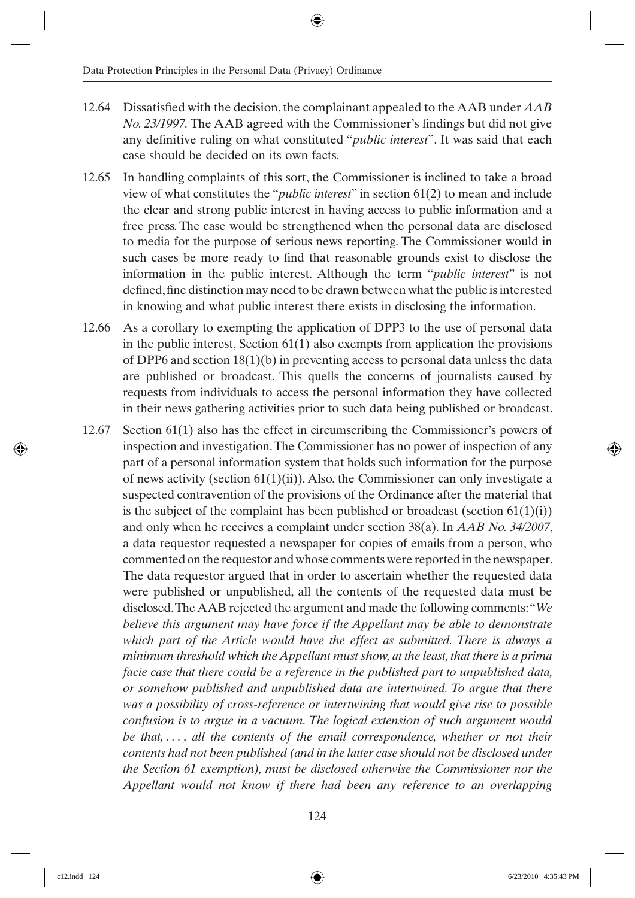- 12.64 Dissatisfied with the decision, the complainant appealed to the AAB under *AAB No. 23/1997.* The AAB agreed with the Commissioner's findings but did not give any definitive ruling on what constituted "*public interest*". It was said that each case should be decided on its own facts.
- 12.65 In handling complaints of this sort, the Commissioner is inclined to take a broad view of what constitutes the "*public interest*" in section 61(2) to mean and include the clear and strong public interest in having access to public information and a free press. The case would be strengthened when the personal data are disclosed to media for the purpose of serious news reporting. The Commissioner would in such cases be more ready to find that reasonable grounds exist to disclose the information in the public interest. Although the term "*public interest*" is not defined, fine distinction may need to be drawn between what the public is interested in knowing and what public interest there exists in disclosing the information.
- 12.66 As a corollary to exempting the application of DPP3 to the use of personal data in the public interest, Section 61(1) also exempts from application the provisions of DPP6 and section 18(1)(b) in preventing access to personal data unless the data are published or broadcast. This quells the concerns of journalists caused by requests from individuals to access the personal information they have collected in their news gathering activities prior to such data being published or broadcast.
- 12.67 Section 61(1) also has the effect in circumscribing the Commissioner's powers of inspection and investigation. The Commissioner has no power of inspection of any part of a personal information system that holds such information for the purpose of news activity (section  $61(1)(ii)$ ). Also, the Commissioner can only investigate a suspected contravention of the provisions of the Ordinance after the material that is the subject of the complaint has been published or broadcast (section  $61(1)(i)$ ) and only when he receives a complaint under section 38(a). In *AAB No. 34/2007*, a data requestor requested a newspaper for copies of emails from a person, who commented on the requestor and whose comments were reported in the newspaper. The data requestor argued that in order to ascertain whether the requested data were published or unpublished, all the contents of the requested data must be disclosed. The AAB rejected the argument and made the following comments: "*We believe this argument may have force if the Appellant may be able to demonstrate which part of the Article would have the effect as submitted. There is always a minimum threshold which the Appellant must show, at the least, that there is a prima facie case that there could be a reference in the published part to unpublished data, or somehow published and unpublished data are intertwined. To argue that there was a possibility of cross-reference or intertwining that would give rise to possible confusion is to argue in a vacuum. The logical extension of such argument would be that, . . . , all the contents of the email correspondence, whether or not their contents had not been published (and in the latter case should not be disclosed under the Section 61 exemption), must be disclosed otherwise the Commissioner nor the Appellant would not know if there had been any reference to an overlapping*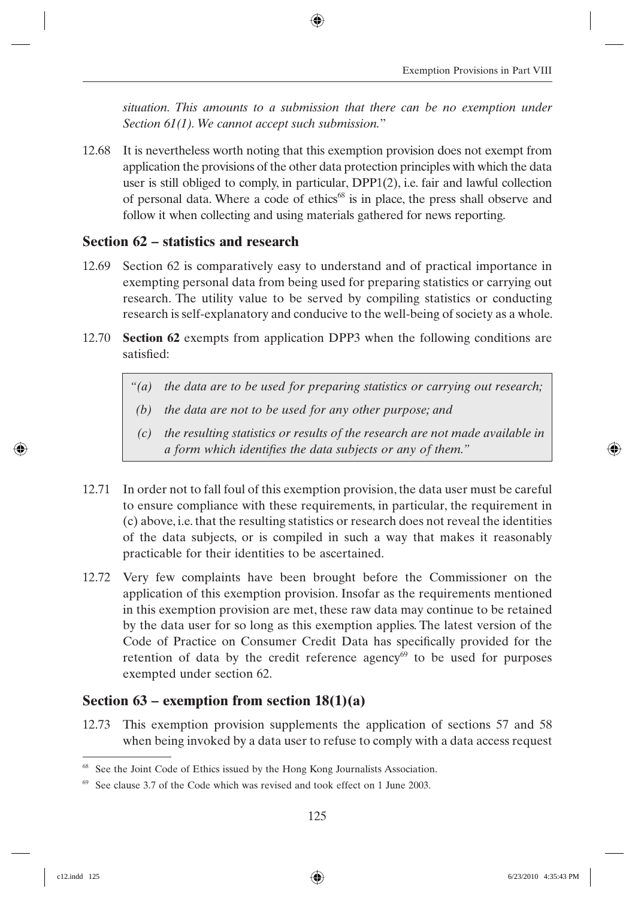*situation. This amounts to a submission that there can be no exemption under Section 61(1). We cannot accept such submission.*"

12.68 It is nevertheless worth noting that this exemption provision does not exempt from application the provisions of the other data protection principles with which the data user is still obliged to comply, in particular, DPP1(2), i.e. fair and lawful collection of personal data. Where a code of ethics<sup>68</sup> is in place, the press shall observe and follow it when collecting and using materials gathered for news reporting.

### **Section 62 – statistics and research**

- 12.69 Section 62 is comparatively easy to understand and of practical importance in exempting personal data from being used for preparing statistics or carrying out research. The utility value to be served by compiling statistics or conducting research is self-explanatory and conducive to the well-being of society as a whole.
- 12.70 **Section 62** exempts from application DPP3 when the following conditions are satisfied<sup>.</sup>
	- *"(a) the data are to be used for preparing statistics or carrying out research;*
	- *(b) the data are not to be used for any other purpose; and*
	- *(c) the resulting statistics or results of the research are not made available in a form which identifies the data subjects or any of them.*"
- 12.71 In order not to fall foul of this exemption provision, the data user must be careful to ensure compliance with these requirements, in particular, the requirement in (c) above, i.e. that the resulting statistics or research does not reveal the identities of the data subjects, or is compiled in such a way that makes it reasonably practicable for their identities to be ascertained.
- 12.72 Very few complaints have been brought before the Commissioner on the application of this exemption provision. Insofar as the requirements mentioned in this exemption provision are met, these raw data may continue to be retained by the data user for so long as this exemption applies. The latest version of the Code of Practice on Consumer Credit Data has specifically provided for the retention of data by the credit reference agency $69$  to be used for purposes exempted under section 62.

### **Section 63 – exemption from section 18(1)(a)**

12.73 This exemption provision supplements the application of sections 57 and 58 when being invoked by a data user to refuse to comply with a data access request

<sup>&</sup>lt;sup>68</sup> See the Joint Code of Ethics issued by the Hong Kong Journalists Association.

 $69$  See clause 3.7 of the Code which was revised and took effect on 1 June 2003.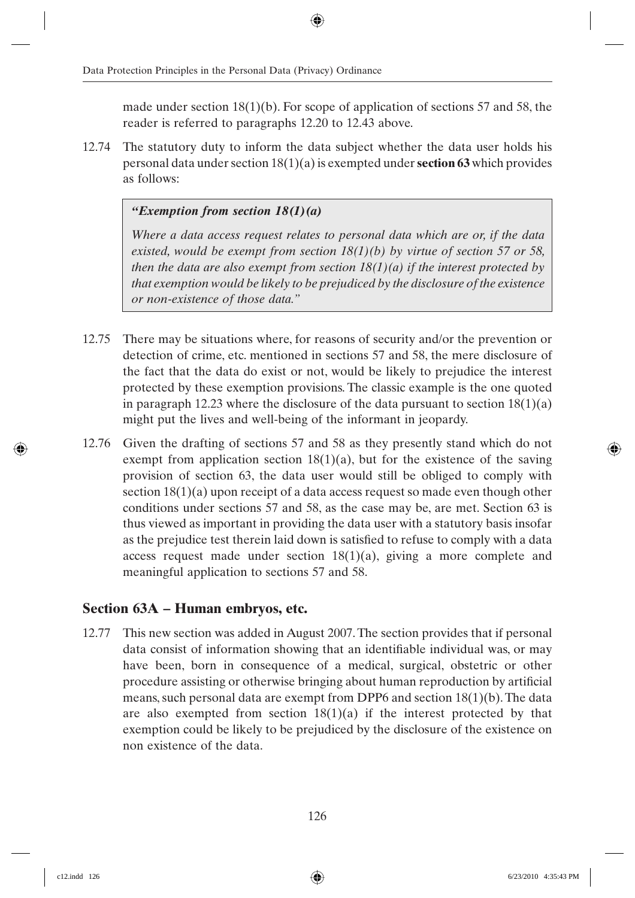made under section  $18(1)(b)$ . For scope of application of sections 57 and 58, the reader is referred to paragraphs 12.20 to 12.43 above.

12.74 The statutory duty to inform the data subject whether the data user holds his personal data under section 18(1)(a) is exempted under **section 63** which provides as follows:

#### *"Exemption from section 18(1)(a)*

*Where a data access request relates to personal data which are or, if the data existed, would be exempt from section 18(1)(b) by virtue of section 57 or 58, then the data are also exempt from section 18(1)(a) if the interest protected by that exemption would be likely to be prejudiced by the disclosure of the existence or non-existence of those data."*

- 12.75 There may be situations where, for reasons of security and/or the prevention or detection of crime, etc. mentioned in sections 57 and 58, the mere disclosure of the fact that the data do exist or not, would be likely to prejudice the interest protected by these exemption provisions. The classic example is the one quoted in paragraph 12.23 where the disclosure of the data pursuant to section  $18(1)(a)$ might put the lives and well-being of the informant in jeopardy.
- 12.76 Given the drafting of sections 57 and 58 as they presently stand which do not exempt from application section  $18(1)(a)$ , but for the existence of the saving provision of section 63, the data user would still be obliged to comply with section 18(1)(a) upon receipt of a data access request so made even though other conditions under sections 57 and 58, as the case may be, are met. Section 63 is thus viewed as important in providing the data user with a statutory basis insofar as the prejudice test therein laid down is satisfied to refuse to comply with a data access request made under section  $18(1)(a)$ , giving a more complete and meaningful application to sections 57 and 58.

### **Section 63A – Human embryos, etc.**

12.77 This new section was added in August 2007. The section provides that if personal data consist of information showing that an identifiable individual was, or may have been, born in consequence of a medical, surgical, obstetric or other procedure assisting or otherwise bringing about human reproduction by artificial means, such personal data are exempt from DPP6 and section 18(1)(b). The data are also exempted from section  $18(1)(a)$  if the interest protected by that exemption could be likely to be prejudiced by the disclosure of the existence on non existence of the data.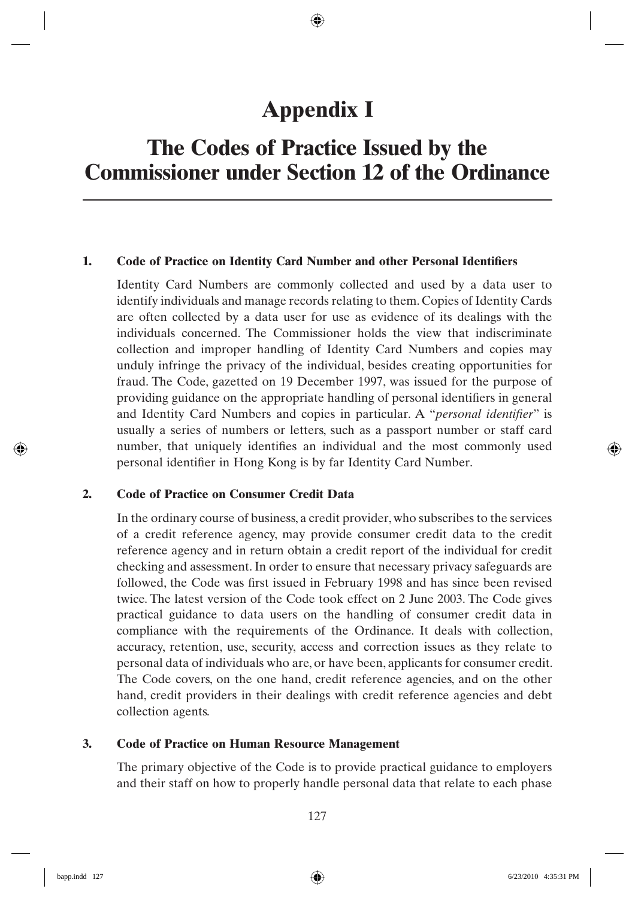## **Appendix I**

## **The Codes of Practice Issued by the Commissioner under Section 12 of the Ordinance**

#### **1.** Code of Practice on Identity Card Number and other Personal Identifiers

 Identity Card Numbers are commonly collected and used by a data user to identify individuals and manage records relating to them. Copies of Identity Cards are often collected by a data user for use as evidence of its dealings with the individuals concerned. The Commissioner holds the view that indiscriminate collection and improper handling of Identity Card Numbers and copies may unduly infringe the privacy of the individual, besides creating opportunities for fraud. The Code, gazetted on 19 December 1997, was issued for the purpose of providing guidance on the appropriate handling of personal identifiers in general and Identity Card Numbers and copies in particular. A "*personal identifier*" is usually a series of numbers or letters, such as a passport number or staff card number, that uniquely identifies an individual and the most commonly used personal identifier in Hong Kong is by far Identity Card Number.

#### **2. Code of Practice on Consumer Credit Data**

 In the ordinary course of business, a credit provider, who subscribes to the services of a credit reference agency, may provide consumer credit data to the credit reference agency and in return obtain a credit report of the individual for credit checking and assessment. In order to ensure that necessary privacy safeguards are followed, the Code was first issued in February 1998 and has since been revised twice. The latest version of the Code took effect on 2 June 2003. The Code gives practical guidance to data users on the handling of consumer credit data in compliance with the requirements of the Ordinance. It deals with collection, accuracy, retention, use, security, access and correction issues as they relate to personal data of individuals who are, or have been, applicants for consumer credit. The Code covers, on the one hand, credit reference agencies, and on the other hand, credit providers in their dealings with credit reference agencies and debt collection agents.

#### **3. Code of Practice on Human Resource Management**

 The primary objective of the Code is to provide practical guidance to employers and their staff on how to properly handle personal data that relate to each phase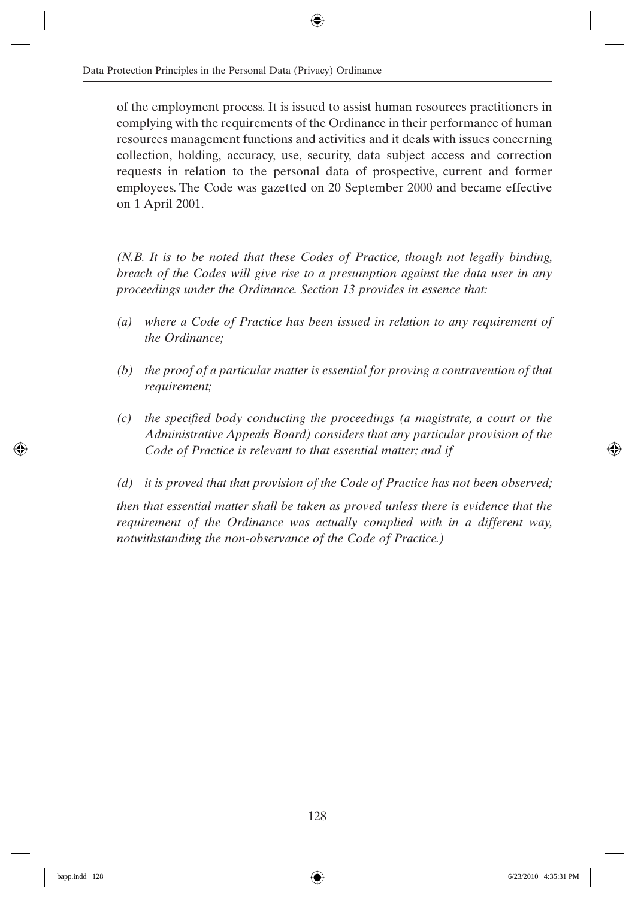of the employment process. It is issued to assist human resources practitioners in complying with the requirements of the Ordinance in their performance of human resources management functions and activities and it deals with issues concerning collection, holding, accuracy, use, security, data subject access and correction requests in relation to the personal data of prospective, current and former employees. The Code was gazetted on 20 September 2000 and became effective on 1 April 2001.

*(N.B. It is to be noted that these Codes of Practice, though not legally binding, breach of the Codes will give rise to a presumption against the data user in any proceedings under the Ordinance. Section 13 provides in essence that:*

- *(a) where a Code of Practice has been issued in relation to any requirement of the Ordinance;*
- *(b) the proof of a particular matter is essential for proving a contravention of that requirement;*
- *(c)* the specified body conducting the proceedings (a magistrate, a court or the *Administrative Appeals Board) considers that any particular provision of the Code of Practice is relevant to that essential matter; and if*
- *(d) it is proved that that provision of the Code of Practice has not been observed;*

*then that essential matter shall be taken as proved unless there is evidence that the requirement of the Ordinance was actually complied with in a different way, notwithstanding the non-observance of the Code of Practice.)*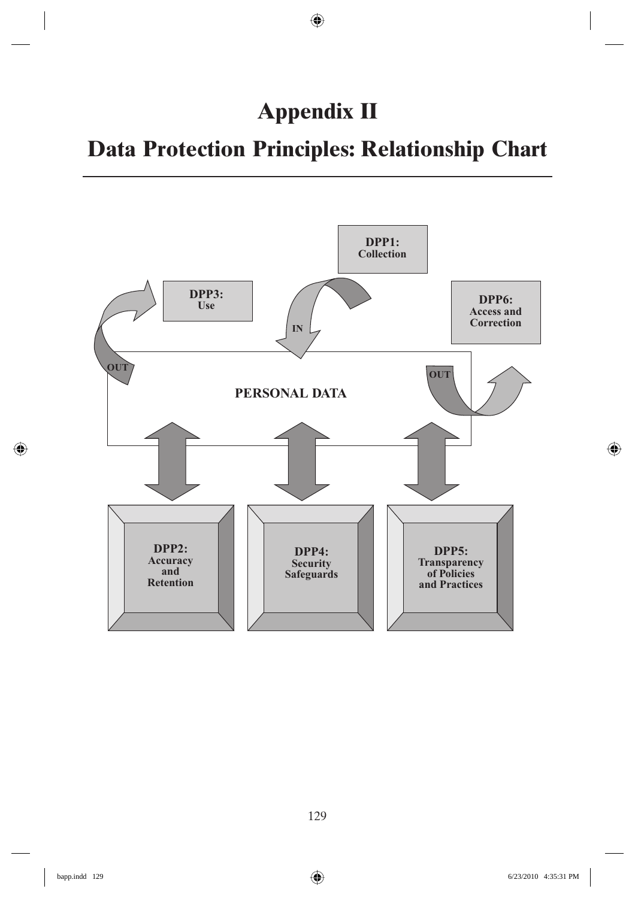# **Appendix II**

## **Data Protection Principles: Relationship Chart**

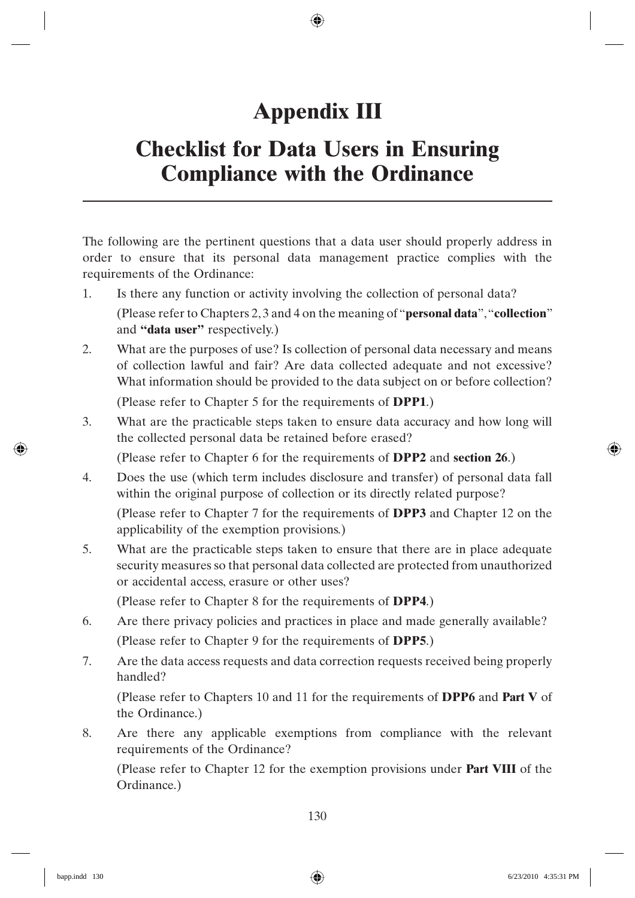# **Appendix III**

## **Checklist for Data Users in Ensuring Compliance with the Ordinance**

The following are the pertinent questions that a data user should properly address in order to ensure that its personal data management practice complies with the requirements of the Ordinance:

- 1. Is there any function or activity involving the collection of personal data? (Please refer to Chapters 2, 3 and 4 on the meaning of "**personal data**", "**collection**" and **"data user"** respectively.)
- 2. What are the purposes of use? Is collection of personal data necessary and means of collection lawful and fair? Are data collected adequate and not excessive? What information should be provided to the data subject on or before collection?

(Please refer to Chapter 5 for the requirements of **DPP1**.)

3. What are the practicable steps taken to ensure data accuracy and how long will the collected personal data be retained before erased?

(Please refer to Chapter 6 for the requirements of **DPP2** and **section 26**.)

4. Does the use (which term includes disclosure and transfer) of personal data fall within the original purpose of collection or its directly related purpose?

 (Please refer to Chapter 7 for the requirements of **DPP3** and Chapter 12 on the applicability of the exemption provisions.)

5. What are the practicable steps taken to ensure that there are in place adequate security measures so that personal data collected are protected from unauthorized or accidental access, erasure or other uses?

(Please refer to Chapter 8 for the requirements of **DPP4**.)

- 6. Are there privacy policies and practices in place and made generally available? (Please refer to Chapter 9 for the requirements of **DPP5**.)
- 7. Are the data access requests and data correction requests received being properly handled?

 (Please refer to Chapters 10 and 11 for the requirements of **DPP6** and **Part V** of the Ordinance.)

8. Are there any applicable exemptions from compliance with the relevant requirements of the Ordinance?

 (Please refer to Chapter 12 for the exemption provisions under **Part VIII** of the Ordinance.)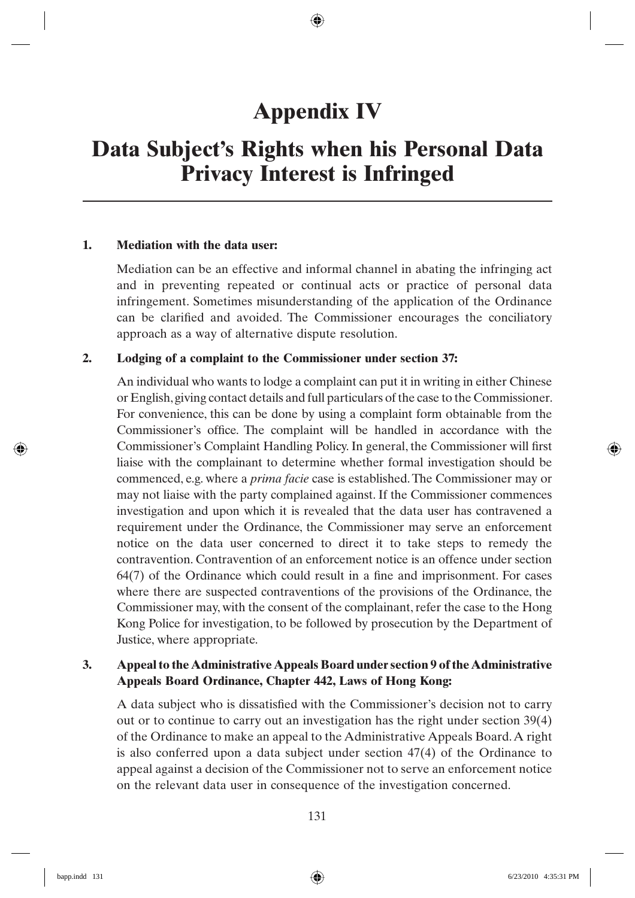## **Appendix IV**

## **Data Subject's Rights when his Personal Data Privacy Interest is Infringed**

#### **1. Mediation with the data user:**

 Mediation can be an effective and informal channel in abating the infringing act and in preventing repeated or continual acts or practice of personal data infringement. Sometimes misunderstanding of the application of the Ordinance can be clarified and avoided. The Commissioner encourages the conciliatory approach as a way of alternative dispute resolution.

#### **2. Lodging of a complaint to the Commissioner under section 37:**

 An individual who wants to lodge a complaint can put it in writing in either Chinese or English, giving contact details and full particulars of the case to the Commissioner. For convenience, this can be done by using a complaint form obtainable from the Commissioner's office. The complaint will be handled in accordance with the Commissioner's Complaint Handling Policy. In general, the Commissioner will first liaise with the complainant to determine whether formal investigation should be commenced, e.g. where a *prima facie* case is established. The Commissioner may or may not liaise with the party complained against. If the Commissioner commences investigation and upon which it is revealed that the data user has contravened a requirement under the Ordinance, the Commissioner may serve an enforcement notice on the data user concerned to direct it to take steps to remedy the contravention. Contravention of an enforcement notice is an offence under section  $64(7)$  of the Ordinance which could result in a fine and imprisonment. For cases where there are suspected contraventions of the provisions of the Ordinance, the Commissioner may, with the consent of the complainant, refer the case to the Hong Kong Police for investigation, to be followed by prosecution by the Department of Justice, where appropriate.

### **3. Appeal to the Administrative Appeals Board under section 9 of the Administrative Appeals Board Ordinance, Chapter 442, Laws of Hong Kong:**

A data subject who is dissatisfied with the Commissioner's decision not to carry out or to continue to carry out an investigation has the right under section 39(4) of the Ordinance to make an appeal to the Administrative Appeals Board. A right is also conferred upon a data subject under section 47(4) of the Ordinance to appeal against a decision of the Commissioner not to serve an enforcement notice on the relevant data user in consequence of the investigation concerned.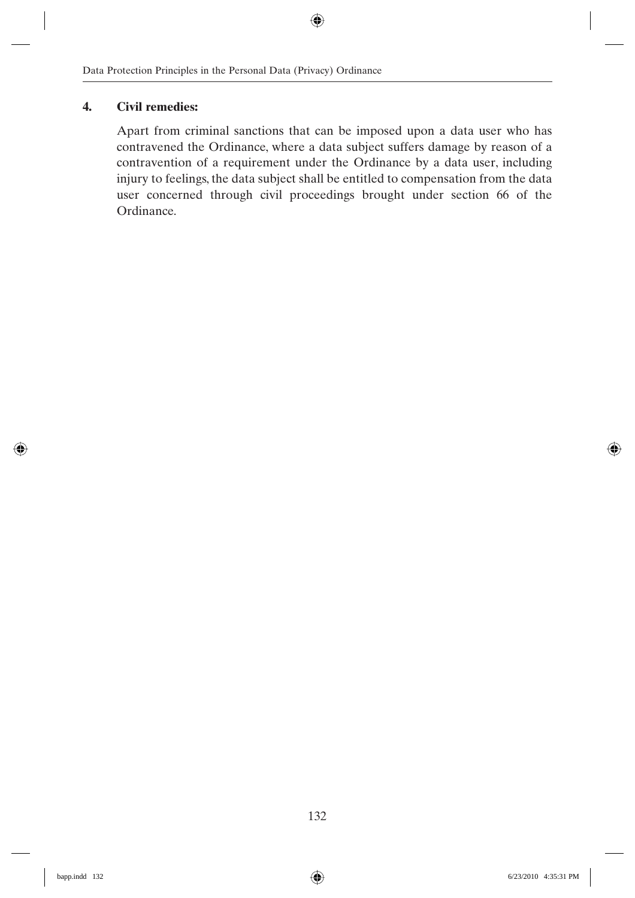### **4. Civil remedies:**

 Apart from criminal sanctions that can be imposed upon a data user who has contravened the Ordinance, where a data subject suffers damage by reason of a contravention of a requirement under the Ordinance by a data user, including injury to feelings, the data subject shall be entitled to compensation from the data user concerned through civil proceedings brought under section 66 of the Ordinance.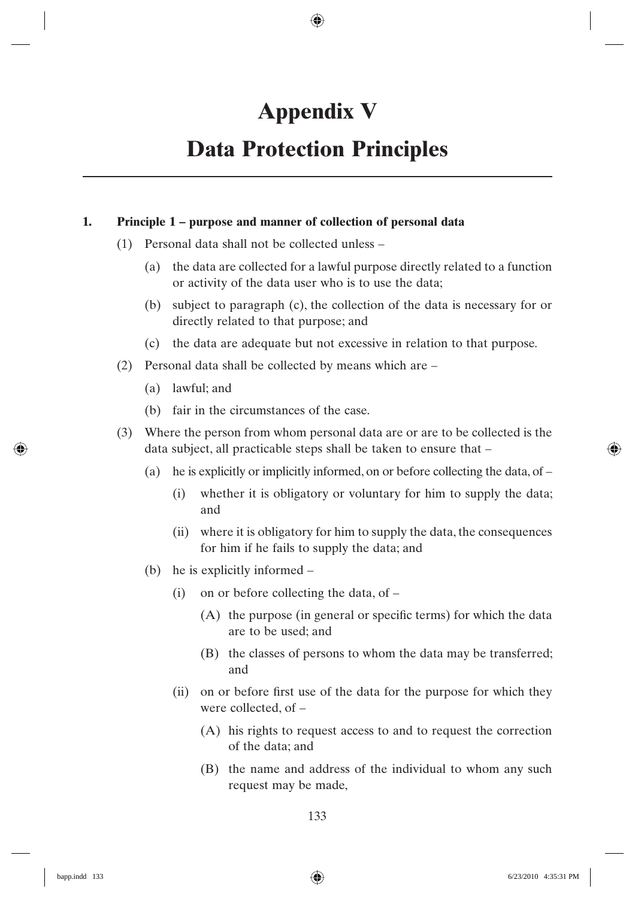# **Appendix V**

## **Data Protection Principles**

### **1. Principle 1 – purpose and manner of collection of personal data**

- (1) Personal data shall not be collected unless
	- (a) the data are collected for a lawful purpose directly related to a function or activity of the data user who is to use the data;
	- (b) subject to paragraph (c), the collection of the data is necessary for or directly related to that purpose; and
	- (c) the data are adequate but not excessive in relation to that purpose.
- (2) Personal data shall be collected by means which are
	- (a) lawful; and
	- (b) fair in the circumstances of the case.
- (3) Where the person from whom personal data are or are to be collected is the data subject, all practicable steps shall be taken to ensure that –
	- (a) he is explicitly or implicitly informed, on or before collecting the data, of  $-$ 
		- (i) whether it is obligatory or voluntary for him to supply the data; and
		- (ii) where it is obligatory for him to supply the data, the consequences for him if he fails to supply the data; and
	- (b) he is explicitly informed
		- (i) on or before collecting the data, of
			- $(A)$  the purpose (in general or specific terms) for which the data are to be used; and
			- (B) the classes of persons to whom the data may be transferred; and
		- (ii) on or before first use of the data for the purpose for which they were collected, of –
			- (A) his rights to request access to and to request the correction of the data; and
			- (B) the name and address of the individual to whom any such request may be made,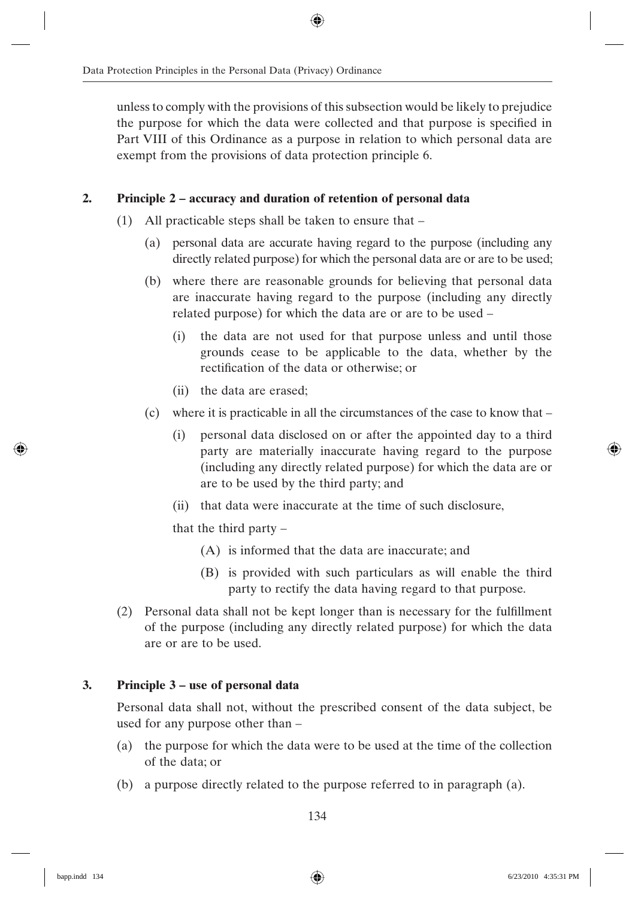unless to comply with the provisions of this subsection would be likely to prejudice the purpose for which the data were collected and that purpose is specified in Part VIII of this Ordinance as a purpose in relation to which personal data are exempt from the provisions of data protection principle 6.

### **2. Principle 2 – accuracy and duration of retention of personal data**

- (1) All practicable steps shall be taken to ensure that
	- (a) personal data are accurate having regard to the purpose (including any directly related purpose) for which the personal data are or are to be used;
	- (b) where there are reasonable grounds for believing that personal data are inaccurate having regard to the purpose (including any directly related purpose) for which the data are or are to be used –
		- (i) the data are not used for that purpose unless and until those grounds cease to be applicable to the data, whether by the rectification of the data or otherwise; or
		- (ii) the data are erased;
	- (c) where it is practicable in all the circumstances of the case to know that
		- (i) personal data disclosed on or after the appointed day to a third party are materially inaccurate having regard to the purpose (including any directly related purpose) for which the data are or are to be used by the third party; and
		- (ii) that data were inaccurate at the time of such disclosure,

that the third party –

- (A) is informed that the data are inaccurate; and
- (B) is provided with such particulars as will enable the third party to rectify the data having regard to that purpose.
- $(2)$  Personal data shall not be kept longer than is necessary for the fulfillment of the purpose (including any directly related purpose) for which the data are or are to be used.

### **3. Principle 3 – use of personal data**

 Personal data shall not, without the prescribed consent of the data subject, be used for any purpose other than –

- (a) the purpose for which the data were to be used at the time of the collection of the data; or
- (b) a purpose directly related to the purpose referred to in paragraph (a).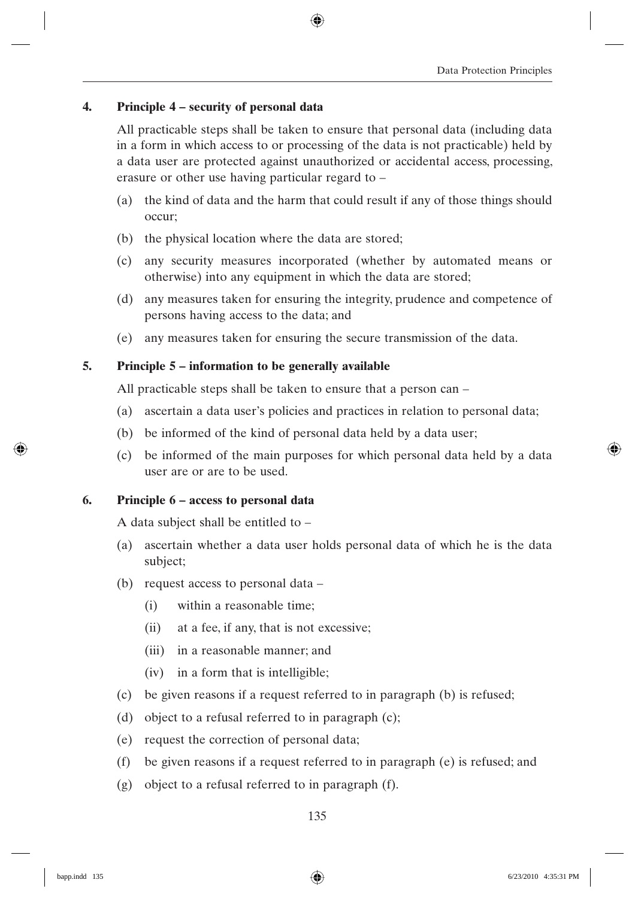# **4. Principle 4 – security of personal data**

 All practicable steps shall be taken to ensure that personal data (including data in a form in which access to or processing of the data is not practicable) held by a data user are protected against unauthorized or accidental access, processing, erasure or other use having particular regard to –

- (a) the kind of data and the harm that could result if any of those things should occur;
- (b) the physical location where the data are stored;
- (c) any security measures incorporated (whether by automated means or otherwise) into any equipment in which the data are stored;
- (d) any measures taken for ensuring the integrity, prudence and competence of persons having access to the data; and
- (e) any measures taken for ensuring the secure transmission of the data.

# **5. Principle 5 – information to be generally available**

All practicable steps shall be taken to ensure that a person can –

- (a) ascertain a data user's policies and practices in relation to personal data;
- (b) be informed of the kind of personal data held by a data user;
- (c) be informed of the main purposes for which personal data held by a data user are or are to be used.

# **6. Principle 6 – access to personal data**

A data subject shall be entitled to –

- (a) ascertain whether a data user holds personal data of which he is the data subject;
- (b) request access to personal data
	- (i) within a reasonable time;
	- (ii) at a fee, if any, that is not excessive;
	- (iii) in a reasonable manner; and
	- (iv) in a form that is intelligible;
- (c) be given reasons if a request referred to in paragraph (b) is refused;
- (d) object to a refusal referred to in paragraph (c);
- (e) request the correction of personal data;
- (f) be given reasons if a request referred to in paragraph (e) is refused; and
- (g) object to a refusal referred to in paragraph (f).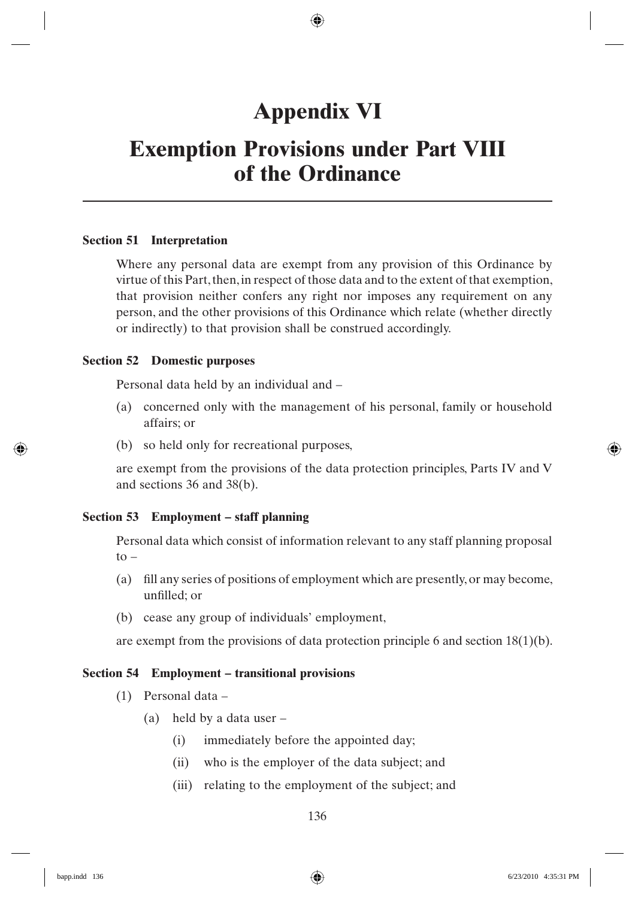# **Appendix VI**

# **Exemption Provisions under Part VIII of the Ordinance**

## **Section 51 Interpretation**

Where any personal data are exempt from any provision of this Ordinance by virtue of this Part, then, in respect of those data and to the extent of that exemption, that provision neither confers any right nor imposes any requirement on any person, and the other provisions of this Ordinance which relate (whether directly or indirectly) to that provision shall be construed accordingly.

# **Section 52 Domestic purposes**

Personal data held by an individual and –

- (a) concerned only with the management of his personal, family or household affairs; or
- (b) so held only for recreational purposes,

are exempt from the provisions of the data protection principles, Parts IV and V and sections 36 and 38(b).

# **Section 53 Employment – staff planning**

Personal data which consist of information relevant to any staff planning proposal  $\mathsf{to}$ 

- (a) fill any series of positions of employment which are presently, or may become, unfilled: or
- (b) cease any group of individuals' employment,

are exempt from the provisions of data protection principle 6 and section 18(1)(b).

## **Section 54 Employment – transitional provisions**

- (1) Personal data
	- (a) held by a data user
		- (i) immediately before the appointed day;
		- (ii) who is the employer of the data subject; and
		- (iii) relating to the employment of the subject; and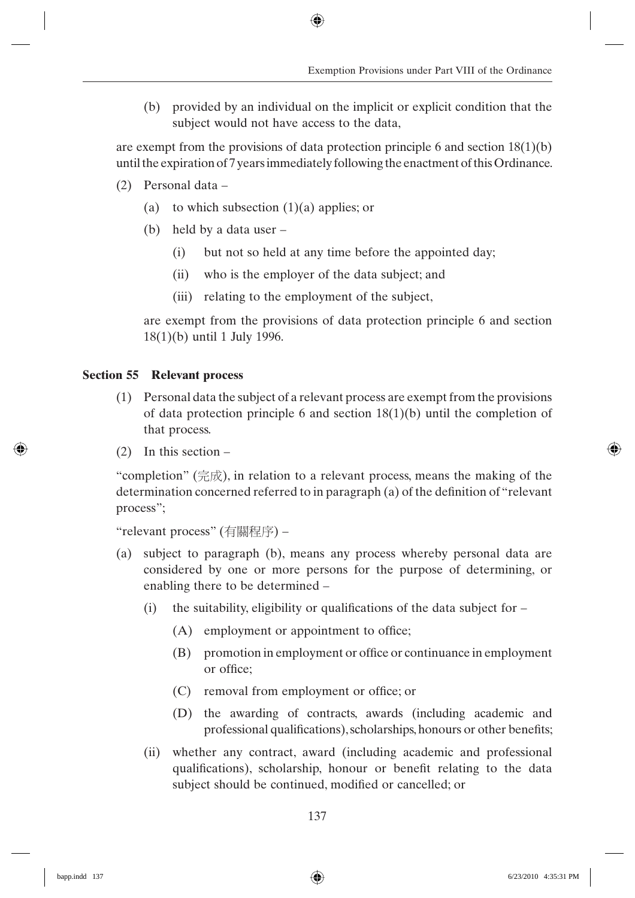(b) provided by an individual on the implicit or explicit condition that the subject would not have access to the data,

are exempt from the provisions of data protection principle 6 and section  $18(1)(b)$ until the expiration of 7 years immediately following the enactment of this Ordinance.

- (2) Personal data
	- (a) to which subsection  $(1)(a)$  applies; or
	- (b) held by a data user
		- (i) but not so held at any time before the appointed day;
		- (ii) who is the employer of the data subject; and
		- (iii) relating to the employment of the subject,

are exempt from the provisions of data protection principle 6 and section 18(1)(b) until 1 July 1996.

# **Section 55 Relevant process**

- (1) Personal data the subject of a relevant process are exempt from the provisions of data protection principle 6 and section  $18(1)(b)$  until the completion of that process.
- (2) In this section –

"completion" ( $\hat{\pi}$ ), in relation to a relevant process, means the making of the determination concerned referred to in paragraph (a) of the definition of "relevant process";

```
"relevant process" (有關程序) –
```
- (a) subject to paragraph (b), means any process whereby personal data are considered by one or more persons for the purpose of determining, or enabling there to be determined –
	- (i) the suitability, eligibility or qualifications of the data subject for  $-$ 
		- $(A)$  employment or appointment to office;
		- (B) promotion in employment or office or continuance in employment or office;
		- $(C)$  removal from employment or office; or
		- (D) the awarding of contracts, awards (including academic and professional qualifications), scholarships, honours or other benefits;
	- (ii) whether any contract, award (including academic and professional qualifications), scholarship, honour or benefit relating to the data subject should be continued, modified or cancelled; or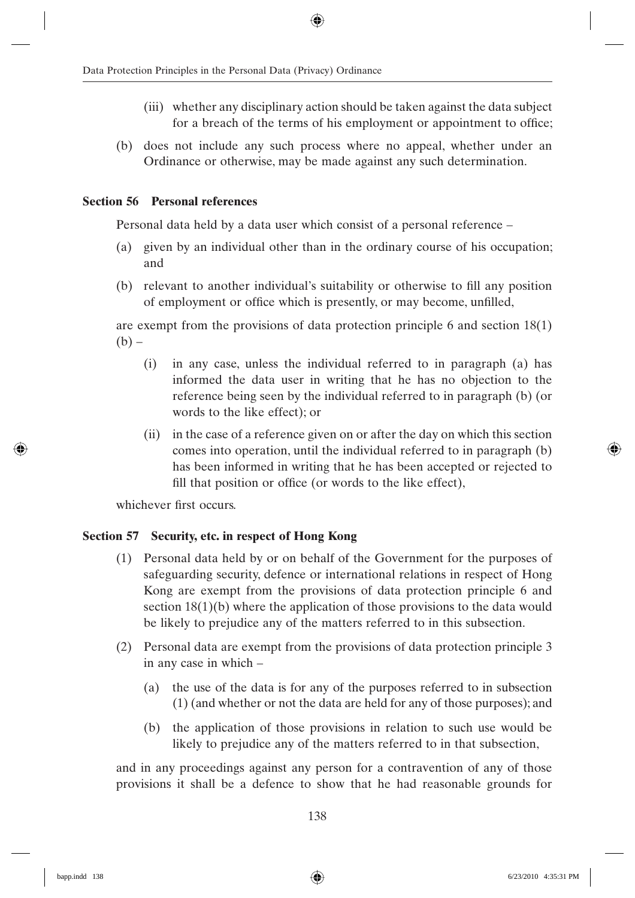- (iii) whether any disciplinary action should be taken against the data subject for a breach of the terms of his employment or appointment to office;
- (b) does not include any such process where no appeal, whether under an Ordinance or otherwise, may be made against any such determination.

# **Section 56 Personal references**

Personal data held by a data user which consist of a personal reference –

- (a) given by an individual other than in the ordinary course of his occupation; and
- (b) relevant to another individual's suitability or otherwise to fill any position of employment or office which is presently, or may become, unfilled,

are exempt from the provisions of data protection principle 6 and section 18(1)  $(b)$  –

- (i) in any case, unless the individual referred to in paragraph (a) has informed the data user in writing that he has no objection to the reference being seen by the individual referred to in paragraph (b) (or words to the like effect); or
- (ii) in the case of a reference given on or after the day on which this section comes into operation, until the individual referred to in paragraph (b) has been informed in writing that he has been accepted or rejected to fill that position or office (or words to the like effect),

whichever first occurs.

# **Section 57 Security, etc. in respect of Hong Kong**

- (1) Personal data held by or on behalf of the Government for the purposes of safeguarding security, defence or international relations in respect of Hong Kong are exempt from the provisions of data protection principle 6 and section 18(1)(b) where the application of those provisions to the data would be likely to prejudice any of the matters referred to in this subsection.
- (2) Personal data are exempt from the provisions of data protection principle 3 in any case in which –
	- (a) the use of the data is for any of the purposes referred to in subsection (1) (and whether or not the data are held for any of those purposes); and
	- (b) the application of those provisions in relation to such use would be likely to prejudice any of the matters referred to in that subsection,

and in any proceedings against any person for a contravention of any of those provisions it shall be a defence to show that he had reasonable grounds for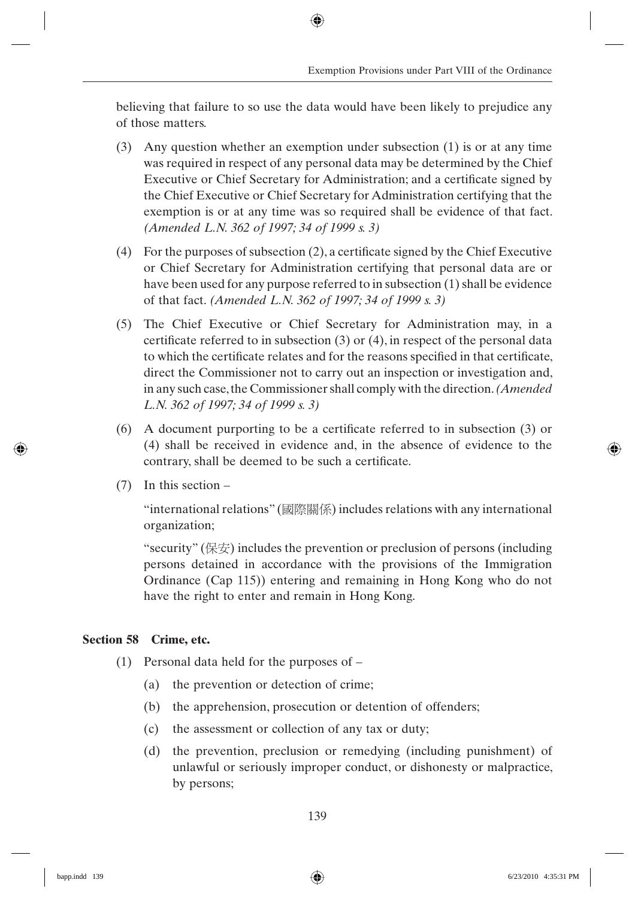believing that failure to so use the data would have been likely to prejudice any of those matters.

- (3) Any question whether an exemption under subsection (1) is or at any time was required in respect of any personal data may be determined by the Chief Executive or Chief Secretary for Administration; and a certificate signed by the Chief Executive or Chief Secretary for Administration certifying that the exemption is or at any time was so required shall be evidence of that fact. *(Amended L.N. 362 of 1997; 34 of 1999 s. 3)*
- (4) For the purposes of subsection  $(2)$ , a certificate signed by the Chief Executive or Chief Secretary for Administration certifying that personal data are or have been used for any purpose referred to in subsection (1) shall be evidence of that fact. *(Amended L.N. 362 of 1997; 34 of 1999 s. 3)*
- (5) The Chief Executive or Chief Secretary for Administration may, in a certificate referred to in subsection  $(3)$  or  $(4)$ , in respect of the personal data to which the certificate relates and for the reasons specified in that certificate, direct the Commissioner not to carry out an inspection or investigation and, in any such case, the Commissioner shall comply with the direction. *(Amended L.N. 362 of 1997; 34 of 1999 s. 3)*
- $(6)$  A document purporting to be a certificate referred to in subsection (3) or (4) shall be received in evidence and, in the absence of evidence to the contrary, shall be deemed to be such a certificate.
- (7) In this section –

"international relations" (國際關係) includes relations with any international organization;

"security" ( $\&\circledast$ ) includes the prevention or preclusion of persons (including persons detained in accordance with the provisions of the Immigration Ordinance (Cap 115)) entering and remaining in Hong Kong who do not have the right to enter and remain in Hong Kong.

# **Section 58 Crime, etc.**

- (1) Personal data held for the purposes of
	- (a) the prevention or detection of crime;
	- (b) the apprehension, prosecution or detention of offenders;
	- (c) the assessment or collection of any tax or duty;
	- (d) the prevention, preclusion or remedying (including punishment) of unlawful or seriously improper conduct, or dishonesty or malpractice, by persons;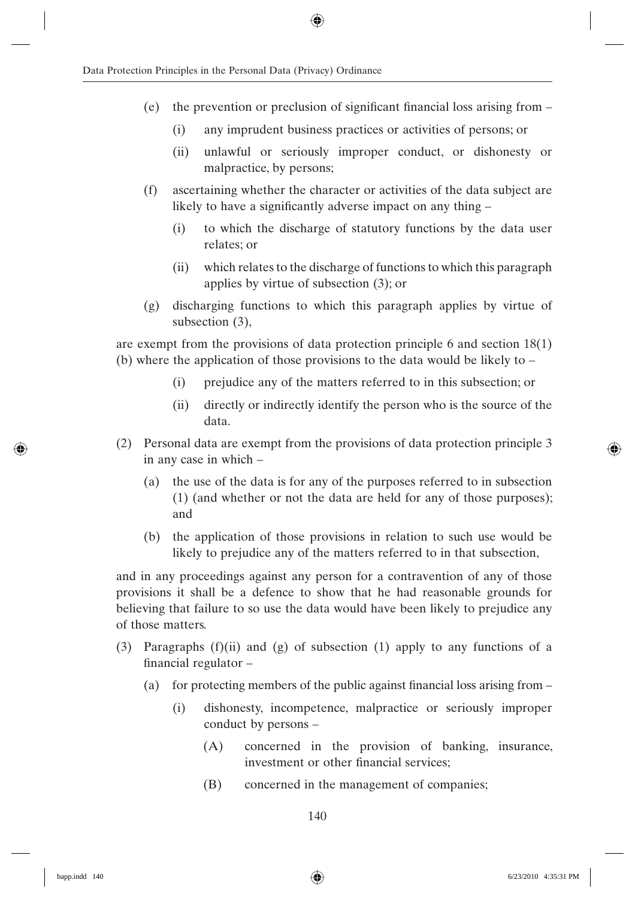- (e) the prevention or preclusion of significant financial loss arising from  $-$ 
	- (i) any imprudent business practices or activities of persons; or
	- (ii) unlawful or seriously improper conduct, or dishonesty or malpractice, by persons;
- (f) ascertaining whether the character or activities of the data subject are likely to have a significantly adverse impact on any thing  $-$ 
	- (i) to which the discharge of statutory functions by the data user relates; or
	- (ii) which relates to the discharge of functions to which this paragraph applies by virtue of subsection (3); or
- (g) discharging functions to which this paragraph applies by virtue of subsection (3).

are exempt from the provisions of data protection principle 6 and section 18(1) (b) where the application of those provisions to the data would be likely to –

- (i) prejudice any of the matters referred to in this subsection; or
- (ii) directly or indirectly identify the person who is the source of the data.
- (2) Personal data are exempt from the provisions of data protection principle 3 in any case in which –
	- (a) the use of the data is for any of the purposes referred to in subsection (1) (and whether or not the data are held for any of those purposes); and
	- (b) the application of those provisions in relation to such use would be likely to prejudice any of the matters referred to in that subsection,

and in any proceedings against any person for a contravention of any of those provisions it shall be a defence to show that he had reasonable grounds for believing that failure to so use the data would have been likely to prejudice any of those matters.

- (3) Paragraphs (f)(ii) and (g) of subsection (1) apply to any functions of a financial regulator  $-$ 
	- (a) for protecting members of the public against financial loss arising from  $-$ 
		- (i) dishonesty, incompetence, malpractice or seriously improper conduct by persons –
			- (A) concerned in the provision of banking, insurance, investment or other financial services;
			- (B) concerned in the management of companies;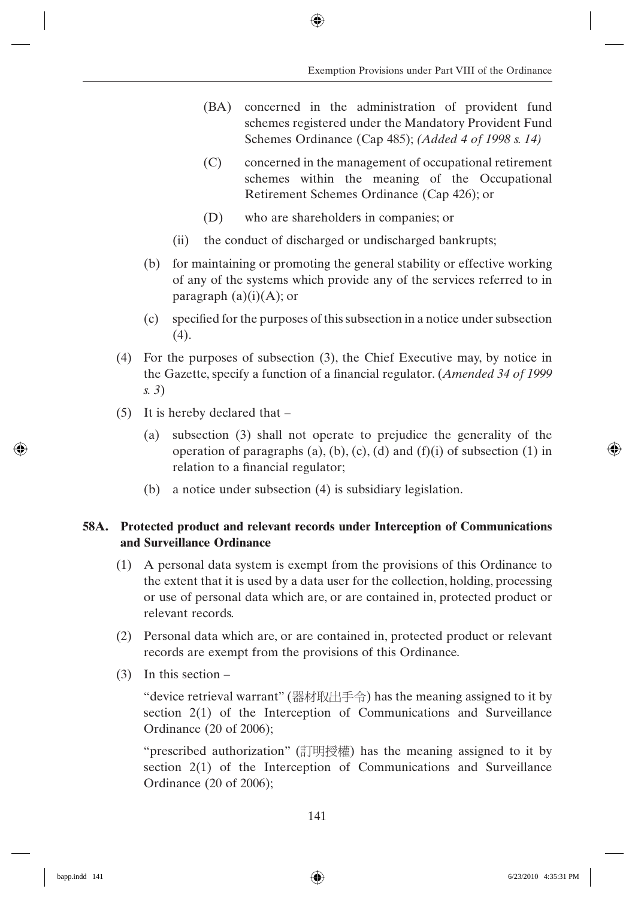- (BA) concerned in the administration of provident fund schemes registered under the Mandatory Provident Fund Schemes Ordinance (Cap 485); *(Added 4 of 1998 s. 14)*
- (C) concerned in the management of occupational retirement schemes within the meaning of the Occupational Retirement Schemes Ordinance (Cap 426); or
- (D) who are shareholders in companies; or
- (ii) the conduct of discharged or undischarged bankrupts;
- (b) for maintaining or promoting the general stability or effective working of any of the systems which provide any of the services referred to in paragraph  $(a)(i)(A)$ ; or
- $(c)$  specified for the purposes of this subsection in a notice under subsection (4).
- (4) For the purposes of subsection (3), the Chief Executive may, by notice in the Gazette, specify a function of a financial regulator. (*Amended 34 of 1999 s. 3*)
- (5) It is hereby declared that
	- (a) subsection (3) shall not operate to prejudice the generality of the operation of paragraphs (a), (b), (c), (d) and (f)(i) of subsection (1) in relation to a financial regulator;
	- (b) a notice under subsection (4) is subsidiary legislation.

# **58A. Protected product and relevant records under Interception of Communications and Surveillance Ordinance**

- (1) A personal data system is exempt from the provisions of this Ordinance to the extent that it is used by a data user for the collection, holding, processing or use of personal data which are, or are contained in, protected product or relevant records.
- (2) Personal data which are, or are contained in, protected product or relevant records are exempt from the provisions of this Ordinance.
- (3) In this section –

"device retrieval warrant" (器材取出手令) has the meaning assigned to it by section 2(1) of the Interception of Communications and Surveillance Ordinance (20 of 2006);

"prescribed authorization" (訂明授權) has the meaning assigned to it by section 2(1) of the Interception of Communications and Surveillance Ordinance (20 of 2006);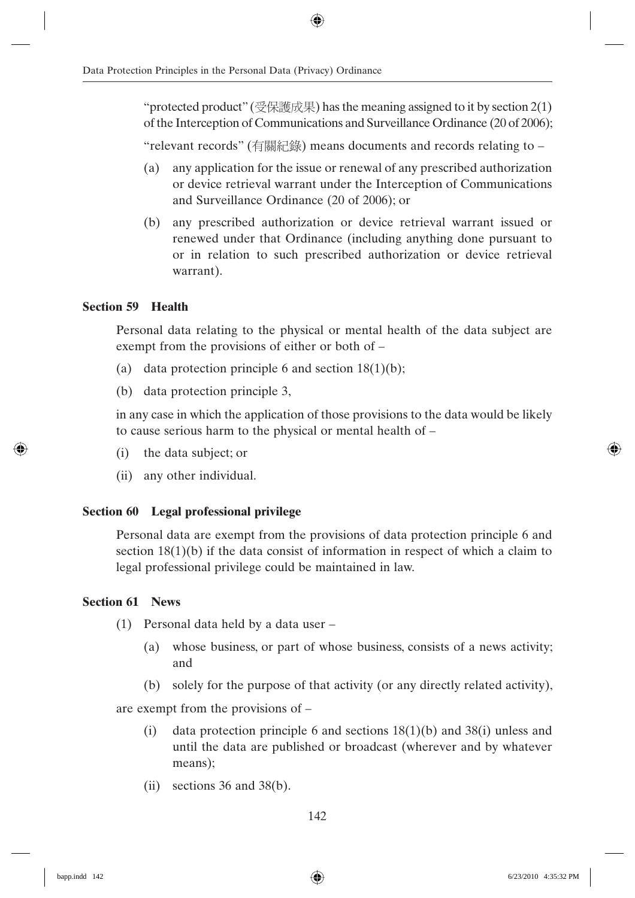"protected product" (受保護成果) has the meaning assigned to it by section  $2(1)$ of the Interception of Communications and Surveillance Ordinance (20 of 2006);

"relevant records" (有關紀錄) means documents and records relating to –

- (a) any application for the issue or renewal of any prescribed authorization or device retrieval warrant under the Interception of Communications and Surveillance Ordinance (20 of 2006); or
- (b) any prescribed authorization or device retrieval warrant issued or renewed under that Ordinance (including anything done pursuant to or in relation to such prescribed authorization or device retrieval warrant).

# **Section 59 Health**

Personal data relating to the physical or mental health of the data subject are exempt from the provisions of either or both of –

- (a) data protection principle 6 and section  $18(1)(b)$ ;
- (b) data protection principle 3,

in any case in which the application of those provisions to the data would be likely to cause serious harm to the physical or mental health of –

- (i) the data subject; or
- (ii) any other individual.

# **Section 60 Legal professional privilege**

Personal data are exempt from the provisions of data protection principle 6 and section  $18(1)(b)$  if the data consist of information in respect of which a claim to legal professional privilege could be maintained in law.

# **Section 61 News**

- (1) Personal data held by a data user
	- (a) whose business, or part of whose business, consists of a news activity; and
	- (b) solely for the purpose of that activity (or any directly related activity),

are exempt from the provisions of –

- (i) data protection principle 6 and sections 18(1)(b) and 38(i) unless and until the data are published or broadcast (wherever and by whatever means);
- (ii) sections 36 and 38(b).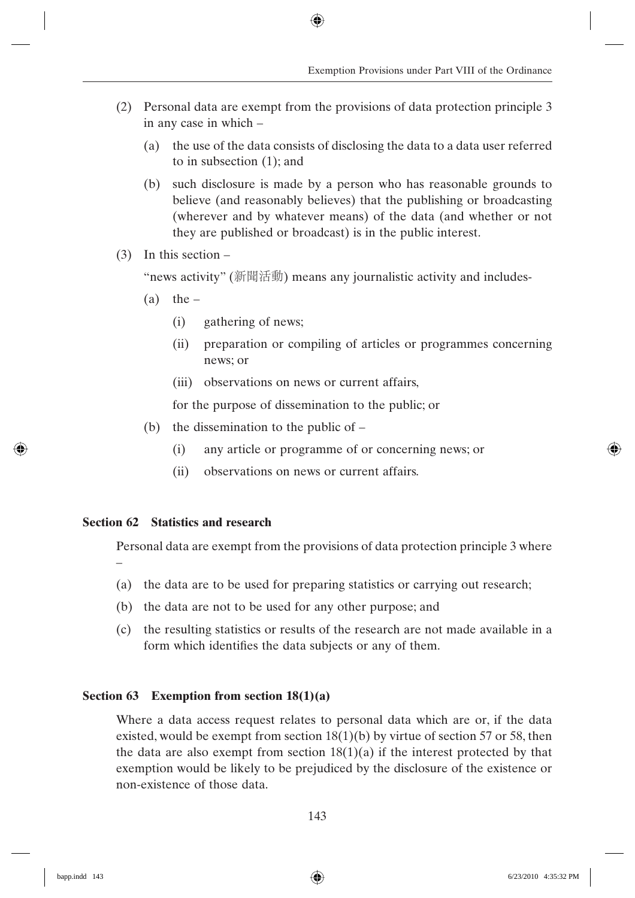- (2) Personal data are exempt from the provisions of data protection principle 3 in any case in which –
	- (a) the use of the data consists of disclosing the data to a data user referred to in subsection (1); and
	- (b) such disclosure is made by a person who has reasonable grounds to believe (and reasonably believes) that the publishing or broadcasting (wherever and by whatever means) of the data (and whether or not they are published or broadcast) is in the public interest.
- (3) In this section –

"news activity" (新聞活動) means any journalistic activity and includes-

- $(a)$  the
	- (i) gathering of news;
	- (ii) preparation or compiling of articles or programmes concerning news; or
	- (iii) observations on news or current affairs,

for the purpose of dissemination to the public; or

- (b) the dissemination to the public of
	- (i) any article or programme of or concerning news; or
	- (ii) observations on news or current affairs.

# **Section 62 Statistics and research**

Personal data are exempt from the provisions of data protection principle 3 where –

- (a) the data are to be used for preparing statistics or carrying out research;
- (b) the data are not to be used for any other purpose; and
- (c) the resulting statistics or results of the research are not made available in a form which identifies the data subjects or any of them.

# **Section 63 Exemption from section 18(1)(a)**

Where a data access request relates to personal data which are or, if the data existed, would be exempt from section  $18(1)(b)$  by virtue of section 57 or 58, then the data are also exempt from section  $18(1)(a)$  if the interest protected by that exemption would be likely to be prejudiced by the disclosure of the existence or non-existence of those data.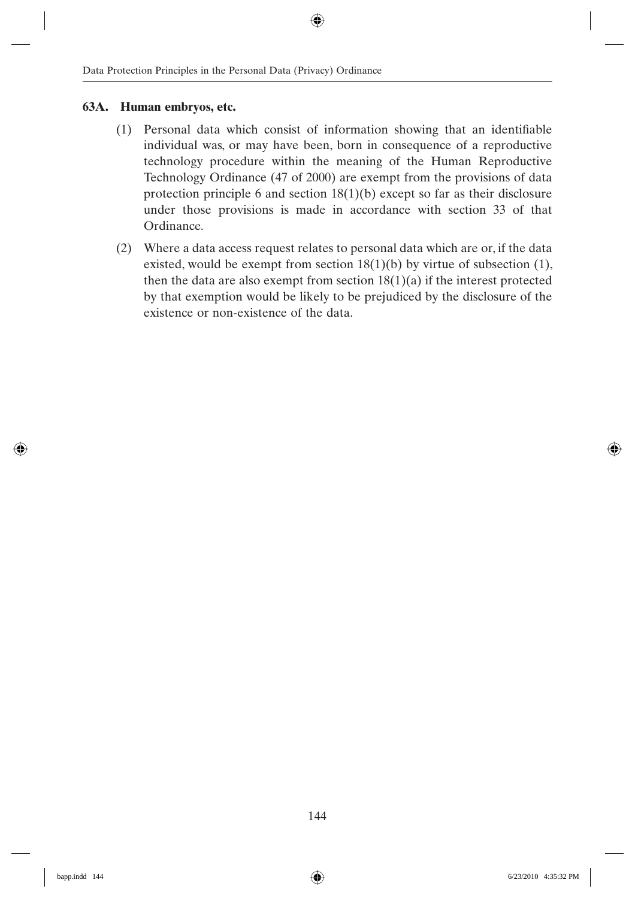# **63A. Human embryos, etc.**

- $(1)$  Personal data which consist of information showing that an identifiable individual was, or may have been, born in consequence of a reproductive technology procedure within the meaning of the Human Reproductive Technology Ordinance (47 of 2000) are exempt from the provisions of data protection principle 6 and section 18(1)(b) except so far as their disclosure under those provisions is made in accordance with section 33 of that Ordinance.
- (2) Where a data access request relates to personal data which are or, if the data existed, would be exempt from section  $18(1)(b)$  by virtue of subsection (1), then the data are also exempt from section  $18(1)(a)$  if the interest protected by that exemption would be likely to be prejudiced by the disclosure of the existence or non-existence of the data.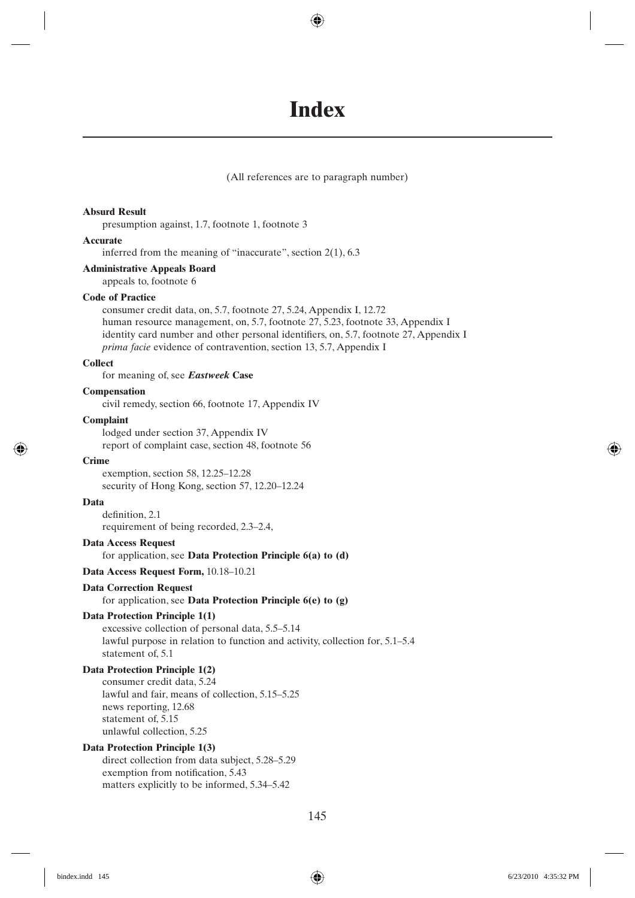# **Index**

(All references are to paragraph number)

#### **Absurd Result**

presumption against, 1.7, footnote 1, footnote 3

#### **Accurate**

inferred from the meaning of "inaccurate", section 2(1), 6.3

#### **Administrative Appeals Board**

appeals to, footnote 6

#### **Code of Practice**

consumer credit data, on, 5.7, footnote 27, 5.24, Appendix I, 12.72 human resource management, on, 5.7, footnote 27, 5.23, footnote 33, Appendix I identity card number and other personal identifiers, on, 5.7, footnote 27, Appendix I *prima facie* evidence of contravention, section 13, 5.7, Appendix I

#### **Collect**

for meaning of, see *Eastweek* **Case**

#### **Compensation**

civil remedy, section 66, footnote 17, Appendix IV

#### **Complaint**

lodged under section 37, Appendix IV report of complaint case, section 48, footnote 56

#### **Crime**

exemption, section 58, 12.25–12.28 security of Hong Kong, section 57, 12.20–12.24

#### **Data**

definition, 2.1 requirement of being recorded, 2.3–2.4,

#### **Data Access Request**

#### for application, see **Data Protection Principle 6(a) to (d)**

**Data Access Request Form,** 10.18–10.21

## **Data Correction Request**

## for application, see **Data Protection Principle 6(e) to (g)**

## **Data Protection Principle 1(1)**

excessive collection of personal data, 5.5–5.14 lawful purpose in relation to function and activity, collection for, 5.1–5.4 statement of, 5.1

## **Data Protection Principle 1(2)**

consumer credit data, 5.24 lawful and fair, means of collection, 5.15–5.25 news reporting, 12.68 statement of, 5.15 unlawful collection, 5.25

## **Data Protection Principle 1(3)**

direct collection from data subject, 5.28–5.29 exemption from notification, 5.43 matters explicitly to be informed, 5.34–5.42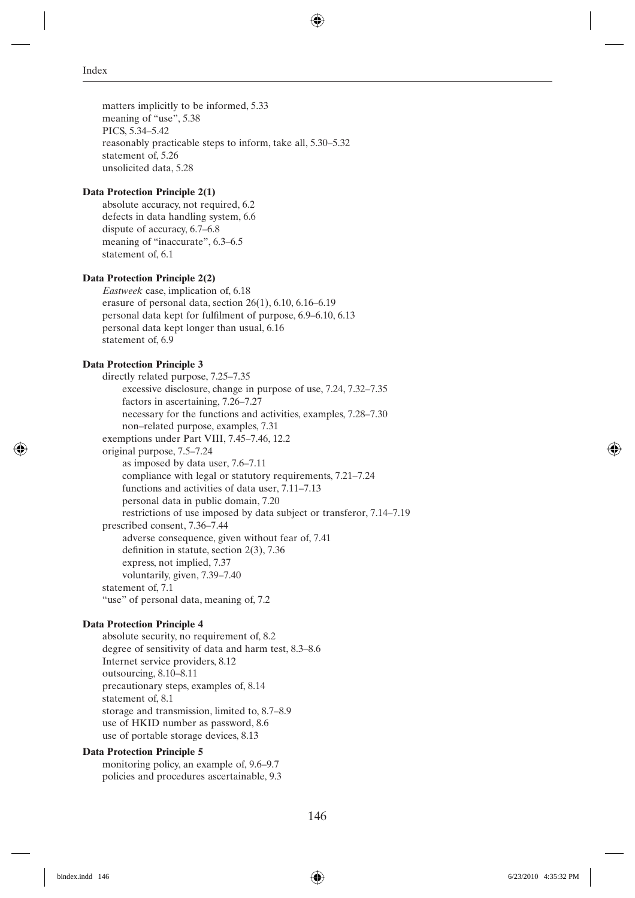matters implicitly to be informed, 5.33 meaning of "use", 5.38 PICS, 5.34–5.42 reasonably practicable steps to inform, take all, 5.30–5.32 statement of, 5.26 unsolicited data, 5.28

#### **Data Protection Principle 2(1)**

absolute accuracy, not required, 6.2 defects in data handling system, 6.6 dispute of accuracy, 6.7–6.8 meaning of "inaccurate", 6.3–6.5 statement of, 6.1

## **Data Protection Principle 2(2)**

*Eastweek* case, implication of, 6.18 erasure of personal data, section 26(1), 6.10, 6.16–6.19 personal data kept for fulfilment of purpose, 6.9–6.10, 6.13 personal data kept longer than usual, 6.16 statement of, 6.9

## **Data Protection Principle 3**

directly related purpose, 7.25–7.35 excessive disclosure, change in purpose of use, 7.24, 7.32–7.35 factors in ascertaining, 7.26–7.27 necessary for the functions and activities, examples, 7.28–7.30 non–related purpose, examples, 7.31 exemptions under Part VIII, 7.45–7.46, 12.2 original purpose, 7.5–7.24 as imposed by data user, 7.6–7.11 compliance with legal or statutory requirements, 7.21–7.24 functions and activities of data user, 7.11–7.13 personal data in public domain, 7.20 restrictions of use imposed by data subject or transferor, 7.14–7.19 prescribed consent, 7.36–7.44 adverse consequence, given without fear of, 7.41 definition in statute, section  $2(3)$ , 7.36 express, not implied, 7.37 voluntarily, given, 7.39–7.40 statement of, 7.1 "use" of personal data, meaning of, 7.2

## **Data Protection Principle 4**

absolute security, no requirement of, 8.2 degree of sensitivity of data and harm test, 8.3–8.6 Internet service providers, 8.12 outsourcing, 8.10–8.11 precautionary steps, examples of, 8.14 statement of, 8.1 storage and transmission, limited to, 8.7–8.9 use of HKID number as password, 8.6 use of portable storage devices, 8.13

#### **Data Protection Principle 5**

monitoring policy, an example of, 9.6–9.7 policies and procedures ascertainable, 9.3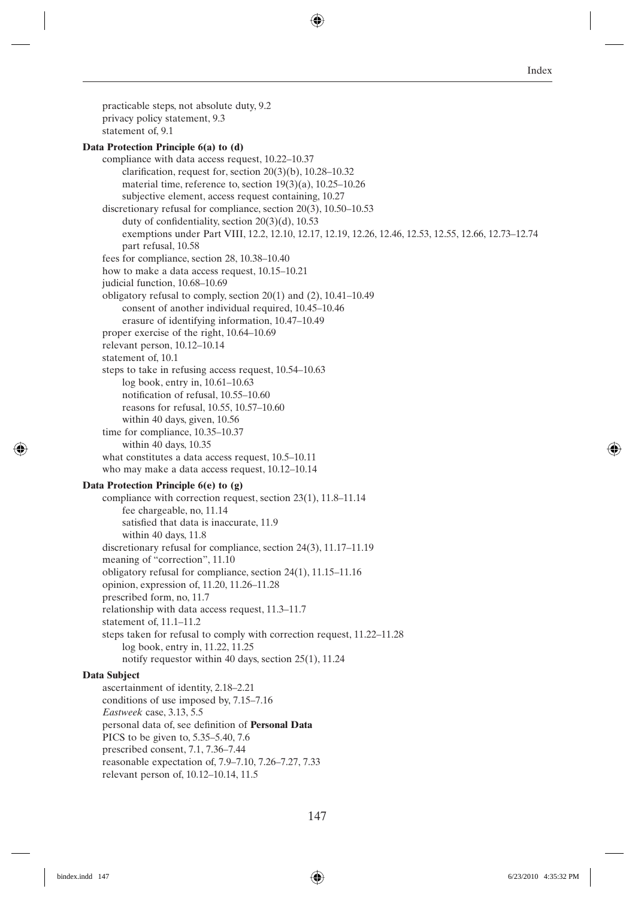practicable steps, not absolute duty, 9.2 privacy policy statement, 9.3 statement of, 9.1 **Data Protection Principle 6(a) to (d)** compliance with data access request, 10.22–10.37 clarification, request for, section  $20(3)(b)$ ,  $10.28-10.32$ material time, reference to, section 19(3)(a), 10.25–10.26 subjective element, access request containing, 10.27 discretionary refusal for compliance, section 20(3), 10.50–10.53 duty of confidentiality, section  $20(3)(d)$ , 10.53 exemptions under Part VIII, 12.2, 12.10, 12.17, 12.19, 12.26, 12.46, 12.53, 12.55, 12.66, 12.73–12.74 part refusal, 10.58 fees for compliance, section 28, 10.38–10.40 how to make a data access request, 10.15–10.21 judicial function, 10.68-10.69 obligatory refusal to comply, section 20(1) and (2), 10.41–10.49 consent of another individual required, 10.45–10.46 erasure of identifying information, 10.47–10.49 proper exercise of the right, 10.64–10.69 relevant person, 10.12–10.14 statement of, 10.1 steps to take in refusing access request, 10.54–10.63 log book, entry in, 10.61–10.63 notification of refusal, 10.55-10.60 reasons for refusal, 10.55, 10.57–10.60 within 40 days, given, 10.56 time for compliance, 10.35–10.37 within 40 days, 10.35 what constitutes a data access request, 10.5–10.11 who may make a data access request, 10.12–10.14 **Data Protection Principle 6(e) to (g)** compliance with correction request, section 23(1), 11.8–11.14 fee chargeable, no, 11.14 satisfied that data is inaccurate, 11.9 within 40 days, 11.8 discretionary refusal for compliance, section 24(3), 11.17–11.19 meaning of "correction", 11.10 obligatory refusal for compliance, section 24(1), 11.15–11.16 opinion, expression of, 11.20, 11.26–11.28 prescribed form, no, 11.7 relationship with data access request, 11.3–11.7 statement of, 11.1–11.2 steps taken for refusal to comply with correction request, 11.22–11.28 log book, entry in, 11.22, 11.25 notify requestor within 40 days, section 25(1), 11.24 **Data Subject** ascertainment of identity, 2.18–2.21 conditions of use imposed by, 7.15–7.16 *Eastweek* case, 3.13, 5.5 personal data of, see definition of **Personal Data** PICS to be given to, 5.35–5.40, 7.6 prescribed consent, 7.1, 7.36–7.44 reasonable expectation of, 7.9–7.10, 7.26–7.27, 7.33 relevant person of, 10.12–10.14, 11.5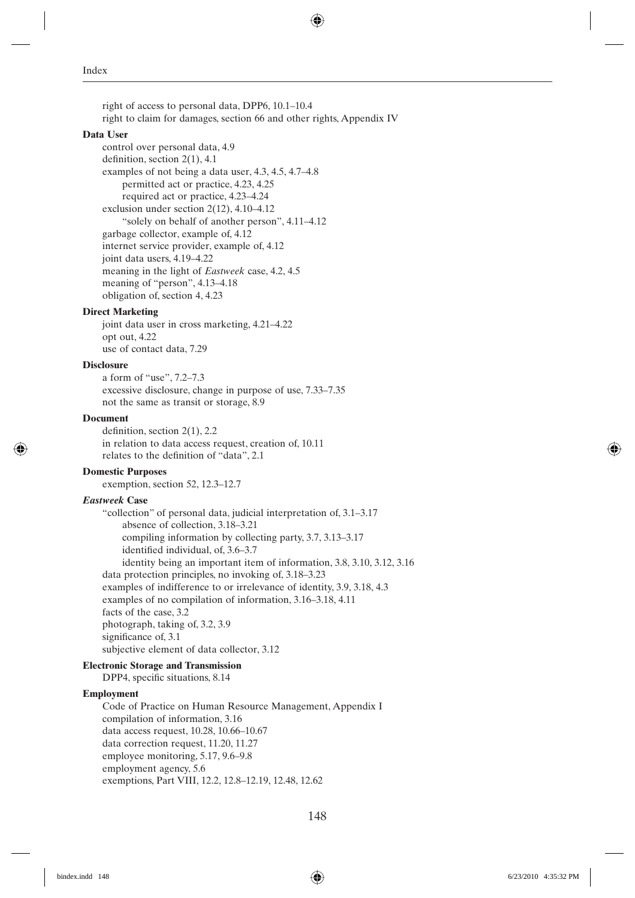right of access to personal data, DPP6, 10.1–10.4 right to claim for damages, section 66 and other rights, Appendix IV

#### **Data User**

control over personal data, 4.9 definition, section  $2(1)$ , 4.1 examples of not being a data user, 4.3, 4.5, 4.7–4.8 permitted act or practice, 4.23, 4.25 required act or practice, 4.23–4.24 exclusion under section 2(12), 4.10–4.12 "solely on behalf of another person", 4.11–4.12 garbage collector, example of, 4.12 internet service provider, example of, 4.12 joint data users, 4.19–4.22 meaning in the light of *Eastweek* case, 4.2, 4.5 meaning of "person", 4.13–4.18 obligation of, section 4, 4.23

#### **Direct Marketing**

joint data user in cross marketing, 4.21–4.22 opt out, 4.22 use of contact data, 7.29

## **Disclosure**

a form of "use", 7.2–7.3 excessive disclosure, change in purpose of use, 7.33–7.35 not the same as transit or storage, 8.9

#### **Document**

definition, section  $2(1)$ , 2.2 in relation to data access request, creation of, 10.11 relates to the definition of "data", 2.1

#### **Domestic Purposes**

exemption, section 52, 12.3–12.7

#### *Eastweek* **Case**

"collection" of personal data, judicial interpretation of, 3.1–3.17 absence of collection, 3.18–3.21 compiling information by collecting party, 3.7, 3.13–3.17 identified individual, of, 3.6-3.7 identity being an important item of information, 3.8, 3.10, 3.12, 3.16 data protection principles, no invoking of, 3.18–3.23 examples of indifference to or irrelevance of identity, 3.9, 3.18, 4.3 examples of no compilation of information, 3.16–3.18, 4.11 facts of the case, 3.2 photograph, taking of, 3.2, 3.9 significance of, 3.1 subjective element of data collector, 3.12

#### **Electronic Storage and Transmission**

DPP4, specific situations, 8.14

#### **Employment**

Code of Practice on Human Resource Management, Appendix I compilation of information, 3.16 data access request, 10.28, 10.66–10.67 data correction request, 11.20, 11.27 employee monitoring, 5.17, 9.6–9.8 employment agency, 5.6 exemptions, Part VIII, 12.2, 12.8–12.19, 12.48, 12.62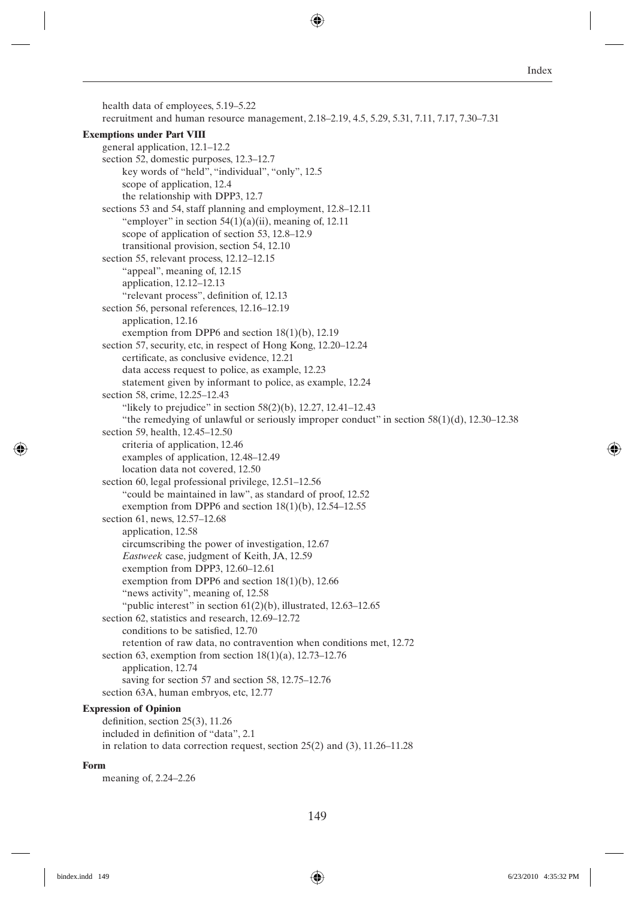health data of employees, 5.19–5.22 recruitment and human resource management, 2.18–2.19, 4.5, 5.29, 5.31, 7.11, 7.17, 7.30–7.31 **Exemptions under Part VIII** general application, 12.1–12.2 section 52, domestic purposes, 12.3–12.7 key words of "held", "individual", "only", 12.5 scope of application, 12.4 the relationship with DPP3, 12.7 sections 53 and 54, staff planning and employment, 12.8–12.11 "employer" in section  $54(1)(a)(ii)$ , meaning of, 12.11 scope of application of section 53, 12.8–12.9 transitional provision, section 54, 12.10 section 55, relevant process, 12.12–12.15 "appeal", meaning of, 12.15 application, 12.12–12.13 "relevant process", definition of, 12.13 section 56, personal references, 12.16–12.19 application, 12.16 exemption from DPP6 and section 18(1)(b), 12.19 section 57, security, etc, in respect of Hong Kong, 12.20–12.24 certificate, as conclusive evidence, 12.21 data access request to police, as example, 12.23 statement given by informant to police, as example, 12.24 section 58, crime, 12.25–12.43 "likely to prejudice" in section  $58(2)(b)$ , 12.27, 12.41–12.43 "the remedying of unlawful or seriously improper conduct" in section  $58(1)(d)$ , 12.30–12.38 section 59, health, 12.45–12.50 criteria of application, 12.46 examples of application, 12.48–12.49 location data not covered, 12.50 section 60, legal professional privilege, 12.51–12.56 "could be maintained in law", as standard of proof, 12.52 exemption from DPP6 and section  $18(1)(b)$ ,  $12.54-12.55$ section 61, news, 12.57–12.68 application, 12.58 circumscribing the power of investigation, 12.67 *Eastweek* case, judgment of Keith, JA, 12.59 exemption from DPP3, 12.60–12.61 exemption from DPP6 and section 18(1)(b), 12.66 "news activity", meaning of, 12.58 "public interest" in section  $61(2)(b)$ , illustrated, 12.63-12.65 section 62, statistics and research, 12.69–12.72 conditions to be satisfied, 12.70 retention of raw data, no contravention when conditions met, 12.72 section 63, exemption from section  $18(1)(a)$ , 12.73–12.76 application, 12.74 saving for section 57 and section 58, 12.75–12.76 section 63A, human embryos, etc, 12.77 **Expression of Opinion** definition, section  $25(3)$ , 11.26 included in definition of "data", 2.1

#### **Form**

meaning of, 2.24–2.26

in relation to data correction request, section 25(2) and (3), 11.26–11.28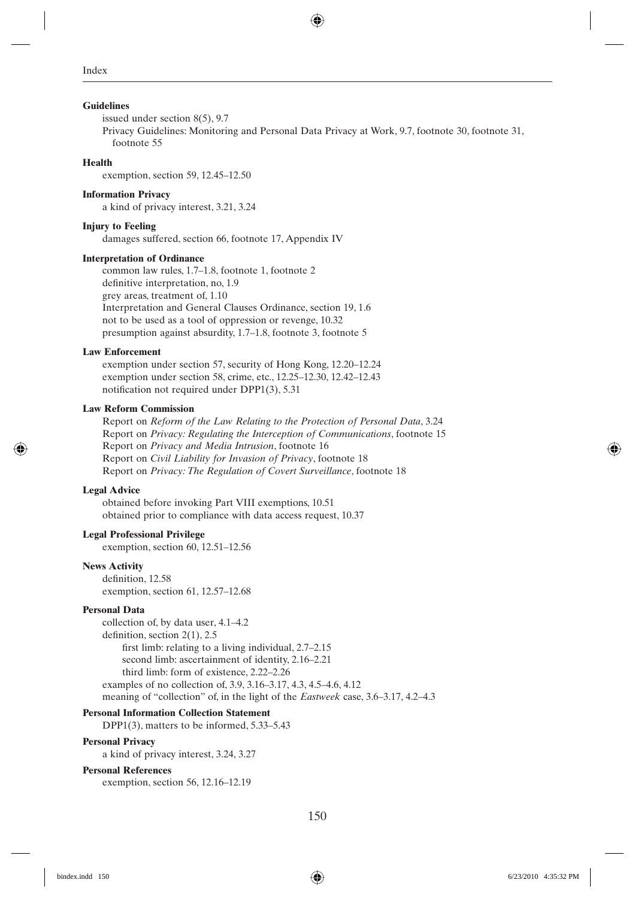#### **Guidelines**

issued under section 8(5), 9.7 Privacy Guidelines: Monitoring and Personal Data Privacy at Work, 9.7, footnote 30, footnote 31, footnote 55

#### **Health**

exemption, section 59, 12.45–12.50

#### **Information Privacy**

a kind of privacy interest, 3.21, 3.24

## **Injury to Feeling**

damages suffered, section 66, footnote 17, Appendix IV

#### **Interpretation of Ordinance**

common law rules, 1.7–1.8, footnote 1, footnote 2 definitive interpretation, no, 1.9 grey areas, treatment of, 1.10 Interpretation and General Clauses Ordinance, section 19, 1.6 not to be used as a tool of oppression or revenge, 10.32 presumption against absurdity, 1.7–1.8, footnote 3, footnote 5

#### **Law Enforcement**

exemption under section 57, security of Hong Kong, 12.20–12.24 exemption under section 58, crime, etc., 12.25–12.30, 12.42–12.43 notification not required under DPP1(3), 5.31

#### **Law Reform Commission**

Report on *Reform of the Law Relating to the Protection of Personal Data*, 3.24 Report on *Privacy: Regulating the Interception of Communications*, footnote 15 Report on *Privacy and Media Intrusion*, footnote 16 Report on *Civil Liability for Invasion of Privacy*, footnote 18 Report on *Privacy: The Regulation of Covert Surveillance*, footnote 18

#### **Legal Advice**

obtained before invoking Part VIII exemptions, 10.51 obtained prior to compliance with data access request, 10.37

### **Legal Professional Privilege**

exemption, section 60, 12.51–12.56

#### **News Activity**

definition, 12.58 exemption, section 61, 12.57–12.68

#### **Personal Data**

collection of, by data user, 4.1–4.2 definition, section  $2(1)$ , 2.5 first limb: relating to a living individual,  $2.7-2.15$ second limb: ascertainment of identity, 2.16–2.21 third limb: form of existence, 2.22–2.26 examples of no collection of, 3.9, 3.16–3.17, 4.3, 4.5–4.6, 4.12 meaning of "collection" of, in the light of the *Eastweek* case, 3.6–3.17, 4.2–4.3

## **Personal Information Collection Statement**

DPP1(3), matters to be informed, 5.33–5.43

#### **Personal Privacy**

a kind of privacy interest, 3.24, 3.27

#### **Personal References**

exemption, section 56, 12.16–12.19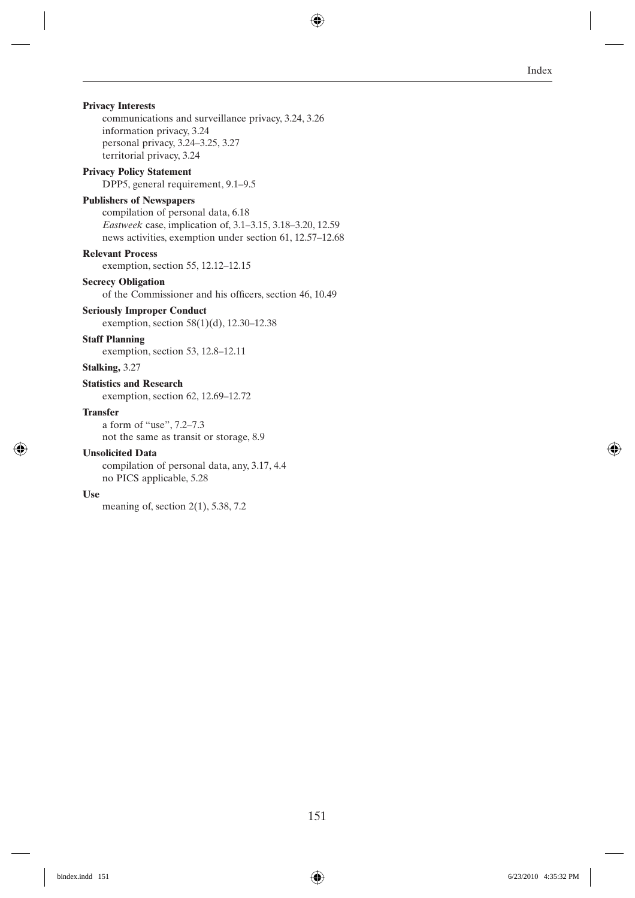## **Privacy Interests**

communications and surveillance privacy, 3.24, 3.26 information privacy, 3.24 personal privacy, 3.24–3.25, 3.27 territorial privacy, 3.24

### **Privacy Policy Statement**

DPP5, general requirement, 9.1–9.5

## **Publishers of Newspapers**

compilation of personal data, 6.18 *Eastweek* case, implication of, 3.1–3.15, 3.18–3.20, 12.59 news activities, exemption under section 61, 12.57–12.68

## **Relevant Process**

exemption, section 55, 12.12–12.15

## **Secrecy Obligation**

of the Commissioner and his officers, section 46, 10.49

## **Seriously Improper Conduct**

exemption, section 58(1)(d), 12.30–12.38

## **Staff Planning**

exemption, section 53, 12.8–12.11

**Stalking,** 3.27

#### **Statistics and Research**

exemption, section 62, 12.69–12.72

#### **Transfer**

a form of "use", 7.2–7.3 not the same as transit or storage, 8.9

## **Unsolicited Data**

compilation of personal data, any, 3.17, 4.4 no PICS applicable, 5.28

#### **Use**

meaning of, section 2(1), 5.38, 7.2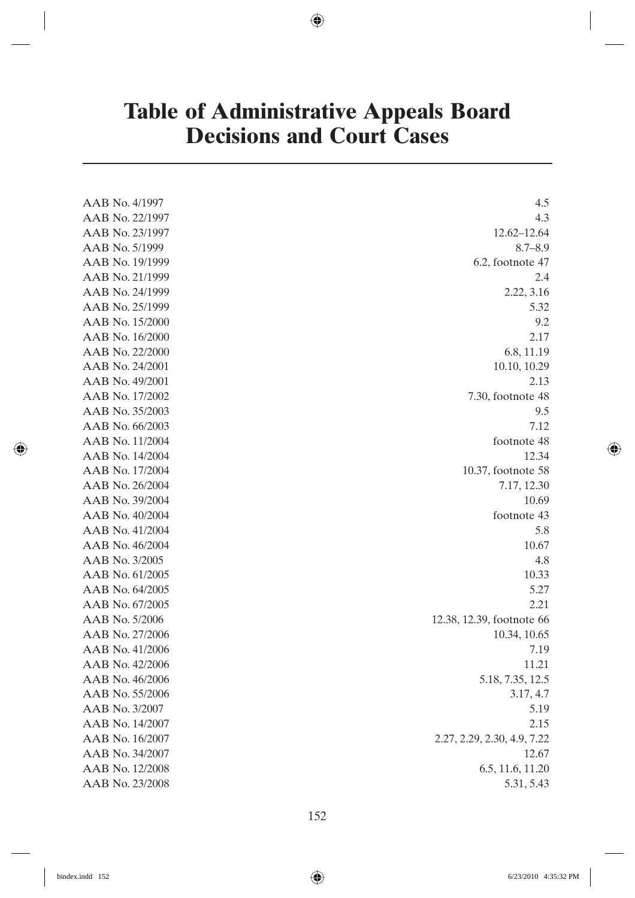# **Table of Administrative Appeals Board Decisions and Court Cases**

| AAB No. 4/1997  | 4.5                         |
|-----------------|-----------------------------|
| AAB No. 22/1997 | 4.3                         |
| AAB No. 23/1997 | 12.62-12.64                 |
| AAB No. 5/1999  | $8.7 - 8.9$                 |
| AAB No. 19/1999 | 6.2, footnote 47            |
| AAB No. 21/1999 | 2.4                         |
| AAB No. 24/1999 | 2.22, 3.16                  |
| AAB No. 25/1999 | 5.32                        |
| AAB No. 15/2000 | 9.2                         |
| AAB No. 16/2000 | 2.17                        |
| AAB No. 22/2000 | 6.8, 11.19                  |
| AAB No. 24/2001 | 10.10, 10.29                |
| AAB No. 49/2001 | 2.13                        |
| AAB No. 17/2002 | $7.30$ , footnote 48        |
| AAB No. 35/2003 | 9.5                         |
| AAB No. 66/2003 | 7.12                        |
| AAB No. 11/2004 | footnote 48                 |
| AAB No. 14/2004 | 12.34                       |
| AAB No. 17/2004 | 10.37, footnote 58          |
| AAB No. 26/2004 | 7.17, 12.30                 |
| AAB No. 39/2004 | 10.69                       |
| AAB No. 40/2004 | footnote 43                 |
| AAB No. 41/2004 | 5.8                         |
| AAB No. 46/2004 | 10.67                       |
| AAB No. 3/2005  | 4.8                         |
| AAB No. 61/2005 | 10.33                       |
| AAB No. 64/2005 | 5.27                        |
| AAB No. 67/2005 | 2.21                        |
| AAB No. 5/2006  | 12.38, 12.39, footnote 66   |
| AAB No. 27/2006 | 10.34, 10.65                |
| AAB No. 41/2006 | 7.19                        |
| AAB No. 42/2006 | 11.21                       |
| AAB No. 46/2006 | 5.18, 7.35, 12.5            |
| AAB No. 55/2006 | 3.17, 4.7                   |
| AAB No. 3/2007  | 5.19                        |
| AAB No. 14/2007 | 2.15                        |
| AAB No. 16/2007 | 2.27, 2.29, 2.30, 4.9, 7.22 |
| AAB No. 34/2007 | 12.67                       |
| AAB No. 12/2008 | 6.5, 11.6, 11.20            |
| AAB No. 23/2008 | 5.31, 5.43                  |